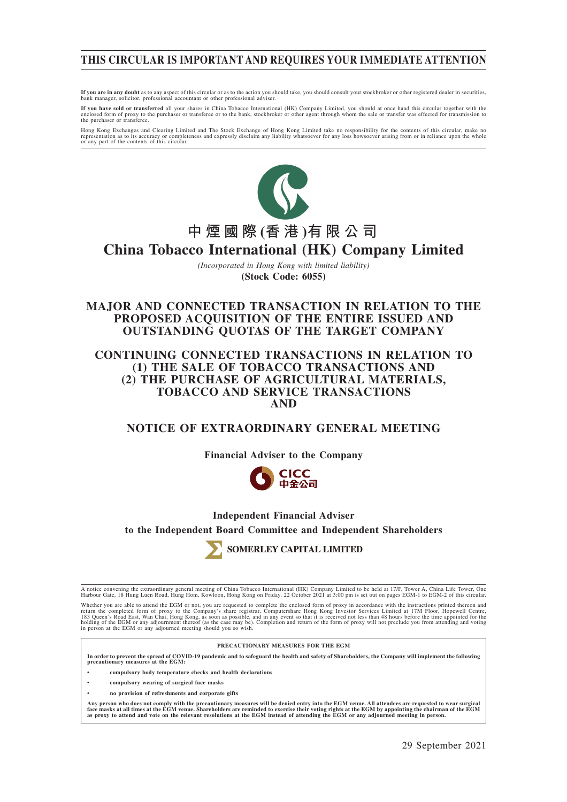# **THIS CIRCULAR IS IMPORTANT AND REQUIRES YOUR IMMEDIATE ATTENTION**

**If you are in any doubt** as to any aspect of this circular or as to the action you should take, you should consult your stockbroker or other registered dealer in securities,<br>bank manager, solicitor, professional accountan

**If you have sold or transferred** all your shares in China Tobacco International (HK) Company Limited, you should at once hand this circular together with the enclosed form and the subset of transfere with the enclosed for

Hong Kong Exchanges and Clearing Limited and The Stock Exchange of Hong Kong Limited take no responsibility for the contents of this circular, make no<br>representation as to its accuracy or completeness and expressly disclai



# **中煙國際 (香 港 )有限公司 China Tobacco International (HK) Company Limited**

*(Incorporated in Hong Kong with limited liability)* **(Stock Code: 6055)**

# **MAJOR AND CONNECTED TRANSACTION IN RELATION TO THE PROPOSED ACQUISITION OF THE ENTIRE ISSUED AND OUTSTANDING QUOTAS OF THE TARGET COMPANY**

## **CONTINUING CONNECTED TRANSACTIONS IN RELATION TO (1) THE SALE OF TOBACCO TRANSACTIONS AND (2) THE PURCHASE OF AGRICULTURAL MATERIALS, TOBACCO AND SERVICE TRANSACTIONS AND**

# **NOTICE OF EXTRAORDINARY GENERAL MEETING**

**Financial Adviser to the Company**



# **Independent Financial Adviser to the Independent Board Committee and Independent Shareholders**



SOMERLEY CAPITAL LIMITED

A notice convening the extraordinary general meeting of China Tobacco International (HK) Company Limited to be held at 17/F, Tower A, China Life Tower, One<br>Harbour Gate, 18 Hung Luen Road, Hung Hom, Kowloon, Hong Kong on F

Whether you are able to attend the EGM or not, you are requested to complete the enclosed form of proxy in accordance with the instructions printed thereon and<br>return the completed form of proxy to the Company's share regi

#### **PRECAUTIONARY MEASURES FOR THE EGM**

**In order to prevent the spread of COVID-19 pandemic and to safeguard the health and safety of Shareholders, the Company will implement the following precautionary measures at the EGM:**

**• compulsory body temperature checks and health declarations**

- **compulsory wearing of surgical face masks**
- **no provision of refreshments and corporate gifts**

Any person who does not comply with the precautionary measures will be denied entry into the EGM venue. All attendees are requested to wear surgical<br>face masks at all times at the EGM venue. Shareholders are reminded to ex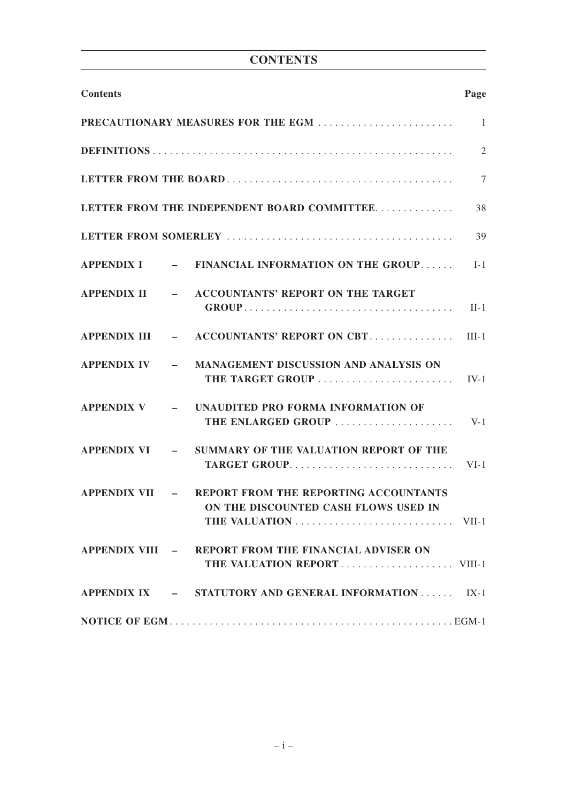| <b>CONTENTS</b> |
|-----------------|
|-----------------|

| <b>Contents</b>  |                                                                                                       | Page           |
|------------------|-------------------------------------------------------------------------------------------------------|----------------|
|                  | PRECAUTIONARY MEASURES FOR THE EGM                                                                    | $\overline{1}$ |
|                  |                                                                                                       | $\overline{2}$ |
|                  |                                                                                                       | $\overline{7}$ |
|                  | LETTER FROM THE INDEPENDENT BOARD COMMITTEE                                                           | 38             |
|                  |                                                                                                       | 39             |
|                  | APPENDIX I - FINANCIAL INFORMATION ON THE GROUP                                                       | $I-1$          |
|                  | APPENDIX II - ACCOUNTANTS' REPORT ON THE TARGET                                                       | $II-1$         |
|                  | APPENDIX III $\qquad$ – ACCOUNTANTS' REPORT ON CBT                                                    | $III-1$        |
|                  | APPENDIX IV - MANAGEMENT DISCUSSION AND ANALYSIS ON<br>THE TARGET GROUP                               | $IV-1$         |
|                  | APPENDIX V - UNAUDITED PRO FORMA INFORMATION OF<br>THE ENLARGED GROUP                                 | $V-1$          |
| APPENDIX VI –    | SUMMARY OF THE VALUATION REPORT OF THE<br>TARGET GROUP                                                | $VI-1$         |
| $APPENDIX VII$ – | REPORT FROM THE REPORTING ACCOUNTANTS<br>ON THE DISCOUNTED CASH FLOWS USED IN<br>THE VALUATION  VII-1 |                |
|                  | APPENDIX VIII - REPORT FROM THE FINANCIAL ADVISER ON                                                  |                |
|                  | APPENDIX IX - STATUTORY AND GENERAL INFORMATION IX-1                                                  |                |
|                  |                                                                                                       |                |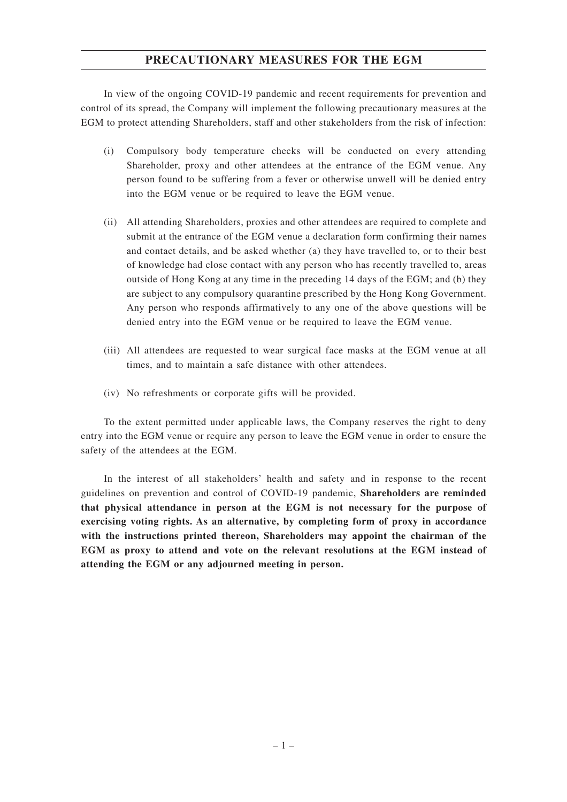# **PRECAUTIONARY MEASURES FOR THE EGM**

In view of the ongoing COVID-19 pandemic and recent requirements for prevention and control of its spread, the Company will implement the following precautionary measures at the EGM to protect attending Shareholders, staff and other stakeholders from the risk of infection:

- (i) Compulsory body temperature checks will be conducted on every attending Shareholder, proxy and other attendees at the entrance of the EGM venue. Any person found to be suffering from a fever or otherwise unwell will be denied entry into the EGM venue or be required to leave the EGM venue.
- (ii) All attending Shareholders, proxies and other attendees are required to complete and submit at the entrance of the EGM venue a declaration form confirming their names and contact details, and be asked whether (a) they have travelled to, or to their best of knowledge had close contact with any person who has recently travelled to, areas outside of Hong Kong at any time in the preceding 14 days of the EGM; and (b) they are subject to any compulsory quarantine prescribed by the Hong Kong Government. Any person who responds affirmatively to any one of the above questions will be denied entry into the EGM venue or be required to leave the EGM venue.
- (iii) All attendees are requested to wear surgical face masks at the EGM venue at all times, and to maintain a safe distance with other attendees.
- (iv) No refreshments or corporate gifts will be provided.

To the extent permitted under applicable laws, the Company reserves the right to deny entry into the EGM venue or require any person to leave the EGM venue in order to ensure the safety of the attendees at the EGM.

In the interest of all stakeholders' health and safety and in response to the recent guidelines on prevention and control of COVID-19 pandemic, **Shareholders are reminded that physical attendance in person at the EGM is not necessary for the purpose of exercising voting rights. As an alternative, by completing form of proxy in accordance with the instructions printed thereon, Shareholders may appoint the chairman of the EGM as proxy to attend and vote on the relevant resolutions at the EGM instead of attending the EGM or any adjourned meeting in person.**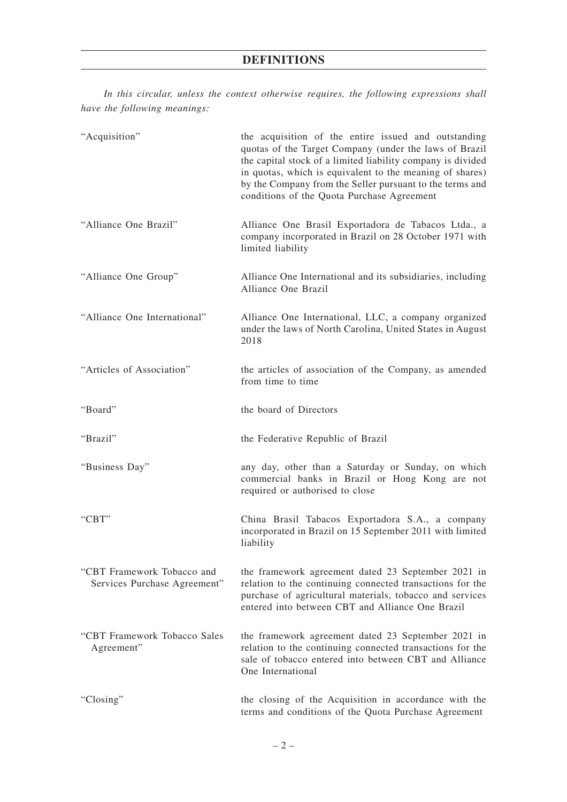*In this circular, unless the context otherwise requires, the following expressions shall have the following meanings:*

| "Acquisition"                                              | the acquisition of the entire issued and outstanding<br>quotas of the Target Company (under the laws of Brazil<br>the capital stock of a limited liability company is divided<br>in quotas, which is equivalent to the meaning of shares)<br>by the Company from the Seller pursuant to the terms and<br>conditions of the Quota Purchase Agreement |
|------------------------------------------------------------|-----------------------------------------------------------------------------------------------------------------------------------------------------------------------------------------------------------------------------------------------------------------------------------------------------------------------------------------------------|
| "Alliance One Brazil"                                      | Alliance One Brasil Exportadora de Tabacos Ltda., a<br>company incorporated in Brazil on 28 October 1971 with<br>limited liability                                                                                                                                                                                                                  |
| "Alliance One Group"                                       | Alliance One International and its subsidiaries, including<br>Alliance One Brazil                                                                                                                                                                                                                                                                   |
| "Alliance One International"                               | Alliance One International, LLC, a company organized<br>under the laws of North Carolina, United States in August<br>2018                                                                                                                                                                                                                           |
| "Articles of Association"                                  | the articles of association of the Company, as amended<br>from time to time                                                                                                                                                                                                                                                                         |
| "Board"                                                    | the board of Directors                                                                                                                                                                                                                                                                                                                              |
| "Brazil"                                                   | the Federative Republic of Brazil                                                                                                                                                                                                                                                                                                                   |
| "Business Day"                                             | any day, other than a Saturday or Sunday, on which<br>commercial banks in Brazil or Hong Kong are not<br>required or authorised to close                                                                                                                                                                                                            |
| "CBT"                                                      | China Brasil Tabacos Exportadora S.A., a company<br>incorporated in Brazil on 15 September 2011 with limited<br>liability                                                                                                                                                                                                                           |
| "CBT Framework Tobacco and<br>Services Purchase Agreement" | the framework agreement dated 23 September 2021 in<br>relation to the continuing connected transactions for the<br>purchase of agricultural materials, tobacco and services<br>entered into between CBT and Alliance One Brazil                                                                                                                     |
| "CBT Framework Tobacco Sales<br>Agreement"                 | the framework agreement dated 23 September 2021 in<br>relation to the continuing connected transactions for the<br>sale of tobacco entered into between CBT and Alliance<br>One International                                                                                                                                                       |
| "Closing"                                                  | the closing of the Acquisition in accordance with the<br>terms and conditions of the Quota Purchase Agreement                                                                                                                                                                                                                                       |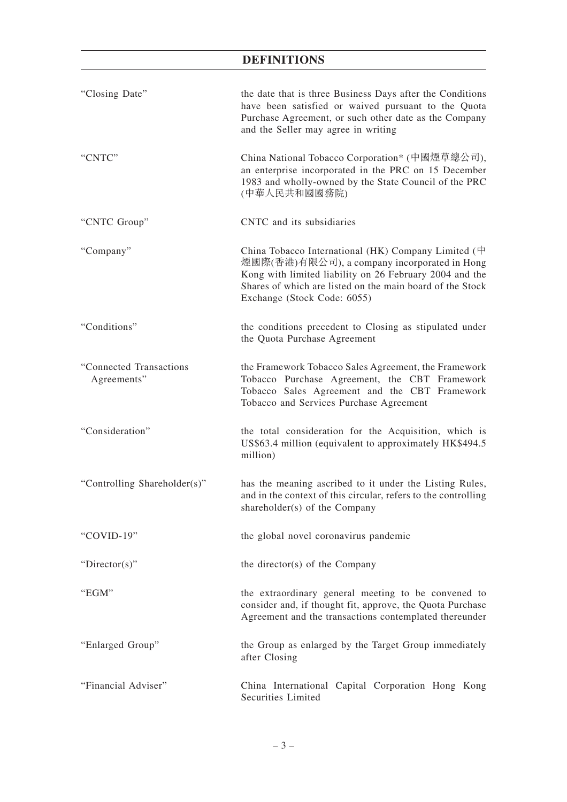| "Closing Date"                          | the date that is three Business Days after the Conditions<br>have been satisfied or waived pursuant to the Quota<br>Purchase Agreement, or such other date as the Company<br>and the Seller may agree in writing                                               |  |  |  |  |  |  |  |
|-----------------------------------------|----------------------------------------------------------------------------------------------------------------------------------------------------------------------------------------------------------------------------------------------------------------|--|--|--|--|--|--|--|
| "CNTC"                                  | China National Tobacco Corporation* (中國煙草總公司),<br>an enterprise incorporated in the PRC on 15 December<br>1983 and wholly-owned by the State Council of the PRC<br>(中華人民共和國國務院)                                                                                |  |  |  |  |  |  |  |
| "CNTC Group"                            | CNTC and its subsidiaries                                                                                                                                                                                                                                      |  |  |  |  |  |  |  |
| "Company"                               | China Tobacco International (HK) Company Limited ( $\#$<br>煙國際(香港)有限公司), a company incorporated in Hong<br>Kong with limited liability on 26 February 2004 and the<br>Shares of which are listed on the main board of the Stock<br>Exchange (Stock Code: 6055) |  |  |  |  |  |  |  |
| "Conditions"                            | the conditions precedent to Closing as stipulated under<br>the Quota Purchase Agreement                                                                                                                                                                        |  |  |  |  |  |  |  |
| "Connected Transactions"<br>Agreements" | the Framework Tobacco Sales Agreement, the Framework<br>Tobacco Purchase Agreement, the CBT Framework<br>Tobacco Sales Agreement and the CBT Framework<br>Tobacco and Services Purchase Agreement                                                              |  |  |  |  |  |  |  |
| "Consideration"                         | the total consideration for the Acquisition, which is<br>US\$63.4 million (equivalent to approximately HK\$494.5)<br>million)                                                                                                                                  |  |  |  |  |  |  |  |
| "Controlling Shareholder(s)"            | has the meaning ascribed to it under the Listing Rules,<br>and in the context of this circular, refers to the controlling<br>shareholder(s) of the Company                                                                                                     |  |  |  |  |  |  |  |
| "COVID-19"                              | the global novel coronavirus pandemic                                                                                                                                                                                                                          |  |  |  |  |  |  |  |
| "Director(s)"                           | the director(s) of the Company                                                                                                                                                                                                                                 |  |  |  |  |  |  |  |
| "EGM"                                   | the extraordinary general meeting to be convened to<br>consider and, if thought fit, approve, the Quota Purchase<br>Agreement and the transactions contemplated thereunder                                                                                     |  |  |  |  |  |  |  |
| "Enlarged Group"                        | the Group as enlarged by the Target Group immediately<br>after Closing                                                                                                                                                                                         |  |  |  |  |  |  |  |
| "Financial Adviser"                     | China International Capital Corporation Hong Kong<br><b>Securities Limited</b>                                                                                                                                                                                 |  |  |  |  |  |  |  |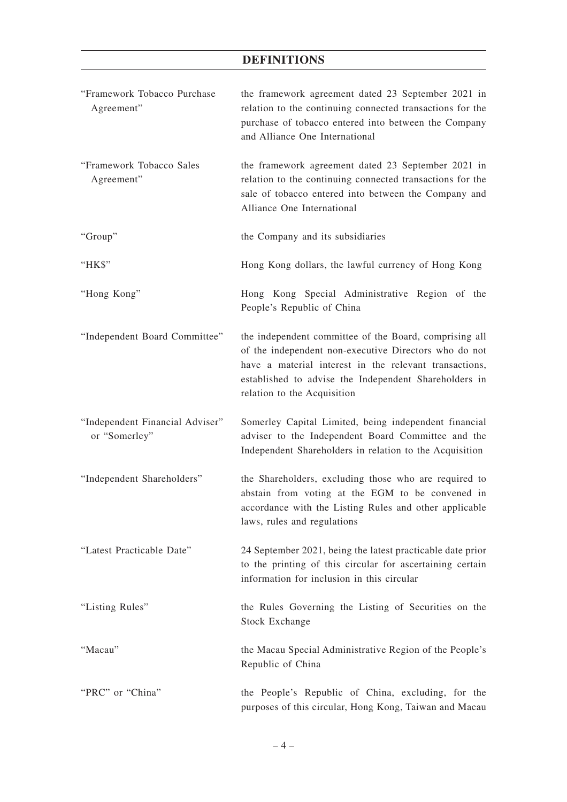| "Framework Tobacco Purchase<br>Agreement"        | the framework agreement dated 23 September 2021 in<br>relation to the continuing connected transactions for the<br>purchase of tobacco entered into between the Company<br>and Alliance One International                                                         |
|--------------------------------------------------|-------------------------------------------------------------------------------------------------------------------------------------------------------------------------------------------------------------------------------------------------------------------|
| "Framework Tobacco Sales<br>Agreement"           | the framework agreement dated 23 September 2021 in<br>relation to the continuing connected transactions for the<br>sale of tobacco entered into between the Company and<br>Alliance One International                                                             |
| "Group"                                          | the Company and its subsidiaries                                                                                                                                                                                                                                  |
| "HK\$"                                           | Hong Kong dollars, the lawful currency of Hong Kong                                                                                                                                                                                                               |
| "Hong Kong"                                      | Hong Kong Special Administrative Region of the<br>People's Republic of China                                                                                                                                                                                      |
| "Independent Board Committee"                    | the independent committee of the Board, comprising all<br>of the independent non-executive Directors who do not<br>have a material interest in the relevant transactions,<br>established to advise the Independent Shareholders in<br>relation to the Acquisition |
| "Independent Financial Adviser"<br>or "Somerley" | Somerley Capital Limited, being independent financial<br>adviser to the Independent Board Committee and the<br>Independent Shareholders in relation to the Acquisition                                                                                            |
| "Independent Shareholders"                       | the Shareholders, excluding those who are required to<br>abstain from voting at the EGM to be convened in<br>accordance with the Listing Rules and other applicable<br>laws, rules and regulations                                                                |
| "Latest Practicable Date"                        | 24 September 2021, being the latest practicable date prior<br>to the printing of this circular for ascertaining certain<br>information for inclusion in this circular                                                                                             |
| "Listing Rules"                                  | the Rules Governing the Listing of Securities on the<br><b>Stock Exchange</b>                                                                                                                                                                                     |
| "Macau"                                          | the Macau Special Administrative Region of the People's<br>Republic of China                                                                                                                                                                                      |
| "PRC" or "China"                                 | the People's Republic of China, excluding, for the<br>purposes of this circular, Hong Kong, Taiwan and Macau                                                                                                                                                      |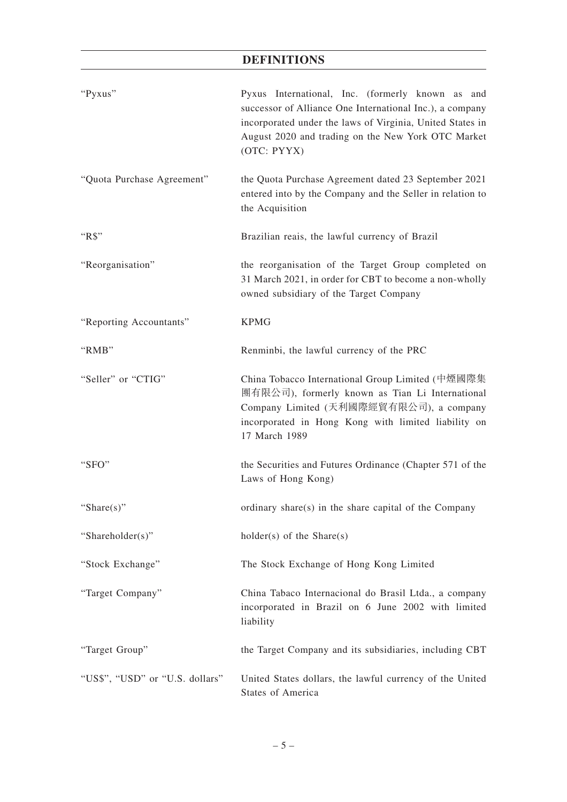| "Pyxus"                         | Pyxus International, Inc. (formerly known as and<br>successor of Alliance One International Inc.), a company<br>incorporated under the laws of Virginia, United States in<br>August 2020 and trading on the New York OTC Market<br>(OTC: PYYX) |  |  |  |  |  |  |
|---------------------------------|------------------------------------------------------------------------------------------------------------------------------------------------------------------------------------------------------------------------------------------------|--|--|--|--|--|--|
| "Quota Purchase Agreement"      | the Quota Purchase Agreement dated 23 September 2021<br>entered into by the Company and the Seller in relation to<br>the Acquisition                                                                                                           |  |  |  |  |  |  |
| " $RS$ "                        | Brazilian reais, the lawful currency of Brazil                                                                                                                                                                                                 |  |  |  |  |  |  |
| "Reorganisation"                | the reorganisation of the Target Group completed on<br>31 March 2021, in order for CBT to become a non-wholly<br>owned subsidiary of the Target Company                                                                                        |  |  |  |  |  |  |
| "Reporting Accountants"         | <b>KPMG</b>                                                                                                                                                                                                                                    |  |  |  |  |  |  |
| "RMB"                           | Renminbi, the lawful currency of the PRC                                                                                                                                                                                                       |  |  |  |  |  |  |
| "Seller" or "CTIG"              | China Tobacco International Group Limited (中煙國際集<br>團有限公司), formerly known as Tian Li International<br>Company Limited (天利國際經貿有限公司), a company<br>incorporated in Hong Kong with limited liability on<br>17 March 1989                         |  |  |  |  |  |  |
| "SFO"                           | the Securities and Futures Ordinance (Chapter 571 of the<br>Laws of Hong Kong)                                                                                                                                                                 |  |  |  |  |  |  |
| "Share $(s)$ "                  | ordinary share(s) in the share capital of the Company                                                                                                                                                                                          |  |  |  |  |  |  |
| "Shareholder(s)"                | $holder(s)$ of the Share $(s)$                                                                                                                                                                                                                 |  |  |  |  |  |  |
| "Stock Exchange"                | The Stock Exchange of Hong Kong Limited                                                                                                                                                                                                        |  |  |  |  |  |  |
| "Target Company"                | China Tabaco Internacional do Brasil Ltda., a company<br>incorporated in Brazil on 6 June 2002 with limited<br>liability                                                                                                                       |  |  |  |  |  |  |
| "Target Group"                  | the Target Company and its subsidiaries, including CBT                                                                                                                                                                                         |  |  |  |  |  |  |
| "US\$", "USD" or "U.S. dollars" | United States dollars, the lawful currency of the United<br><b>States of America</b>                                                                                                                                                           |  |  |  |  |  |  |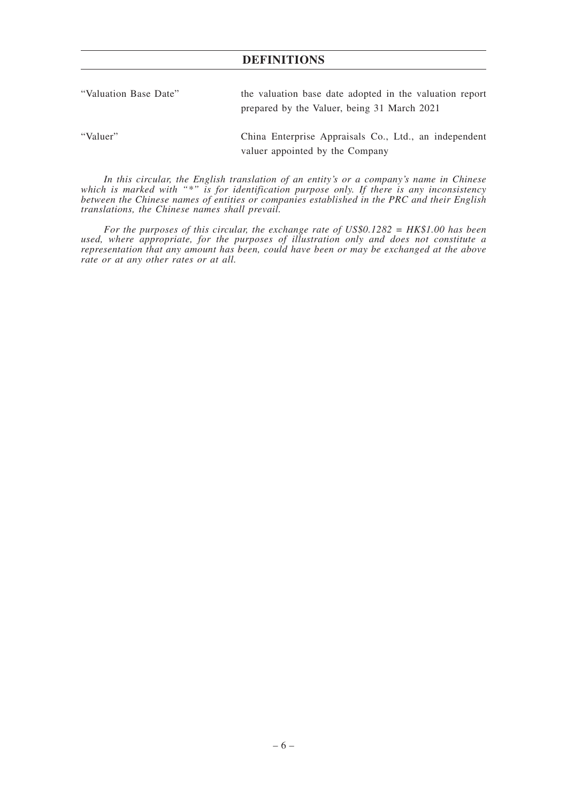| "Valuation Base Date" | the valuation base date adopted in the valuation report<br>prepared by the Valuer, being 31 March 2021 |
|-----------------------|--------------------------------------------------------------------------------------------------------|
| "Valuer"              | China Enterprise Appraisals Co., Ltd., an independent<br>valuer appointed by the Company               |

*In this circular, the English translation of an entity's or a company's name in Chinese which is marked with "\*" is for identification purpose only. If there is any inconsistency between the Chinese names of entities or companies established in the PRC and their English translations, the Chinese names shall prevail.*

*For the purposes of this circular, the exchange rate of US\$0.1282 = HK\$1.00 has been used, where appropriate, for the purposes of illustration only and does not constitute a representation that any amount has been, could have been or may be exchanged at the above rate or at any other rates or at all.*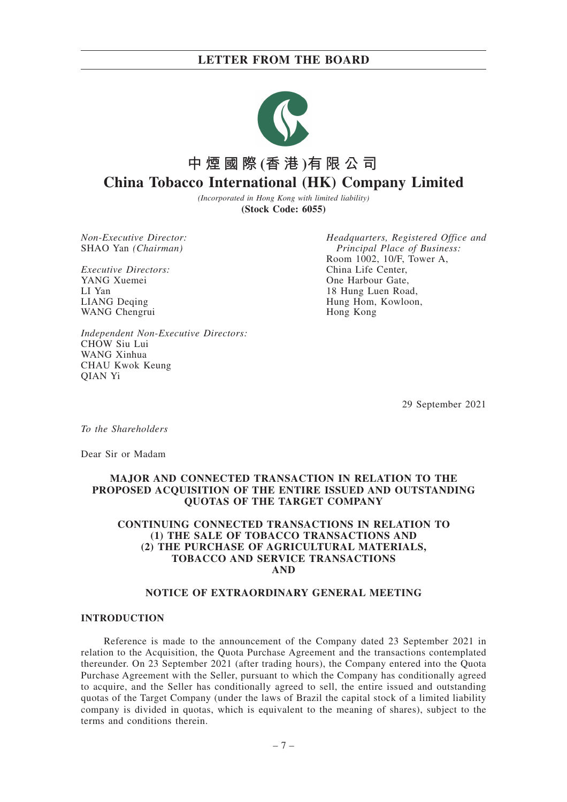

# **中煙國際 (香 港 )有限公司 China Tobacco International (HK) Company Limited**

*(Incorporated in Hong Kong with limited liability)* **(Stock Code: 6055)**

*Non-Executive Director:* SHAO Yan *(Chairman)*

*Executive Directors:* YANG Xuemei LI Yan LIANG Deqing WANG Chengrui

*Headquarters, Registered Office and Principal Place of Business:* Room 1002, 10/F, Tower A, China Life Center, One Harbour Gate, 18 Hung Luen Road, Hung Hom, Kowloon, Hong Kong

*Independent Non-Executive Directors:* CHOW Siu Lui WANG Xinhua CHAU Kwok Keung QIAN Yi

29 September 2021

*To the Shareholders*

Dear Sir or Madam

## **MAJOR AND CONNECTED TRANSACTION IN RELATION TO THE PROPOSED ACQUISITION OF THE ENTIRE ISSUED AND OUTSTANDING QUOTAS OF THE TARGET COMPANY**

## **CONTINUING CONNECTED TRANSACTIONS IN RELATION TO (1) THE SALE OF TOBACCO TRANSACTIONS AND (2) THE PURCHASE OF AGRICULTURAL MATERIALS, TOBACCO AND SERVICE TRANSACTIONS AND**

#### **NOTICE OF EXTRAORDINARY GENERAL MEETING**

#### **INTRODUCTION**

Reference is made to the announcement of the Company dated 23 September 2021 in relation to the Acquisition, the Quota Purchase Agreement and the transactions contemplated thereunder. On 23 September 2021 (after trading hours), the Company entered into the Quota Purchase Agreement with the Seller, pursuant to which the Company has conditionally agreed to acquire, and the Seller has conditionally agreed to sell, the entire issued and outstanding quotas of the Target Company (under the laws of Brazil the capital stock of a limited liability company is divided in quotas, which is equivalent to the meaning of shares), subject to the terms and conditions therein.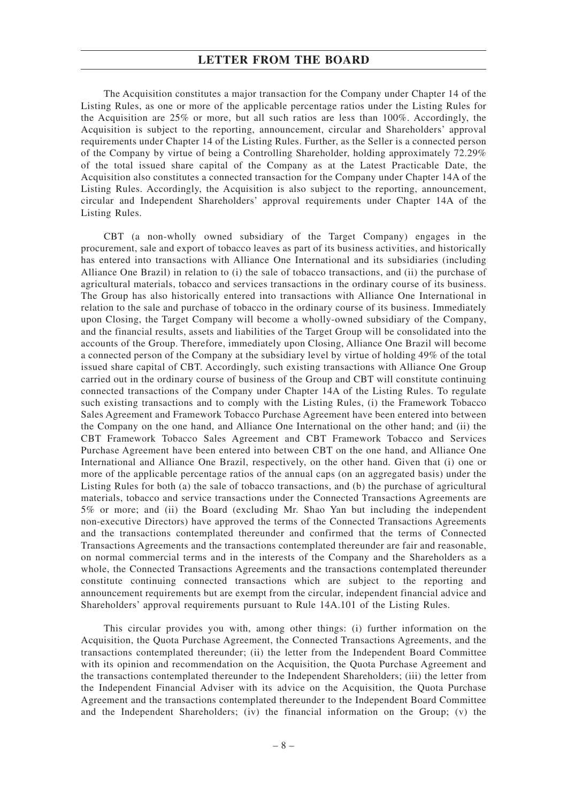The Acquisition constitutes a major transaction for the Company under Chapter 14 of the Listing Rules, as one or more of the applicable percentage ratios under the Listing Rules for the Acquisition are 25% or more, but all such ratios are less than 100%. Accordingly, the Acquisition is subject to the reporting, announcement, circular and Shareholders' approval requirements under Chapter 14 of the Listing Rules. Further, as the Seller is a connected person of the Company by virtue of being a Controlling Shareholder, holding approximately 72.29% of the total issued share capital of the Company as at the Latest Practicable Date, the Acquisition also constitutes a connected transaction for the Company under Chapter 14A of the Listing Rules. Accordingly, the Acquisition is also subject to the reporting, announcement, circular and Independent Shareholders' approval requirements under Chapter 14A of the Listing Rules.

CBT (a non-wholly owned subsidiary of the Target Company) engages in the procurement, sale and export of tobacco leaves as part of its business activities, and historically has entered into transactions with Alliance One International and its subsidiaries (including Alliance One Brazil) in relation to (i) the sale of tobacco transactions, and (ii) the purchase of agricultural materials, tobacco and services transactions in the ordinary course of its business. The Group has also historically entered into transactions with Alliance One International in relation to the sale and purchase of tobacco in the ordinary course of its business. Immediately upon Closing, the Target Company will become a wholly-owned subsidiary of the Company, and the financial results, assets and liabilities of the Target Group will be consolidated into the accounts of the Group. Therefore, immediately upon Closing, Alliance One Brazil will become a connected person of the Company at the subsidiary level by virtue of holding 49% of the total issued share capital of CBT. Accordingly, such existing transactions with Alliance One Group carried out in the ordinary course of business of the Group and CBT will constitute continuing connected transactions of the Company under Chapter 14A of the Listing Rules. To regulate such existing transactions and to comply with the Listing Rules, (i) the Framework Tobacco Sales Agreement and Framework Tobacco Purchase Agreement have been entered into between the Company on the one hand, and Alliance One International on the other hand; and (ii) the CBT Framework Tobacco Sales Agreement and CBT Framework Tobacco and Services Purchase Agreement have been entered into between CBT on the one hand, and Alliance One International and Alliance One Brazil, respectively, on the other hand. Given that (i) one or more of the applicable percentage ratios of the annual caps (on an aggregated basis) under the Listing Rules for both (a) the sale of tobacco transactions, and (b) the purchase of agricultural materials, tobacco and service transactions under the Connected Transactions Agreements are 5% or more; and (ii) the Board (excluding Mr. Shao Yan but including the independent non-executive Directors) have approved the terms of the Connected Transactions Agreements and the transactions contemplated thereunder and confirmed that the terms of Connected Transactions Agreements and the transactions contemplated thereunder are fair and reasonable, on normal commercial terms and in the interests of the Company and the Shareholders as a whole, the Connected Transactions Agreements and the transactions contemplated thereunder constitute continuing connected transactions which are subject to the reporting and announcement requirements but are exempt from the circular, independent financial advice and Shareholders' approval requirements pursuant to Rule 14A.101 of the Listing Rules.

This circular provides you with, among other things: (i) further information on the Acquisition, the Quota Purchase Agreement, the Connected Transactions Agreements, and the transactions contemplated thereunder; (ii) the letter from the Independent Board Committee with its opinion and recommendation on the Acquisition, the Quota Purchase Agreement and the transactions contemplated thereunder to the Independent Shareholders; (iii) the letter from the Independent Financial Adviser with its advice on the Acquisition, the Quota Purchase Agreement and the transactions contemplated thereunder to the Independent Board Committee and the Independent Shareholders; (iv) the financial information on the Group; (v) the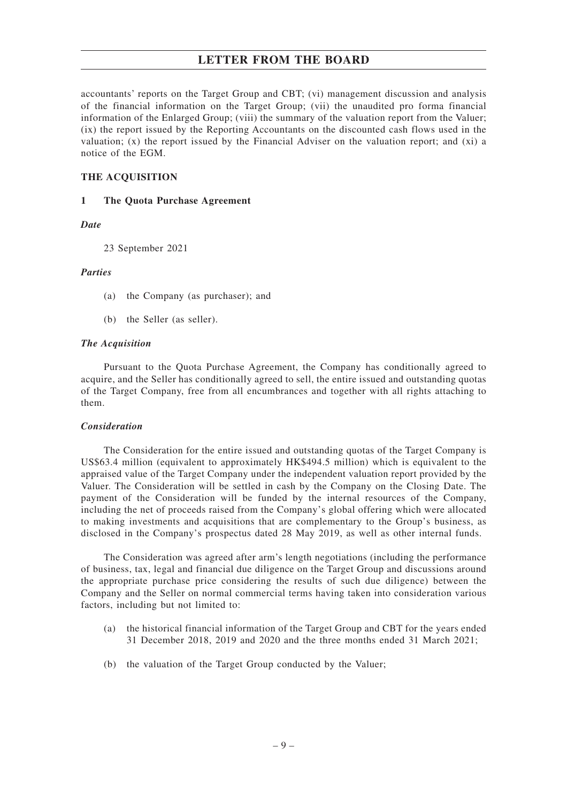accountants' reports on the Target Group and CBT; (vi) management discussion and analysis of the financial information on the Target Group; (vii) the unaudited pro forma financial information of the Enlarged Group; (viii) the summary of the valuation report from the Valuer; (ix) the report issued by the Reporting Accountants on the discounted cash flows used in the valuation; (x) the report issued by the Financial Adviser on the valuation report; and (xi) a notice of the EGM.

## **THE ACQUISITION**

## **1 The Quota Purchase Agreement**

## *Date*

23 September 2021

## *Parties*

- (a) the Company (as purchaser); and
- (b) the Seller (as seller).

#### *The Acquisition*

Pursuant to the Quota Purchase Agreement, the Company has conditionally agreed to acquire, and the Seller has conditionally agreed to sell, the entire issued and outstanding quotas of the Target Company, free from all encumbrances and together with all rights attaching to them.

## *Consideration*

The Consideration for the entire issued and outstanding quotas of the Target Company is US\$63.4 million (equivalent to approximately HK\$494.5 million) which is equivalent to the appraised value of the Target Company under the independent valuation report provided by the Valuer. The Consideration will be settled in cash by the Company on the Closing Date. The payment of the Consideration will be funded by the internal resources of the Company, including the net of proceeds raised from the Company's global offering which were allocated to making investments and acquisitions that are complementary to the Group's business, as disclosed in the Company's prospectus dated 28 May 2019, as well as other internal funds.

The Consideration was agreed after arm's length negotiations (including the performance of business, tax, legal and financial due diligence on the Target Group and discussions around the appropriate purchase price considering the results of such due diligence) between the Company and the Seller on normal commercial terms having taken into consideration various factors, including but not limited to:

- (a) the historical financial information of the Target Group and CBT for the years ended 31 December 2018, 2019 and 2020 and the three months ended 31 March 2021;
- (b) the valuation of the Target Group conducted by the Valuer;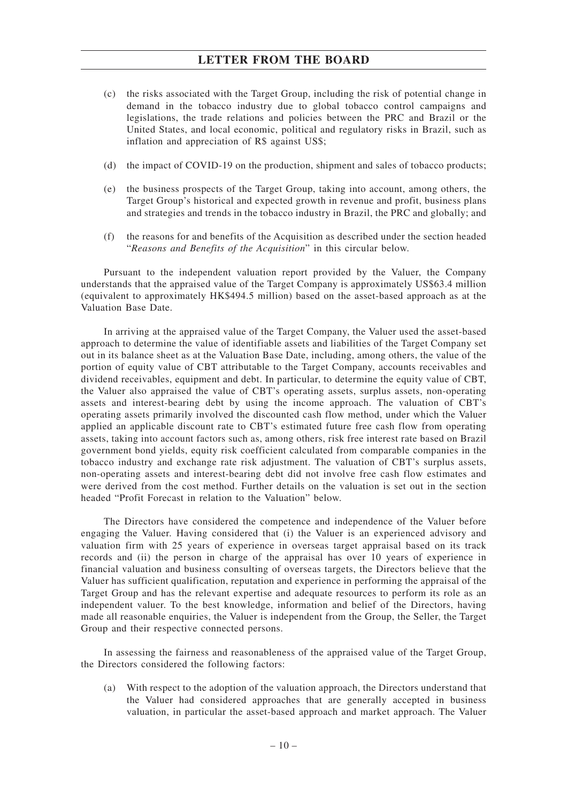- (c) the risks associated with the Target Group, including the risk of potential change in demand in the tobacco industry due to global tobacco control campaigns and legislations, the trade relations and policies between the PRC and Brazil or the United States, and local economic, political and regulatory risks in Brazil, such as inflation and appreciation of R\$ against US\$;
- (d) the impact of COVID-19 on the production, shipment and sales of tobacco products;
- (e) the business prospects of the Target Group, taking into account, among others, the Target Group's historical and expected growth in revenue and profit, business plans and strategies and trends in the tobacco industry in Brazil, the PRC and globally; and
- (f) the reasons for and benefits of the Acquisition as described under the section headed "*Reasons and Benefits of the Acquisition*" in this circular below.

Pursuant to the independent valuation report provided by the Valuer, the Company understands that the appraised value of the Target Company is approximately US\$63.4 million (equivalent to approximately HK\$494.5 million) based on the asset-based approach as at the Valuation Base Date.

In arriving at the appraised value of the Target Company, the Valuer used the asset-based approach to determine the value of identifiable assets and liabilities of the Target Company set out in its balance sheet as at the Valuation Base Date, including, among others, the value of the portion of equity value of CBT attributable to the Target Company, accounts receivables and dividend receivables, equipment and debt. In particular, to determine the equity value of CBT, the Valuer also appraised the value of CBT's operating assets, surplus assets, non-operating assets and interest-bearing debt by using the income approach. The valuation of CBT's operating assets primarily involved the discounted cash flow method, under which the Valuer applied an applicable discount rate to CBT's estimated future free cash flow from operating assets, taking into account factors such as, among others, risk free interest rate based on Brazil government bond yields, equity risk coefficient calculated from comparable companies in the tobacco industry and exchange rate risk adjustment. The valuation of CBT's surplus assets, non-operating assets and interest-bearing debt did not involve free cash flow estimates and were derived from the cost method. Further details on the valuation is set out in the section headed "Profit Forecast in relation to the Valuation" below.

The Directors have considered the competence and independence of the Valuer before engaging the Valuer. Having considered that (i) the Valuer is an experienced advisory and valuation firm with 25 years of experience in overseas target appraisal based on its track records and (ii) the person in charge of the appraisal has over 10 years of experience in financial valuation and business consulting of overseas targets, the Directors believe that the Valuer has sufficient qualification, reputation and experience in performing the appraisal of the Target Group and has the relevant expertise and adequate resources to perform its role as an independent valuer. To the best knowledge, information and belief of the Directors, having made all reasonable enquiries, the Valuer is independent from the Group, the Seller, the Target Group and their respective connected persons.

In assessing the fairness and reasonableness of the appraised value of the Target Group, the Directors considered the following factors:

(a) With respect to the adoption of the valuation approach, the Directors understand that the Valuer had considered approaches that are generally accepted in business valuation, in particular the asset-based approach and market approach. The Valuer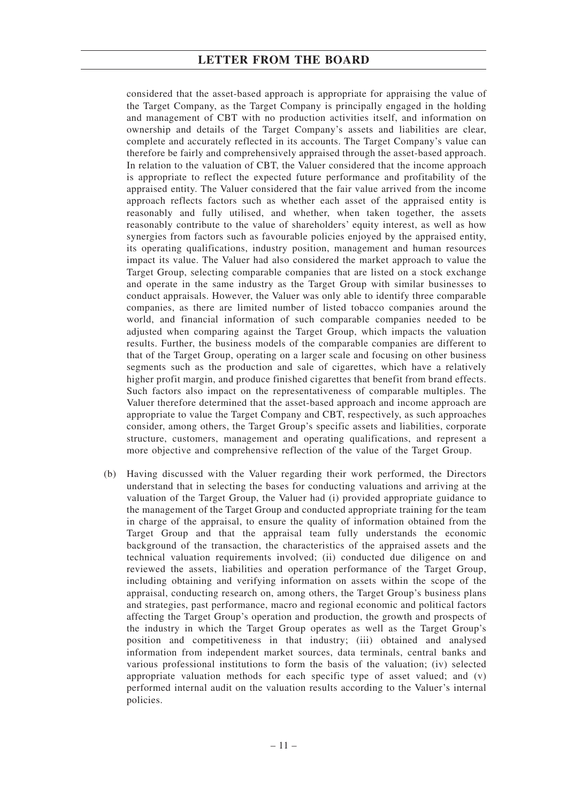considered that the asset-based approach is appropriate for appraising the value of the Target Company, as the Target Company is principally engaged in the holding and management of CBT with no production activities itself, and information on ownership and details of the Target Company's assets and liabilities are clear, complete and accurately reflected in its accounts. The Target Company's value can therefore be fairly and comprehensively appraised through the asset-based approach. In relation to the valuation of CBT, the Valuer considered that the income approach is appropriate to reflect the expected future performance and profitability of the appraised entity. The Valuer considered that the fair value arrived from the income approach reflects factors such as whether each asset of the appraised entity is reasonably and fully utilised, and whether, when taken together, the assets reasonably contribute to the value of shareholders' equity interest, as well as how synergies from factors such as favourable policies enjoyed by the appraised entity, its operating qualifications, industry position, management and human resources impact its value. The Valuer had also considered the market approach to value the Target Group, selecting comparable companies that are listed on a stock exchange and operate in the same industry as the Target Group with similar businesses to conduct appraisals. However, the Valuer was only able to identify three comparable companies, as there are limited number of listed tobacco companies around the world, and financial information of such comparable companies needed to be adjusted when comparing against the Target Group, which impacts the valuation results. Further, the business models of the comparable companies are different to that of the Target Group, operating on a larger scale and focusing on other business segments such as the production and sale of cigarettes, which have a relatively higher profit margin, and produce finished cigarettes that benefit from brand effects. Such factors also impact on the representativeness of comparable multiples. The Valuer therefore determined that the asset-based approach and income approach are appropriate to value the Target Company and CBT, respectively, as such approaches consider, among others, the Target Group's specific assets and liabilities, corporate structure, customers, management and operating qualifications, and represent a more objective and comprehensive reflection of the value of the Target Group.

(b) Having discussed with the Valuer regarding their work performed, the Directors understand that in selecting the bases for conducting valuations and arriving at the valuation of the Target Group, the Valuer had (i) provided appropriate guidance to the management of the Target Group and conducted appropriate training for the team in charge of the appraisal, to ensure the quality of information obtained from the Target Group and that the appraisal team fully understands the economic background of the transaction, the characteristics of the appraised assets and the technical valuation requirements involved; (ii) conducted due diligence on and reviewed the assets, liabilities and operation performance of the Target Group, including obtaining and verifying information on assets within the scope of the appraisal, conducting research on, among others, the Target Group's business plans and strategies, past performance, macro and regional economic and political factors affecting the Target Group's operation and production, the growth and prospects of the industry in which the Target Group operates as well as the Target Group's position and competitiveness in that industry; (iii) obtained and analysed information from independent market sources, data terminals, central banks and various professional institutions to form the basis of the valuation; (iv) selected appropriate valuation methods for each specific type of asset valued; and (v) performed internal audit on the valuation results according to the Valuer's internal policies.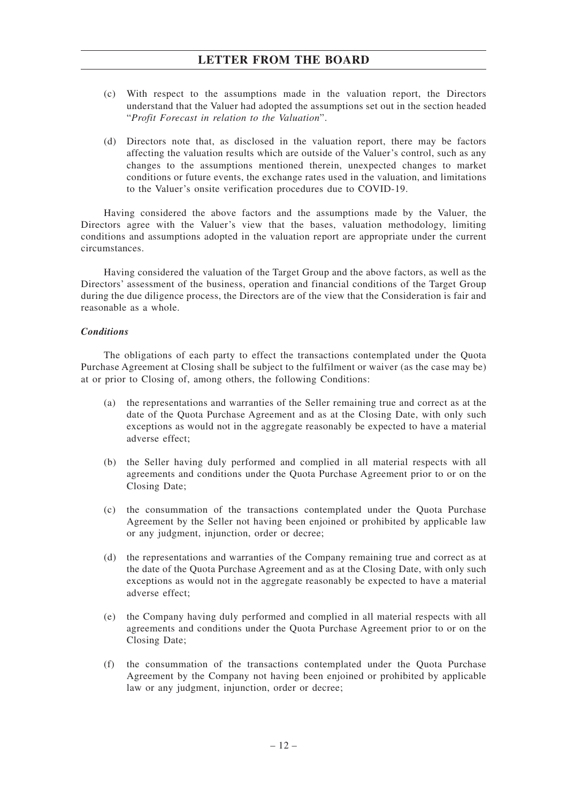- (c) With respect to the assumptions made in the valuation report, the Directors understand that the Valuer had adopted the assumptions set out in the section headed "*Profit Forecast in relation to the Valuation*".
- (d) Directors note that, as disclosed in the valuation report, there may be factors affecting the valuation results which are outside of the Valuer's control, such as any changes to the assumptions mentioned therein, unexpected changes to market conditions or future events, the exchange rates used in the valuation, and limitations to the Valuer's onsite verification procedures due to COVID-19.

Having considered the above factors and the assumptions made by the Valuer, the Directors agree with the Valuer's view that the bases, valuation methodology, limiting conditions and assumptions adopted in the valuation report are appropriate under the current circumstances.

Having considered the valuation of the Target Group and the above factors, as well as the Directors' assessment of the business, operation and financial conditions of the Target Group during the due diligence process, the Directors are of the view that the Consideration is fair and reasonable as a whole.

## *Conditions*

The obligations of each party to effect the transactions contemplated under the Quota Purchase Agreement at Closing shall be subject to the fulfilment or waiver (as the case may be) at or prior to Closing of, among others, the following Conditions:

- (a) the representations and warranties of the Seller remaining true and correct as at the date of the Quota Purchase Agreement and as at the Closing Date, with only such exceptions as would not in the aggregate reasonably be expected to have a material adverse effect;
- (b) the Seller having duly performed and complied in all material respects with all agreements and conditions under the Quota Purchase Agreement prior to or on the Closing Date;
- (c) the consummation of the transactions contemplated under the Quota Purchase Agreement by the Seller not having been enjoined or prohibited by applicable law or any judgment, injunction, order or decree;
- (d) the representations and warranties of the Company remaining true and correct as at the date of the Quota Purchase Agreement and as at the Closing Date, with only such exceptions as would not in the aggregate reasonably be expected to have a material adverse effect;
- (e) the Company having duly performed and complied in all material respects with all agreements and conditions under the Quota Purchase Agreement prior to or on the Closing Date;
- (f) the consummation of the transactions contemplated under the Quota Purchase Agreement by the Company not having been enjoined or prohibited by applicable law or any judgment, injunction, order or decree;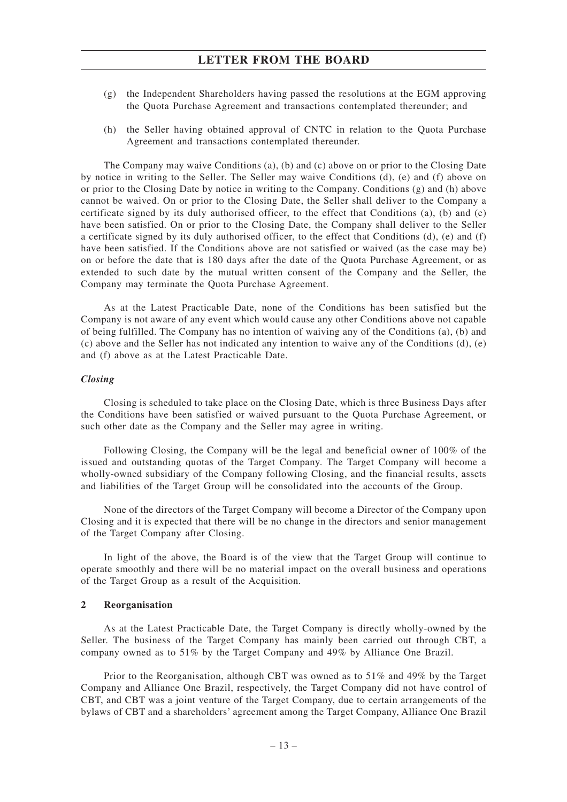- (g) the Independent Shareholders having passed the resolutions at the EGM approving the Quota Purchase Agreement and transactions contemplated thereunder; and
- (h) the Seller having obtained approval of CNTC in relation to the Quota Purchase Agreement and transactions contemplated thereunder.

The Company may waive Conditions (a), (b) and (c) above on or prior to the Closing Date by notice in writing to the Seller. The Seller may waive Conditions (d), (e) and (f) above on or prior to the Closing Date by notice in writing to the Company. Conditions  $(g)$  and (h) above cannot be waived. On or prior to the Closing Date, the Seller shall deliver to the Company a certificate signed by its duly authorised officer, to the effect that Conditions (a), (b) and (c) have been satisfied. On or prior to the Closing Date, the Company shall deliver to the Seller a certificate signed by its duly authorised officer, to the effect that Conditions  $(d)$ , (e) and  $(f)$ have been satisfied. If the Conditions above are not satisfied or waived (as the case may be) on or before the date that is 180 days after the date of the Quota Purchase Agreement, or as extended to such date by the mutual written consent of the Company and the Seller, the Company may terminate the Quota Purchase Agreement.

As at the Latest Practicable Date, none of the Conditions has been satisfied but the Company is not aware of any event which would cause any other Conditions above not capable of being fulfilled. The Company has no intention of waiving any of the Conditions (a), (b) and (c) above and the Seller has not indicated any intention to waive any of the Conditions (d), (e) and (f) above as at the Latest Practicable Date.

#### *Closing*

Closing is scheduled to take place on the Closing Date, which is three Business Days after the Conditions have been satisfied or waived pursuant to the Quota Purchase Agreement, or such other date as the Company and the Seller may agree in writing.

Following Closing, the Company will be the legal and beneficial owner of 100% of the issued and outstanding quotas of the Target Company. The Target Company will become a wholly-owned subsidiary of the Company following Closing, and the financial results, assets and liabilities of the Target Group will be consolidated into the accounts of the Group.

None of the directors of the Target Company will become a Director of the Company upon Closing and it is expected that there will be no change in the directors and senior management of the Target Company after Closing.

In light of the above, the Board is of the view that the Target Group will continue to operate smoothly and there will be no material impact on the overall business and operations of the Target Group as a result of the Acquisition.

## **2 Reorganisation**

As at the Latest Practicable Date, the Target Company is directly wholly-owned by the Seller. The business of the Target Company has mainly been carried out through CBT, a company owned as to 51% by the Target Company and 49% by Alliance One Brazil.

Prior to the Reorganisation, although CBT was owned as to 51% and 49% by the Target Company and Alliance One Brazil, respectively, the Target Company did not have control of CBT, and CBT was a joint venture of the Target Company, due to certain arrangements of the bylaws of CBT and a shareholders' agreement among the Target Company, Alliance One Brazil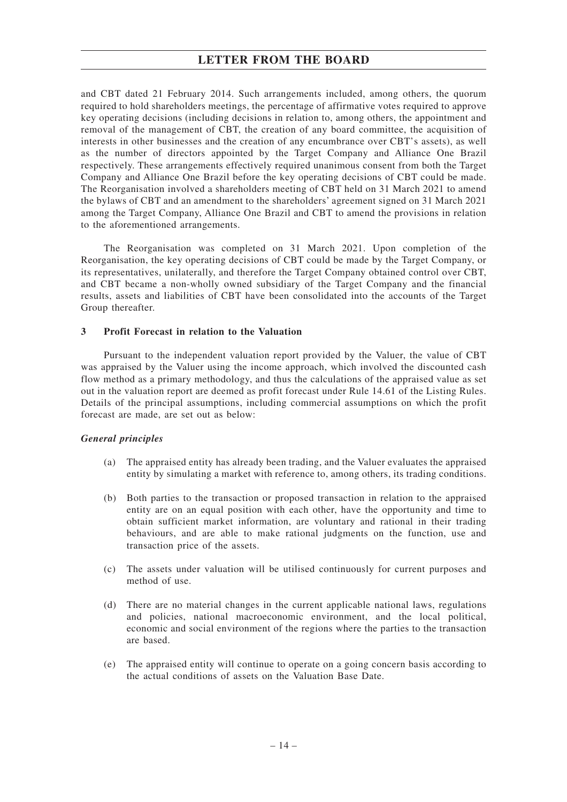and CBT dated 21 February 2014. Such arrangements included, among others, the quorum required to hold shareholders meetings, the percentage of affirmative votes required to approve key operating decisions (including decisions in relation to, among others, the appointment and removal of the management of CBT, the creation of any board committee, the acquisition of interests in other businesses and the creation of any encumbrance over CBT's assets), as well as the number of directors appointed by the Target Company and Alliance One Brazil respectively. These arrangements effectively required unanimous consent from both the Target Company and Alliance One Brazil before the key operating decisions of CBT could be made. The Reorganisation involved a shareholders meeting of CBT held on 31 March 2021 to amend the bylaws of CBT and an amendment to the shareholders' agreement signed on 31 March 2021 among the Target Company, Alliance One Brazil and CBT to amend the provisions in relation to the aforementioned arrangements.

The Reorganisation was completed on 31 March 2021. Upon completion of the Reorganisation, the key operating decisions of CBT could be made by the Target Company, or its representatives, unilaterally, and therefore the Target Company obtained control over CBT, and CBT became a non-wholly owned subsidiary of the Target Company and the financial results, assets and liabilities of CBT have been consolidated into the accounts of the Target Group thereafter.

#### **3 Profit Forecast in relation to the Valuation**

Pursuant to the independent valuation report provided by the Valuer, the value of CBT was appraised by the Valuer using the income approach, which involved the discounted cash flow method as a primary methodology, and thus the calculations of the appraised value as set out in the valuation report are deemed as profit forecast under Rule 14.61 of the Listing Rules. Details of the principal assumptions, including commercial assumptions on which the profit forecast are made, are set out as below:

#### *General principles*

- (a) The appraised entity has already been trading, and the Valuer evaluates the appraised entity by simulating a market with reference to, among others, its trading conditions.
- (b) Both parties to the transaction or proposed transaction in relation to the appraised entity are on an equal position with each other, have the opportunity and time to obtain sufficient market information, are voluntary and rational in their trading behaviours, and are able to make rational judgments on the function, use and transaction price of the assets.
- (c) The assets under valuation will be utilised continuously for current purposes and method of use.
- (d) There are no material changes in the current applicable national laws, regulations and policies, national macroeconomic environment, and the local political, economic and social environment of the regions where the parties to the transaction are based.
- (e) The appraised entity will continue to operate on a going concern basis according to the actual conditions of assets on the Valuation Base Date.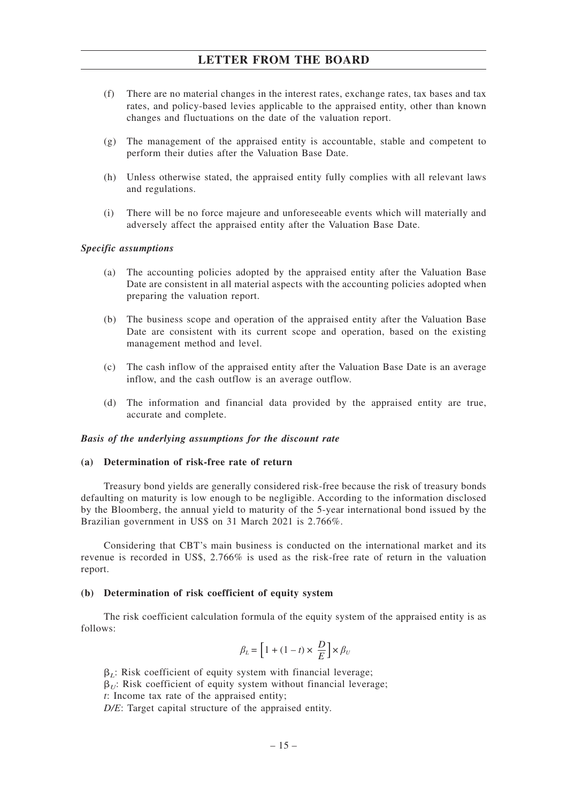- (f) There are no material changes in the interest rates, exchange rates, tax bases and tax rates, and policy-based levies applicable to the appraised entity, other than known changes and fluctuations on the date of the valuation report.
- (g) The management of the appraised entity is accountable, stable and competent to perform their duties after the Valuation Base Date.
- (h) Unless otherwise stated, the appraised entity fully complies with all relevant laws and regulations.
- (i) There will be no force majeure and unforeseeable events which will materially and adversely affect the appraised entity after the Valuation Base Date.

## *Specific assumptions*

- (a) The accounting policies adopted by the appraised entity after the Valuation Base Date are consistent in all material aspects with the accounting policies adopted when preparing the valuation report.
- (b) The business scope and operation of the appraised entity after the Valuation Base Date are consistent with its current scope and operation, based on the existing management method and level.
- (c) The cash inflow of the appraised entity after the Valuation Base Date is an average inflow, and the cash outflow is an average outflow.
- (d) The information and financial data provided by the appraised entity are true, accurate and complete.

#### *Basis of the underlying assumptions for the discount rate*

## **(a) Determination of risk-free rate of return**

Treasury bond yields are generally considered risk-free because the risk of treasury bonds defaulting on maturity is low enough to be negligible. According to the information disclosed by the Bloomberg, the annual yield to maturity of the 5-year international bond issued by the Brazilian government in US\$ on 31 March 2021 is 2.766%.

Considering that CBT's main business is conducted on the international market and its revenue is recorded in US\$, 2.766% is used as the risk-free rate of return in the valuation report.

#### **(b) Determination of risk coefficient of equity system**

The risk coefficient calculation formula of the equity system of the appraised entity is as follows:

$$
\beta_L = \bigg[1 + (1-t) \times \frac{D}{E}\bigg] \times \beta_U
$$

 $\beta_L$ : Risk coefficient of equity system with financial leverage;

 $\beta_{U}$ : Risk coefficient of equity system without financial leverage;

*t*: Income tax rate of the appraised entity;

*D/E*: Target capital structure of the appraised entity.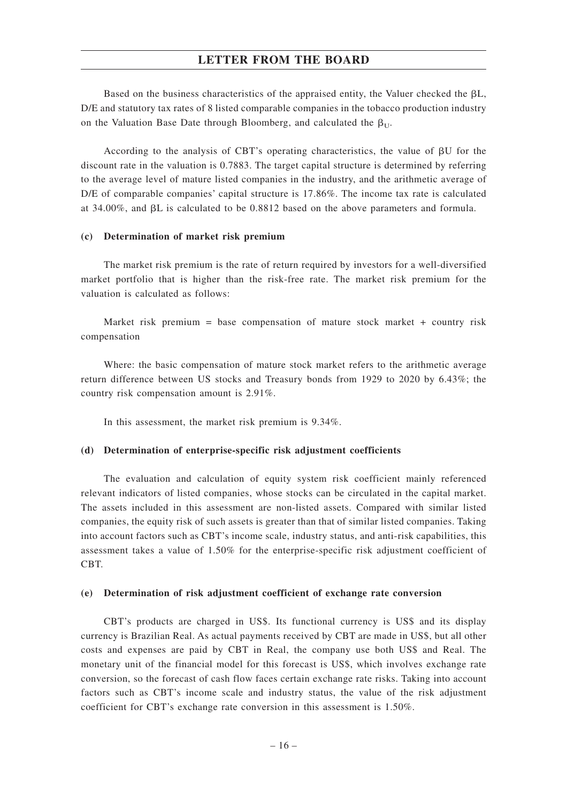Based on the business characteristics of the appraised entity, the Valuer checked the  $\beta L$ , D/E and statutory tax rates of 8 listed comparable companies in the tobacco production industry on the Valuation Base Date through Bloomberg, and calculated the  $\beta_U$ .

According to the analysis of CBT's operating characteristics, the value of  $\beta U$  for the discount rate in the valuation is 0.7883. The target capital structure is determined by referring to the average level of mature listed companies in the industry, and the arithmetic average of D/E of comparable companies' capital structure is 17.86%. The income tax rate is calculated at 34.00%, and  $\beta L$  is calculated to be 0.8812 based on the above parameters and formula.

#### **(c) Determination of market risk premium**

The market risk premium is the rate of return required by investors for a well-diversified market portfolio that is higher than the risk-free rate. The market risk premium for the valuation is calculated as follows:

Market risk premium = base compensation of mature stock market  $+$  country risk compensation

Where: the basic compensation of mature stock market refers to the arithmetic average return difference between US stocks and Treasury bonds from 1929 to 2020 by 6.43%; the country risk compensation amount is 2.91%.

In this assessment, the market risk premium is 9.34%.

#### **(d) Determination of enterprise-specific risk adjustment coefficients**

The evaluation and calculation of equity system risk coefficient mainly referenced relevant indicators of listed companies, whose stocks can be circulated in the capital market. The assets included in this assessment are non-listed assets. Compared with similar listed companies, the equity risk of such assets is greater than that of similar listed companies. Taking into account factors such as CBT's income scale, industry status, and anti-risk capabilities, this assessment takes a value of 1.50% for the enterprise-specific risk adjustment coefficient of CBT.

#### **(e) Determination of risk adjustment coefficient of exchange rate conversion**

CBT's products are charged in US\$. Its functional currency is US\$ and its display currency is Brazilian Real. As actual payments received by CBT are made in US\$, but all other costs and expenses are paid by CBT in Real, the company use both US\$ and Real. The monetary unit of the financial model for this forecast is US\$, which involves exchange rate conversion, so the forecast of cash flow faces certain exchange rate risks. Taking into account factors such as CBT's income scale and industry status, the value of the risk adjustment coefficient for CBT's exchange rate conversion in this assessment is 1.50%.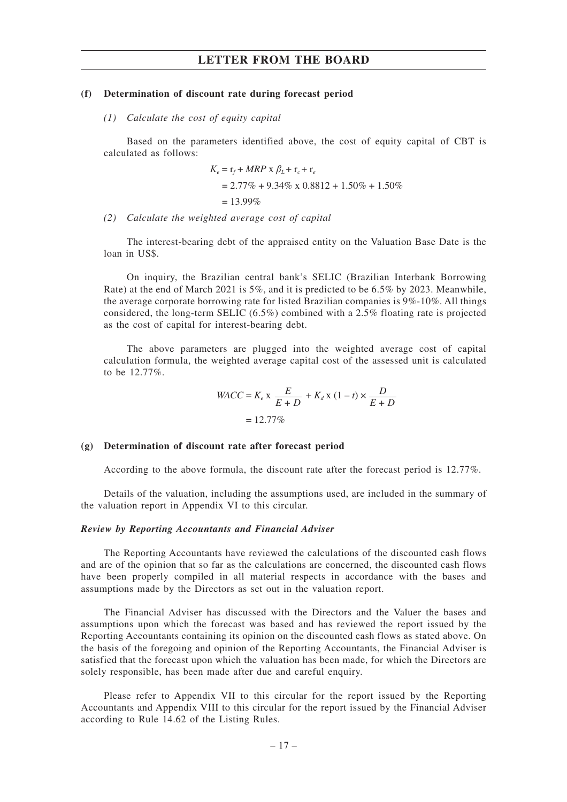#### **(f) Determination of discount rate during forecast period**

#### *(1) Calculate the cost of equity capital*

Based on the parameters identified above, the cost of equity capital of CBT is calculated as follows:

$$
K_e = \mathbf{r}_f + MRP \times \beta_L + \mathbf{r}_c + \mathbf{r}_e
$$
  
= 2.77% + 9.34% x 0.8812 + 1.50% + 1.50%  
= 13.99%

*(2) Calculate the weighted average cost of capital*

The interest-bearing debt of the appraised entity on the Valuation Base Date is the loan in US\$.

On inquiry, the Brazilian central bank's SELIC (Brazilian Interbank Borrowing Rate) at the end of March 2021 is 5%, and it is predicted to be 6.5% by 2023. Meanwhile, the average corporate borrowing rate for listed Brazilian companies is 9%-10%. All things considered, the long-term SELIC (6.5%) combined with a 2.5% floating rate is projected as the cost of capital for interest-bearing debt.

The above parameters are plugged into the weighted average cost of capital calculation formula, the weighted average capital cost of the assessed unit is calculated to be 12.77%.

$$
WACC = K_e \times \frac{E}{E+D} + K_d \times (1-t) \times \frac{D}{E+D}
$$

$$
= 12.77\%
$$

#### **(g) Determination of discount rate after forecast period**

According to the above formula, the discount rate after the forecast period is 12.77%.

Details of the valuation, including the assumptions used, are included in the summary of the valuation report in Appendix VI to this circular.

#### *Review by Reporting Accountants and Financial Adviser*

The Reporting Accountants have reviewed the calculations of the discounted cash flows and are of the opinion that so far as the calculations are concerned, the discounted cash flows have been properly compiled in all material respects in accordance with the bases and assumptions made by the Directors as set out in the valuation report.

The Financial Adviser has discussed with the Directors and the Valuer the bases and assumptions upon which the forecast was based and has reviewed the report issued by the Reporting Accountants containing its opinion on the discounted cash flows as stated above. On the basis of the foregoing and opinion of the Reporting Accountants, the Financial Adviser is satisfied that the forecast upon which the valuation has been made, for which the Directors are solely responsible, has been made after due and careful enquiry.

Please refer to Appendix VII to this circular for the report issued by the Reporting Accountants and Appendix VIII to this circular for the report issued by the Financial Adviser according to Rule 14.62 of the Listing Rules.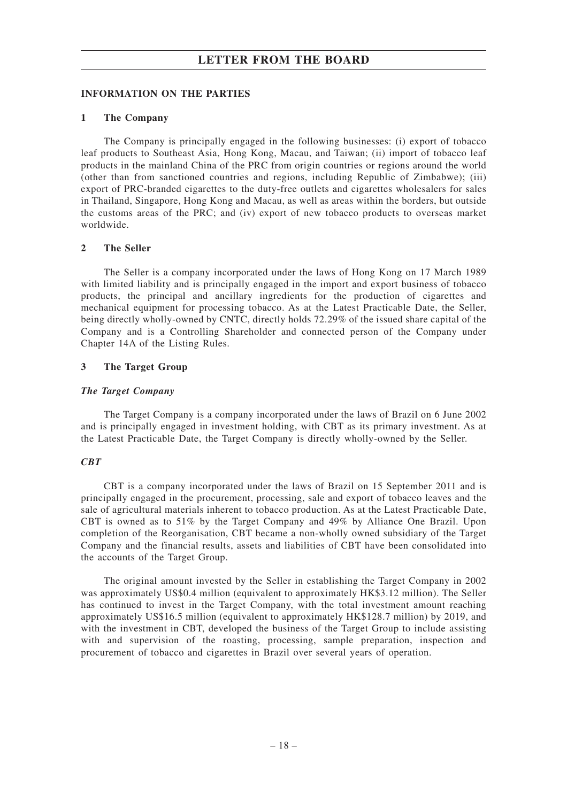## **INFORMATION ON THE PARTIES**

## **1 The Company**

The Company is principally engaged in the following businesses: (i) export of tobacco leaf products to Southeast Asia, Hong Kong, Macau, and Taiwan; (ii) import of tobacco leaf products in the mainland China of the PRC from origin countries or regions around the world (other than from sanctioned countries and regions, including Republic of Zimbabwe); (iii) export of PRC-branded cigarettes to the duty-free outlets and cigarettes wholesalers for sales in Thailand, Singapore, Hong Kong and Macau, as well as areas within the borders, but outside the customs areas of the PRC; and (iv) export of new tobacco products to overseas market worldwide.

## **2 The Seller**

The Seller is a company incorporated under the laws of Hong Kong on 17 March 1989 with limited liability and is principally engaged in the import and export business of tobacco products, the principal and ancillary ingredients for the production of cigarettes and mechanical equipment for processing tobacco. As at the Latest Practicable Date, the Seller, being directly wholly-owned by CNTC, directly holds 72.29% of the issued share capital of the Company and is a Controlling Shareholder and connected person of the Company under Chapter 14A of the Listing Rules.

## **3 The Target Group**

## *The Target Company*

The Target Company is a company incorporated under the laws of Brazil on 6 June 2002 and is principally engaged in investment holding, with CBT as its primary investment. As at the Latest Practicable Date, the Target Company is directly wholly-owned by the Seller.

## *CBT*

CBT is a company incorporated under the laws of Brazil on 15 September 2011 and is principally engaged in the procurement, processing, sale and export of tobacco leaves and the sale of agricultural materials inherent to tobacco production. As at the Latest Practicable Date, CBT is owned as to 51% by the Target Company and 49% by Alliance One Brazil. Upon completion of the Reorganisation, CBT became a non-wholly owned subsidiary of the Target Company and the financial results, assets and liabilities of CBT have been consolidated into the accounts of the Target Group.

The original amount invested by the Seller in establishing the Target Company in 2002 was approximately US\$0.4 million (equivalent to approximately HK\$3.12 million). The Seller has continued to invest in the Target Company, with the total investment amount reaching approximately US\$16.5 million (equivalent to approximately HK\$128.7 million) by 2019, and with the investment in CBT, developed the business of the Target Group to include assisting with and supervision of the roasting, processing, sample preparation, inspection and procurement of tobacco and cigarettes in Brazil over several years of operation.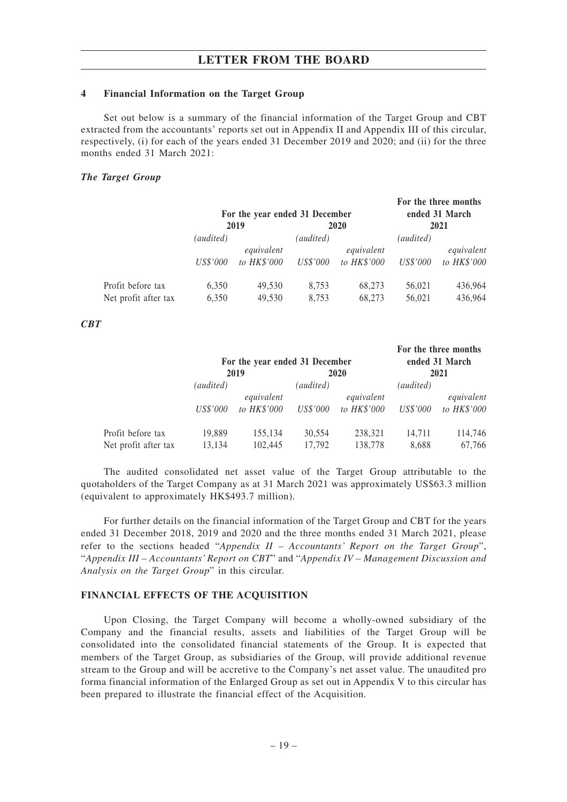#### **4 Financial Information on the Target Group**

Set out below is a summary of the financial information of the Target Group and CBT extracted from the accountants' reports set out in Appendix II and Appendix III of this circular, respectively, (i) for each of the years ended 31 December 2019 and 2020; and (ii) for the three months ended 31 March 2021:

## *The Target Group*

|                      |                 | For the year ended 31 December<br>2019 |                 | <b>2020</b> |                 | For the three months<br>ended 31 March<br>2021 |
|----------------------|-----------------|----------------------------------------|-----------------|-------------|-----------------|------------------------------------------------|
|                      | (audited)       |                                        | (audited)       |             | (audited)       |                                                |
|                      |                 | equivalent                             |                 | equivalent  |                 | equivalent                                     |
|                      | <i>US\$'000</i> | to HK\$'000                            | <i>US\$'000</i> | to HK\$'000 | <i>US\$'000</i> | to HK\$'000                                    |
| Profit before tax    | 6,350           | 49.530                                 | 8,753           | 68,273      | 56,021          | 436,964                                        |
| Net profit after tax | 6,350           | 49,530                                 | 8,753           | 68,273      | 56,021          | 436,964                                        |

## *CBT*

|                      |                 | For the year ended 31 December<br>2019 |                 | 2020        |                 | For the three months<br>ended 31 March<br>2021 |
|----------------------|-----------------|----------------------------------------|-----------------|-------------|-----------------|------------------------------------------------|
|                      | (audited)       |                                        | (audited)       |             | (audited)       |                                                |
|                      |                 | equivalent                             |                 | equivalent  |                 | equivalent                                     |
|                      | <i>US\$'000</i> | to HK\$'000                            | <i>US\$'000</i> | to HK\$'000 | <i>US\$'000</i> | to HK\$'000                                    |
| Profit before tax    | 19,889          | 155,134                                | 30.554          | 238,321     | 14,711          | 114,746                                        |
| Net profit after tax | 13,134          | 102,445                                | 17,792          | 138,778     | 8,688           | 67,766                                         |

The audited consolidated net asset value of the Target Group attributable to the quotaholders of the Target Company as at 31 March 2021 was approximately US\$63.3 million (equivalent to approximately HK\$493.7 million).

For further details on the financial information of the Target Group and CBT for the years ended 31 December 2018, 2019 and 2020 and the three months ended 31 March 2021, please refer to the sections headed "*Appendix II – Accountants' Report on the Target Group*", "*Appendix III – Accountants' Report on CBT*" and "*Appendix IV – Management Discussion and Analysis on the Target Group*" in this circular.

#### **FINANCIAL EFFECTS OF THE ACQUISITION**

Upon Closing, the Target Company will become a wholly-owned subsidiary of the Company and the financial results, assets and liabilities of the Target Group will be consolidated into the consolidated financial statements of the Group. It is expected that members of the Target Group, as subsidiaries of the Group, will provide additional revenue stream to the Group and will be accretive to the Company's net asset value. The unaudited pro forma financial information of the Enlarged Group as set out in Appendix V to this circular has been prepared to illustrate the financial effect of the Acquisition.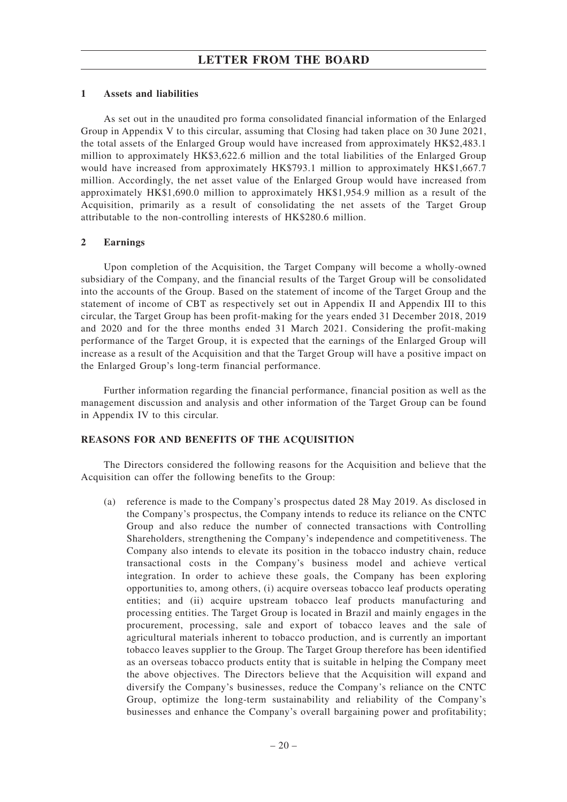#### **1 Assets and liabilities**

As set out in the unaudited pro forma consolidated financial information of the Enlarged Group in Appendix V to this circular, assuming that Closing had taken place on 30 June 2021, the total assets of the Enlarged Group would have increased from approximately HK\$2,483.1 million to approximately HK\$3,622.6 million and the total liabilities of the Enlarged Group would have increased from approximately HK\$793.1 million to approximately HK\$1,667.7 million. Accordingly, the net asset value of the Enlarged Group would have increased from approximately HK\$1,690.0 million to approximately HK\$1,954.9 million as a result of the Acquisition, primarily as a result of consolidating the net assets of the Target Group attributable to the non-controlling interests of HK\$280.6 million.

#### **2 Earnings**

Upon completion of the Acquisition, the Target Company will become a wholly-owned subsidiary of the Company, and the financial results of the Target Group will be consolidated into the accounts of the Group. Based on the statement of income of the Target Group and the statement of income of CBT as respectively set out in Appendix II and Appendix III to this circular, the Target Group has been profit-making for the years ended 31 December 2018, 2019 and 2020 and for the three months ended 31 March 2021. Considering the profit-making performance of the Target Group, it is expected that the earnings of the Enlarged Group will increase as a result of the Acquisition and that the Target Group will have a positive impact on the Enlarged Group's long-term financial performance.

Further information regarding the financial performance, financial position as well as the management discussion and analysis and other information of the Target Group can be found in Appendix IV to this circular.

#### **REASONS FOR AND BENEFITS OF THE ACQUISITION**

The Directors considered the following reasons for the Acquisition and believe that the Acquisition can offer the following benefits to the Group:

(a) reference is made to the Company's prospectus dated 28 May 2019. As disclosed in the Company's prospectus, the Company intends to reduce its reliance on the CNTC Group and also reduce the number of connected transactions with Controlling Shareholders, strengthening the Company's independence and competitiveness. The Company also intends to elevate its position in the tobacco industry chain, reduce transactional costs in the Company's business model and achieve vertical integration. In order to achieve these goals, the Company has been exploring opportunities to, among others, (i) acquire overseas tobacco leaf products operating entities; and (ii) acquire upstream tobacco leaf products manufacturing and processing entities. The Target Group is located in Brazil and mainly engages in the procurement, processing, sale and export of tobacco leaves and the sale of agricultural materials inherent to tobacco production, and is currently an important tobacco leaves supplier to the Group. The Target Group therefore has been identified as an overseas tobacco products entity that is suitable in helping the Company meet the above objectives. The Directors believe that the Acquisition will expand and diversify the Company's businesses, reduce the Company's reliance on the CNTC Group, optimize the long-term sustainability and reliability of the Company's businesses and enhance the Company's overall bargaining power and profitability;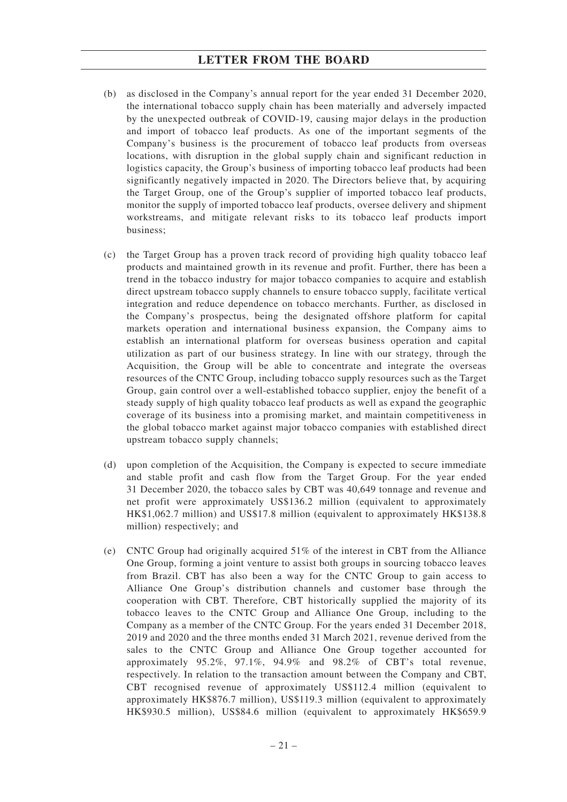- (b) as disclosed in the Company's annual report for the year ended 31 December 2020, the international tobacco supply chain has been materially and adversely impacted by the unexpected outbreak of COVID-19, causing major delays in the production and import of tobacco leaf products. As one of the important segments of the Company's business is the procurement of tobacco leaf products from overseas locations, with disruption in the global supply chain and significant reduction in logistics capacity, the Group's business of importing tobacco leaf products had been significantly negatively impacted in 2020. The Directors believe that, by acquiring the Target Group, one of the Group's supplier of imported tobacco leaf products, monitor the supply of imported tobacco leaf products, oversee delivery and shipment workstreams, and mitigate relevant risks to its tobacco leaf products import business;
- (c) the Target Group has a proven track record of providing high quality tobacco leaf products and maintained growth in its revenue and profit. Further, there has been a trend in the tobacco industry for major tobacco companies to acquire and establish direct upstream tobacco supply channels to ensure tobacco supply, facilitate vertical integration and reduce dependence on tobacco merchants. Further, as disclosed in the Company's prospectus, being the designated offshore platform for capital markets operation and international business expansion, the Company aims to establish an international platform for overseas business operation and capital utilization as part of our business strategy. In line with our strategy, through the Acquisition, the Group will be able to concentrate and integrate the overseas resources of the CNTC Group, including tobacco supply resources such as the Target Group, gain control over a well-established tobacco supplier, enjoy the benefit of a steady supply of high quality tobacco leaf products as well as expand the geographic coverage of its business into a promising market, and maintain competitiveness in the global tobacco market against major tobacco companies with established direct upstream tobacco supply channels;
- (d) upon completion of the Acquisition, the Company is expected to secure immediate and stable profit and cash flow from the Target Group. For the year ended 31 December 2020, the tobacco sales by CBT was 40,649 tonnage and revenue and net profit were approximately US\$136.2 million (equivalent to approximately HK\$1,062.7 million) and US\$17.8 million (equivalent to approximately HK\$138.8 million) respectively; and
- (e) CNTC Group had originally acquired 51% of the interest in CBT from the Alliance One Group, forming a joint venture to assist both groups in sourcing tobacco leaves from Brazil. CBT has also been a way for the CNTC Group to gain access to Alliance One Group's distribution channels and customer base through the cooperation with CBT. Therefore, CBT historically supplied the majority of its tobacco leaves to the CNTC Group and Alliance One Group, including to the Company as a member of the CNTC Group. For the years ended 31 December 2018, 2019 and 2020 and the three months ended 31 March 2021, revenue derived from the sales to the CNTC Group and Alliance One Group together accounted for approximately 95.2%, 97.1%, 94.9% and 98.2% of CBT's total revenue, respectively. In relation to the transaction amount between the Company and CBT, CBT recognised revenue of approximately US\$112.4 million (equivalent to approximately HK\$876.7 million), US\$119.3 million (equivalent to approximately HK\$930.5 million), US\$84.6 million (equivalent to approximately HK\$659.9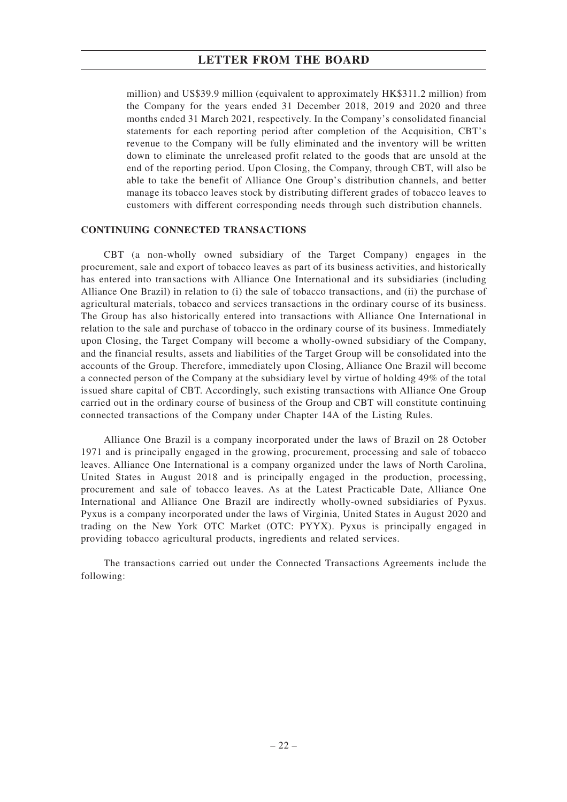million) and US\$39.9 million (equivalent to approximately HK\$311.2 million) from the Company for the years ended 31 December 2018, 2019 and 2020 and three months ended 31 March 2021, respectively. In the Company's consolidated financial statements for each reporting period after completion of the Acquisition, CBT's revenue to the Company will be fully eliminated and the inventory will be written down to eliminate the unreleased profit related to the goods that are unsold at the end of the reporting period. Upon Closing, the Company, through CBT, will also be able to take the benefit of Alliance One Group's distribution channels, and better manage its tobacco leaves stock by distributing different grades of tobacco leaves to customers with different corresponding needs through such distribution channels.

### **CONTINUING CONNECTED TRANSACTIONS**

CBT (a non-wholly owned subsidiary of the Target Company) engages in the procurement, sale and export of tobacco leaves as part of its business activities, and historically has entered into transactions with Alliance One International and its subsidiaries (including Alliance One Brazil) in relation to (i) the sale of tobacco transactions, and (ii) the purchase of agricultural materials, tobacco and services transactions in the ordinary course of its business. The Group has also historically entered into transactions with Alliance One International in relation to the sale and purchase of tobacco in the ordinary course of its business. Immediately upon Closing, the Target Company will become a wholly-owned subsidiary of the Company, and the financial results, assets and liabilities of the Target Group will be consolidated into the accounts of the Group. Therefore, immediately upon Closing, Alliance One Brazil will become a connected person of the Company at the subsidiary level by virtue of holding 49% of the total issued share capital of CBT. Accordingly, such existing transactions with Alliance One Group carried out in the ordinary course of business of the Group and CBT will constitute continuing connected transactions of the Company under Chapter 14A of the Listing Rules.

Alliance One Brazil is a company incorporated under the laws of Brazil on 28 October 1971 and is principally engaged in the growing, procurement, processing and sale of tobacco leaves. Alliance One International is a company organized under the laws of North Carolina, United States in August 2018 and is principally engaged in the production, processing, procurement and sale of tobacco leaves. As at the Latest Practicable Date, Alliance One International and Alliance One Brazil are indirectly wholly-owned subsidiaries of Pyxus. Pyxus is a company incorporated under the laws of Virginia, United States in August 2020 and trading on the New York OTC Market (OTC: PYYX). Pyxus is principally engaged in providing tobacco agricultural products, ingredients and related services.

The transactions carried out under the Connected Transactions Agreements include the following: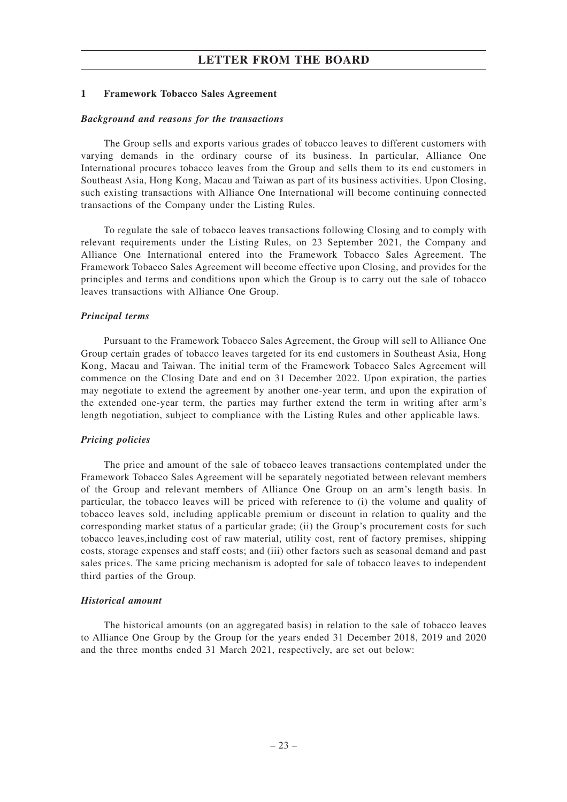#### **1 Framework Tobacco Sales Agreement**

#### *Background and reasons for the transactions*

The Group sells and exports various grades of tobacco leaves to different customers with varying demands in the ordinary course of its business. In particular, Alliance One International procures tobacco leaves from the Group and sells them to its end customers in Southeast Asia, Hong Kong, Macau and Taiwan as part of its business activities. Upon Closing, such existing transactions with Alliance One International will become continuing connected transactions of the Company under the Listing Rules.

To regulate the sale of tobacco leaves transactions following Closing and to comply with relevant requirements under the Listing Rules, on 23 September 2021, the Company and Alliance One International entered into the Framework Tobacco Sales Agreement. The Framework Tobacco Sales Agreement will become effective upon Closing, and provides for the principles and terms and conditions upon which the Group is to carry out the sale of tobacco leaves transactions with Alliance One Group.

#### *Principal terms*

Pursuant to the Framework Tobacco Sales Agreement, the Group will sell to Alliance One Group certain grades of tobacco leaves targeted for its end customers in Southeast Asia, Hong Kong, Macau and Taiwan. The initial term of the Framework Tobacco Sales Agreement will commence on the Closing Date and end on 31 December 2022. Upon expiration, the parties may negotiate to extend the agreement by another one-year term, and upon the expiration of the extended one-year term, the parties may further extend the term in writing after arm's length negotiation, subject to compliance with the Listing Rules and other applicable laws.

#### *Pricing policies*

The price and amount of the sale of tobacco leaves transactions contemplated under the Framework Tobacco Sales Agreement will be separately negotiated between relevant members of the Group and relevant members of Alliance One Group on an arm's length basis. In particular, the tobacco leaves will be priced with reference to (i) the volume and quality of tobacco leaves sold, including applicable premium or discount in relation to quality and the corresponding market status of a particular grade; (ii) the Group's procurement costs for such tobacco leaves,including cost of raw material, utility cost, rent of factory premises, shipping costs, storage expenses and staff costs; and (iii) other factors such as seasonal demand and past sales prices. The same pricing mechanism is adopted for sale of tobacco leaves to independent third parties of the Group.

#### *Historical amount*

The historical amounts (on an aggregated basis) in relation to the sale of tobacco leaves to Alliance One Group by the Group for the years ended 31 December 2018, 2019 and 2020 and the three months ended 31 March 2021, respectively, are set out below: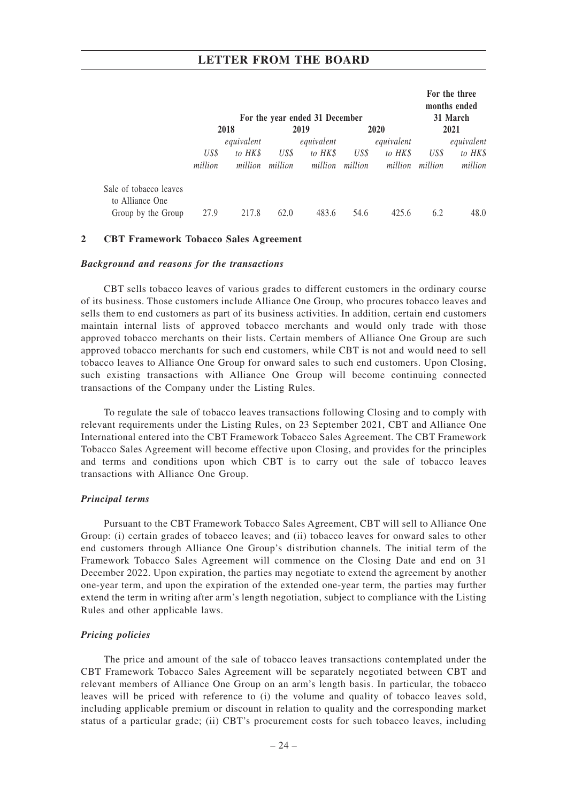|                                                                 |                 |                                  |                 | For the year ended 31 December   |                 |                                  |                 | For the three<br>months ended<br>31 March |  |
|-----------------------------------------------------------------|-----------------|----------------------------------|-----------------|----------------------------------|-----------------|----------------------------------|-----------------|-------------------------------------------|--|
|                                                                 |                 | 2018                             |                 | 2019                             |                 | 2020                             |                 | 2021                                      |  |
|                                                                 | US\$<br>million | equivalent<br>to HK\$<br>million | US\$<br>million | equivalent<br>to HK\$<br>million | US\$<br>million | equivalent<br>to HK\$<br>million | US\$<br>million | equivalent<br>to HK\$<br>million          |  |
| Sale of tobacco leaves<br>to Alliance One<br>Group by the Group | 27.9            | 217.8                            | 62.0            | 483.6                            | 54.6            | 425.6                            | 6.2             | 48.0                                      |  |

#### **2 CBT Framework Tobacco Sales Agreement**

#### *Background and reasons for the transactions*

CBT sells tobacco leaves of various grades to different customers in the ordinary course of its business. Those customers include Alliance One Group, who procures tobacco leaves and sells them to end customers as part of its business activities. In addition, certain end customers maintain internal lists of approved tobacco merchants and would only trade with those approved tobacco merchants on their lists. Certain members of Alliance One Group are such approved tobacco merchants for such end customers, while CBT is not and would need to sell tobacco leaves to Alliance One Group for onward sales to such end customers. Upon Closing, such existing transactions with Alliance One Group will become continuing connected transactions of the Company under the Listing Rules.

To regulate the sale of tobacco leaves transactions following Closing and to comply with relevant requirements under the Listing Rules, on 23 September 2021, CBT and Alliance One International entered into the CBT Framework Tobacco Sales Agreement. The CBT Framework Tobacco Sales Agreement will become effective upon Closing, and provides for the principles and terms and conditions upon which CBT is to carry out the sale of tobacco leaves transactions with Alliance One Group.

#### *Principal terms*

Pursuant to the CBT Framework Tobacco Sales Agreement, CBT will sell to Alliance One Group: (i) certain grades of tobacco leaves; and (ii) tobacco leaves for onward sales to other end customers through Alliance One Group's distribution channels. The initial term of the Framework Tobacco Sales Agreement will commence on the Closing Date and end on 31 December 2022. Upon expiration, the parties may negotiate to extend the agreement by another one-year term, and upon the expiration of the extended one-year term, the parties may further extend the term in writing after arm's length negotiation, subject to compliance with the Listing Rules and other applicable laws.

#### *Pricing policies*

The price and amount of the sale of tobacco leaves transactions contemplated under the CBT Framework Tobacco Sales Agreement will be separately negotiated between CBT and relevant members of Alliance One Group on an arm's length basis. In particular, the tobacco leaves will be priced with reference to (i) the volume and quality of tobacco leaves sold, including applicable premium or discount in relation to quality and the corresponding market status of a particular grade; (ii) CBT's procurement costs for such tobacco leaves, including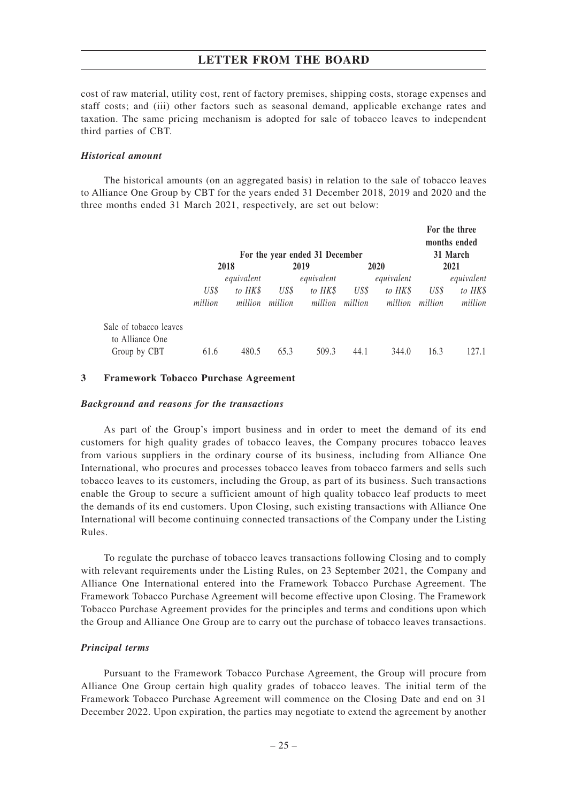cost of raw material, utility cost, rent of factory premises, shipping costs, storage expenses and staff costs; and (iii) other factors such as seasonal demand, applicable exchange rates and taxation. The same pricing mechanism is adopted for sale of tobacco leaves to independent third parties of CBT.

#### *Historical amount*

The historical amounts (on an aggregated basis) in relation to the sale of tobacco leaves to Alliance One Group by CBT for the years ended 31 December 2018, 2019 and 2020 and the three months ended 31 March 2021, respectively, are set out below:

|                                           |         |            |         | For the year ended 31 December |         |            |         | For the three<br>months ended<br>31 March |  |
|-------------------------------------------|---------|------------|---------|--------------------------------|---------|------------|---------|-------------------------------------------|--|
|                                           | 2018    |            |         | 2019                           |         | 2020       |         | 2021                                      |  |
|                                           |         | equivalent |         | equivalent                     |         | equivalent |         | equivalent                                |  |
|                                           | US\$    | to HK\$    | US\$    | to HK\$                        | US\$    | to HK\$    | US\$    | to HK\$                                   |  |
|                                           | million | million    | million | million                        | million | million    | million | million                                   |  |
| Sale of tobacco leaves<br>to Alliance One |         |            |         |                                |         |            |         |                                           |  |
| Group by CBT                              | 61.6    | 480.5      | 65.3    | 509.3                          | 44.1    | 344.0      | 16.3    | 127.1                                     |  |

#### **3 Framework Tobacco Purchase Agreement**

#### *Background and reasons for the transactions*

As part of the Group's import business and in order to meet the demand of its end customers for high quality grades of tobacco leaves, the Company procures tobacco leaves from various suppliers in the ordinary course of its business, including from Alliance One International, who procures and processes tobacco leaves from tobacco farmers and sells such tobacco leaves to its customers, including the Group, as part of its business. Such transactions enable the Group to secure a sufficient amount of high quality tobacco leaf products to meet the demands of its end customers. Upon Closing, such existing transactions with Alliance One International will become continuing connected transactions of the Company under the Listing Rules.

To regulate the purchase of tobacco leaves transactions following Closing and to comply with relevant requirements under the Listing Rules, on 23 September 2021, the Company and Alliance One International entered into the Framework Tobacco Purchase Agreement. The Framework Tobacco Purchase Agreement will become effective upon Closing. The Framework Tobacco Purchase Agreement provides for the principles and terms and conditions upon which the Group and Alliance One Group are to carry out the purchase of tobacco leaves transactions.

#### *Principal terms*

Pursuant to the Framework Tobacco Purchase Agreement, the Group will procure from Alliance One Group certain high quality grades of tobacco leaves. The initial term of the Framework Tobacco Purchase Agreement will commence on the Closing Date and end on 31 December 2022. Upon expiration, the parties may negotiate to extend the agreement by another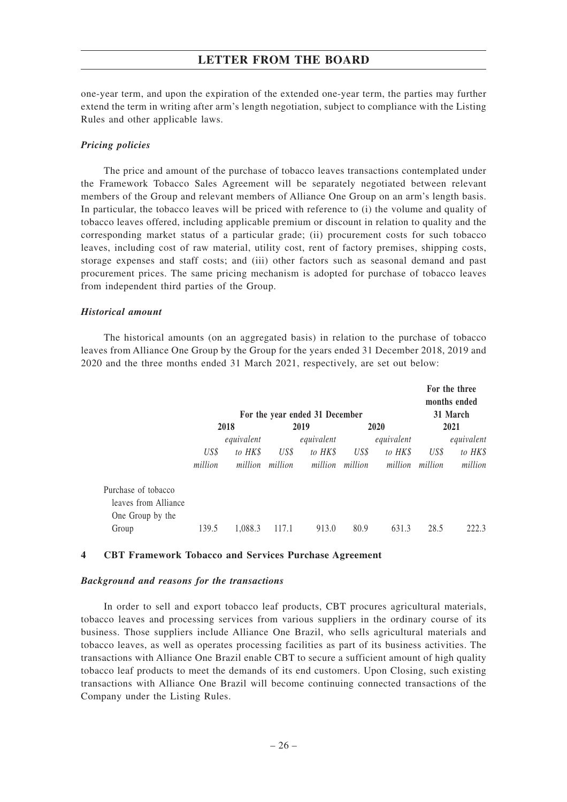one-year term, and upon the expiration of the extended one-year term, the parties may further extend the term in writing after arm's length negotiation, subject to compliance with the Listing Rules and other applicable laws.

#### *Pricing policies*

The price and amount of the purchase of tobacco leaves transactions contemplated under the Framework Tobacco Sales Agreement will be separately negotiated between relevant members of the Group and relevant members of Alliance One Group on an arm's length basis. In particular, the tobacco leaves will be priced with reference to (i) the volume and quality of tobacco leaves offered, including applicable premium or discount in relation to quality and the corresponding market status of a particular grade; (ii) procurement costs for such tobacco leaves, including cost of raw material, utility cost, rent of factory premises, shipping costs, storage expenses and staff costs; and (iii) other factors such as seasonal demand and past procurement prices. The same pricing mechanism is adopted for purchase of tobacco leaves from independent third parties of the Group.

#### *Historical amount*

The historical amounts (on an aggregated basis) in relation to the purchase of tobacco leaves from Alliance One Group by the Group for the years ended 31 December 2018, 2019 and 2020 and the three months ended 31 March 2021, respectively, are set out below:

|                      |                                                        |            |         |            |                  |            |                 | For the three<br>months ended |
|----------------------|--------------------------------------------------------|------------|---------|------------|------------------|------------|-----------------|-------------------------------|
|                      | For the year ended 31 December<br>2018<br>2019<br>2020 |            |         |            | 31 March<br>2021 |            |                 |                               |
|                      |                                                        | equivalent |         | equivalent |                  | equivalent |                 | equivalent                    |
|                      | US\$                                                   | to HK\$    | US\$    | to HK\$    | US\$             | to HK\$    | US\$            | to HK\$                       |
|                      | million                                                | million    | million | million    | million          |            | million million | million                       |
| Purchase of tobacco  |                                                        |            |         |            |                  |            |                 |                               |
| leaves from Alliance |                                                        |            |         |            |                  |            |                 |                               |
| One Group by the     |                                                        |            |         |            |                  |            |                 |                               |
| Group                | 139.5                                                  | 1,088.3    | 117.1   | 913.0      | 80.9             | 631.3      | 28.5            | 222.3                         |

#### **4 CBT Framework Tobacco and Services Purchase Agreement**

#### *Background and reasons for the transactions*

In order to sell and export tobacco leaf products, CBT procures agricultural materials, tobacco leaves and processing services from various suppliers in the ordinary course of its business. Those suppliers include Alliance One Brazil, who sells agricultural materials and tobacco leaves, as well as operates processing facilities as part of its business activities. The transactions with Alliance One Brazil enable CBT to secure a sufficient amount of high quality tobacco leaf products to meet the demands of its end customers. Upon Closing, such existing transactions with Alliance One Brazil will become continuing connected transactions of the Company under the Listing Rules.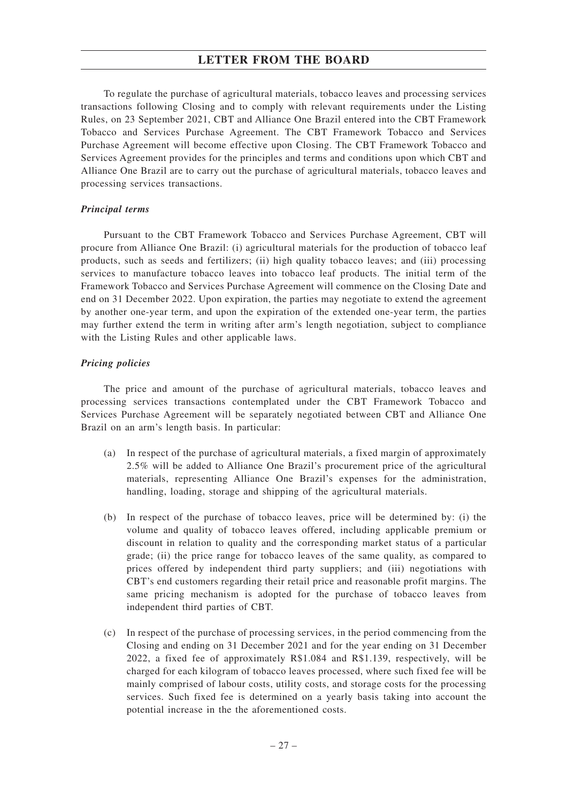To regulate the purchase of agricultural materials, tobacco leaves and processing services transactions following Closing and to comply with relevant requirements under the Listing Rules, on 23 September 2021, CBT and Alliance One Brazil entered into the CBT Framework Tobacco and Services Purchase Agreement. The CBT Framework Tobacco and Services Purchase Agreement will become effective upon Closing. The CBT Framework Tobacco and Services Agreement provides for the principles and terms and conditions upon which CBT and Alliance One Brazil are to carry out the purchase of agricultural materials, tobacco leaves and processing services transactions.

## *Principal terms*

Pursuant to the CBT Framework Tobacco and Services Purchase Agreement, CBT will procure from Alliance One Brazil: (i) agricultural materials for the production of tobacco leaf products, such as seeds and fertilizers; (ii) high quality tobacco leaves; and (iii) processing services to manufacture tobacco leaves into tobacco leaf products. The initial term of the Framework Tobacco and Services Purchase Agreement will commence on the Closing Date and end on 31 December 2022. Upon expiration, the parties may negotiate to extend the agreement by another one-year term, and upon the expiration of the extended one-year term, the parties may further extend the term in writing after arm's length negotiation, subject to compliance with the Listing Rules and other applicable laws.

#### *Pricing policies*

The price and amount of the purchase of agricultural materials, tobacco leaves and processing services transactions contemplated under the CBT Framework Tobacco and Services Purchase Agreement will be separately negotiated between CBT and Alliance One Brazil on an arm's length basis. In particular:

- (a) In respect of the purchase of agricultural materials, a fixed margin of approximately 2.5% will be added to Alliance One Brazil's procurement price of the agricultural materials, representing Alliance One Brazil's expenses for the administration, handling, loading, storage and shipping of the agricultural materials.
- (b) In respect of the purchase of tobacco leaves, price will be determined by: (i) the volume and quality of tobacco leaves offered, including applicable premium or discount in relation to quality and the corresponding market status of a particular grade; (ii) the price range for tobacco leaves of the same quality, as compared to prices offered by independent third party suppliers; and (iii) negotiations with CBT's end customers regarding their retail price and reasonable profit margins. The same pricing mechanism is adopted for the purchase of tobacco leaves from independent third parties of CBT.
- (c) In respect of the purchase of processing services, in the period commencing from the Closing and ending on 31 December 2021 and for the year ending on 31 December 2022, a fixed fee of approximately R\$1.084 and R\$1.139, respectively, will be charged for each kilogram of tobacco leaves processed, where such fixed fee will be mainly comprised of labour costs, utility costs, and storage costs for the processing services. Such fixed fee is determined on a yearly basis taking into account the potential increase in the the aforementioned costs.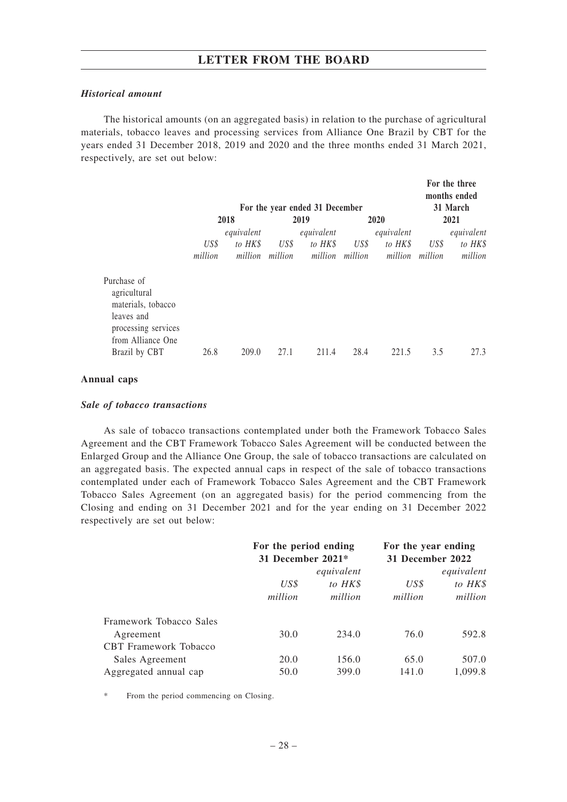#### *Historical amount*

The historical amounts (on an aggregated basis) in relation to the purchase of agricultural materials, tobacco leaves and processing services from Alliance One Brazil by CBT for the years ended 31 December 2018, 2019 and 2020 and the three months ended 31 March 2021, respectively, are set out below:

**For the three**

|                                                                                                             | 2018            |                       | For the year ended 31 December<br>2019 |                       |                         | 2020                             |                 | 1 VI HIV HILVV<br>months ended<br>31 March<br>2021 |  |
|-------------------------------------------------------------------------------------------------------------|-----------------|-----------------------|----------------------------------------|-----------------------|-------------------------|----------------------------------|-----------------|----------------------------------------------------|--|
|                                                                                                             | US\$<br>million | equivalent<br>to HK\$ | US\$<br>million million                | equivalent<br>to HK\$ | US\$<br>million million | equivalent<br>to HK\$<br>million | US\$<br>million | equivalent<br>to HK\$<br>million                   |  |
| Purchase of<br>agricultural<br>materials, tobacco<br>leaves and<br>processing services<br>from Alliance One |                 |                       |                                        |                       |                         |                                  |                 |                                                    |  |
| Brazil by CBT                                                                                               | 26.8            | 209.0                 | 27.1                                   | 211.4                 | 28.4                    | 221.5                            | 3.5             | 27.3                                               |  |

## **Annual caps**

#### *Sale of tobacco transactions*

As sale of tobacco transactions contemplated under both the Framework Tobacco Sales Agreement and the CBT Framework Tobacco Sales Agreement will be conducted between the Enlarged Group and the Alliance One Group, the sale of tobacco transactions are calculated on an aggregated basis. The expected annual caps in respect of the sale of tobacco transactions contemplated under each of Framework Tobacco Sales Agreement and the CBT Framework Tobacco Sales Agreement (on an aggregated basis) for the period commencing from the Closing and ending on 31 December 2021 and for the year ending on 31 December 2022 respectively are set out below:

|                              | For the period ending<br>31 December 2021* |         | For the year ending<br>31 December 2022 |         |  |
|------------------------------|--------------------------------------------|---------|-----------------------------------------|---------|--|
|                              | equivalent                                 |         | equivalent                              |         |  |
|                              | US\$                                       | to HK\$ | US\$                                    | to HK\$ |  |
|                              | million                                    | million | million                                 | million |  |
| Framework Tobacco Sales      |                                            |         |                                         |         |  |
| Agreement                    | 30.0                                       | 234.0   | 76.0                                    | 592.8   |  |
| <b>CBT</b> Framework Tobacco |                                            |         |                                         |         |  |
| Sales Agreement              | 20.0                                       | 156.0   | 65.0                                    | 507.0   |  |
| Aggregated annual cap        | 50.0                                       | 399.0   | 141.0                                   | 1.099.8 |  |

From the period commencing on Closing.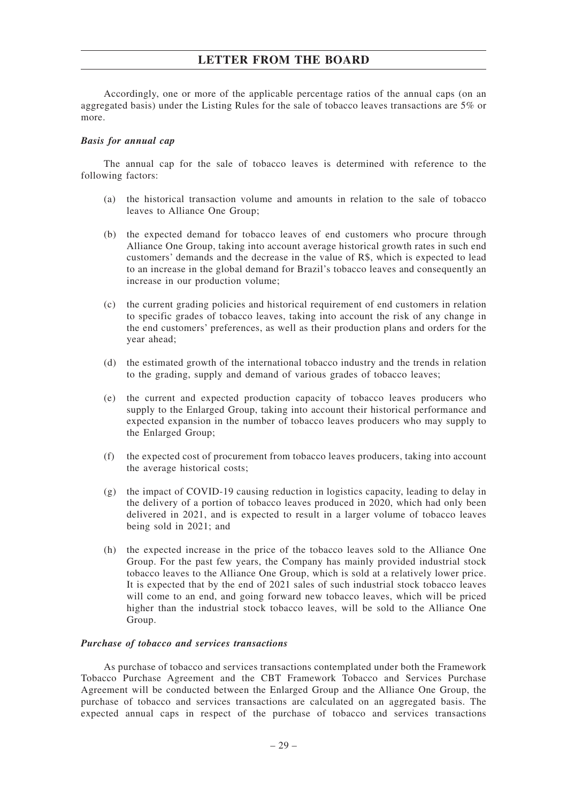Accordingly, one or more of the applicable percentage ratios of the annual caps (on an aggregated basis) under the Listing Rules for the sale of tobacco leaves transactions are 5% or more.

#### *Basis for annual cap*

The annual cap for the sale of tobacco leaves is determined with reference to the following factors:

- (a) the historical transaction volume and amounts in relation to the sale of tobacco leaves to Alliance One Group;
- (b) the expected demand for tobacco leaves of end customers who procure through Alliance One Group, taking into account average historical growth rates in such end customers' demands and the decrease in the value of R\$, which is expected to lead to an increase in the global demand for Brazil's tobacco leaves and consequently an increase in our production volume;
- (c) the current grading policies and historical requirement of end customers in relation to specific grades of tobacco leaves, taking into account the risk of any change in the end customers' preferences, as well as their production plans and orders for the year ahead;
- (d) the estimated growth of the international tobacco industry and the trends in relation to the grading, supply and demand of various grades of tobacco leaves;
- (e) the current and expected production capacity of tobacco leaves producers who supply to the Enlarged Group, taking into account their historical performance and expected expansion in the number of tobacco leaves producers who may supply to the Enlarged Group;
- (f) the expected cost of procurement from tobacco leaves producers, taking into account the average historical costs;
- (g) the impact of COVID-19 causing reduction in logistics capacity, leading to delay in the delivery of a portion of tobacco leaves produced in 2020, which had only been delivered in 2021, and is expected to result in a larger volume of tobacco leaves being sold in 2021; and
- (h) the expected increase in the price of the tobacco leaves sold to the Alliance One Group. For the past few years, the Company has mainly provided industrial stock tobacco leaves to the Alliance One Group, which is sold at a relatively lower price. It is expected that by the end of 2021 sales of such industrial stock tobacco leaves will come to an end, and going forward new tobacco leaves, which will be priced higher than the industrial stock tobacco leaves, will be sold to the Alliance One Group.

#### *Purchase of tobacco and services transactions*

As purchase of tobacco and services transactions contemplated under both the Framework Tobacco Purchase Agreement and the CBT Framework Tobacco and Services Purchase Agreement will be conducted between the Enlarged Group and the Alliance One Group, the purchase of tobacco and services transactions are calculated on an aggregated basis. The expected annual caps in respect of the purchase of tobacco and services transactions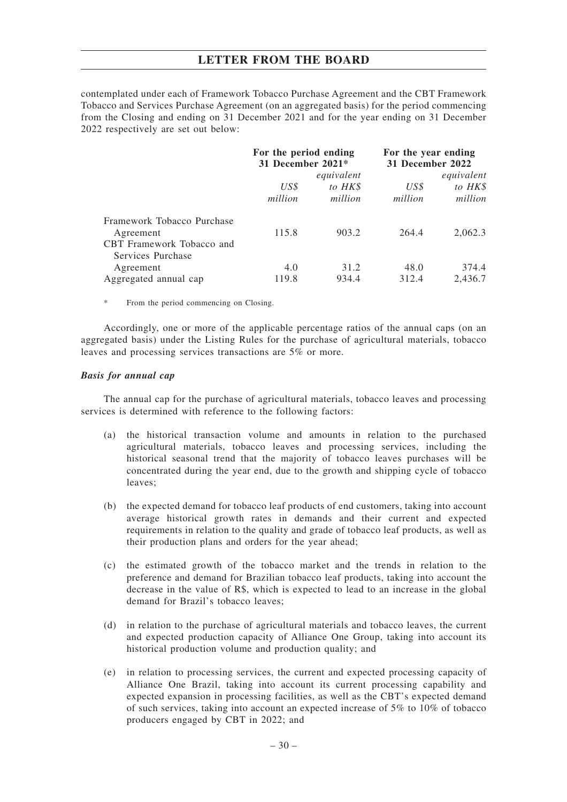contemplated under each of Framework Tobacco Purchase Agreement and the CBT Framework Tobacco and Services Purchase Agreement (on an aggregated basis) for the period commencing from the Closing and ending on 31 December 2021 and for the year ending on 31 December 2022 respectively are set out below:

|                            | For the period ending<br>31 December 2021* |         | For the year ending<br>31 December 2022 |         |  |
|----------------------------|--------------------------------------------|---------|-----------------------------------------|---------|--|
|                            | equivalent                                 |         | equivalent                              |         |  |
|                            | US\$                                       | to HK\$ | US\$                                    | to HK\$ |  |
|                            | million                                    | million | million                                 | million |  |
| Framework Tobacco Purchase |                                            |         |                                         |         |  |
| Agreement                  | 115.8                                      | 903.2   | 264.4                                   | 2.062.3 |  |
| CBT Framework Tobacco and  |                                            |         |                                         |         |  |
| Services Purchase          |                                            |         |                                         |         |  |
| Agreement                  | 4.0                                        | 31.2    | 48.0                                    | 374.4   |  |
| Aggregated annual cap      | 119.8                                      | 934.4   | 312.4                                   | 2,436.7 |  |

\* From the period commencing on Closing.

Accordingly, one or more of the applicable percentage ratios of the annual caps (on an aggregated basis) under the Listing Rules for the purchase of agricultural materials, tobacco leaves and processing services transactions are 5% or more.

#### *Basis for annual cap*

The annual cap for the purchase of agricultural materials, tobacco leaves and processing services is determined with reference to the following factors:

- (a) the historical transaction volume and amounts in relation to the purchased agricultural materials, tobacco leaves and processing services, including the historical seasonal trend that the majority of tobacco leaves purchases will be concentrated during the year end, due to the growth and shipping cycle of tobacco leaves;
- (b) the expected demand for tobacco leaf products of end customers, taking into account average historical growth rates in demands and their current and expected requirements in relation to the quality and grade of tobacco leaf products, as well as their production plans and orders for the year ahead;
- (c) the estimated growth of the tobacco market and the trends in relation to the preference and demand for Brazilian tobacco leaf products, taking into account the decrease in the value of R\$, which is expected to lead to an increase in the global demand for Brazil's tobacco leaves;
- (d) in relation to the purchase of agricultural materials and tobacco leaves, the current and expected production capacity of Alliance One Group, taking into account its historical production volume and production quality; and
- (e) in relation to processing services, the current and expected processing capacity of Alliance One Brazil, taking into account its current processing capability and expected expansion in processing facilities, as well as the CBT's expected demand of such services, taking into account an expected increase of 5% to 10% of tobacco producers engaged by CBT in 2022; and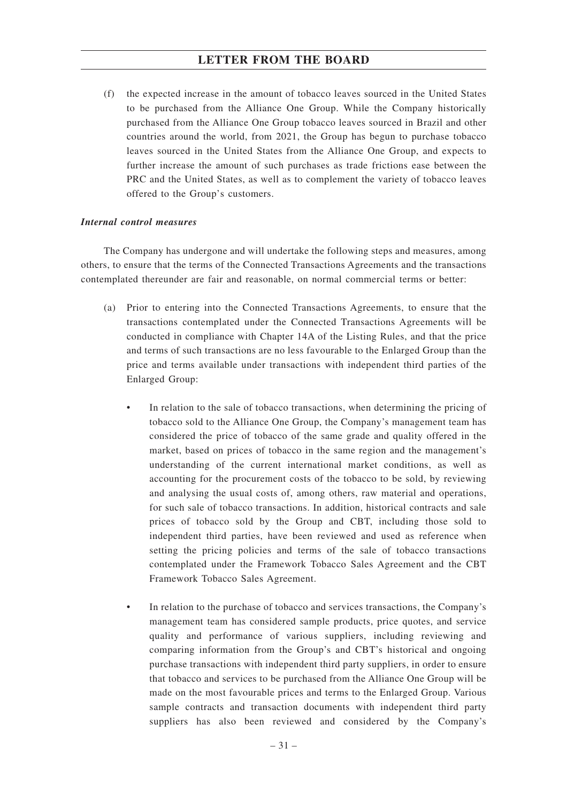(f) the expected increase in the amount of tobacco leaves sourced in the United States to be purchased from the Alliance One Group. While the Company historically purchased from the Alliance One Group tobacco leaves sourced in Brazil and other countries around the world, from 2021, the Group has begun to purchase tobacco leaves sourced in the United States from the Alliance One Group, and expects to further increase the amount of such purchases as trade frictions ease between the PRC and the United States, as well as to complement the variety of tobacco leaves offered to the Group's customers.

## *Internal control measures*

The Company has undergone and will undertake the following steps and measures, among others, to ensure that the terms of the Connected Transactions Agreements and the transactions contemplated thereunder are fair and reasonable, on normal commercial terms or better:

- (a) Prior to entering into the Connected Transactions Agreements, to ensure that the transactions contemplated under the Connected Transactions Agreements will be conducted in compliance with Chapter 14A of the Listing Rules, and that the price and terms of such transactions are no less favourable to the Enlarged Group than the price and terms available under transactions with independent third parties of the Enlarged Group:
	- In relation to the sale of tobacco transactions, when determining the pricing of tobacco sold to the Alliance One Group, the Company's management team has considered the price of tobacco of the same grade and quality offered in the market, based on prices of tobacco in the same region and the management's understanding of the current international market conditions, as well as accounting for the procurement costs of the tobacco to be sold, by reviewing and analysing the usual costs of, among others, raw material and operations, for such sale of tobacco transactions. In addition, historical contracts and sale prices of tobacco sold by the Group and CBT, including those sold to independent third parties, have been reviewed and used as reference when setting the pricing policies and terms of the sale of tobacco transactions contemplated under the Framework Tobacco Sales Agreement and the CBT Framework Tobacco Sales Agreement.
	- In relation to the purchase of tobacco and services transactions, the Company's management team has considered sample products, price quotes, and service quality and performance of various suppliers, including reviewing and comparing information from the Group's and CBT's historical and ongoing purchase transactions with independent third party suppliers, in order to ensure that tobacco and services to be purchased from the Alliance One Group will be made on the most favourable prices and terms to the Enlarged Group. Various sample contracts and transaction documents with independent third party suppliers has also been reviewed and considered by the Company's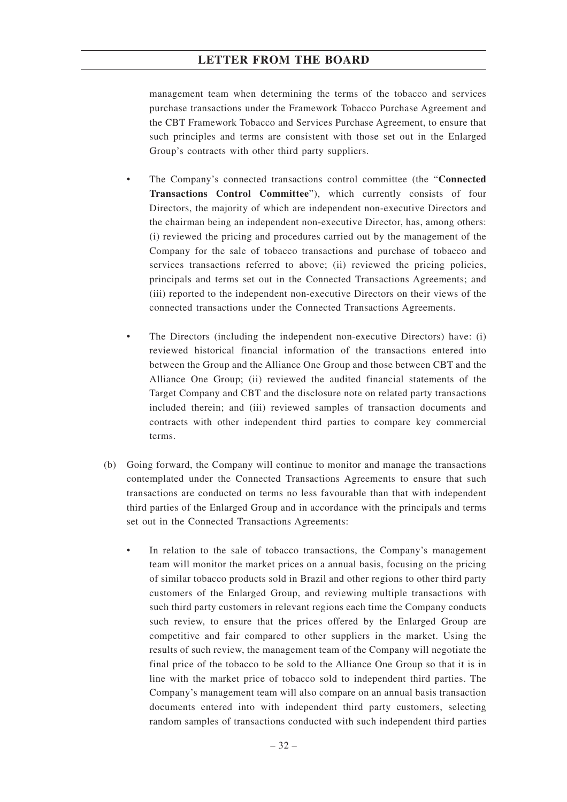management team when determining the terms of the tobacco and services purchase transactions under the Framework Tobacco Purchase Agreement and the CBT Framework Tobacco and Services Purchase Agreement, to ensure that such principles and terms are consistent with those set out in the Enlarged Group's contracts with other third party suppliers.

- The Company's connected transactions control committee (the "**Connected Transactions Control Committee**"), which currently consists of four Directors, the majority of which are independent non-executive Directors and the chairman being an independent non-executive Director, has, among others: (i) reviewed the pricing and procedures carried out by the management of the Company for the sale of tobacco transactions and purchase of tobacco and services transactions referred to above; (ii) reviewed the pricing policies, principals and terms set out in the Connected Transactions Agreements; and (iii) reported to the independent non-executive Directors on their views of the connected transactions under the Connected Transactions Agreements.
- The Directors (including the independent non-executive Directors) have: (i) reviewed historical financial information of the transactions entered into between the Group and the Alliance One Group and those between CBT and the Alliance One Group; (ii) reviewed the audited financial statements of the Target Company and CBT and the disclosure note on related party transactions included therein; and (iii) reviewed samples of transaction documents and contracts with other independent third parties to compare key commercial terms.
- (b) Going forward, the Company will continue to monitor and manage the transactions contemplated under the Connected Transactions Agreements to ensure that such transactions are conducted on terms no less favourable than that with independent third parties of the Enlarged Group and in accordance with the principals and terms set out in the Connected Transactions Agreements:
	- In relation to the sale of tobacco transactions, the Company's management team will monitor the market prices on a annual basis, focusing on the pricing of similar tobacco products sold in Brazil and other regions to other third party customers of the Enlarged Group, and reviewing multiple transactions with such third party customers in relevant regions each time the Company conducts such review, to ensure that the prices offered by the Enlarged Group are competitive and fair compared to other suppliers in the market. Using the results of such review, the management team of the Company will negotiate the final price of the tobacco to be sold to the Alliance One Group so that it is in line with the market price of tobacco sold to independent third parties. The Company's management team will also compare on an annual basis transaction documents entered into with independent third party customers, selecting random samples of transactions conducted with such independent third parties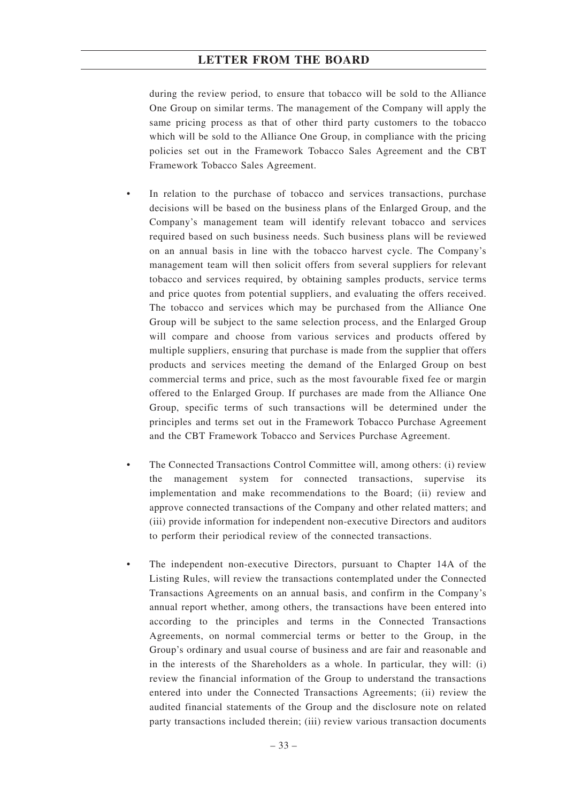during the review period, to ensure that tobacco will be sold to the Alliance One Group on similar terms. The management of the Company will apply the same pricing process as that of other third party customers to the tobacco which will be sold to the Alliance One Group, in compliance with the pricing policies set out in the Framework Tobacco Sales Agreement and the CBT Framework Tobacco Sales Agreement.

- In relation to the purchase of tobacco and services transactions, purchase decisions will be based on the business plans of the Enlarged Group, and the Company's management team will identify relevant tobacco and services required based on such business needs. Such business plans will be reviewed on an annual basis in line with the tobacco harvest cycle. The Company's management team will then solicit offers from several suppliers for relevant tobacco and services required, by obtaining samples products, service terms and price quotes from potential suppliers, and evaluating the offers received. The tobacco and services which may be purchased from the Alliance One Group will be subject to the same selection process, and the Enlarged Group will compare and choose from various services and products offered by multiple suppliers, ensuring that purchase is made from the supplier that offers products and services meeting the demand of the Enlarged Group on best commercial terms and price, such as the most favourable fixed fee or margin offered to the Enlarged Group. If purchases are made from the Alliance One Group, specific terms of such transactions will be determined under the principles and terms set out in the Framework Tobacco Purchase Agreement and the CBT Framework Tobacco and Services Purchase Agreement.
- The Connected Transactions Control Committee will, among others: (i) review the management system for connected transactions, supervise implementation and make recommendations to the Board; (ii) review and approve connected transactions of the Company and other related matters; and (iii) provide information for independent non-executive Directors and auditors to perform their periodical review of the connected transactions.
- The independent non-executive Directors, pursuant to Chapter 14A of the Listing Rules, will review the transactions contemplated under the Connected Transactions Agreements on an annual basis, and confirm in the Company's annual report whether, among others, the transactions have been entered into according to the principles and terms in the Connected Transactions Agreements, on normal commercial terms or better to the Group, in the Group's ordinary and usual course of business and are fair and reasonable and in the interests of the Shareholders as a whole. In particular, they will: (i) review the financial information of the Group to understand the transactions entered into under the Connected Transactions Agreements; (ii) review the audited financial statements of the Group and the disclosure note on related party transactions included therein; (iii) review various transaction documents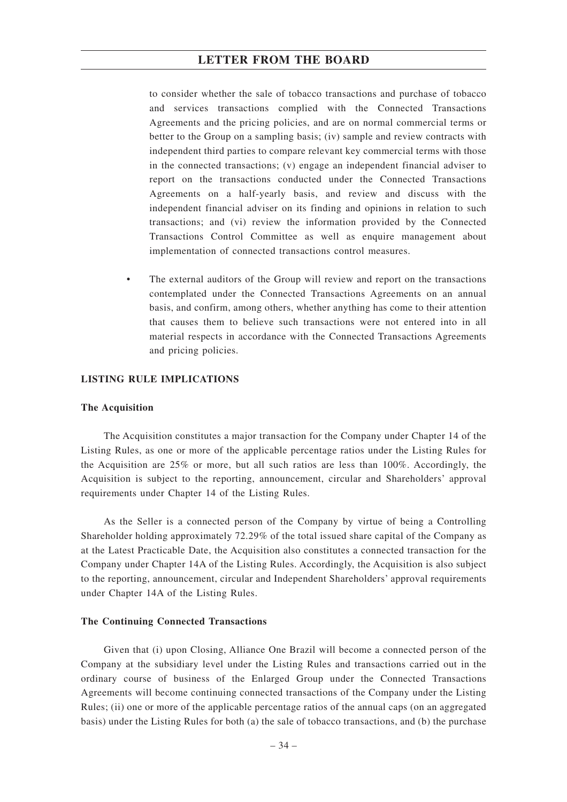to consider whether the sale of tobacco transactions and purchase of tobacco and services transactions complied with the Connected Transactions Agreements and the pricing policies, and are on normal commercial terms or better to the Group on a sampling basis; (iv) sample and review contracts with independent third parties to compare relevant key commercial terms with those in the connected transactions; (v) engage an independent financial adviser to report on the transactions conducted under the Connected Transactions Agreements on a half-yearly basis, and review and discuss with the independent financial adviser on its finding and opinions in relation to such transactions; and (vi) review the information provided by the Connected Transactions Control Committee as well as enquire management about implementation of connected transactions control measures.

• The external auditors of the Group will review and report on the transactions contemplated under the Connected Transactions Agreements on an annual basis, and confirm, among others, whether anything has come to their attention that causes them to believe such transactions were not entered into in all material respects in accordance with the Connected Transactions Agreements and pricing policies.

#### **LISTING RULE IMPLICATIONS**

#### **The Acquisition**

The Acquisition constitutes a major transaction for the Company under Chapter 14 of the Listing Rules, as one or more of the applicable percentage ratios under the Listing Rules for the Acquisition are 25% or more, but all such ratios are less than 100%. Accordingly, the Acquisition is subject to the reporting, announcement, circular and Shareholders' approval requirements under Chapter 14 of the Listing Rules.

As the Seller is a connected person of the Company by virtue of being a Controlling Shareholder holding approximately 72.29% of the total issued share capital of the Company as at the Latest Practicable Date, the Acquisition also constitutes a connected transaction for the Company under Chapter 14A of the Listing Rules. Accordingly, the Acquisition is also subject to the reporting, announcement, circular and Independent Shareholders' approval requirements under Chapter 14A of the Listing Rules.

#### **The Continuing Connected Transactions**

Given that (i) upon Closing, Alliance One Brazil will become a connected person of the Company at the subsidiary level under the Listing Rules and transactions carried out in the ordinary course of business of the Enlarged Group under the Connected Transactions Agreements will become continuing connected transactions of the Company under the Listing Rules; (ii) one or more of the applicable percentage ratios of the annual caps (on an aggregated basis) under the Listing Rules for both (a) the sale of tobacco transactions, and (b) the purchase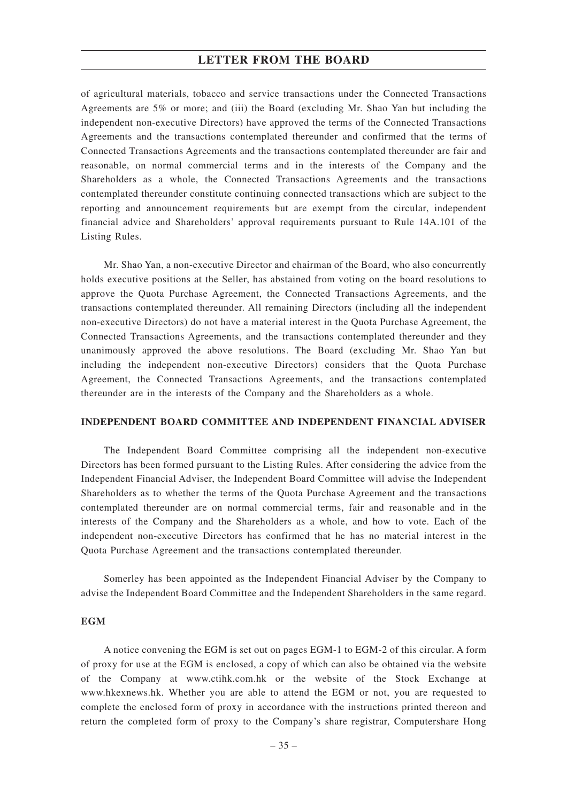## **LETTER FROM THE BOARD**

of agricultural materials, tobacco and service transactions under the Connected Transactions Agreements are 5% or more; and (iii) the Board (excluding Mr. Shao Yan but including the independent non-executive Directors) have approved the terms of the Connected Transactions Agreements and the transactions contemplated thereunder and confirmed that the terms of Connected Transactions Agreements and the transactions contemplated thereunder are fair and reasonable, on normal commercial terms and in the interests of the Company and the Shareholders as a whole, the Connected Transactions Agreements and the transactions contemplated thereunder constitute continuing connected transactions which are subject to the reporting and announcement requirements but are exempt from the circular, independent financial advice and Shareholders' approval requirements pursuant to Rule 14A.101 of the Listing Rules.

Mr. Shao Yan, a non-executive Director and chairman of the Board, who also concurrently holds executive positions at the Seller, has abstained from voting on the board resolutions to approve the Quota Purchase Agreement, the Connected Transactions Agreements, and the transactions contemplated thereunder. All remaining Directors (including all the independent non-executive Directors) do not have a material interest in the Quota Purchase Agreement, the Connected Transactions Agreements, and the transactions contemplated thereunder and they unanimously approved the above resolutions. The Board (excluding Mr. Shao Yan but including the independent non-executive Directors) considers that the Quota Purchase Agreement, the Connected Transactions Agreements, and the transactions contemplated thereunder are in the interests of the Company and the Shareholders as a whole.

#### **INDEPENDENT BOARD COMMITTEE AND INDEPENDENT FINANCIAL ADVISER**

The Independent Board Committee comprising all the independent non-executive Directors has been formed pursuant to the Listing Rules. After considering the advice from the Independent Financial Adviser, the Independent Board Committee will advise the Independent Shareholders as to whether the terms of the Quota Purchase Agreement and the transactions contemplated thereunder are on normal commercial terms, fair and reasonable and in the interests of the Company and the Shareholders as a whole, and how to vote. Each of the independent non-executive Directors has confirmed that he has no material interest in the Quota Purchase Agreement and the transactions contemplated thereunder.

Somerley has been appointed as the Independent Financial Adviser by the Company to advise the Independent Board Committee and the Independent Shareholders in the same regard.

### **EGM**

A notice convening the EGM is set out on pages EGM-1 to EGM-2 of this circular. A form of proxy for use at the EGM is enclosed, a copy of which can also be obtained via the website of the Company at www.ctihk.com.hk or the website of the Stock Exchange at www.hkexnews.hk. Whether you are able to attend the EGM or not, you are requested to complete the enclosed form of proxy in accordance with the instructions printed thereon and return the completed form of proxy to the Company's share registrar, Computershare Hong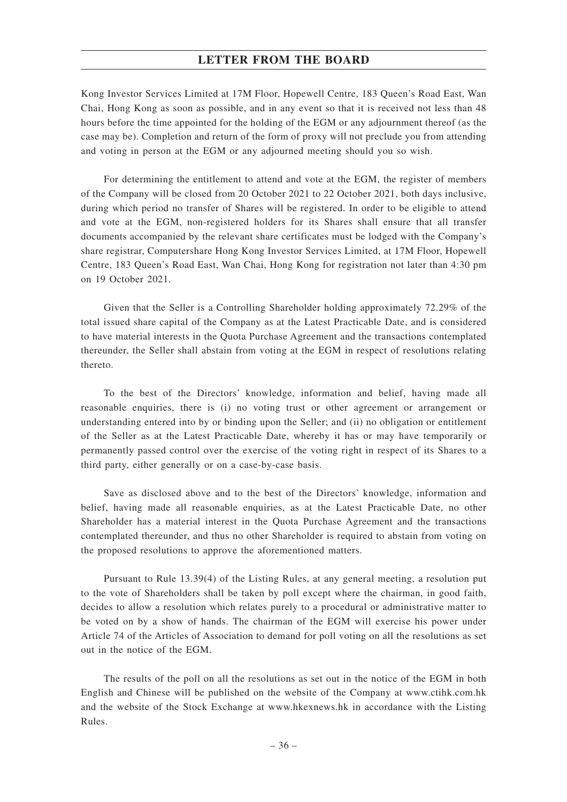## **LETTER FROM THE BOARD**

Kong Investor Services Limited at 17M Floor, Hopewell Centre, 183 Queen's Road East, Wan Chai, Hong Kong as soon as possible, and in any event so that it is received not less than 48 hours before the time appointed for the holding of the EGM or any adjournment thereof (as the case may be). Completion and return of the form of proxy will not preclude you from attending and voting in person at the EGM or any adjourned meeting should you so wish.

For determining the entitlement to attend and vote at the EGM, the register of members of the Company will be closed from 20 October 2021 to 22 October 2021, both days inclusive, during which period no transfer of Shares will be registered. In order to be eligible to attend and vote at the EGM, non-registered holders for its Shares shall ensure that all transfer documents accompanied by the relevant share certificates must be lodged with the Company's share registrar, Computershare Hong Kong Investor Services Limited, at 17M Floor, Hopewell Centre, 183 Queen's Road East, Wan Chai, Hong Kong for registration not later than 4:30 pm on 19 October 2021.

Given that the Seller is a Controlling Shareholder holding approximately 72.29% of the total issued share capital of the Company as at the Latest Practicable Date, and is considered to have material interests in the Quota Purchase Agreement and the transactions contemplated thereunder, the Seller shall abstain from voting at the EGM in respect of resolutions relating thereto.

To the best of the Directors' knowledge, information and belief, having made all reasonable enquiries, there is (i) no voting trust or other agreement or arrangement or understanding entered into by or binding upon the Seller; and (ii) no obligation or entitlement of the Seller as at the Latest Practicable Date, whereby it has or may have temporarily or permanently passed control over the exercise of the voting right in respect of its Shares to a third party, either generally or on a case-by-case basis.

Save as disclosed above and to the best of the Directors' knowledge, information and belief, having made all reasonable enquiries, as at the Latest Practicable Date, no other Shareholder has a material interest in the Quota Purchase Agreement and the transactions contemplated thereunder, and thus no other Shareholder is required to abstain from voting on the proposed resolutions to approve the aforementioned matters.

Pursuant to Rule 13.39(4) of the Listing Rules, at any general meeting, a resolution put to the vote of Shareholders shall be taken by poll except where the chairman, in good faith, decides to allow a resolution which relates purely to a procedural or administrative matter to be voted on by a show of hands. The chairman of the EGM will exercise his power under Article 74 of the Articles of Association to demand for poll voting on all the resolutions as set out in the notice of the EGM.

The results of the poll on all the resolutions as set out in the notice of the EGM in both English and Chinese will be published on the website of the Company at www.ctihk.com.hk and the website of the Stock Exchange at www.hkexnews.hk in accordance with the Listing Rules.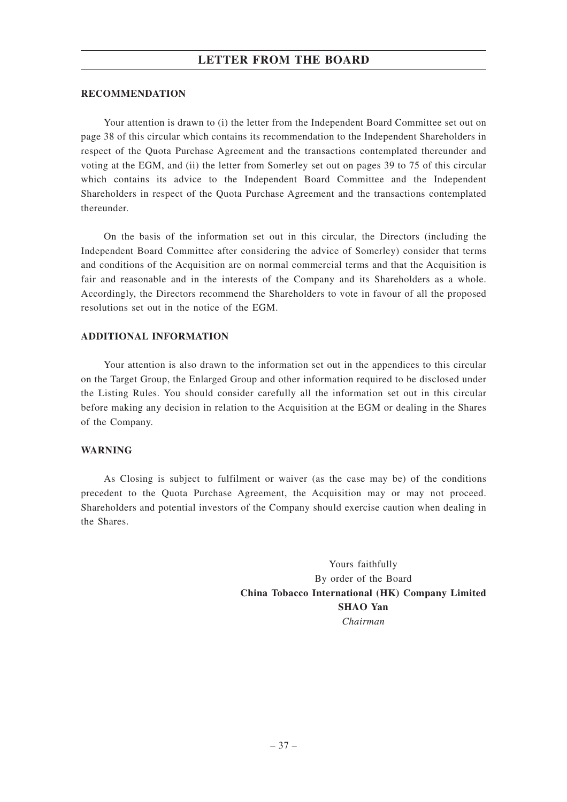## **LETTER FROM THE BOARD**

### **RECOMMENDATION**

Your attention is drawn to (i) the letter from the Independent Board Committee set out on page 38 of this circular which contains its recommendation to the Independent Shareholders in respect of the Quota Purchase Agreement and the transactions contemplated thereunder and voting at the EGM, and (ii) the letter from Somerley set out on pages 39 to 75 of this circular which contains its advice to the Independent Board Committee and the Independent Shareholders in respect of the Quota Purchase Agreement and the transactions contemplated thereunder.

On the basis of the information set out in this circular, the Directors (including the Independent Board Committee after considering the advice of Somerley) consider that terms and conditions of the Acquisition are on normal commercial terms and that the Acquisition is fair and reasonable and in the interests of the Company and its Shareholders as a whole. Accordingly, the Directors recommend the Shareholders to vote in favour of all the proposed resolutions set out in the notice of the EGM.

### **ADDITIONAL INFORMATION**

Your attention is also drawn to the information set out in the appendices to this circular on the Target Group, the Enlarged Group and other information required to be disclosed under the Listing Rules. You should consider carefully all the information set out in this circular before making any decision in relation to the Acquisition at the EGM or dealing in the Shares of the Company.

#### **WARNING**

As Closing is subject to fulfilment or waiver (as the case may be) of the conditions precedent to the Quota Purchase Agreement, the Acquisition may or may not proceed. Shareholders and potential investors of the Company should exercise caution when dealing in the Shares.

> Yours faithfully By order of the Board **China Tobacco International (HK) Company Limited SHAO Yan** *Chairman*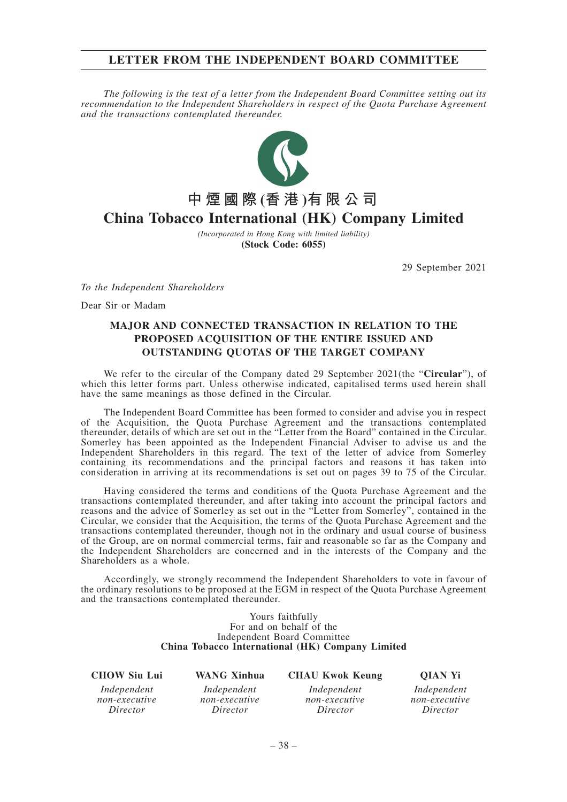## **LETTER FROM THE INDEPENDENT BOARD COMMITTEE**

*The following is the text of a letter from the Independent Board Committee setting out its recommendation to the Independent Shareholders in respect of the Quota Purchase Agreement and the transactions contemplated thereunder.*



**China Tobacco International (HK) Company Limited**

*(Incorporated in Hong Kong with limited liability)* **(Stock Code: 6055)**

29 September 2021

*To the Independent Shareholders*

Dear Sir or Madam

## **MAJOR AND CONNECTED TRANSACTION IN RELATION TO THE PROPOSED ACQUISITION OF THE ENTIRE ISSUED AND OUTSTANDING QUOTAS OF THE TARGET COMPANY**

We refer to the circular of the Company dated 29 September 2021(the "**Circular**"), of which this letter forms part. Unless otherwise indicated, capitalised terms used herein shall have the same meanings as those defined in the Circular.

The Independent Board Committee has been formed to consider and advise you in respect of the Acquisition, the Quota Purchase Agreement and the transactions contemplated thereunder, details of which are set out in the "Letter from the Board" contained in the Circular. Somerley has been appointed as the Independent Financial Adviser to advise us and the Independent Shareholders in this regard. The text of the letter of advice from Somerley containing its recommendations and the principal factors and reasons it has taken into consideration in arriving at its recommendations is set out on pages 39 to 75 of the Circular.

Having considered the terms and conditions of the Quota Purchase Agreement and the transactions contemplated thereunder, and after taking into account the principal factors and reasons and the advice of Somerley as set out in the "Letter from Somerley", contained in the Circular, we consider that the Acquisition, the terms of the Quota Purchase Agreement and the transactions contemplated thereunder, though not in the ordinary and usual course of business of the Group, are on normal commercial terms, fair and reasonable so far as the Company and the Independent Shareholders are concerned and in the interests of the Company and the Shareholders as a whole.

Accordingly, we strongly recommend the Independent Shareholders to vote in favour of the ordinary resolutions to be proposed at the EGM in respect of the Quota Purchase Agreement and the transactions contemplated thereunder.

> Yours faithfully For and on behalf of the Independent Board Committee **China Tobacco International (HK) Company Limited**

### **CHOW Siu Lui WANG Xinhua CHAU Kwok Keung QIAN Yi**

*Independent non-executive Director*

*Independent non-executive Director*

*Independent non-executive Director*

*Independent non-executive Director*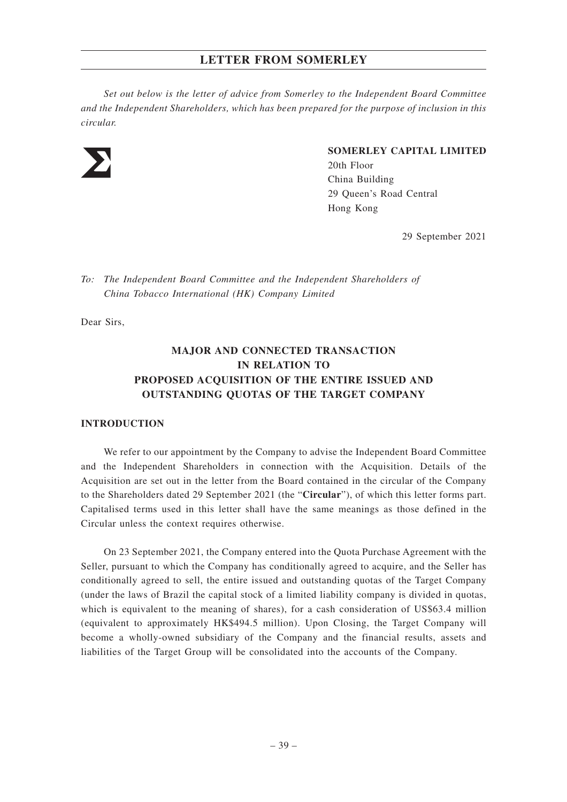*Set out below is the letter of advice from Somerley to the Independent Board Committee and the Independent Shareholders, which has been prepared for the purpose of inclusion in this circular.*



## **SOMERLEY CAPITAL LIMITED**

20th Floor China Building 29 Queen's Road Central Hong Kong

29 September 2021

*To: The Independent Board Committee and the Independent Shareholders of China Tobacco International (HK) Company Limited*

Dear Sirs,

# **MAJOR AND CONNECTED TRANSACTION IN RELATION TO PROPOSED ACQUISITION OF THE ENTIRE ISSUED AND OUTSTANDING QUOTAS OF THE TARGET COMPANY**

#### **INTRODUCTION**

We refer to our appointment by the Company to advise the Independent Board Committee and the Independent Shareholders in connection with the Acquisition. Details of the Acquisition are set out in the letter from the Board contained in the circular of the Company to the Shareholders dated 29 September 2021 (the "**Circular**"), of which this letter forms part. Capitalised terms used in this letter shall have the same meanings as those defined in the Circular unless the context requires otherwise.

On 23 September 2021, the Company entered into the Quota Purchase Agreement with the Seller, pursuant to which the Company has conditionally agreed to acquire, and the Seller has conditionally agreed to sell, the entire issued and outstanding quotas of the Target Company (under the laws of Brazil the capital stock of a limited liability company is divided in quotas, which is equivalent to the meaning of shares), for a cash consideration of US\$63.4 million (equivalent to approximately HK\$494.5 million). Upon Closing, the Target Company will become a wholly-owned subsidiary of the Company and the financial results, assets and liabilities of the Target Group will be consolidated into the accounts of the Company.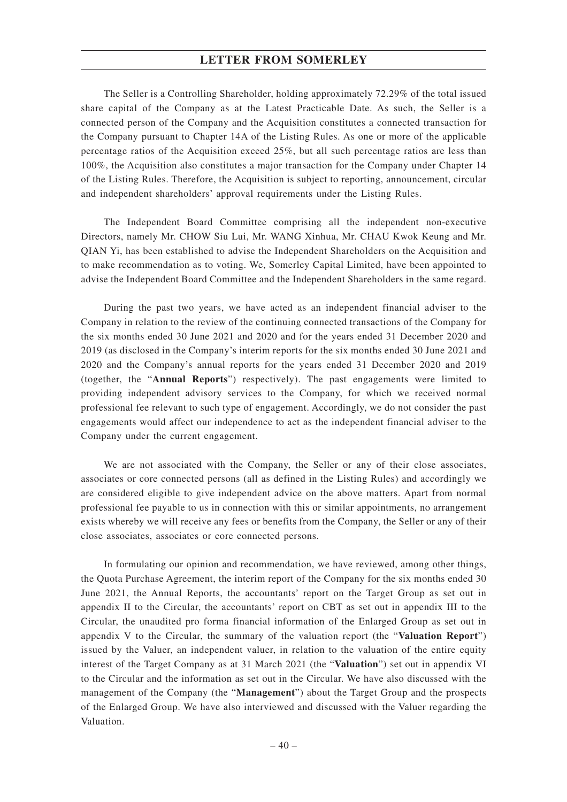The Seller is a Controlling Shareholder, holding approximately 72.29% of the total issued share capital of the Company as at the Latest Practicable Date. As such, the Seller is a connected person of the Company and the Acquisition constitutes a connected transaction for the Company pursuant to Chapter 14A of the Listing Rules. As one or more of the applicable percentage ratios of the Acquisition exceed 25%, but all such percentage ratios are less than 100%, the Acquisition also constitutes a major transaction for the Company under Chapter 14 of the Listing Rules. Therefore, the Acquisition is subject to reporting, announcement, circular and independent shareholders' approval requirements under the Listing Rules.

The Independent Board Committee comprising all the independent non-executive Directors, namely Mr. CHOW Siu Lui, Mr. WANG Xinhua, Mr. CHAU Kwok Keung and Mr. QIAN Yi, has been established to advise the Independent Shareholders on the Acquisition and to make recommendation as to voting. We, Somerley Capital Limited, have been appointed to advise the Independent Board Committee and the Independent Shareholders in the same regard.

During the past two years, we have acted as an independent financial adviser to the Company in relation to the review of the continuing connected transactions of the Company for the six months ended 30 June 2021 and 2020 and for the years ended 31 December 2020 and 2019 (as disclosed in the Company's interim reports for the six months ended 30 June 2021 and 2020 and the Company's annual reports for the years ended 31 December 2020 and 2019 (together, the "**Annual Reports**") respectively). The past engagements were limited to providing independent advisory services to the Company, for which we received normal professional fee relevant to such type of engagement. Accordingly, we do not consider the past engagements would affect our independence to act as the independent financial adviser to the Company under the current engagement.

We are not associated with the Company, the Seller or any of their close associates, associates or core connected persons (all as defined in the Listing Rules) and accordingly we are considered eligible to give independent advice on the above matters. Apart from normal professional fee payable to us in connection with this or similar appointments, no arrangement exists whereby we will receive any fees or benefits from the Company, the Seller or any of their close associates, associates or core connected persons.

In formulating our opinion and recommendation, we have reviewed, among other things, the Quota Purchase Agreement, the interim report of the Company for the six months ended 30 June 2021, the Annual Reports, the accountants' report on the Target Group as set out in appendix II to the Circular, the accountants' report on CBT as set out in appendix III to the Circular, the unaudited pro forma financial information of the Enlarged Group as set out in appendix V to the Circular, the summary of the valuation report (the "**Valuation Report**") issued by the Valuer, an independent valuer, in relation to the valuation of the entire equity interest of the Target Company as at 31 March 2021 (the "**Valuation**") set out in appendix VI to the Circular and the information as set out in the Circular. We have also discussed with the management of the Company (the "**Management**") about the Target Group and the prospects of the Enlarged Group. We have also interviewed and discussed with the Valuer regarding the Valuation.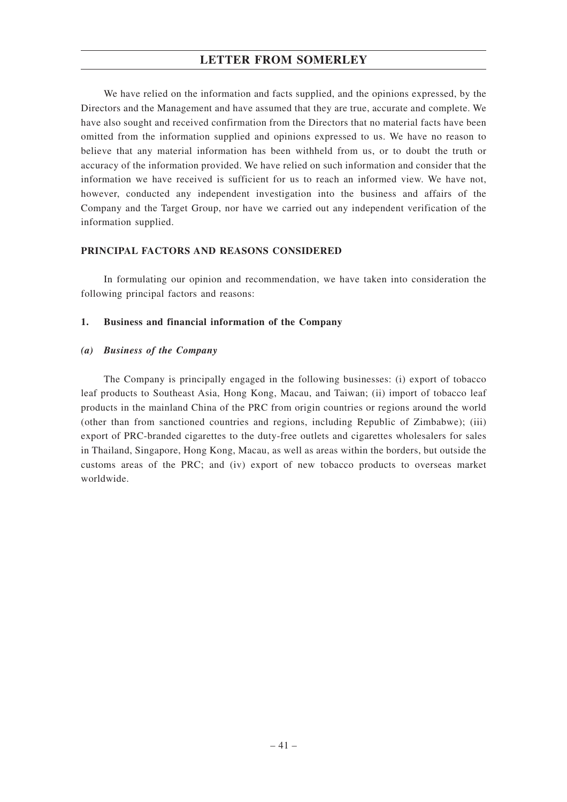We have relied on the information and facts supplied, and the opinions expressed, by the Directors and the Management and have assumed that they are true, accurate and complete. We have also sought and received confirmation from the Directors that no material facts have been omitted from the information supplied and opinions expressed to us. We have no reason to believe that any material information has been withheld from us, or to doubt the truth or accuracy of the information provided. We have relied on such information and consider that the information we have received is sufficient for us to reach an informed view. We have not, however, conducted any independent investigation into the business and affairs of the Company and the Target Group, nor have we carried out any independent verification of the information supplied.

### **PRINCIPAL FACTORS AND REASONS CONSIDERED**

In formulating our opinion and recommendation, we have taken into consideration the following principal factors and reasons:

## **1. Business and financial information of the Company**

## *(a) Business of the Company*

The Company is principally engaged in the following businesses: (i) export of tobacco leaf products to Southeast Asia, Hong Kong, Macau, and Taiwan; (ii) import of tobacco leaf products in the mainland China of the PRC from origin countries or regions around the world (other than from sanctioned countries and regions, including Republic of Zimbabwe); (iii) export of PRC-branded cigarettes to the duty-free outlets and cigarettes wholesalers for sales in Thailand, Singapore, Hong Kong, Macau, as well as areas within the borders, but outside the customs areas of the PRC; and (iv) export of new tobacco products to overseas market worldwide.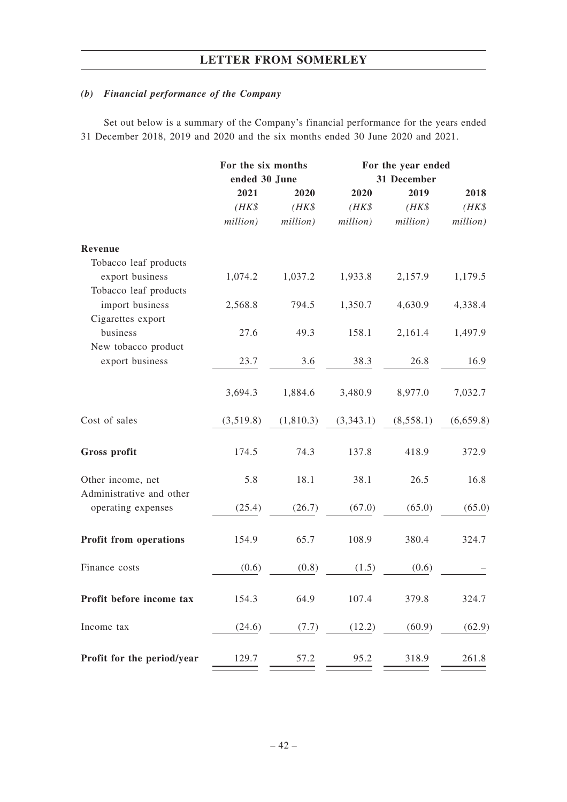# *(b) Financial performance of the Company*

Set out below is a summary of the Company's financial performance for the years ended 31 December 2018, 2019 and 2020 and the six months ended 30 June 2020 and 2021.

|                                                | For the six months |           | For the year ended |           |           |  |
|------------------------------------------------|--------------------|-----------|--------------------|-----------|-----------|--|
|                                                | ended 30 June      |           | 31 December        |           |           |  |
|                                                | 2021               | 2020      | 2020               | 2019      | 2018      |  |
|                                                | $(HK\$             | $(HK\$    | $(HK\$             | $(HK\$    | $(HK\$    |  |
|                                                | million)           | million)  | million)           | million)  | million)  |  |
| Revenue                                        |                    |           |                    |           |           |  |
| Tobacco leaf products                          |                    |           |                    |           |           |  |
| export business                                | 1,074.2            | 1,037.2   | 1,933.8            | 2,157.9   | 1,179.5   |  |
| Tobacco leaf products                          |                    |           |                    |           |           |  |
| import business                                | 2,568.8            | 794.5     | 1,350.7            | 4,630.9   | 4,338.4   |  |
| Cigarettes export                              |                    |           |                    |           |           |  |
| business                                       | 27.6               | 49.3      | 158.1              | 2,161.4   | 1,497.9   |  |
| New tobacco product                            |                    |           |                    |           |           |  |
| export business                                | 23.7               | 3.6       | 38.3               | 26.8      | 16.9      |  |
|                                                | 3,694.3            | 1,884.6   | 3,480.9            | 8,977.0   | 7,032.7   |  |
| Cost of sales                                  | (3,519.8)          | (1,810.3) | (3,343.1)          | (8,558.1) | (6,659.8) |  |
| Gross profit                                   | 174.5              | 74.3      | 137.8              | 418.9     | 372.9     |  |
| Other income, net                              | 5.8                | 18.1      | 38.1               | 26.5      | 16.8      |  |
| Administrative and other<br>operating expenses | (25.4)             | (26.7)    | (67.0)             | (65.0)    | (65.0)    |  |
| <b>Profit from operations</b>                  | 154.9              | 65.7      | 108.9              | 380.4     | 324.7     |  |
| Finance costs                                  | (0.6)              | (0.8)     | (1.5)              | (0.6)     |           |  |
| Profit before income tax                       | 154.3              | 64.9      | 107.4              | 379.8     | 324.7     |  |
| Income tax                                     | (24.6)             | (7.7)     | (12.2)             | (60.9)    | (62.9)    |  |
| Profit for the period/year                     | 129.7              | 57.2      | 95.2               | 318.9     | 261.8     |  |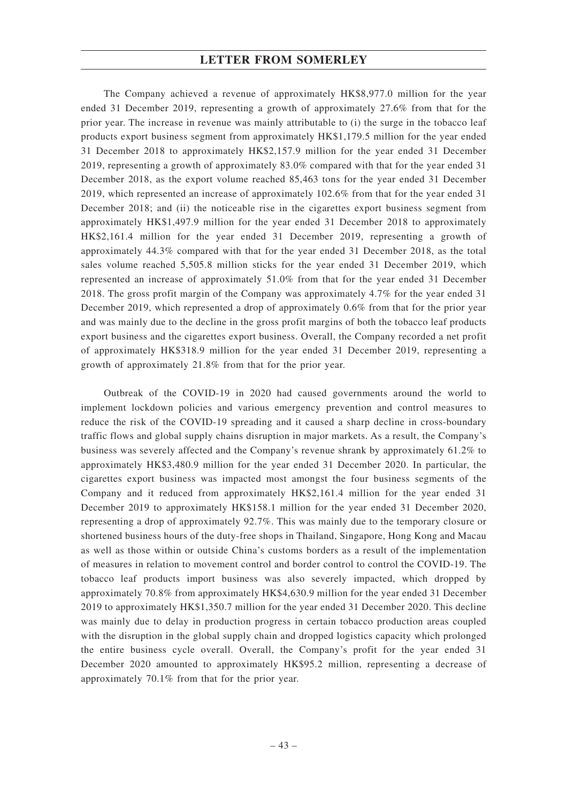The Company achieved a revenue of approximately HK\$8,977.0 million for the year ended 31 December 2019, representing a growth of approximately 27.6% from that for the prior year. The increase in revenue was mainly attributable to (i) the surge in the tobacco leaf products export business segment from approximately HK\$1,179.5 million for the year ended 31 December 2018 to approximately HK\$2,157.9 million for the year ended 31 December 2019, representing a growth of approximately 83.0% compared with that for the year ended 31 December 2018, as the export volume reached 85,463 tons for the year ended 31 December 2019, which represented an increase of approximately 102.6% from that for the year ended 31 December 2018; and (ii) the noticeable rise in the cigarettes export business segment from approximately HK\$1,497.9 million for the year ended 31 December 2018 to approximately HK\$2,161.4 million for the year ended 31 December 2019, representing a growth of approximately 44.3% compared with that for the year ended 31 December 2018, as the total sales volume reached 5,505.8 million sticks for the year ended 31 December 2019, which represented an increase of approximately 51.0% from that for the year ended 31 December 2018. The gross profit margin of the Company was approximately 4.7% for the year ended 31 December 2019, which represented a drop of approximately 0.6% from that for the prior year and was mainly due to the decline in the gross profit margins of both the tobacco leaf products export business and the cigarettes export business. Overall, the Company recorded a net profit of approximately HK\$318.9 million for the year ended 31 December 2019, representing a growth of approximately 21.8% from that for the prior year.

Outbreak of the COVID-19 in 2020 had caused governments around the world to implement lockdown policies and various emergency prevention and control measures to reduce the risk of the COVID-19 spreading and it caused a sharp decline in cross-boundary traffic flows and global supply chains disruption in major markets. As a result, the Company's business was severely affected and the Company's revenue shrank by approximately 61.2% to approximately HK\$3,480.9 million for the year ended 31 December 2020. In particular, the cigarettes export business was impacted most amongst the four business segments of the Company and it reduced from approximately HK\$2,161.4 million for the year ended 31 December 2019 to approximately HK\$158.1 million for the year ended 31 December 2020, representing a drop of approximately 92.7%. This was mainly due to the temporary closure or shortened business hours of the duty-free shops in Thailand, Singapore, Hong Kong and Macau as well as those within or outside China's customs borders as a result of the implementation of measures in relation to movement control and border control to control the COVID-19. The tobacco leaf products import business was also severely impacted, which dropped by approximately 70.8% from approximately HK\$4,630.9 million for the year ended 31 December 2019 to approximately HK\$1,350.7 million for the year ended 31 December 2020. This decline was mainly due to delay in production progress in certain tobacco production areas coupled with the disruption in the global supply chain and dropped logistics capacity which prolonged the entire business cycle overall. Overall, the Company's profit for the year ended 31 December 2020 amounted to approximately HK\$95.2 million, representing a decrease of approximately 70.1% from that for the prior year.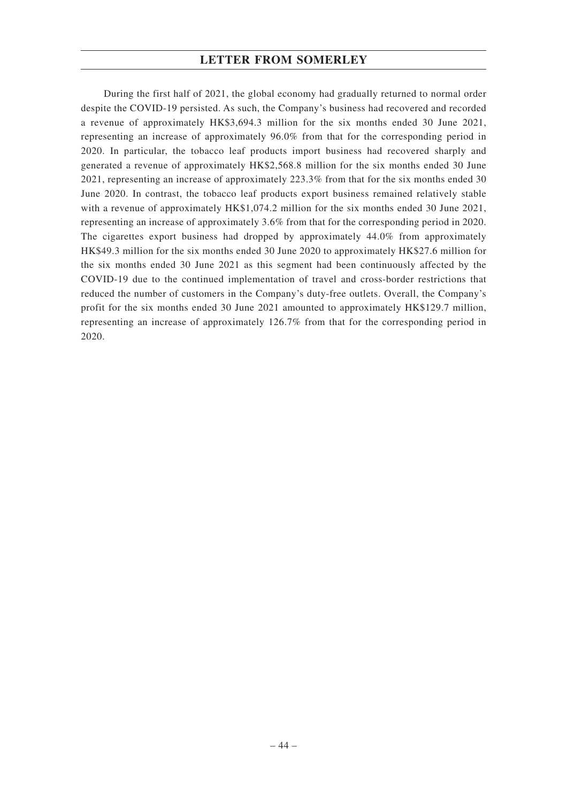During the first half of 2021, the global economy had gradually returned to normal order despite the COVID-19 persisted. As such, the Company's business had recovered and recorded a revenue of approximately HK\$3,694.3 million for the six months ended 30 June 2021, representing an increase of approximately 96.0% from that for the corresponding period in 2020. In particular, the tobacco leaf products import business had recovered sharply and generated a revenue of approximately HK\$2,568.8 million for the six months ended 30 June 2021, representing an increase of approximately 223.3% from that for the six months ended 30 June 2020. In contrast, the tobacco leaf products export business remained relatively stable with a revenue of approximately HK\$1,074.2 million for the six months ended 30 June 2021, representing an increase of approximately 3.6% from that for the corresponding period in 2020. The cigarettes export business had dropped by approximately 44.0% from approximately HK\$49.3 million for the six months ended 30 June 2020 to approximately HK\$27.6 million for the six months ended 30 June 2021 as this segment had been continuously affected by the COVID-19 due to the continued implementation of travel and cross-border restrictions that reduced the number of customers in the Company's duty-free outlets. Overall, the Company's profit for the six months ended 30 June 2021 amounted to approximately HK\$129.7 million, representing an increase of approximately 126.7% from that for the corresponding period in 2020.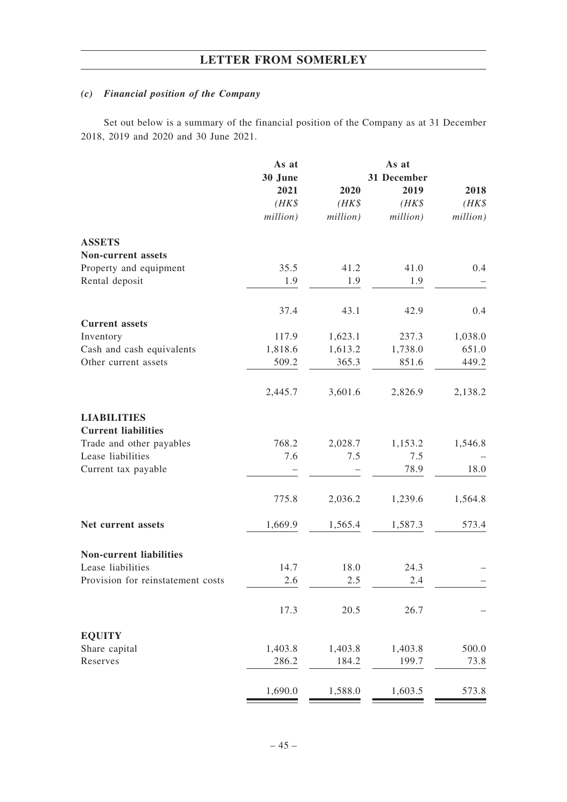# *(c) Financial position of the Company*

Set out below is a summary of the financial position of the Company as at 31 December 2018, 2019 and 2020 and 30 June 2021.

|                                     | As at              |                    | As at              |                    |
|-------------------------------------|--------------------|--------------------|--------------------|--------------------|
|                                     | 30 June            |                    | 31 December        |                    |
|                                     | 2021               | 2020               | 2019               | 2018               |
|                                     | $(HK\$<br>million) | $(HK\$<br>million) | $(HK\$<br>million) | $(HK\$<br>million) |
|                                     |                    |                    |                    |                    |
| <b>ASSETS</b><br>Non-current assets |                    |                    |                    |                    |
| Property and equipment              | 35.5               | 41.2               | 41.0               | 0.4                |
| Rental deposit                      | 1.9                | 1.9                | 1.9                |                    |
|                                     |                    |                    |                    |                    |
| <b>Current</b> assets               | 37.4               | 43.1               | 42.9               | 0.4                |
| Inventory                           | 117.9              | 1,623.1            | 237.3              | 1,038.0            |
| Cash and cash equivalents           | 1,818.6            | 1,613.2            | 1,738.0            | 651.0              |
| Other current assets                | 509.2              | 365.3              | 851.6              | 449.2              |
|                                     | 2,445.7            | 3,601.6            | 2,826.9            | 2,138.2            |
|                                     |                    |                    |                    |                    |
| <b>LIABILITIES</b>                  |                    |                    |                    |                    |
| <b>Current liabilities</b>          |                    |                    |                    |                    |
| Trade and other payables            | 768.2              | 2,028.7            | 1,153.2            | 1,546.8            |
| Lease liabilities                   | 7.6                | 7.5                | 7.5                |                    |
| Current tax payable                 |                    |                    | 78.9               | 18.0               |
|                                     | 775.8              | 2,036.2            | 1,239.6            | 1,564.8            |
| Net current assets                  | 1,669.9            | 1,565.4            | 1,587.3            | 573.4              |
| <b>Non-current liabilities</b>      |                    |                    |                    |                    |
| Lease liabilities                   | 14.7               | 18.0               | 24.3               |                    |
| Provision for reinstatement costs   | 2.6                | 2.5                | 2.4                |                    |
|                                     |                    |                    |                    |                    |
|                                     | 17.3               | 20.5               | 26.7               |                    |
| <b>EQUITY</b>                       |                    |                    |                    |                    |
| Share capital                       | 1,403.8            | 1,403.8            | 1,403.8            | 500.0              |
| Reserves                            | 286.2              | 184.2              | 199.7              | 73.8               |
|                                     | 1,690.0            | 1,588.0            | 1,603.5            | 573.8              |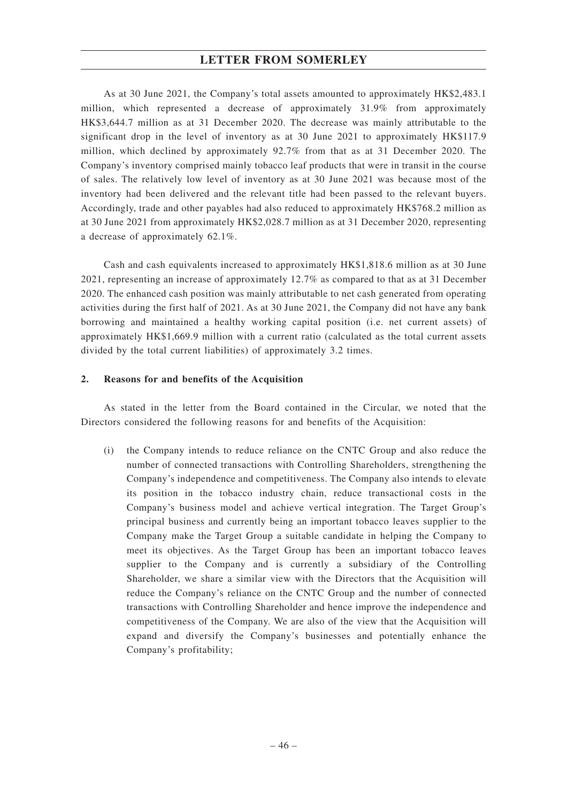As at 30 June 2021, the Company's total assets amounted to approximately HK\$2,483.1 million, which represented a decrease of approximately 31.9% from approximately HK\$3,644.7 million as at 31 December 2020. The decrease was mainly attributable to the significant drop in the level of inventory as at 30 June 2021 to approximately HK\$117.9 million, which declined by approximately 92.7% from that as at 31 December 2020. The Company's inventory comprised mainly tobacco leaf products that were in transit in the course of sales. The relatively low level of inventory as at 30 June 2021 was because most of the inventory had been delivered and the relevant title had been passed to the relevant buyers. Accordingly, trade and other payables had also reduced to approximately HK\$768.2 million as at 30 June 2021 from approximately HK\$2,028.7 million as at 31 December 2020, representing a decrease of approximately 62.1%.

Cash and cash equivalents increased to approximately HK\$1,818.6 million as at 30 June 2021, representing an increase of approximately 12.7% as compared to that as at 31 December 2020. The enhanced cash position was mainly attributable to net cash generated from operating activities during the first half of 2021. As at 30 June 2021, the Company did not have any bank borrowing and maintained a healthy working capital position (i.e. net current assets) of approximately HK\$1,669.9 million with a current ratio (calculated as the total current assets divided by the total current liabilities) of approximately 3.2 times.

### **2. Reasons for and benefits of the Acquisition**

As stated in the letter from the Board contained in the Circular, we noted that the Directors considered the following reasons for and benefits of the Acquisition:

(i) the Company intends to reduce reliance on the CNTC Group and also reduce the number of connected transactions with Controlling Shareholders, strengthening the Company's independence and competitiveness. The Company also intends to elevate its position in the tobacco industry chain, reduce transactional costs in the Company's business model and achieve vertical integration. The Target Group's principal business and currently being an important tobacco leaves supplier to the Company make the Target Group a suitable candidate in helping the Company to meet its objectives. As the Target Group has been an important tobacco leaves supplier to the Company and is currently a subsidiary of the Controlling Shareholder, we share a similar view with the Directors that the Acquisition will reduce the Company's reliance on the CNTC Group and the number of connected transactions with Controlling Shareholder and hence improve the independence and competitiveness of the Company. We are also of the view that the Acquisition will expand and diversify the Company's businesses and potentially enhance the Company's profitability;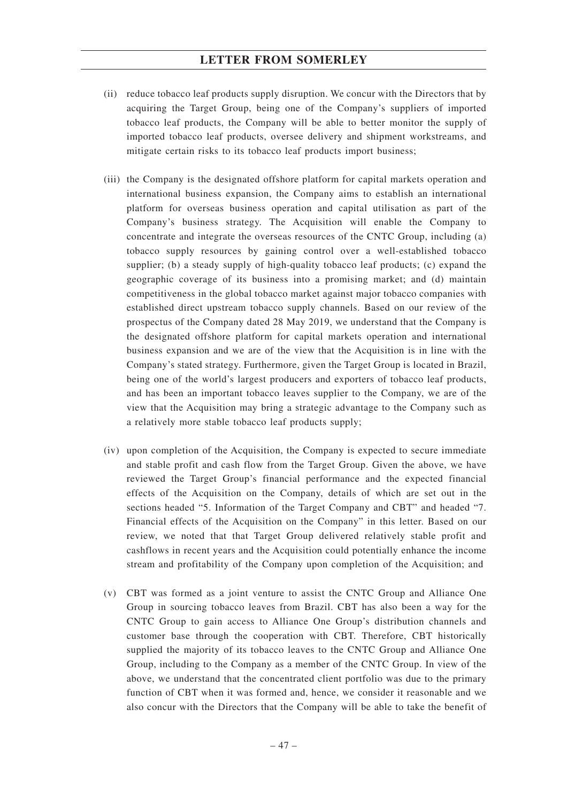- (ii) reduce tobacco leaf products supply disruption. We concur with the Directors that by acquiring the Target Group, being one of the Company's suppliers of imported tobacco leaf products, the Company will be able to better monitor the supply of imported tobacco leaf products, oversee delivery and shipment workstreams, and mitigate certain risks to its tobacco leaf products import business;
- (iii) the Company is the designated offshore platform for capital markets operation and international business expansion, the Company aims to establish an international platform for overseas business operation and capital utilisation as part of the Company's business strategy. The Acquisition will enable the Company to concentrate and integrate the overseas resources of the CNTC Group, including (a) tobacco supply resources by gaining control over a well-established tobacco supplier; (b) a steady supply of high-quality tobacco leaf products; (c) expand the geographic coverage of its business into a promising market; and (d) maintain competitiveness in the global tobacco market against major tobacco companies with established direct upstream tobacco supply channels. Based on our review of the prospectus of the Company dated 28 May 2019, we understand that the Company is the designated offshore platform for capital markets operation and international business expansion and we are of the view that the Acquisition is in line with the Company's stated strategy. Furthermore, given the Target Group is located in Brazil, being one of the world's largest producers and exporters of tobacco leaf products, and has been an important tobacco leaves supplier to the Company, we are of the view that the Acquisition may bring a strategic advantage to the Company such as a relatively more stable tobacco leaf products supply;
- (iv) upon completion of the Acquisition, the Company is expected to secure immediate and stable profit and cash flow from the Target Group. Given the above, we have reviewed the Target Group's financial performance and the expected financial effects of the Acquisition on the Company, details of which are set out in the sections headed "5. Information of the Target Company and CBT" and headed "7. Financial effects of the Acquisition on the Company" in this letter. Based on our review, we noted that that Target Group delivered relatively stable profit and cashflows in recent years and the Acquisition could potentially enhance the income stream and profitability of the Company upon completion of the Acquisition; and
- (v) CBT was formed as a joint venture to assist the CNTC Group and Alliance One Group in sourcing tobacco leaves from Brazil. CBT has also been a way for the CNTC Group to gain access to Alliance One Group's distribution channels and customer base through the cooperation with CBT. Therefore, CBT historically supplied the majority of its tobacco leaves to the CNTC Group and Alliance One Group, including to the Company as a member of the CNTC Group. In view of the above, we understand that the concentrated client portfolio was due to the primary function of CBT when it was formed and, hence, we consider it reasonable and we also concur with the Directors that the Company will be able to take the benefit of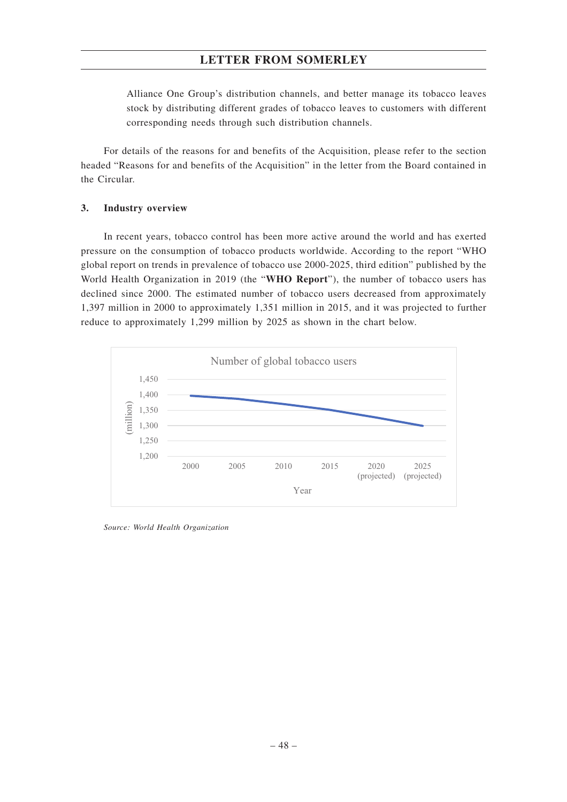Alliance One Group's distribution channels, and better manage its tobacco leaves stock by distributing different grades of tobacco leaves to customers with different corresponding needs through such distribution channels.

For details of the reasons for and benefits of the Acquisition, please refer to the section headed "Reasons for and benefits of the Acquisition" in the letter from the Board contained in the Circular.

#### **3. Industry overview**

In recent years, tobacco control has been more active around the world and has exerted pressure on the consumption of tobacco products worldwide. According to the report "WHO global report on trends in prevalence of tobacco use 2000-2025, third edition" published by the World Health Organization in 2019 (the "**WHO Report**"), the number of tobacco users has declined since 2000. The estimated number of tobacco users decreased from approximately 1,397 million in 2000 to approximately 1,351 million in 2015, and it was projected to further reduce to approximately 1,299 million by 2025 as shown in the chart below.



*Source: World Health Organization*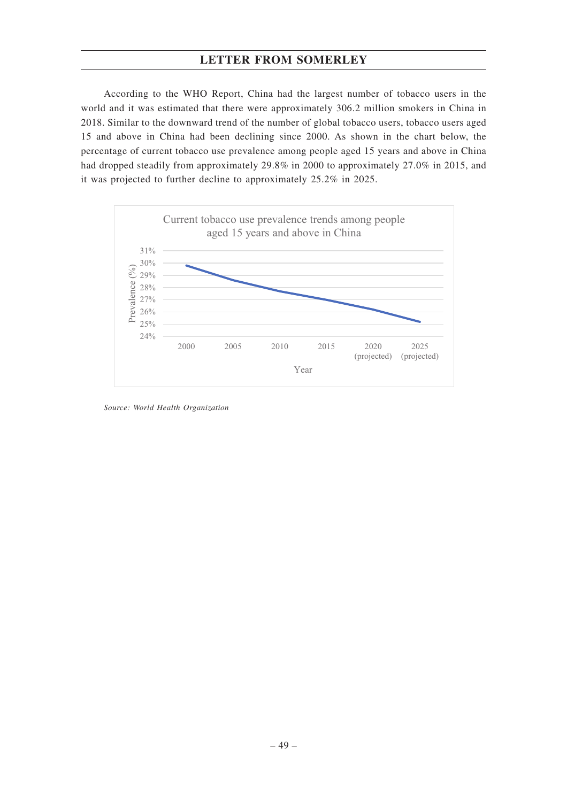According to the WHO Report, China had the largest number of tobacco users in the world and it was estimated that there were approximately 306.2 million smokers in China in 2018. Similar to the downward trend of the number of global tobacco users, tobacco users aged 15 and above in China had been declining since 2000. As shown in the chart below, the percentage of current tobacco use prevalence among people aged 15 years and above in China had dropped steadily from approximately 29.8% in 2000 to approximately 27.0% in 2015, and it was projected to further decline to approximately 25.2% in 2025.



*Source: World Health Organization*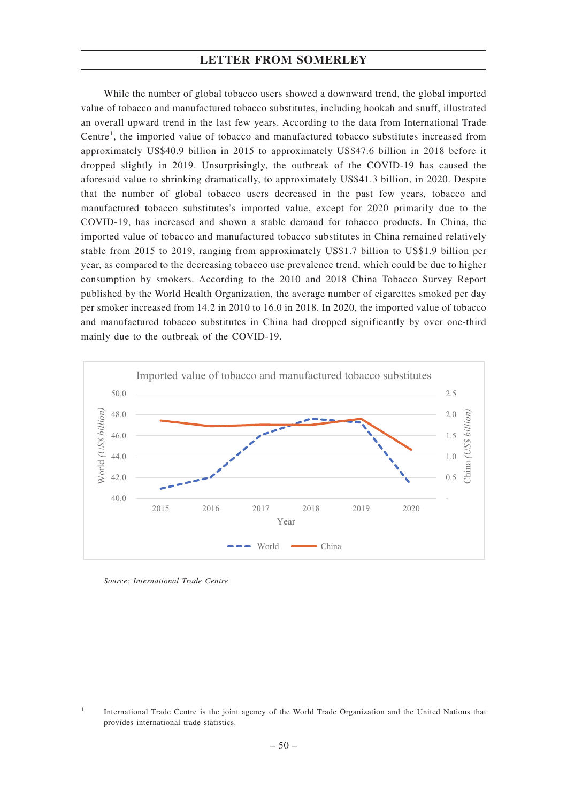While the number of global tobacco users showed a downward trend, the global imported value of tobacco and manufactured tobacco substitutes, including hookah and snuff, illustrated an overall upward trend in the last few years. According to the data from International Trade Centre<sup>1</sup>, the imported value of tobacco and manufactured tobacco substitutes increased from approximately US\$40.9 billion in 2015 to approximately US\$47.6 billion in 2018 before it dropped slightly in 2019. Unsurprisingly, the outbreak of the COVID-19 has caused the aforesaid value to shrinking dramatically, to approximately US\$41.3 billion, in 2020. Despite that the number of global tobacco users decreased in the past few years, tobacco and manufactured tobacco substitutes's imported value, except for 2020 primarily due to the COVID-19, has increased and shown a stable demand for tobacco products. In China, the imported value of tobacco and manufactured tobacco substitutes in China remained relatively stable from 2015 to 2019, ranging from approximately US\$1.7 billion to US\$1.9 billion per year, as compared to the decreasing tobacco use prevalence trend, which could be due to higher consumption by smokers. According to the 2010 and 2018 China Tobacco Survey Report published by the World Health Organization, the average number of cigarettes smoked per day per smoker increased from 14.2 in 2010 to 16.0 in 2018. In 2020, the imported value of tobacco and manufactured tobacco substitutes in China had dropped significantly by over one-third mainly due to the outbreak of the COVID-19.



*Source: International Trade Centre*

<sup>&</sup>lt;sup>1</sup> International Trade Centre is the joint agency of the World Trade Organization and the United Nations that provides international trade statistics.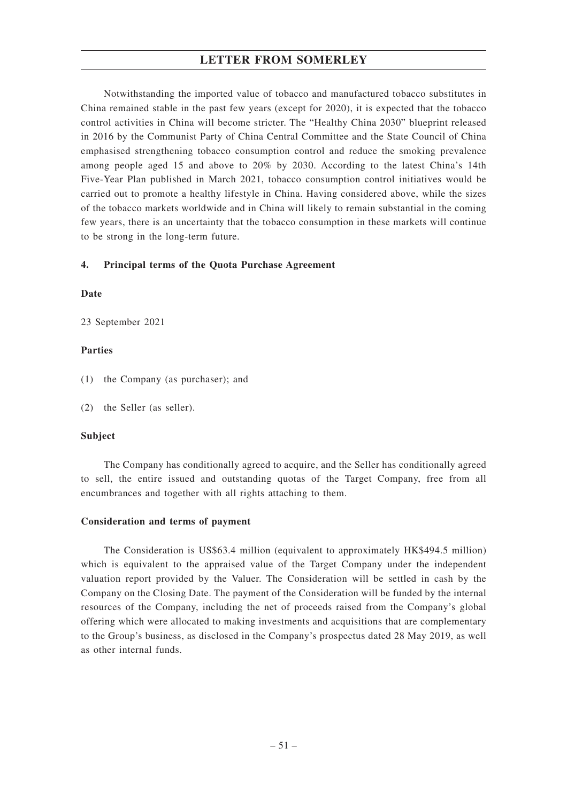Notwithstanding the imported value of tobacco and manufactured tobacco substitutes in China remained stable in the past few years (except for 2020), it is expected that the tobacco control activities in China will become stricter. The "Healthy China 2030" blueprint released in 2016 by the Communist Party of China Central Committee and the State Council of China emphasised strengthening tobacco consumption control and reduce the smoking prevalence among people aged 15 and above to 20% by 2030. According to the latest China's 14th Five-Year Plan published in March 2021, tobacco consumption control initiatives would be carried out to promote a healthy lifestyle in China. Having considered above, while the sizes of the tobacco markets worldwide and in China will likely to remain substantial in the coming few years, there is an uncertainty that the tobacco consumption in these markets will continue to be strong in the long-term future.

### **4. Principal terms of the Quota Purchase Agreement**

### **Date**

23 September 2021

### **Parties**

- (1) the Company (as purchaser); and
- (2) the Seller (as seller).

### **Subject**

The Company has conditionally agreed to acquire, and the Seller has conditionally agreed to sell, the entire issued and outstanding quotas of the Target Company, free from all encumbrances and together with all rights attaching to them.

### **Consideration and terms of payment**

The Consideration is US\$63.4 million (equivalent to approximately HK\$494.5 million) which is equivalent to the appraised value of the Target Company under the independent valuation report provided by the Valuer. The Consideration will be settled in cash by the Company on the Closing Date. The payment of the Consideration will be funded by the internal resources of the Company, including the net of proceeds raised from the Company's global offering which were allocated to making investments and acquisitions that are complementary to the Group's business, as disclosed in the Company's prospectus dated 28 May 2019, as well as other internal funds.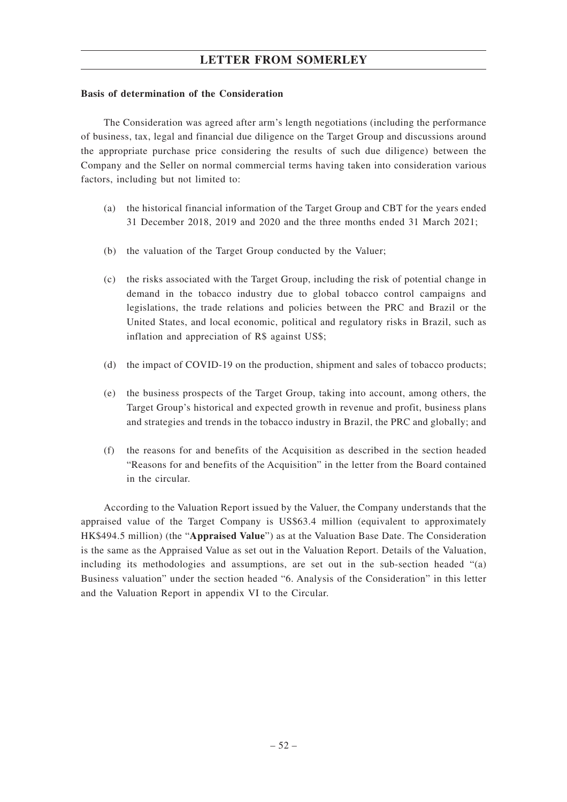#### **Basis of determination of the Consideration**

The Consideration was agreed after arm's length negotiations (including the performance of business, tax, legal and financial due diligence on the Target Group and discussions around the appropriate purchase price considering the results of such due diligence) between the Company and the Seller on normal commercial terms having taken into consideration various factors, including but not limited to:

- (a) the historical financial information of the Target Group and CBT for the years ended 31 December 2018, 2019 and 2020 and the three months ended 31 March 2021;
- (b) the valuation of the Target Group conducted by the Valuer;
- (c) the risks associated with the Target Group, including the risk of potential change in demand in the tobacco industry due to global tobacco control campaigns and legislations, the trade relations and policies between the PRC and Brazil or the United States, and local economic, political and regulatory risks in Brazil, such as inflation and appreciation of R\$ against US\$;
- (d) the impact of COVID-19 on the production, shipment and sales of tobacco products;
- (e) the business prospects of the Target Group, taking into account, among others, the Target Group's historical and expected growth in revenue and profit, business plans and strategies and trends in the tobacco industry in Brazil, the PRC and globally; and
- (f) the reasons for and benefits of the Acquisition as described in the section headed "Reasons for and benefits of the Acquisition" in the letter from the Board contained in the circular.

According to the Valuation Report issued by the Valuer, the Company understands that the appraised value of the Target Company is US\$63.4 million (equivalent to approximately HK\$494.5 million) (the "**Appraised Value**") as at the Valuation Base Date. The Consideration is the same as the Appraised Value as set out in the Valuation Report. Details of the Valuation, including its methodologies and assumptions, are set out in the sub-section headed "(a) Business valuation" under the section headed "6. Analysis of the Consideration" in this letter and the Valuation Report in appendix VI to the Circular.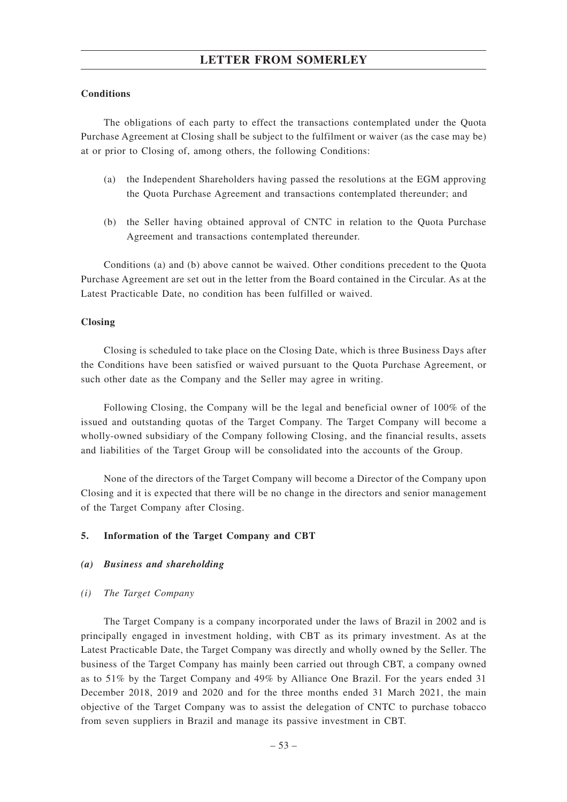### **Conditions**

The obligations of each party to effect the transactions contemplated under the Quota Purchase Agreement at Closing shall be subject to the fulfilment or waiver (as the case may be) at or prior to Closing of, among others, the following Conditions:

- (a) the Independent Shareholders having passed the resolutions at the EGM approving the Quota Purchase Agreement and transactions contemplated thereunder; and
- (b) the Seller having obtained approval of CNTC in relation to the Quota Purchase Agreement and transactions contemplated thereunder.

Conditions (a) and (b) above cannot be waived. Other conditions precedent to the Quota Purchase Agreement are set out in the letter from the Board contained in the Circular. As at the Latest Practicable Date, no condition has been fulfilled or waived.

#### **Closing**

Closing is scheduled to take place on the Closing Date, which is three Business Days after the Conditions have been satisfied or waived pursuant to the Quota Purchase Agreement, or such other date as the Company and the Seller may agree in writing.

Following Closing, the Company will be the legal and beneficial owner of 100% of the issued and outstanding quotas of the Target Company. The Target Company will become a wholly-owned subsidiary of the Company following Closing, and the financial results, assets and liabilities of the Target Group will be consolidated into the accounts of the Group.

None of the directors of the Target Company will become a Director of the Company upon Closing and it is expected that there will be no change in the directors and senior management of the Target Company after Closing.

### **5. Information of the Target Company and CBT**

#### *(a) Business and shareholding*

#### *(i) The Target Company*

The Target Company is a company incorporated under the laws of Brazil in 2002 and is principally engaged in investment holding, with CBT as its primary investment. As at the Latest Practicable Date, the Target Company was directly and wholly owned by the Seller. The business of the Target Company has mainly been carried out through CBT, a company owned as to 51% by the Target Company and 49% by Alliance One Brazil. For the years ended 31 December 2018, 2019 and 2020 and for the three months ended 31 March 2021, the main objective of the Target Company was to assist the delegation of CNTC to purchase tobacco from seven suppliers in Brazil and manage its passive investment in CBT.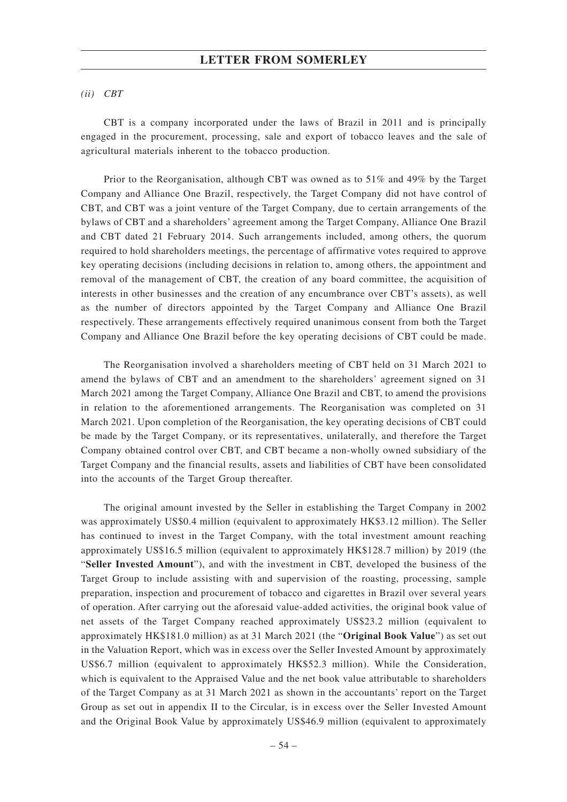#### *(ii) CBT*

CBT is a company incorporated under the laws of Brazil in 2011 and is principally engaged in the procurement, processing, sale and export of tobacco leaves and the sale of agricultural materials inherent to the tobacco production.

Prior to the Reorganisation, although CBT was owned as to 51% and 49% by the Target Company and Alliance One Brazil, respectively, the Target Company did not have control of CBT, and CBT was a joint venture of the Target Company, due to certain arrangements of the bylaws of CBT and a shareholders' agreement among the Target Company, Alliance One Brazil and CBT dated 21 February 2014. Such arrangements included, among others, the quorum required to hold shareholders meetings, the percentage of affirmative votes required to approve key operating decisions (including decisions in relation to, among others, the appointment and removal of the management of CBT, the creation of any board committee, the acquisition of interests in other businesses and the creation of any encumbrance over CBT's assets), as well as the number of directors appointed by the Target Company and Alliance One Brazil respectively. These arrangements effectively required unanimous consent from both the Target Company and Alliance One Brazil before the key operating decisions of CBT could be made.

The Reorganisation involved a shareholders meeting of CBT held on 31 March 2021 to amend the bylaws of CBT and an amendment to the shareholders' agreement signed on 31 March 2021 among the Target Company, Alliance One Brazil and CBT, to amend the provisions in relation to the aforementioned arrangements. The Reorganisation was completed on 31 March 2021. Upon completion of the Reorganisation, the key operating decisions of CBT could be made by the Target Company, or its representatives, unilaterally, and therefore the Target Company obtained control over CBT, and CBT became a non-wholly owned subsidiary of the Target Company and the financial results, assets and liabilities of CBT have been consolidated into the accounts of the Target Group thereafter.

The original amount invested by the Seller in establishing the Target Company in 2002 was approximately US\$0.4 million (equivalent to approximately HK\$3.12 million). The Seller has continued to invest in the Target Company, with the total investment amount reaching approximately US\$16.5 million (equivalent to approximately HK\$128.7 million) by 2019 (the "**Seller Invested Amount**"), and with the investment in CBT, developed the business of the Target Group to include assisting with and supervision of the roasting, processing, sample preparation, inspection and procurement of tobacco and cigarettes in Brazil over several years of operation. After carrying out the aforesaid value-added activities, the original book value of net assets of the Target Company reached approximately US\$23.2 million (equivalent to approximately HK\$181.0 million) as at 31 March 2021 (the "**Original Book Value**") as set out in the Valuation Report, which was in excess over the Seller Invested Amount by approximately US\$6.7 million (equivalent to approximately HK\$52.3 million). While the Consideration, which is equivalent to the Appraised Value and the net book value attributable to shareholders of the Target Company as at 31 March 2021 as shown in the accountants' report on the Target Group as set out in appendix II to the Circular, is in excess over the Seller Invested Amount and the Original Book Value by approximately US\$46.9 million (equivalent to approximately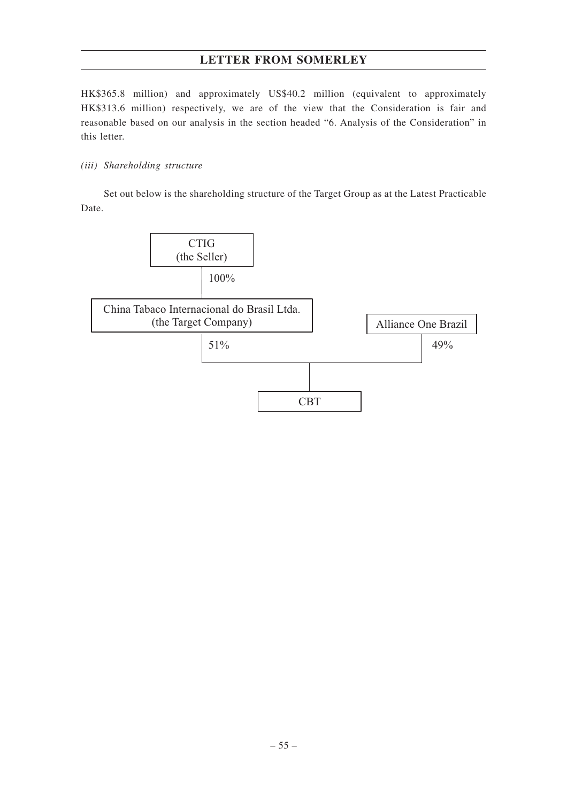HK\$365.8 million) and approximately US\$40.2 million (equivalent to approximately HK\$313.6 million) respectively, we are of the view that the Consideration is fair and reasonable based on our analysis in the section headed "6. Analysis of the Consideration" in this letter.

## *(iii) Shareholding structure*

Set out below is the shareholding structure of the Target Group as at the Latest Practicable Date.

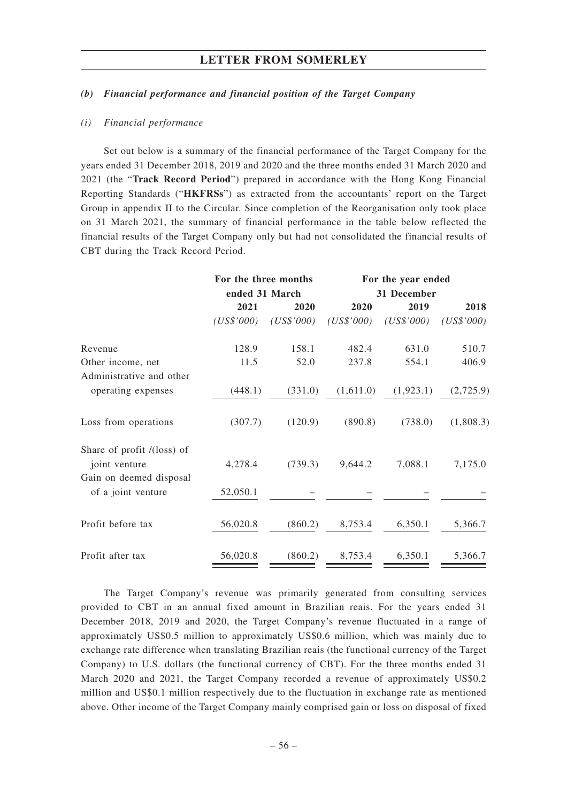#### *(b) Financial performance and financial position of the Target Company*

#### *(i) Financial performance*

Set out below is a summary of the financial performance of the Target Company for the years ended 31 December 2018, 2019 and 2020 and the three months ended 31 March 2020 and 2021 (the "**Track Record Period**") prepared in accordance with the Hong Kong Financial Reporting Standards ("**HKFRSs**") as extracted from the accountants' report on the Target Group in appendix II to the Circular. Since completion of the Reorganisation only took place on 31 March 2021, the summary of financial performance in the table below reflected the financial results of the Target Company only but had not consolidated the financial results of CBT during the Track Record Period.

|                                               | For the three months |            | For the year ended<br>31 December |            |            |  |
|-----------------------------------------------|----------------------|------------|-----------------------------------|------------|------------|--|
|                                               | ended 31 March       |            |                                   |            |            |  |
|                                               | 2021                 | 2020       | 2020                              | 2019       | 2018       |  |
|                                               | (US\$'000)           | (US\$'000) | (US\$'000)                        | (US\$'000) | (US\$'000) |  |
| Revenue                                       | 128.9                | 158.1      | 482.4                             | 631.0      | 510.7      |  |
| Other income, net                             | 11.5                 | 52.0       | 237.8                             | 554.1      | 406.9      |  |
| Administrative and other                      |                      |            |                                   |            |            |  |
| operating expenses                            | (448.1)              | (331.0)    | (1,611.0)                         | (1, 923.1) | (2,725.9)  |  |
| Loss from operations                          | (307.7)              | (120.9)    | (890.8)                           | (738.0)    | (1,808.3)  |  |
| Share of profit $/$ (loss) of                 |                      |            |                                   |            |            |  |
| joint venture                                 | 4,278.4              | (739.3)    | 9,644.2                           | 7,088.1    | 7,175.0    |  |
| Gain on deemed disposal<br>of a joint venture | 52,050.1             |            |                                   |            |            |  |
| Profit before tax                             | 56,020.8             | (860.2)    | 8,753.4                           | 6,350.1    | 5,366.7    |  |
| Profit after tax                              | 56,020.8             | (860.2)    | 8,753.4                           | 6,350.1    | 5,366.7    |  |

The Target Company's revenue was primarily generated from consulting services provided to CBT in an annual fixed amount in Brazilian reais. For the years ended 31 December 2018, 2019 and 2020, the Target Company's revenue fluctuated in a range of approximately US\$0.5 million to approximately US\$0.6 million, which was mainly due to exchange rate difference when translating Brazilian reais (the functional currency of the Target Company) to U.S. dollars (the functional currency of CBT). For the three months ended 31 March 2020 and 2021, the Target Company recorded a revenue of approximately US\$0.2 million and US\$0.1 million respectively due to the fluctuation in exchange rate as mentioned above. Other income of the Target Company mainly comprised gain or loss on disposal of fixed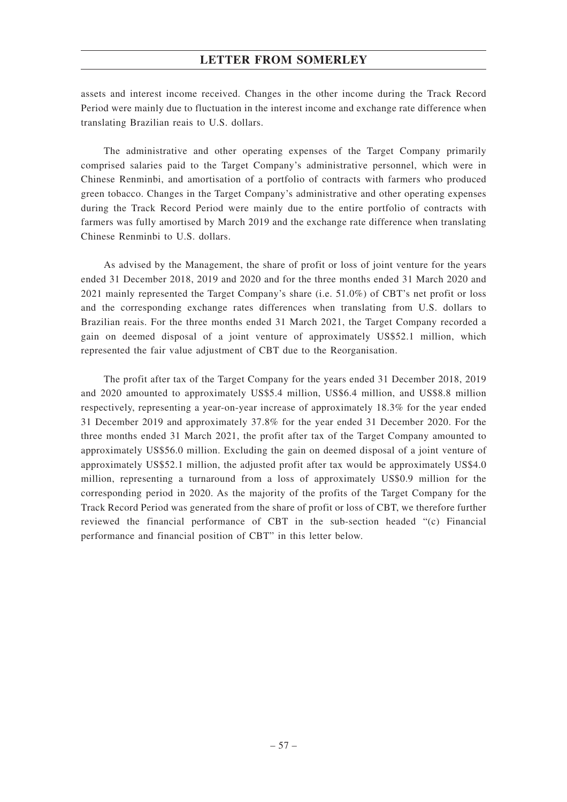assets and interest income received. Changes in the other income during the Track Record Period were mainly due to fluctuation in the interest income and exchange rate difference when translating Brazilian reais to U.S. dollars.

The administrative and other operating expenses of the Target Company primarily comprised salaries paid to the Target Company's administrative personnel, which were in Chinese Renminbi, and amortisation of a portfolio of contracts with farmers who produced green tobacco. Changes in the Target Company's administrative and other operating expenses during the Track Record Period were mainly due to the entire portfolio of contracts with farmers was fully amortised by March 2019 and the exchange rate difference when translating Chinese Renminbi to U.S. dollars.

As advised by the Management, the share of profit or loss of joint venture for the years ended 31 December 2018, 2019 and 2020 and for the three months ended 31 March 2020 and 2021 mainly represented the Target Company's share (i.e. 51.0%) of CBT's net profit or loss and the corresponding exchange rates differences when translating from U.S. dollars to Brazilian reais. For the three months ended 31 March 2021, the Target Company recorded a gain on deemed disposal of a joint venture of approximately US\$52.1 million, which represented the fair value adjustment of CBT due to the Reorganisation.

The profit after tax of the Target Company for the years ended 31 December 2018, 2019 and 2020 amounted to approximately US\$5.4 million, US\$6.4 million, and US\$8.8 million respectively, representing a year-on-year increase of approximately 18.3% for the year ended 31 December 2019 and approximately 37.8% for the year ended 31 December 2020. For the three months ended 31 March 2021, the profit after tax of the Target Company amounted to approximately US\$56.0 million. Excluding the gain on deemed disposal of a joint venture of approximately US\$52.1 million, the adjusted profit after tax would be approximately US\$4.0 million, representing a turnaround from a loss of approximately US\$0.9 million for the corresponding period in 2020. As the majority of the profits of the Target Company for the Track Record Period was generated from the share of profit or loss of CBT, we therefore further reviewed the financial performance of CBT in the sub-section headed "(c) Financial performance and financial position of CBT" in this letter below.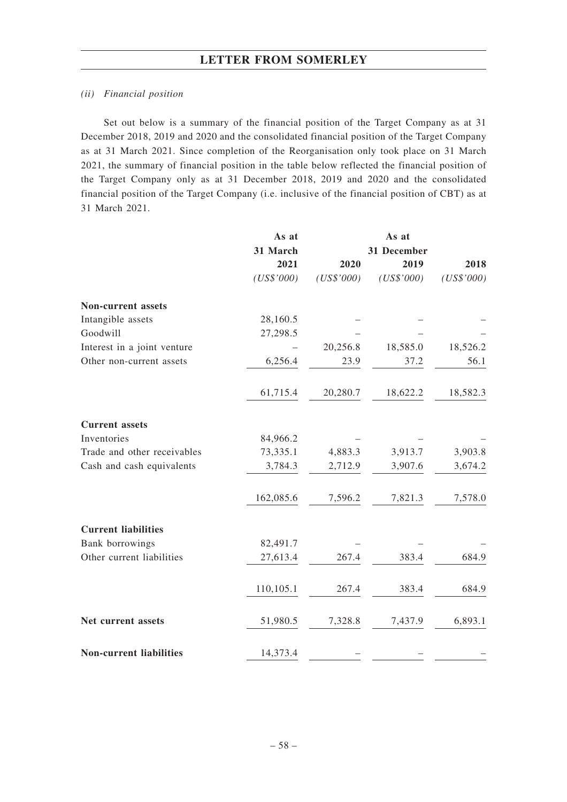#### *(ii) Financial position*

Set out below is a summary of the financial position of the Target Company as at 31 December 2018, 2019 and 2020 and the consolidated financial position of the Target Company as at 31 March 2021. Since completion of the Reorganisation only took place on 31 March 2021, the summary of financial position in the table below reflected the financial position of the Target Company only as at 31 December 2018, 2019 and 2020 and the consolidated financial position of the Target Company (i.e. inclusive of the financial position of CBT) as at 31 March 2021.

|                                | As at      |            | As at       |            |  |
|--------------------------------|------------|------------|-------------|------------|--|
|                                | 31 March   |            | 31 December |            |  |
|                                | 2021       | 2020       | 2019        | 2018       |  |
|                                | (US\$'000) | (US\$'000) | (US\$'000)  | (US\$'000) |  |
| <b>Non-current assets</b>      |            |            |             |            |  |
| Intangible assets              | 28,160.5   |            |             |            |  |
| Goodwill                       | 27,298.5   |            |             |            |  |
| Interest in a joint venture    |            | 20,256.8   | 18,585.0    | 18,526.2   |  |
| Other non-current assets       | 6,256.4    | 23.9       | 37.2        | 56.1       |  |
|                                | 61,715.4   | 20,280.7   | 18,622.2    | 18,582.3   |  |
| <b>Current</b> assets          |            |            |             |            |  |
| Inventories                    | 84,966.2   |            |             |            |  |
| Trade and other receivables    | 73,335.1   | 4,883.3    | 3,913.7     | 3,903.8    |  |
| Cash and cash equivalents      | 3,784.3    | 2,712.9    | 3,907.6     | 3,674.2    |  |
|                                | 162,085.6  | 7,596.2    | 7,821.3     | 7,578.0    |  |
| <b>Current liabilities</b>     |            |            |             |            |  |
| Bank borrowings                | 82,491.7   |            |             |            |  |
| Other current liabilities      | 27,613.4   | 267.4      | 383.4       | 684.9      |  |
|                                | 110,105.1  | 267.4      | 383.4       | 684.9      |  |
| Net current assets             | 51,980.5   | 7,328.8    | 7,437.9     | 6,893.1    |  |
| <b>Non-current liabilities</b> | 14,373.4   |            |             |            |  |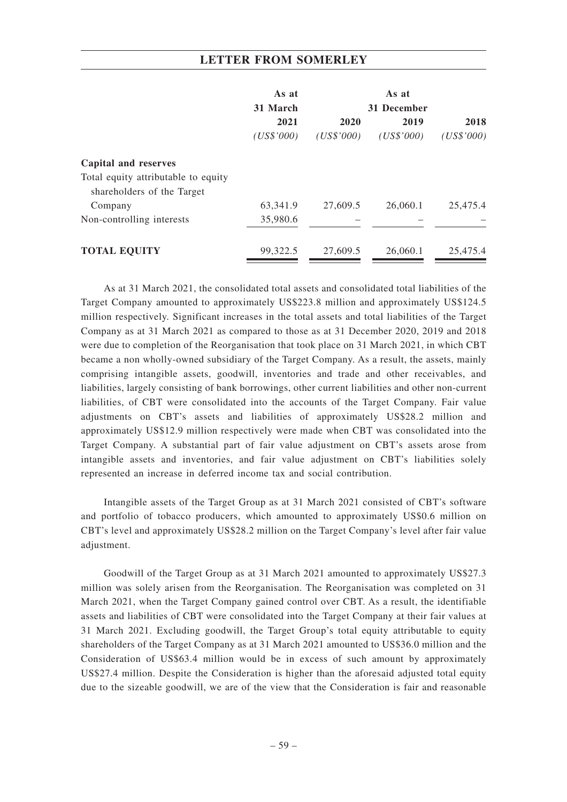|                                     | As at      |            | As at       |            |  |
|-------------------------------------|------------|------------|-------------|------------|--|
|                                     | 31 March   |            | 31 December |            |  |
|                                     | 2021       | 2020       | 2019        | 2018       |  |
|                                     | (US\$'000) | (US\$'000) | (US\$'000)  | (US\$'000) |  |
| Capital and reserves                |            |            |             |            |  |
| Total equity attributable to equity |            |            |             |            |  |
| shareholders of the Target          |            |            |             |            |  |
| Company                             | 63,341.9   | 27,609.5   | 26,060.1    | 25,475.4   |  |
| Non-controlling interests           | 35,980.6   |            |             |            |  |
| <b>TOTAL EQUITY</b>                 | 99,322.5   | 27,609.5   | 26,060.1    | 25,475.4   |  |
|                                     |            |            |             |            |  |

As at 31 March 2021, the consolidated total assets and consolidated total liabilities of the Target Company amounted to approximately US\$223.8 million and approximately US\$124.5 million respectively. Significant increases in the total assets and total liabilities of the Target Company as at 31 March 2021 as compared to those as at 31 December 2020, 2019 and 2018 were due to completion of the Reorganisation that took place on 31 March 2021, in which CBT became a non wholly-owned subsidiary of the Target Company. As a result, the assets, mainly comprising intangible assets, goodwill, inventories and trade and other receivables, and liabilities, largely consisting of bank borrowings, other current liabilities and other non-current liabilities, of CBT were consolidated into the accounts of the Target Company. Fair value adjustments on CBT's assets and liabilities of approximately US\$28.2 million and approximately US\$12.9 million respectively were made when CBT was consolidated into the Target Company. A substantial part of fair value adjustment on CBT's assets arose from intangible assets and inventories, and fair value adjustment on CBT's liabilities solely represented an increase in deferred income tax and social contribution.

Intangible assets of the Target Group as at 31 March 2021 consisted of CBT's software and portfolio of tobacco producers, which amounted to approximately US\$0.6 million on CBT's level and approximately US\$28.2 million on the Target Company's level after fair value adjustment.

Goodwill of the Target Group as at 31 March 2021 amounted to approximately US\$27.3 million was solely arisen from the Reorganisation. The Reorganisation was completed on 31 March 2021, when the Target Company gained control over CBT. As a result, the identifiable assets and liabilities of CBT were consolidated into the Target Company at their fair values at 31 March 2021. Excluding goodwill, the Target Group's total equity attributable to equity shareholders of the Target Company as at 31 March 2021 amounted to US\$36.0 million and the Consideration of US\$63.4 million would be in excess of such amount by approximately US\$27.4 million. Despite the Consideration is higher than the aforesaid adjusted total equity due to the sizeable goodwill, we are of the view that the Consideration is fair and reasonable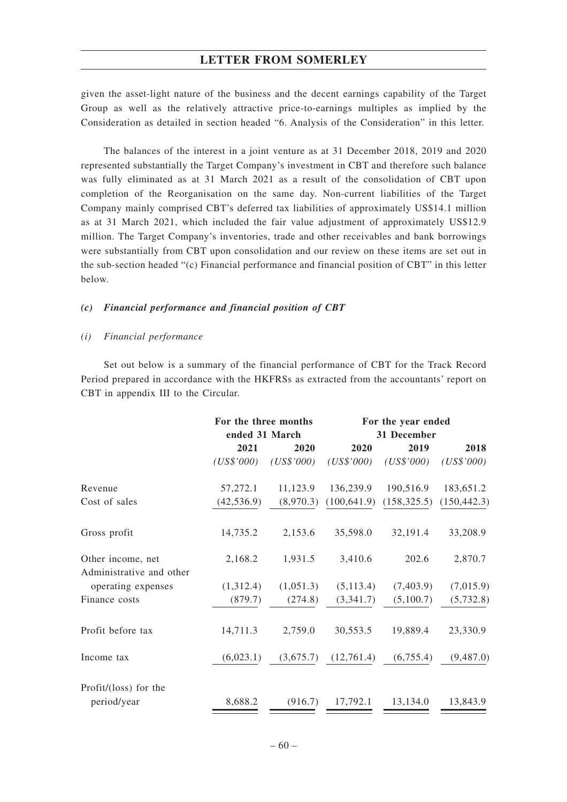given the asset-light nature of the business and the decent earnings capability of the Target Group as well as the relatively attractive price-to-earnings multiples as implied by the Consideration as detailed in section headed "6. Analysis of the Consideration" in this letter.

The balances of the interest in a joint venture as at 31 December 2018, 2019 and 2020 represented substantially the Target Company's investment in CBT and therefore such balance was fully eliminated as at 31 March 2021 as a result of the consolidation of CBT upon completion of the Reorganisation on the same day. Non-current liabilities of the Target Company mainly comprised CBT's deferred tax liabilities of approximately US\$14.1 million as at 31 March 2021, which included the fair value adjustment of approximately US\$12.9 million. The Target Company's inventories, trade and other receivables and bank borrowings were substantially from CBT upon consolidation and our review on these items are set out in the sub-section headed "(c) Financial performance and financial position of CBT" in this letter below.

### *(c) Financial performance and financial position of CBT*

#### *(i) Financial performance*

Set out below is a summary of the financial performance of CBT for the Track Record Period prepared in accordance with the HKFRSs as extracted from the accountants' report on CBT in appendix III to the Circular.

|                          | For the three months |            | For the year ended |              |              |  |
|--------------------------|----------------------|------------|--------------------|--------------|--------------|--|
|                          | ended 31 March       |            | 31 December        |              |              |  |
|                          | 2021                 | 2020       | 2020               | 2019         | 2018         |  |
|                          | (US\$'000)           | (US\$'000) | (US\$'000)         | (US\$'000)   | (US\$'000)   |  |
| Revenue                  | 57,272.1             | 11,123.9   | 136,239.9          | 190,516.9    | 183,651.2    |  |
| Cost of sales            | (42, 536.9)          | (8,970.3)  | (100, 641.9)       | (158, 325.5) | (150, 442.3) |  |
| Gross profit             | 14,735.2             | 2,153.6    | 35,598.0           | 32,191.4     | 33,208.9     |  |
| Other income, net        | 2,168.2              | 1,931.5    | 3,410.6            | 202.6        | 2,870.7      |  |
| Administrative and other |                      |            |                    |              |              |  |
| operating expenses       | (1,312.4)            | (1,051.3)  | (5, 113.4)         | (7,403.9)    | (7,015.9)    |  |
| Finance costs            | (879.7)              | (274.8)    | (3,341.7)          | (5,100.7)    | (5,732.8)    |  |
| Profit before tax        | 14,711.3             | 2,759.0    | 30,553.5           | 19,889.4     | 23,330.9     |  |
| Income tax               | (6,023.1)            | (3,675.7)  | (12,761.4)         | (6,755.4)    | (9,487.0)    |  |
| Profit/(loss) for the    |                      |            |                    |              |              |  |
| period/year              | 8,688.2              | (916.7)    | 17,792.1           | 13,134.0     | 13,843.9     |  |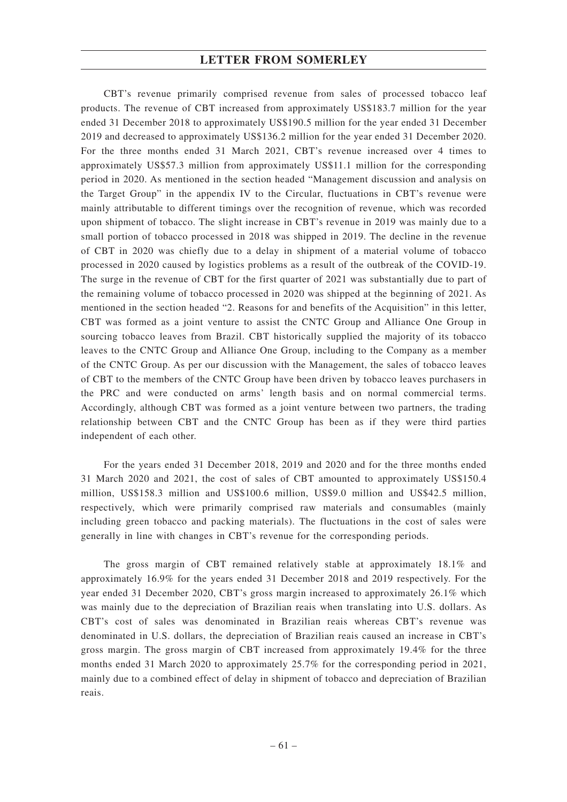CBT's revenue primarily comprised revenue from sales of processed tobacco leaf products. The revenue of CBT increased from approximately US\$183.7 million for the year ended 31 December 2018 to approximately US\$190.5 million for the year ended 31 December 2019 and decreased to approximately US\$136.2 million for the year ended 31 December 2020. For the three months ended 31 March 2021, CBT's revenue increased over 4 times to approximately US\$57.3 million from approximately US\$11.1 million for the corresponding period in 2020. As mentioned in the section headed "Management discussion and analysis on the Target Group" in the appendix IV to the Circular, fluctuations in CBT's revenue were mainly attributable to different timings over the recognition of revenue, which was recorded upon shipment of tobacco. The slight increase in CBT's revenue in 2019 was mainly due to a small portion of tobacco processed in 2018 was shipped in 2019. The decline in the revenue of CBT in 2020 was chiefly due to a delay in shipment of a material volume of tobacco processed in 2020 caused by logistics problems as a result of the outbreak of the COVID-19. The surge in the revenue of CBT for the first quarter of 2021 was substantially due to part of the remaining volume of tobacco processed in 2020 was shipped at the beginning of 2021. As mentioned in the section headed "2. Reasons for and benefits of the Acquisition" in this letter, CBT was formed as a joint venture to assist the CNTC Group and Alliance One Group in sourcing tobacco leaves from Brazil. CBT historically supplied the majority of its tobacco leaves to the CNTC Group and Alliance One Group, including to the Company as a member of the CNTC Group. As per our discussion with the Management, the sales of tobacco leaves of CBT to the members of the CNTC Group have been driven by tobacco leaves purchasers in the PRC and were conducted on arms' length basis and on normal commercial terms. Accordingly, although CBT was formed as a joint venture between two partners, the trading relationship between CBT and the CNTC Group has been as if they were third parties independent of each other.

For the years ended 31 December 2018, 2019 and 2020 and for the three months ended 31 March 2020 and 2021, the cost of sales of CBT amounted to approximately US\$150.4 million, US\$158.3 million and US\$100.6 million, US\$9.0 million and US\$42.5 million, respectively, which were primarily comprised raw materials and consumables (mainly including green tobacco and packing materials). The fluctuations in the cost of sales were generally in line with changes in CBT's revenue for the corresponding periods.

The gross margin of CBT remained relatively stable at approximately 18.1% and approximately 16.9% for the years ended 31 December 2018 and 2019 respectively. For the year ended 31 December 2020, CBT's gross margin increased to approximately 26.1% which was mainly due to the depreciation of Brazilian reais when translating into U.S. dollars. As CBT's cost of sales was denominated in Brazilian reais whereas CBT's revenue was denominated in U.S. dollars, the depreciation of Brazilian reais caused an increase in CBT's gross margin. The gross margin of CBT increased from approximately 19.4% for the three months ended 31 March 2020 to approximately 25.7% for the corresponding period in 2021, mainly due to a combined effect of delay in shipment of tobacco and depreciation of Brazilian reais.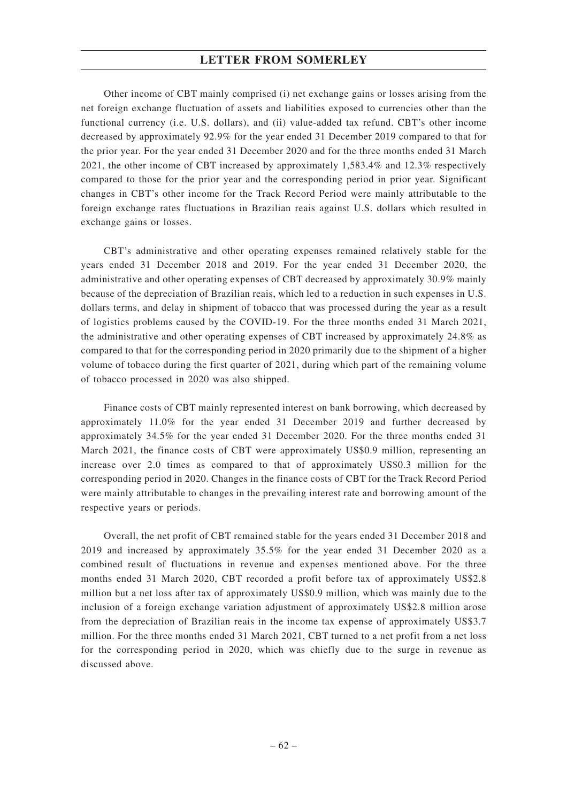Other income of CBT mainly comprised (i) net exchange gains or losses arising from the net foreign exchange fluctuation of assets and liabilities exposed to currencies other than the functional currency (i.e. U.S. dollars), and (ii) value-added tax refund. CBT's other income decreased by approximately 92.9% for the year ended 31 December 2019 compared to that for the prior year. For the year ended 31 December 2020 and for the three months ended 31 March 2021, the other income of CBT increased by approximately 1,583.4% and 12.3% respectively compared to those for the prior year and the corresponding period in prior year. Significant changes in CBT's other income for the Track Record Period were mainly attributable to the foreign exchange rates fluctuations in Brazilian reais against U.S. dollars which resulted in exchange gains or losses.

CBT's administrative and other operating expenses remained relatively stable for the years ended 31 December 2018 and 2019. For the year ended 31 December 2020, the administrative and other operating expenses of CBT decreased by approximately 30.9% mainly because of the depreciation of Brazilian reais, which led to a reduction in such expenses in U.S. dollars terms, and delay in shipment of tobacco that was processed during the year as a result of logistics problems caused by the COVID-19. For the three months ended 31 March 2021, the administrative and other operating expenses of CBT increased by approximately 24.8% as compared to that for the corresponding period in 2020 primarily due to the shipment of a higher volume of tobacco during the first quarter of 2021, during which part of the remaining volume of tobacco processed in 2020 was also shipped.

Finance costs of CBT mainly represented interest on bank borrowing, which decreased by approximately 11.0% for the year ended 31 December 2019 and further decreased by approximately 34.5% for the year ended 31 December 2020. For the three months ended 31 March 2021, the finance costs of CBT were approximately US\$0.9 million, representing an increase over 2.0 times as compared to that of approximately US\$0.3 million for the corresponding period in 2020. Changes in the finance costs of CBT for the Track Record Period were mainly attributable to changes in the prevailing interest rate and borrowing amount of the respective years or periods.

Overall, the net profit of CBT remained stable for the years ended 31 December 2018 and 2019 and increased by approximately 35.5% for the year ended 31 December 2020 as a combined result of fluctuations in revenue and expenses mentioned above. For the three months ended 31 March 2020, CBT recorded a profit before tax of approximately US\$2.8 million but a net loss after tax of approximately US\$0.9 million, which was mainly due to the inclusion of a foreign exchange variation adjustment of approximately US\$2.8 million arose from the depreciation of Brazilian reais in the income tax expense of approximately US\$3.7 million. For the three months ended 31 March 2021, CBT turned to a net profit from a net loss for the corresponding period in 2020, which was chiefly due to the surge in revenue as discussed above.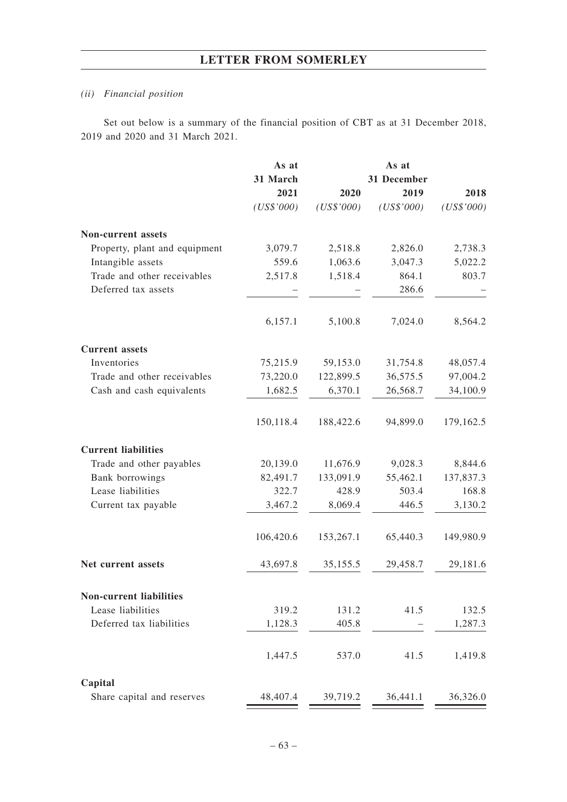## *(ii) Financial position*

Set out below is a summary of the financial position of CBT as at 31 December 2018, 2019 and 2020 and 31 March 2021.

|                                | As at      |            | As at       |            |
|--------------------------------|------------|------------|-------------|------------|
|                                | 31 March   |            | 31 December |            |
|                                | 2021       | 2020       | 2019        | 2018       |
|                                | (US\$'000) | (US\$'000) | (US\$'000)  | (US\$'000) |
| <b>Non-current assets</b>      |            |            |             |            |
| Property, plant and equipment  | 3,079.7    | 2,518.8    | 2,826.0     | 2,738.3    |
| Intangible assets              | 559.6      | 1,063.6    | 3,047.3     | 5,022.2    |
| Trade and other receivables    | 2,517.8    | 1,518.4    | 864.1       | 803.7      |
| Deferred tax assets            |            |            | 286.6       |            |
|                                | 6,157.1    | 5,100.8    | 7,024.0     | 8,564.2    |
| <b>Current</b> assets          |            |            |             |            |
| Inventories                    | 75,215.9   | 59,153.0   | 31,754.8    | 48,057.4   |
| Trade and other receivables    | 73,220.0   | 122,899.5  | 36,575.5    | 97,004.2   |
| Cash and cash equivalents      | 1,682.5    | 6,370.1    | 26,568.7    | 34,100.9   |
|                                | 150,118.4  | 188,422.6  | 94,899.0    | 179,162.5  |
| <b>Current liabilities</b>     |            |            |             |            |
| Trade and other payables       | 20,139.0   | 11,676.9   | 9,028.3     | 8,844.6    |
| Bank borrowings                | 82,491.7   | 133,091.9  | 55,462.1    | 137,837.3  |
| Lease liabilities              | 322.7      | 428.9      | 503.4       | 168.8      |
| Current tax payable            | 3,467.2    | 8,069.4    | 446.5       | 3,130.2    |
|                                | 106,420.6  | 153,267.1  | 65,440.3    | 149,980.9  |
| Net current assets             | 43,697.8   | 35,155.5   | 29,458.7    | 29,181.6   |
| <b>Non-current liabilities</b> |            |            |             |            |
| Lease liabilities              | 319.2      | 131.2      | 41.5        | 132.5      |
| Deferred tax liabilities       | 1,128.3    | 405.8      |             | 1,287.3    |
|                                | 1,447.5    | 537.0      | 41.5        | 1,419.8    |
| Capital                        |            |            |             |            |
| Share capital and reserves     | 48,407.4   | 39,719.2   | 36,441.1    | 36,326.0   |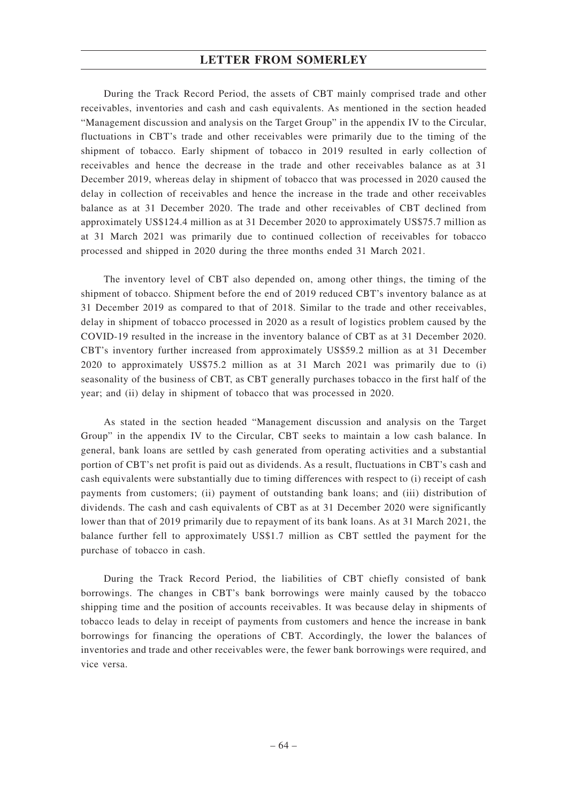During the Track Record Period, the assets of CBT mainly comprised trade and other receivables, inventories and cash and cash equivalents. As mentioned in the section headed "Management discussion and analysis on the Target Group" in the appendix IV to the Circular, fluctuations in CBT's trade and other receivables were primarily due to the timing of the shipment of tobacco. Early shipment of tobacco in 2019 resulted in early collection of receivables and hence the decrease in the trade and other receivables balance as at 31 December 2019, whereas delay in shipment of tobacco that was processed in 2020 caused the delay in collection of receivables and hence the increase in the trade and other receivables balance as at 31 December 2020. The trade and other receivables of CBT declined from approximately US\$124.4 million as at 31 December 2020 to approximately US\$75.7 million as at 31 March 2021 was primarily due to continued collection of receivables for tobacco processed and shipped in 2020 during the three months ended 31 March 2021.

The inventory level of CBT also depended on, among other things, the timing of the shipment of tobacco. Shipment before the end of 2019 reduced CBT's inventory balance as at 31 December 2019 as compared to that of 2018. Similar to the trade and other receivables, delay in shipment of tobacco processed in 2020 as a result of logistics problem caused by the COVID-19 resulted in the increase in the inventory balance of CBT as at 31 December 2020. CBT's inventory further increased from approximately US\$59.2 million as at 31 December 2020 to approximately US\$75.2 million as at 31 March 2021 was primarily due to (i) seasonality of the business of CBT, as CBT generally purchases tobacco in the first half of the year; and (ii) delay in shipment of tobacco that was processed in 2020.

As stated in the section headed "Management discussion and analysis on the Target Group" in the appendix IV to the Circular, CBT seeks to maintain a low cash balance. In general, bank loans are settled by cash generated from operating activities and a substantial portion of CBT's net profit is paid out as dividends. As a result, fluctuations in CBT's cash and cash equivalents were substantially due to timing differences with respect to (i) receipt of cash payments from customers; (ii) payment of outstanding bank loans; and (iii) distribution of dividends. The cash and cash equivalents of CBT as at 31 December 2020 were significantly lower than that of 2019 primarily due to repayment of its bank loans. As at 31 March 2021, the balance further fell to approximately US\$1.7 million as CBT settled the payment for the purchase of tobacco in cash.

During the Track Record Period, the liabilities of CBT chiefly consisted of bank borrowings. The changes in CBT's bank borrowings were mainly caused by the tobacco shipping time and the position of accounts receivables. It was because delay in shipments of tobacco leads to delay in receipt of payments from customers and hence the increase in bank borrowings for financing the operations of CBT. Accordingly, the lower the balances of inventories and trade and other receivables were, the fewer bank borrowings were required, and vice versa.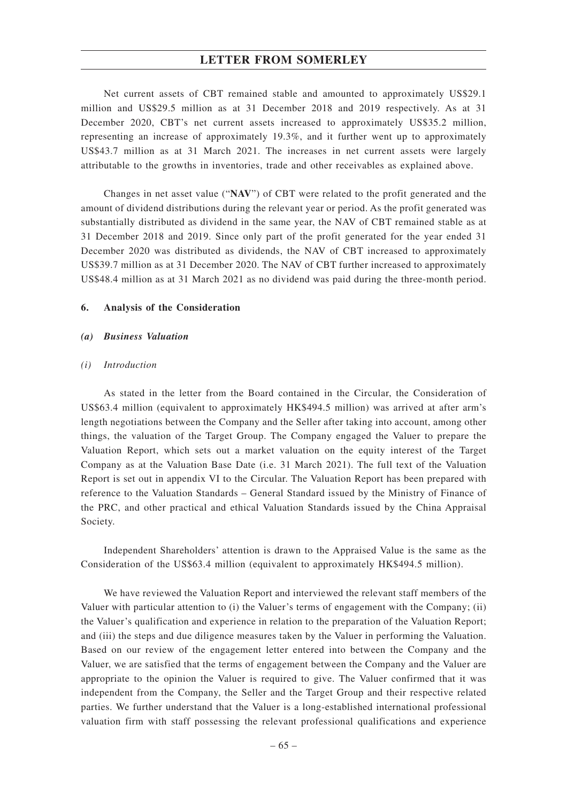Net current assets of CBT remained stable and amounted to approximately US\$29.1 million and US\$29.5 million as at 31 December 2018 and 2019 respectively. As at 31 December 2020, CBT's net current assets increased to approximately US\$35.2 million, representing an increase of approximately 19.3%, and it further went up to approximately US\$43.7 million as at 31 March 2021. The increases in net current assets were largely attributable to the growths in inventories, trade and other receivables as explained above.

Changes in net asset value ("**NAV**") of CBT were related to the profit generated and the amount of dividend distributions during the relevant year or period. As the profit generated was substantially distributed as dividend in the same year, the NAV of CBT remained stable as at 31 December 2018 and 2019. Since only part of the profit generated for the year ended 31 December 2020 was distributed as dividends, the NAV of CBT increased to approximately US\$39.7 million as at 31 December 2020. The NAV of CBT further increased to approximately US\$48.4 million as at 31 March 2021 as no dividend was paid during the three-month period.

#### **6. Analysis of the Consideration**

### *(a) Business Valuation*

#### *(i) Introduction*

As stated in the letter from the Board contained in the Circular, the Consideration of US\$63.4 million (equivalent to approximately HK\$494.5 million) was arrived at after arm's length negotiations between the Company and the Seller after taking into account, among other things, the valuation of the Target Group. The Company engaged the Valuer to prepare the Valuation Report, which sets out a market valuation on the equity interest of the Target Company as at the Valuation Base Date (i.e. 31 March 2021). The full text of the Valuation Report is set out in appendix VI to the Circular. The Valuation Report has been prepared with reference to the Valuation Standards – General Standard issued by the Ministry of Finance of the PRC, and other practical and ethical Valuation Standards issued by the China Appraisal Society.

Independent Shareholders' attention is drawn to the Appraised Value is the same as the Consideration of the US\$63.4 million (equivalent to approximately HK\$494.5 million).

We have reviewed the Valuation Report and interviewed the relevant staff members of the Valuer with particular attention to (i) the Valuer's terms of engagement with the Company; (ii) the Valuer's qualification and experience in relation to the preparation of the Valuation Report; and (iii) the steps and due diligence measures taken by the Valuer in performing the Valuation. Based on our review of the engagement letter entered into between the Company and the Valuer, we are satisfied that the terms of engagement between the Company and the Valuer are appropriate to the opinion the Valuer is required to give. The Valuer confirmed that it was independent from the Company, the Seller and the Target Group and their respective related parties. We further understand that the Valuer is a long-established international professional valuation firm with staff possessing the relevant professional qualifications and experience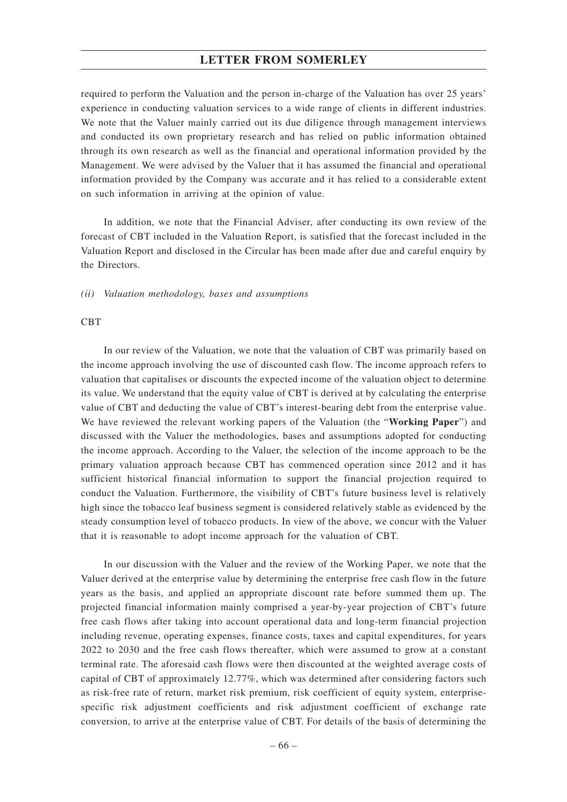required to perform the Valuation and the person in-charge of the Valuation has over 25 years' experience in conducting valuation services to a wide range of clients in different industries. We note that the Valuer mainly carried out its due diligence through management interviews and conducted its own proprietary research and has relied on public information obtained through its own research as well as the financial and operational information provided by the Management. We were advised by the Valuer that it has assumed the financial and operational information provided by the Company was accurate and it has relied to a considerable extent on such information in arriving at the opinion of value.

In addition, we note that the Financial Adviser, after conducting its own review of the forecast of CBT included in the Valuation Report, is satisfied that the forecast included in the Valuation Report and disclosed in the Circular has been made after due and careful enquiry by the Directors.

*(ii) Valuation methodology, bases and assumptions*

#### **CBT**

In our review of the Valuation, we note that the valuation of CBT was primarily based on the income approach involving the use of discounted cash flow. The income approach refers to valuation that capitalises or discounts the expected income of the valuation object to determine its value. We understand that the equity value of CBT is derived at by calculating the enterprise value of CBT and deducting the value of CBT's interest-bearing debt from the enterprise value. We have reviewed the relevant working papers of the Valuation (the "**Working Paper**") and discussed with the Valuer the methodologies, bases and assumptions adopted for conducting the income approach. According to the Valuer, the selection of the income approach to be the primary valuation approach because CBT has commenced operation since 2012 and it has sufficient historical financial information to support the financial projection required to conduct the Valuation. Furthermore, the visibility of CBT's future business level is relatively high since the tobacco leaf business segment is considered relatively stable as evidenced by the steady consumption level of tobacco products. In view of the above, we concur with the Valuer that it is reasonable to adopt income approach for the valuation of CBT.

In our discussion with the Valuer and the review of the Working Paper, we note that the Valuer derived at the enterprise value by determining the enterprise free cash flow in the future years as the basis, and applied an appropriate discount rate before summed them up. The projected financial information mainly comprised a year-by-year projection of CBT's future free cash flows after taking into account operational data and long-term financial projection including revenue, operating expenses, finance costs, taxes and capital expenditures, for years 2022 to 2030 and the free cash flows thereafter, which were assumed to grow at a constant terminal rate. The aforesaid cash flows were then discounted at the weighted average costs of capital of CBT of approximately 12.77%, which was determined after considering factors such as risk-free rate of return, market risk premium, risk coefficient of equity system, enterprisespecific risk adjustment coefficients and risk adjustment coefficient of exchange rate conversion, to arrive at the enterprise value of CBT. For details of the basis of determining the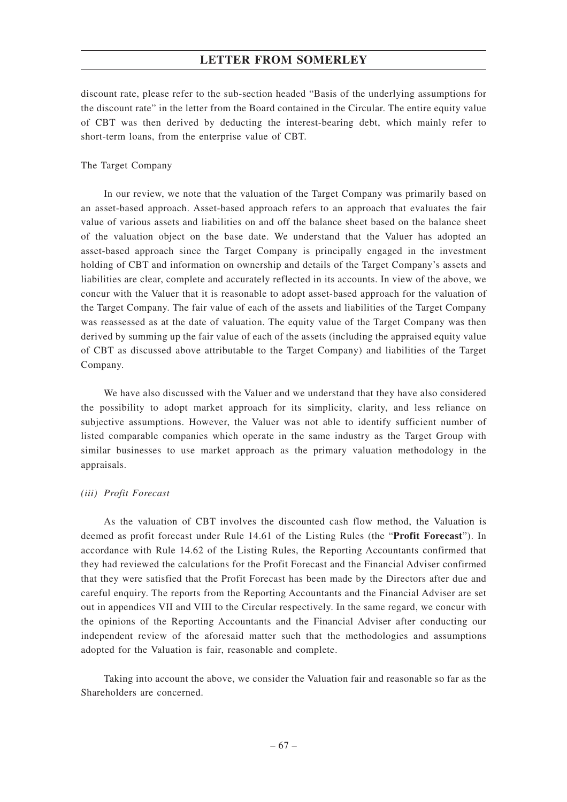discount rate, please refer to the sub-section headed "Basis of the underlying assumptions for the discount rate" in the letter from the Board contained in the Circular. The entire equity value of CBT was then derived by deducting the interest-bearing debt, which mainly refer to short-term loans, from the enterprise value of CBT.

#### The Target Company

In our review, we note that the valuation of the Target Company was primarily based on an asset-based approach. Asset-based approach refers to an approach that evaluates the fair value of various assets and liabilities on and off the balance sheet based on the balance sheet of the valuation object on the base date. We understand that the Valuer has adopted an asset-based approach since the Target Company is principally engaged in the investment holding of CBT and information on ownership and details of the Target Company's assets and liabilities are clear, complete and accurately reflected in its accounts. In view of the above, we concur with the Valuer that it is reasonable to adopt asset-based approach for the valuation of the Target Company. The fair value of each of the assets and liabilities of the Target Company was reassessed as at the date of valuation. The equity value of the Target Company was then derived by summing up the fair value of each of the assets (including the appraised equity value of CBT as discussed above attributable to the Target Company) and liabilities of the Target Company.

We have also discussed with the Valuer and we understand that they have also considered the possibility to adopt market approach for its simplicity, clarity, and less reliance on subjective assumptions. However, the Valuer was not able to identify sufficient number of listed comparable companies which operate in the same industry as the Target Group with similar businesses to use market approach as the primary valuation methodology in the appraisals.

#### *(iii) Profit Forecast*

As the valuation of CBT involves the discounted cash flow method, the Valuation is deemed as profit forecast under Rule 14.61 of the Listing Rules (the "**Profit Forecast**"). In accordance with Rule 14.62 of the Listing Rules, the Reporting Accountants confirmed that they had reviewed the calculations for the Profit Forecast and the Financial Adviser confirmed that they were satisfied that the Profit Forecast has been made by the Directors after due and careful enquiry. The reports from the Reporting Accountants and the Financial Adviser are set out in appendices VII and VIII to the Circular respectively. In the same regard, we concur with the opinions of the Reporting Accountants and the Financial Adviser after conducting our independent review of the aforesaid matter such that the methodologies and assumptions adopted for the Valuation is fair, reasonable and complete.

Taking into account the above, we consider the Valuation fair and reasonable so far as the Shareholders are concerned.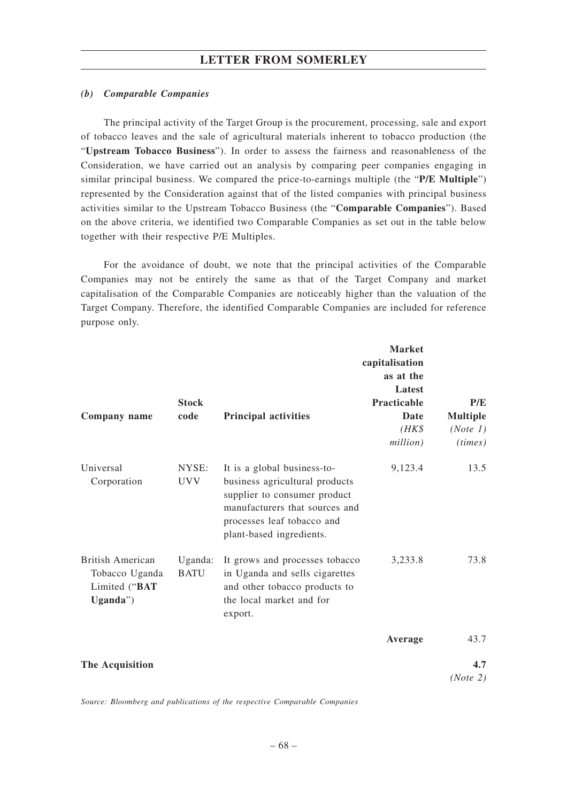#### *(b) Comparable Companies*

The principal activity of the Target Group is the procurement, processing, sale and export of tobacco leaves and the sale of agricultural materials inherent to tobacco production (the "**Upstream Tobacco Business**"). In order to assess the fairness and reasonableness of the Consideration, we have carried out an analysis by comparing peer companies engaging in similar principal business. We compared the price-to-earnings multiple (the "**P/E Multiple**") represented by the Consideration against that of the listed companies with principal business activities similar to the Upstream Tobacco Business (the "**Comparable Companies**"). Based on the above criteria, we identified two Comparable Companies as set out in the table below together with their respective P/E Multiples.

For the avoidance of doubt, we note that the principal activities of the Comparable Companies may not be entirely the same as that of the Target Company and market capitalisation of the Comparable Companies are noticeably higher than the valuation of the Target Company. Therefore, the identified Comparable Companies are included for reference purpose only.

| Company name                                                   | <b>Stock</b><br>code   | <b>Principal activities</b>                                                                                                                                                               | <b>Market</b><br>capitalisation<br>as at the<br>Latest<br>Practicable<br>Date<br>$(HK\$<br>million) | P/E<br><b>Multiple</b><br>(Note 1)<br>(times) |
|----------------------------------------------------------------|------------------------|-------------------------------------------------------------------------------------------------------------------------------------------------------------------------------------------|-----------------------------------------------------------------------------------------------------|-----------------------------------------------|
| Universal<br>Corporation                                       | NYSE:<br><b>UVV</b>    | It is a global business-to-<br>business agricultural products<br>supplier to consumer product<br>manufacturers that sources and<br>processes leaf tobacco and<br>plant-based ingredients. | 9,123.4                                                                                             | 13.5                                          |
| British American<br>Tobacco Uganda<br>Limited ("BAT<br>Uganda' | Uganda:<br><b>BATU</b> | It grows and processes tobacco<br>in Uganda and sells cigarettes<br>and other tobacco products to<br>the local market and for<br>export.                                                  | 3,233.8                                                                                             | 73.8                                          |
|                                                                |                        |                                                                                                                                                                                           | Average                                                                                             | 43.7                                          |
| The Acquisition                                                |                        |                                                                                                                                                                                           |                                                                                                     | 4.7<br>(Note 2)                               |

*Source: Bloomberg and publications of the respective Comparable Companies*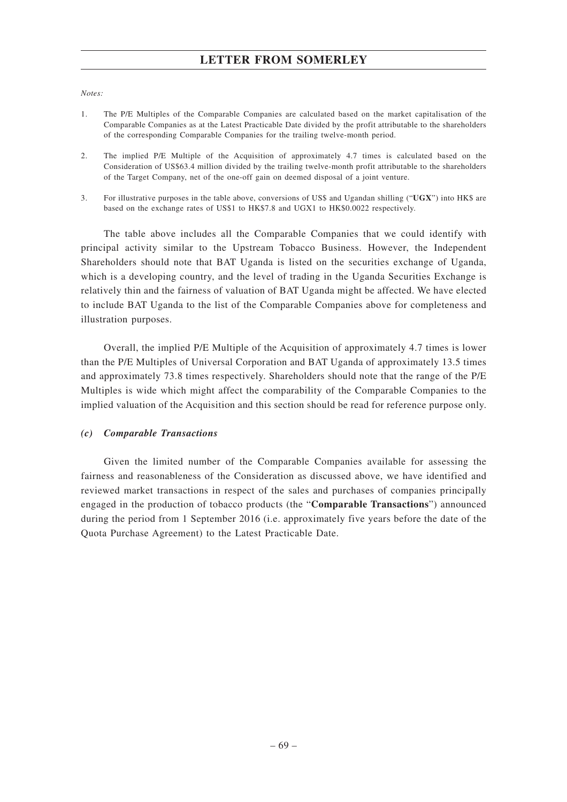#### *Notes:*

- 1. The P/E Multiples of the Comparable Companies are calculated based on the market capitalisation of the Comparable Companies as at the Latest Practicable Date divided by the profit attributable to the shareholders of the corresponding Comparable Companies for the trailing twelve-month period.
- 2. The implied P/E Multiple of the Acquisition of approximately 4.7 times is calculated based on the Consideration of US\$63.4 million divided by the trailing twelve-month profit attributable to the shareholders of the Target Company, net of the one-off gain on deemed disposal of a joint venture.
- 3. For illustrative purposes in the table above, conversions of US\$ and Ugandan shilling ("**UGX**") into HK\$ are based on the exchange rates of US\$1 to HK\$7.8 and UGX1 to HK\$0.0022 respectively.

The table above includes all the Comparable Companies that we could identify with principal activity similar to the Upstream Tobacco Business. However, the Independent Shareholders should note that BAT Uganda is listed on the securities exchange of Uganda, which is a developing country, and the level of trading in the Uganda Securities Exchange is relatively thin and the fairness of valuation of BAT Uganda might be affected. We have elected to include BAT Uganda to the list of the Comparable Companies above for completeness and illustration purposes.

Overall, the implied P/E Multiple of the Acquisition of approximately 4.7 times is lower than the P/E Multiples of Universal Corporation and BAT Uganda of approximately 13.5 times and approximately 73.8 times respectively. Shareholders should note that the range of the P/E Multiples is wide which might affect the comparability of the Comparable Companies to the implied valuation of the Acquisition and this section should be read for reference purpose only.

### *(c) Comparable Transactions*

Given the limited number of the Comparable Companies available for assessing the fairness and reasonableness of the Consideration as discussed above, we have identified and reviewed market transactions in respect of the sales and purchases of companies principally engaged in the production of tobacco products (the "**Comparable Transactions**") announced during the period from 1 September 2016 (i.e. approximately five years before the date of the Quota Purchase Agreement) to the Latest Practicable Date.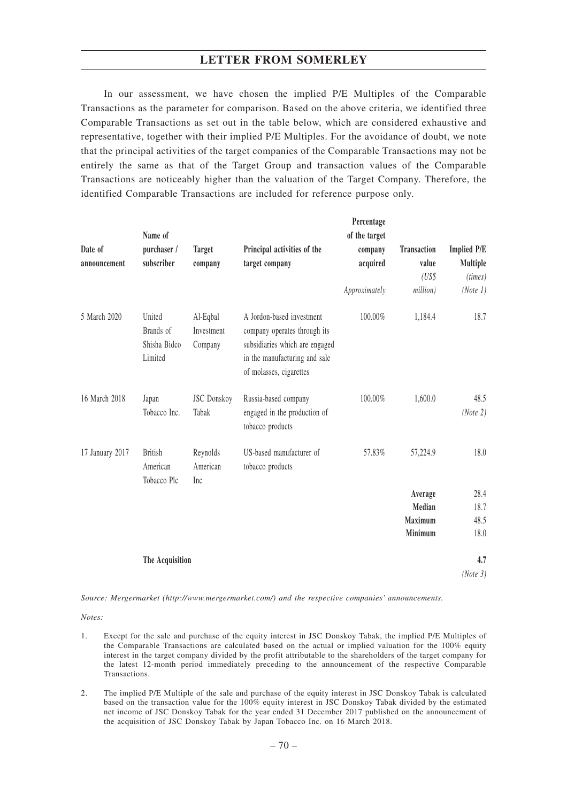In our assessment, we have chosen the implied P/E Multiples of the Comparable Transactions as the parameter for comparison. Based on the above criteria, we identified three Comparable Transactions as set out in the table below, which are considered exhaustive and representative, together with their implied P/E Multiples. For the avoidance of doubt, we note that the principal activities of the target companies of the Comparable Transactions may not be entirely the same as that of the Target Group and transaction values of the Comparable Transactions are noticeably higher than the valuation of the Target Company. Therefore, the identified Comparable Transactions are included for reference purpose only.

|                 | Name of                                        |                                   |                                                                                                                                                         | Percentage<br>of the target |                    |                    |
|-----------------|------------------------------------------------|-----------------------------------|---------------------------------------------------------------------------------------------------------------------------------------------------------|-----------------------------|--------------------|--------------------|
| Date of         | purchaser /                                    | <b>Target</b>                     | Principal activities of the                                                                                                                             | company                     | <b>Transaction</b> | <b>Implied P/E</b> |
| announcement    | subscriber                                     | company                           | target company                                                                                                                                          | acquired                    | value              | Multiple           |
|                 |                                                |                                   |                                                                                                                                                         |                             | (US\$              | (times)            |
|                 |                                                |                                   |                                                                                                                                                         | Approximately               | million)           | (Note 1)           |
| 5 March 2020    | United<br>Brands of<br>Shisha Bidco<br>Limited | Al-Eqbal<br>Investment<br>Company | A Jordon-based investment<br>company operates through its<br>subsidiaries which are engaged<br>in the manufacturing and sale<br>of molasses, cigarettes | 100.00%                     | 1,184.4            | 18.7               |
| 16 March 2018   | Japan<br>Tobacco Inc.                          | <b>JSC</b> Donskoy<br>Tabak       | Russia-based company<br>engaged in the production of<br>tobacco products                                                                                | 100.00%                     | 1,600.0            | 48.5<br>(Note 2)   |
| 17 January 2017 | <b>British</b><br>American<br>Tobacco Plc      | Reynolds<br>American<br>Inc       | US-based manufacturer of<br>tobacco products                                                                                                            | 57.83%                      | 57,224.9           | 18.0               |
|                 |                                                |                                   |                                                                                                                                                         |                             | Average            | 28.4               |
|                 |                                                |                                   |                                                                                                                                                         |                             | Median             | 18.7               |
|                 |                                                |                                   |                                                                                                                                                         |                             | Maximum            | 48.5               |
|                 |                                                |                                   |                                                                                                                                                         |                             | Minimum            | 18.0               |
|                 | The Acquisition                                |                                   |                                                                                                                                                         |                             |                    | 4.7                |
|                 |                                                |                                   |                                                                                                                                                         |                             |                    | (Note 3)           |

*Source: Mergermarket (http://www.mergermarket.com/) and the respective companies' announcements.*

*Notes:*

- 1. Except for the sale and purchase of the equity interest in JSC Donskoy Tabak, the implied P/E Multiples of the Comparable Transactions are calculated based on the actual or implied valuation for the 100% equity interest in the target company divided by the profit attributable to the shareholders of the target company for the latest 12-month period immediately preceding to the announcement of the respective Comparable Transactions.
- 2. The implied P/E Multiple of the sale and purchase of the equity interest in JSC Donskoy Tabak is calculated based on the transaction value for the 100% equity interest in JSC Donskoy Tabak divided by the estimated net income of JSC Donskoy Tabak for the year ended 31 December 2017 published on the announcement of the acquisition of JSC Donskoy Tabak by Japan Tobacco Inc. on 16 March 2018.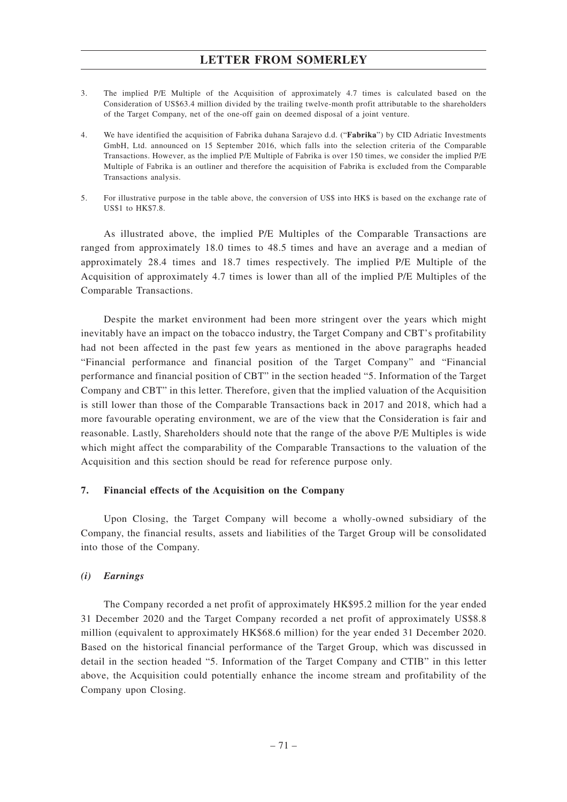- 3. The implied P/E Multiple of the Acquisition of approximately 4.7 times is calculated based on the Consideration of US\$63.4 million divided by the trailing twelve-month profit attributable to the shareholders of the Target Company, net of the one-off gain on deemed disposal of a joint venture.
- 4. We have identified the acquisition of Fabrika duhana Sarajevo d.d. ("**Fabrika**") by CID Adriatic Investments GmbH, Ltd. announced on 15 September 2016, which falls into the selection criteria of the Comparable Transactions. However, as the implied P/E Multiple of Fabrika is over 150 times, we consider the implied P/E Multiple of Fabrika is an outliner and therefore the acquisition of Fabrika is excluded from the Comparable Transactions analysis.
- 5. For illustrative purpose in the table above, the conversion of US\$ into HK\$ is based on the exchange rate of US\$1 to HK\$7.8.

As illustrated above, the implied P/E Multiples of the Comparable Transactions are ranged from approximately 18.0 times to 48.5 times and have an average and a median of approximately 28.4 times and 18.7 times respectively. The implied P/E Multiple of the Acquisition of approximately 4.7 times is lower than all of the implied P/E Multiples of the Comparable Transactions.

Despite the market environment had been more stringent over the years which might inevitably have an impact on the tobacco industry, the Target Company and CBT's profitability had not been affected in the past few years as mentioned in the above paragraphs headed "Financial performance and financial position of the Target Company" and "Financial performance and financial position of CBT" in the section headed "5. Information of the Target Company and CBT" in this letter. Therefore, given that the implied valuation of the Acquisition is still lower than those of the Comparable Transactions back in 2017 and 2018, which had a more favourable operating environment, we are of the view that the Consideration is fair and reasonable. Lastly, Shareholders should note that the range of the above P/E Multiples is wide which might affect the comparability of the Comparable Transactions to the valuation of the Acquisition and this section should be read for reference purpose only.

## **7. Financial effects of the Acquisition on the Company**

Upon Closing, the Target Company will become a wholly-owned subsidiary of the Company, the financial results, assets and liabilities of the Target Group will be consolidated into those of the Company.

## *(i) Earnings*

The Company recorded a net profit of approximately HK\$95.2 million for the year ended 31 December 2020 and the Target Company recorded a net profit of approximately US\$8.8 million (equivalent to approximately HK\$68.6 million) for the year ended 31 December 2020. Based on the historical financial performance of the Target Group, which was discussed in detail in the section headed "5. Information of the Target Company and CTIB" in this letter above, the Acquisition could potentially enhance the income stream and profitability of the Company upon Closing.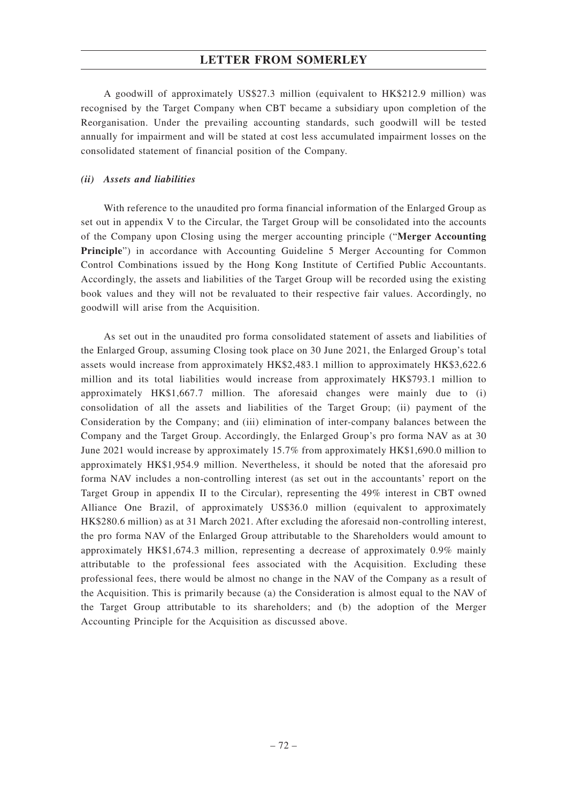A goodwill of approximately US\$27.3 million (equivalent to HK\$212.9 million) was recognised by the Target Company when CBT became a subsidiary upon completion of the Reorganisation. Under the prevailing accounting standards, such goodwill will be tested annually for impairment and will be stated at cost less accumulated impairment losses on the consolidated statement of financial position of the Company.

## *(ii) Assets and liabilities*

With reference to the unaudited pro forma financial information of the Enlarged Group as set out in appendix V to the Circular, the Target Group will be consolidated into the accounts of the Company upon Closing using the merger accounting principle ("**Merger Accounting Principle**") in accordance with Accounting Guideline 5 Merger Accounting for Common Control Combinations issued by the Hong Kong Institute of Certified Public Accountants. Accordingly, the assets and liabilities of the Target Group will be recorded using the existing book values and they will not be revaluated to their respective fair values. Accordingly, no goodwill will arise from the Acquisition.

As set out in the unaudited pro forma consolidated statement of assets and liabilities of the Enlarged Group, assuming Closing took place on 30 June 2021, the Enlarged Group's total assets would increase from approximately HK\$2,483.1 million to approximately HK\$3,622.6 million and its total liabilities would increase from approximately HK\$793.1 million to approximately HK\$1,667.7 million. The aforesaid changes were mainly due to (i) consolidation of all the assets and liabilities of the Target Group; (ii) payment of the Consideration by the Company; and (iii) elimination of inter-company balances between the Company and the Target Group. Accordingly, the Enlarged Group's pro forma NAV as at 30 June 2021 would increase by approximately 15.7% from approximately HK\$1,690.0 million to approximately HK\$1,954.9 million. Nevertheless, it should be noted that the aforesaid pro forma NAV includes a non-controlling interest (as set out in the accountants' report on the Target Group in appendix II to the Circular), representing the 49% interest in CBT owned Alliance One Brazil, of approximately US\$36.0 million (equivalent to approximately HK\$280.6 million) as at 31 March 2021. After excluding the aforesaid non-controlling interest, the pro forma NAV of the Enlarged Group attributable to the Shareholders would amount to approximately HK\$1,674.3 million, representing a decrease of approximately 0.9% mainly attributable to the professional fees associated with the Acquisition. Excluding these professional fees, there would be almost no change in the NAV of the Company as a result of the Acquisition. This is primarily because (a) the Consideration is almost equal to the NAV of the Target Group attributable to its shareholders; and (b) the adoption of the Merger Accounting Principle for the Acquisition as discussed above.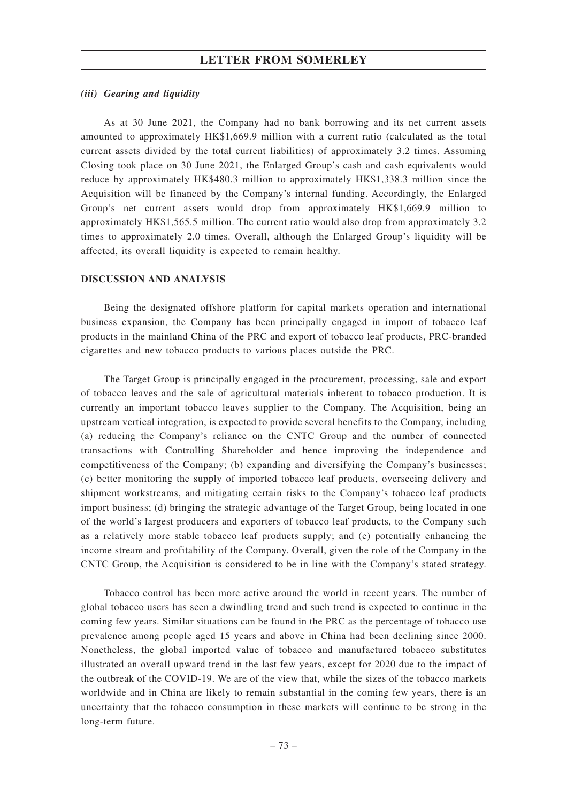### *(iii) Gearing and liquidity*

As at 30 June 2021, the Company had no bank borrowing and its net current assets amounted to approximately HK\$1,669.9 million with a current ratio (calculated as the total current assets divided by the total current liabilities) of approximately 3.2 times. Assuming Closing took place on 30 June 2021, the Enlarged Group's cash and cash equivalents would reduce by approximately HK\$480.3 million to approximately HK\$1,338.3 million since the Acquisition will be financed by the Company's internal funding. Accordingly, the Enlarged Group's net current assets would drop from approximately HK\$1,669.9 million to approximately HK\$1,565.5 million. The current ratio would also drop from approximately 3.2 times to approximately 2.0 times. Overall, although the Enlarged Group's liquidity will be affected, its overall liquidity is expected to remain healthy.

### **DISCUSSION AND ANALYSIS**

Being the designated offshore platform for capital markets operation and international business expansion, the Company has been principally engaged in import of tobacco leaf products in the mainland China of the PRC and export of tobacco leaf products, PRC-branded cigarettes and new tobacco products to various places outside the PRC.

The Target Group is principally engaged in the procurement, processing, sale and export of tobacco leaves and the sale of agricultural materials inherent to tobacco production. It is currently an important tobacco leaves supplier to the Company. The Acquisition, being an upstream vertical integration, is expected to provide several benefits to the Company, including (a) reducing the Company's reliance on the CNTC Group and the number of connected transactions with Controlling Shareholder and hence improving the independence and competitiveness of the Company; (b) expanding and diversifying the Company's businesses; (c) better monitoring the supply of imported tobacco leaf products, overseeing delivery and shipment workstreams, and mitigating certain risks to the Company's tobacco leaf products import business; (d) bringing the strategic advantage of the Target Group, being located in one of the world's largest producers and exporters of tobacco leaf products, to the Company such as a relatively more stable tobacco leaf products supply; and (e) potentially enhancing the income stream and profitability of the Company. Overall, given the role of the Company in the CNTC Group, the Acquisition is considered to be in line with the Company's stated strategy.

Tobacco control has been more active around the world in recent years. The number of global tobacco users has seen a dwindling trend and such trend is expected to continue in the coming few years. Similar situations can be found in the PRC as the percentage of tobacco use prevalence among people aged 15 years and above in China had been declining since 2000. Nonetheless, the global imported value of tobacco and manufactured tobacco substitutes illustrated an overall upward trend in the last few years, except for 2020 due to the impact of the outbreak of the COVID-19. We are of the view that, while the sizes of the tobacco markets worldwide and in China are likely to remain substantial in the coming few years, there is an uncertainty that the tobacco consumption in these markets will continue to be strong in the long-term future.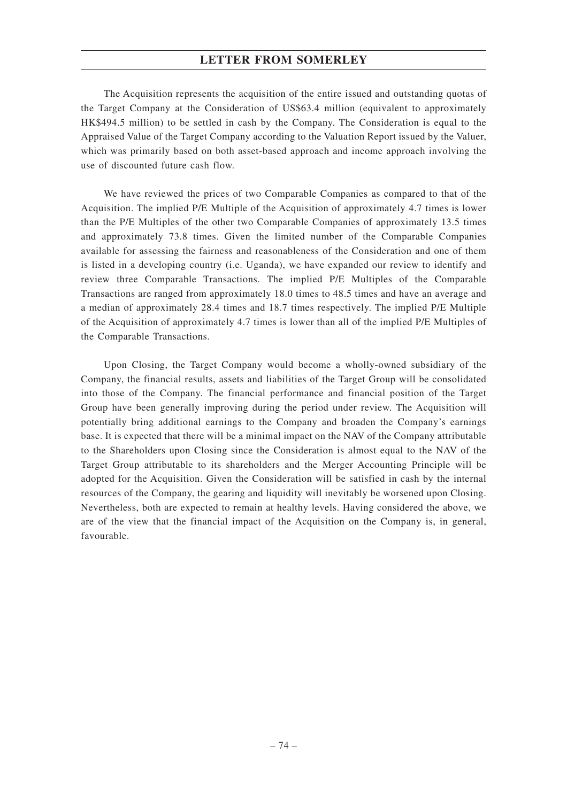The Acquisition represents the acquisition of the entire issued and outstanding quotas of the Target Company at the Consideration of US\$63.4 million (equivalent to approximately HK\$494.5 million) to be settled in cash by the Company. The Consideration is equal to the Appraised Value of the Target Company according to the Valuation Report issued by the Valuer, which was primarily based on both asset-based approach and income approach involving the use of discounted future cash flow.

We have reviewed the prices of two Comparable Companies as compared to that of the Acquisition. The implied P/E Multiple of the Acquisition of approximately 4.7 times is lower than the P/E Multiples of the other two Comparable Companies of approximately 13.5 times and approximately 73.8 times. Given the limited number of the Comparable Companies available for assessing the fairness and reasonableness of the Consideration and one of them is listed in a developing country (i.e. Uganda), we have expanded our review to identify and review three Comparable Transactions. The implied P/E Multiples of the Comparable Transactions are ranged from approximately 18.0 times to 48.5 times and have an average and a median of approximately 28.4 times and 18.7 times respectively. The implied P/E Multiple of the Acquisition of approximately 4.7 times is lower than all of the implied P/E Multiples of the Comparable Transactions.

Upon Closing, the Target Company would become a wholly-owned subsidiary of the Company, the financial results, assets and liabilities of the Target Group will be consolidated into those of the Company. The financial performance and financial position of the Target Group have been generally improving during the period under review. The Acquisition will potentially bring additional earnings to the Company and broaden the Company's earnings base. It is expected that there will be a minimal impact on the NAV of the Company attributable to the Shareholders upon Closing since the Consideration is almost equal to the NAV of the Target Group attributable to its shareholders and the Merger Accounting Principle will be adopted for the Acquisition. Given the Consideration will be satisfied in cash by the internal resources of the Company, the gearing and liquidity will inevitably be worsened upon Closing. Nevertheless, both are expected to remain at healthy levels. Having considered the above, we are of the view that the financial impact of the Acquisition on the Company is, in general, favourable.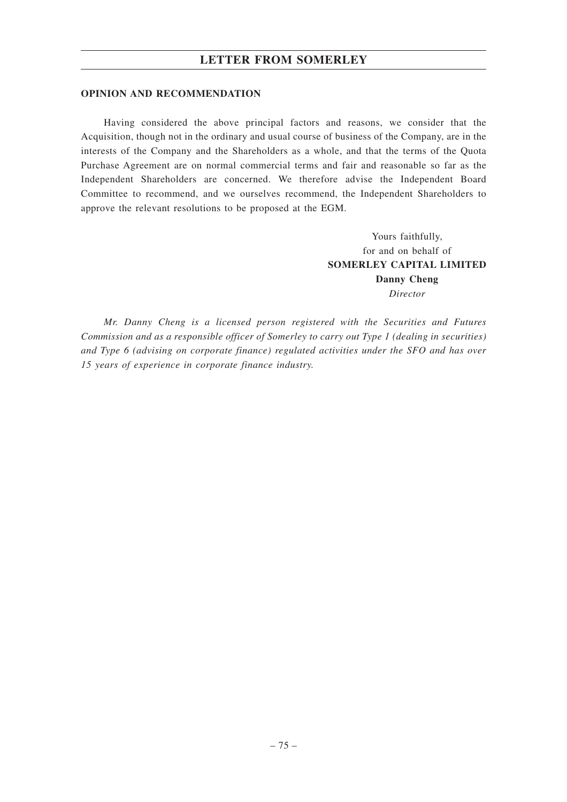### **OPINION AND RECOMMENDATION**

Having considered the above principal factors and reasons, we consider that the Acquisition, though not in the ordinary and usual course of business of the Company, are in the interests of the Company and the Shareholders as a whole, and that the terms of the Quota Purchase Agreement are on normal commercial terms and fair and reasonable so far as the Independent Shareholders are concerned. We therefore advise the Independent Board Committee to recommend, and we ourselves recommend, the Independent Shareholders to approve the relevant resolutions to be proposed at the EGM.

> Yours faithfully, for and on behalf of **SOMERLEY CAPITAL LIMITED Danny Cheng** *Director*

*Mr. Danny Cheng is a licensed person registered with the Securities and Futures Commission and as a responsible officer of Somerley to carry out Type 1 (dealing in securities) and Type 6 (advising on corporate finance) regulated activities under the SFO and has over 15 years of experience in corporate finance industry.*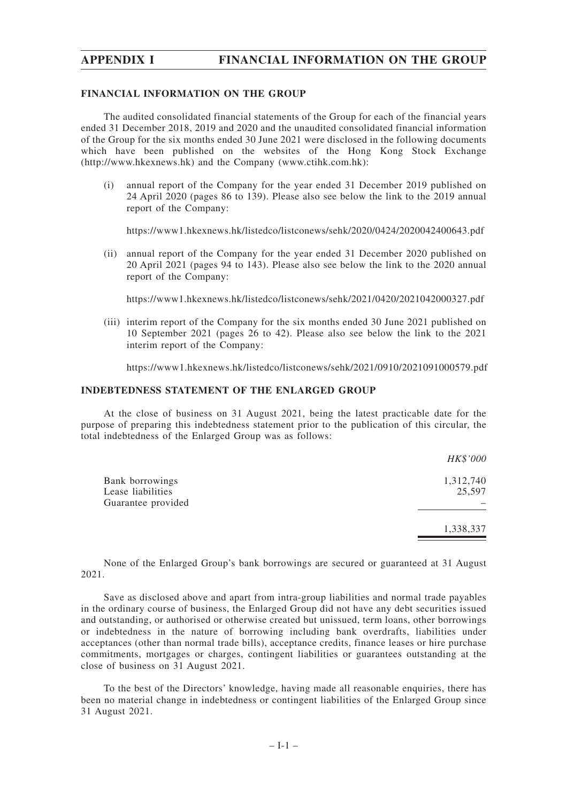# **APPENDIX I FINANCIAL INFORMATION ON THE GROUP**

### **FINANCIAL INFORMATION ON THE GROUP**

The audited consolidated financial statements of the Group for each of the financial years ended 31 December 2018, 2019 and 2020 and the unaudited consolidated financial information of the Group for the six months ended 30 June 2021 were disclosed in the following documents which have been published on the websites of the Hong Kong Stock Exchange (http://www.hkexnews.hk) and the Company (www.ctihk.com.hk):

(i) annual report of the Company for the year ended 31 December 2019 published on 24 April 2020 (pages 86 to 139). Please also see below the link to the 2019 annual report of the Company:

https://www1.hkexnews.hk/listedco/listconews/sehk/2020/0424/2020042400643.pdf

(ii) annual report of the Company for the year ended 31 December 2020 published on 20 April 2021 (pages 94 to 143). Please also see below the link to the 2020 annual report of the Company:

https://www1.hkexnews.hk/listedco/listconews/sehk/2021/0420/2021042000327.pdf

(iii) interim report of the Company for the six months ended 30 June 2021 published on 10 September 2021 (pages 26 to 42). Please also see below the link to the 2021 interim report of the Company:

https://www1.hkexnews.hk/listedco/listconews/sehk/2021/0910/2021091000579.pdf

## **INDEBTEDNESS STATEMENT OF THE ENLARGED GROUP**

At the close of business on 31 August 2021, being the latest practicable date for the purpose of preparing this indebtedness statement prior to the publication of this circular, the total indebtedness of the Enlarged Group was as follows:

|                                                                   | HK\$'000            |
|-------------------------------------------------------------------|---------------------|
| <b>Bank borrowings</b><br>Lease liabilities<br>Guarantee provided | 1,312,740<br>25,597 |
|                                                                   | 1,338,337           |

None of the Enlarged Group's bank borrowings are secured or guaranteed at 31 August 2021.

Save as disclosed above and apart from intra-group liabilities and normal trade payables in the ordinary course of business, the Enlarged Group did not have any debt securities issued and outstanding, or authorised or otherwise created but unissued, term loans, other borrowings or indebtedness in the nature of borrowing including bank overdrafts, liabilities under acceptances (other than normal trade bills), acceptance credits, finance leases or hire purchase commitments, mortgages or charges, contingent liabilities or guarantees outstanding at the close of business on 31 August 2021.

To the best of the Directors' knowledge, having made all reasonable enquiries, there has been no material change in indebtedness or contingent liabilities of the Enlarged Group since 31 August 2021.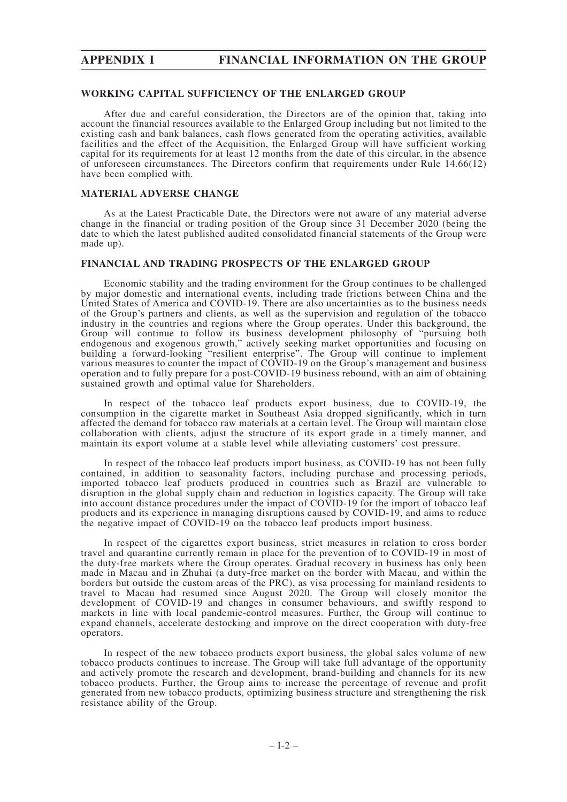# **APPENDIX I FINANCIAL INFORMATION ON THE GROUP**

### **WORKING CAPITAL SUFFICIENCY OF THE ENLARGED GROUP**

After due and careful consideration, the Directors are of the opinion that, taking into account the financial resources available to the Enlarged Group including but not limited to the existing cash and bank balances, cash flows generated from the operating activities, available facilities and the effect of the Acquisition, the Enlarged Group will have sufficient working capital for its requirements for at least 12 months from the date of this circular, in the absence of unforeseen circumstances. The Directors confirm that requirements under Rule 14.66(12) have been complied with.

### **MATERIAL ADVERSE CHANGE**

As at the Latest Practicable Date, the Directors were not aware of any material adverse change in the financial or trading position of the Group since 31 December 2020 (being the date to which the latest published audited consolidated financial statements of the Group were made up).

### **FINANCIAL AND TRADING PROSPECTS OF THE ENLARGED GROUP**

Economic stability and the trading environment for the Group continues to be challenged by major domestic and international events, including trade frictions between China and the United States of America and COVID-19. There are also uncertainties as to the business needs of the Group's partners and clients, as well as the supervision and regulation of the tobacco industry in the countries and regions where the Group operates. Under this background, the Group will continue to follow its business development philosophy of "pursuing both endogenous and exogenous growth," actively seeking market opportunities and focusing on building a forward-looking "resilient enterprise". The Group will continue to implement various measures to counter the impact of COVID-19 on the Group's management and business operation and to fully prepare for a post-COVID-19 business rebound, with an aim of obtaining sustained growth and optimal value for Shareholders.

In respect of the tobacco leaf products export business, due to COVID-19, the consumption in the cigarette market in Southeast Asia dropped significantly, which in turn affected the demand for tobacco raw materials at a certain level. The Group will maintain close collaboration with clients, adjust the structure of its export grade in a timely manner, and maintain its export volume at a stable level while alleviating customers' cost pressure.

In respect of the tobacco leaf products import business, as COVID-19 has not been fully contained, in addition to seasonality factors, including purchase and processing periods, imported tobacco leaf products produced in countries such as Brazil are vulnerable to disruption in the global supply chain and reduction in logistics capacity. The Group will take into account distance procedures under the impact of COVID-19 for the import of tobacco leaf products and its experience in managing disruptions caused by COVID-19, and aims to reduce the negative impact of COVID-19 on the tobacco leaf products import business.

In respect of the cigarettes export business, strict measures in relation to cross border travel and quarantine currently remain in place for the prevention of to COVID-19 in most of the duty-free markets where the Group operates. Gradual recovery in business has only been made in Macau and in Zhuhai (a duty-free market on the border with Macau, and within the borders but outside the custom areas of the PRC), as visa processing for mainland residents to travel to Macau had resumed since August 2020. The Group will closely monitor the development of COVID-19 and changes in consumer behaviours, and swiftly respond to markets in line with local pandemic-control measures. Further, the Group will continue to expand channels, accelerate destocking and improve on the direct cooperation with duty-free operators.

In respect of the new tobacco products export business, the global sales volume of new tobacco products continues to increase. The Group will take full advantage of the opportunity and actively promote the research and development, brand-building and channels for its new tobacco products. Further, the Group aims to increase the percentage of revenue and profit generated from new tobacco products, optimizing business structure and strengthening the risk resistance ability of the Group.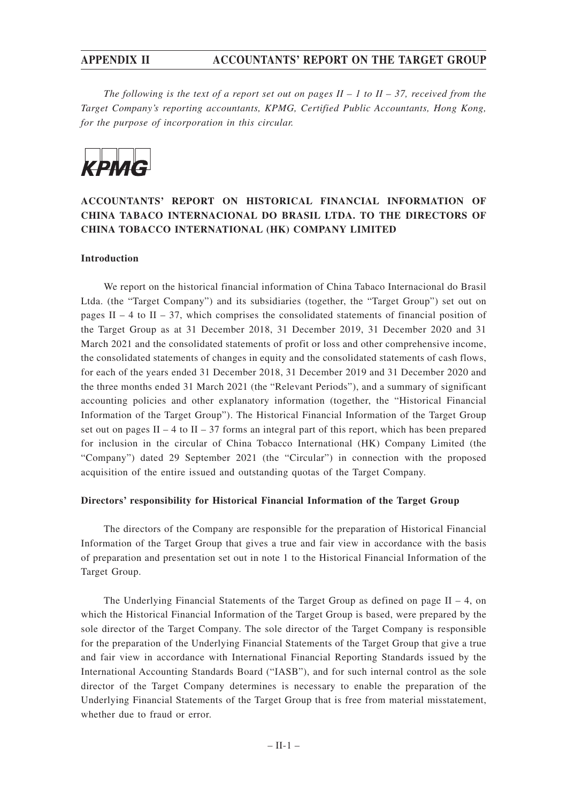*The following is the text of a report set out on pages*  $II - 1$  *to*  $II - 37$ *, received from the Target Company's reporting accountants, KPMG, Certified Public Accountants, Hong Kong, for the purpose of incorporation in this circular.*



# **ACCOUNTANTS' REPORT ON HISTORICAL FINANCIAL INFORMATION OF CHINA TABACO INTERNACIONAL DO BRASIL LTDA. TO THE DIRECTORS OF CHINA TOBACCO INTERNATIONAL (HK) COMPANY LIMITED**

## **Introduction**

We report on the historical financial information of China Tabaco Internacional do Brasil Ltda. (the "Target Company") and its subsidiaries (together, the "Target Group") set out on pages II – 4 to II – 37, which comprises the consolidated statements of financial position of the Target Group as at 31 December 2018, 31 December 2019, 31 December 2020 and 31 March 2021 and the consolidated statements of profit or loss and other comprehensive income, the consolidated statements of changes in equity and the consolidated statements of cash flows, for each of the years ended 31 December 2018, 31 December 2019 and 31 December 2020 and the three months ended 31 March 2021 (the "Relevant Periods"), and a summary of significant accounting policies and other explanatory information (together, the "Historical Financial Information of the Target Group"). The Historical Financial Information of the Target Group set out on pages II – 4 to II – 37 forms an integral part of this report, which has been prepared for inclusion in the circular of China Tobacco International (HK) Company Limited (the "Company") dated 29 September 2021 (the "Circular") in connection with the proposed acquisition of the entire issued and outstanding quotas of the Target Company.

### **Directors' responsibility for Historical Financial Information of the Target Group**

The directors of the Company are responsible for the preparation of Historical Financial Information of the Target Group that gives a true and fair view in accordance with the basis of preparation and presentation set out in note 1 to the Historical Financial Information of the Target Group.

The Underlying Financial Statements of the Target Group as defined on page  $II - 4$ , on which the Historical Financial Information of the Target Group is based, were prepared by the sole director of the Target Company. The sole director of the Target Company is responsible for the preparation of the Underlying Financial Statements of the Target Group that give a true and fair view in accordance with International Financial Reporting Standards issued by the International Accounting Standards Board ("IASB"), and for such internal control as the sole director of the Target Company determines is necessary to enable the preparation of the Underlying Financial Statements of the Target Group that is free from material misstatement, whether due to fraud or error.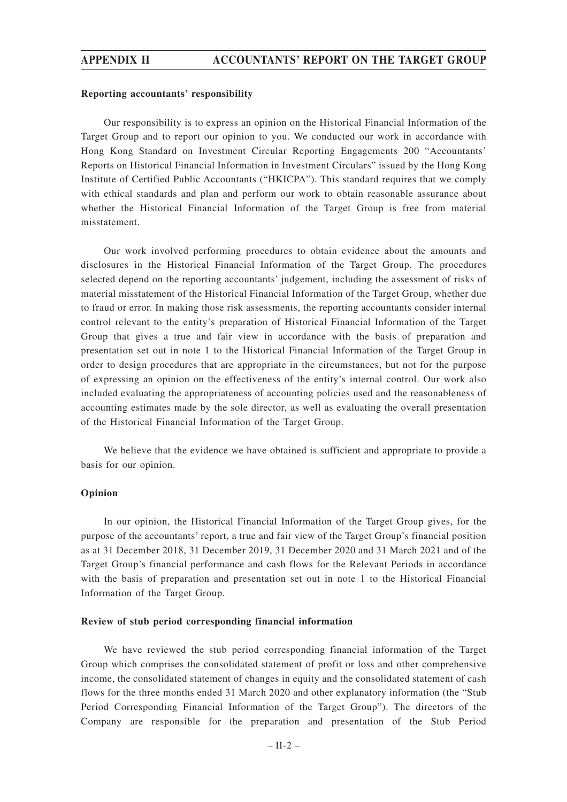### **Reporting accountants' responsibility**

Our responsibility is to express an opinion on the Historical Financial Information of the Target Group and to report our opinion to you. We conducted our work in accordance with Hong Kong Standard on Investment Circular Reporting Engagements 200 "Accountants' Reports on Historical Financial Information in Investment Circulars" issued by the Hong Kong Institute of Certified Public Accountants ("HKICPA"). This standard requires that we comply with ethical standards and plan and perform our work to obtain reasonable assurance about whether the Historical Financial Information of the Target Group is free from material misstatement.

Our work involved performing procedures to obtain evidence about the amounts and disclosures in the Historical Financial Information of the Target Group. The procedures selected depend on the reporting accountants' judgement, including the assessment of risks of material misstatement of the Historical Financial Information of the Target Group, whether due to fraud or error. In making those risk assessments, the reporting accountants consider internal control relevant to the entity's preparation of Historical Financial Information of the Target Group that gives a true and fair view in accordance with the basis of preparation and presentation set out in note 1 to the Historical Financial Information of the Target Group in order to design procedures that are appropriate in the circumstances, but not for the purpose of expressing an opinion on the effectiveness of the entity's internal control. Our work also included evaluating the appropriateness of accounting policies used and the reasonableness of accounting estimates made by the sole director, as well as evaluating the overall presentation of the Historical Financial Information of the Target Group.

We believe that the evidence we have obtained is sufficient and appropriate to provide a basis for our opinion.

### **Opinion**

In our opinion, the Historical Financial Information of the Target Group gives, for the purpose of the accountants' report, a true and fair view of the Target Group's financial position as at 31 December 2018, 31 December 2019, 31 December 2020 and 31 March 2021 and of the Target Group's financial performance and cash flows for the Relevant Periods in accordance with the basis of preparation and presentation set out in note 1 to the Historical Financial Information of the Target Group.

### **Review of stub period corresponding financial information**

We have reviewed the stub period corresponding financial information of the Target Group which comprises the consolidated statement of profit or loss and other comprehensive income, the consolidated statement of changes in equity and the consolidated statement of cash flows for the three months ended 31 March 2020 and other explanatory information (the "Stub Period Corresponding Financial Information of the Target Group"). The directors of the Company are responsible for the preparation and presentation of the Stub Period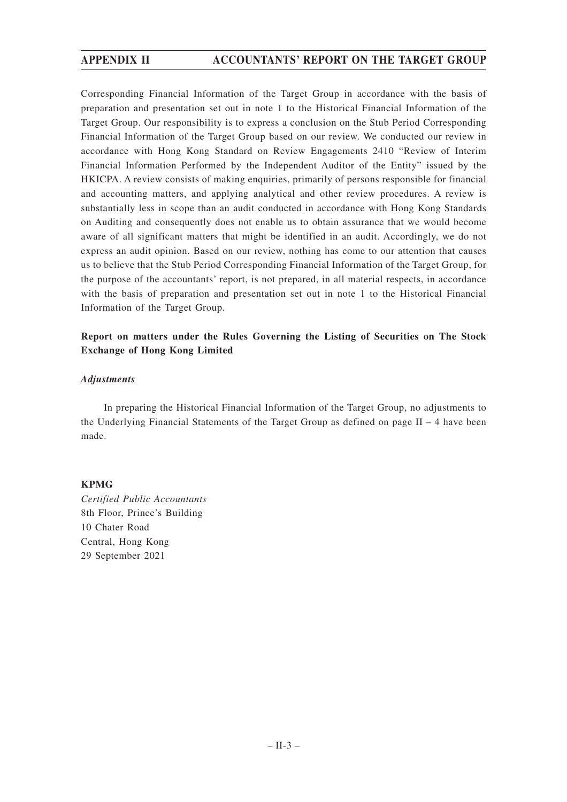Corresponding Financial Information of the Target Group in accordance with the basis of preparation and presentation set out in note 1 to the Historical Financial Information of the Target Group. Our responsibility is to express a conclusion on the Stub Period Corresponding Financial Information of the Target Group based on our review. We conducted our review in accordance with Hong Kong Standard on Review Engagements 2410 "Review of Interim Financial Information Performed by the Independent Auditor of the Entity" issued by the HKICPA. A review consists of making enquiries, primarily of persons responsible for financial and accounting matters, and applying analytical and other review procedures. A review is substantially less in scope than an audit conducted in accordance with Hong Kong Standards on Auditing and consequently does not enable us to obtain assurance that we would become aware of all significant matters that might be identified in an audit. Accordingly, we do not express an audit opinion. Based on our review, nothing has come to our attention that causes us to believe that the Stub Period Corresponding Financial Information of the Target Group, for the purpose of the accountants' report, is not prepared, in all material respects, in accordance with the basis of preparation and presentation set out in note 1 to the Historical Financial Information of the Target Group.

# **Report on matters under the Rules Governing the Listing of Securities on The Stock Exchange of Hong Kong Limited**

## *Adjustments*

In preparing the Historical Financial Information of the Target Group, no adjustments to the Underlying Financial Statements of the Target Group as defined on page  $II - 4$  have been made.

## **KPMG**

*Certified Public Accountants* 8th Floor, Prince's Building 10 Chater Road Central, Hong Kong 29 September 2021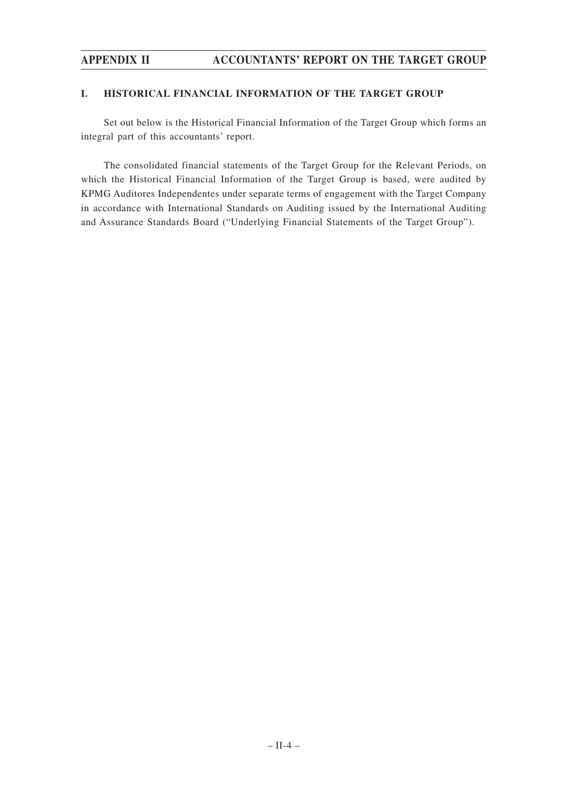## **I. HISTORICAL FINANCIAL INFORMATION OF THE TARGET GROUP**

Set out below is the Historical Financial Information of the Target Group which forms an integral part of this accountants' report.

The consolidated financial statements of the Target Group for the Relevant Periods, on which the Historical Financial Information of the Target Group is based, were audited by KPMG Auditores Independentes under separate terms of engagement with the Target Company in accordance with International Standards on Auditing issued by the International Auditing and Assurance Standards Board ("Underlying Financial Statements of the Target Group").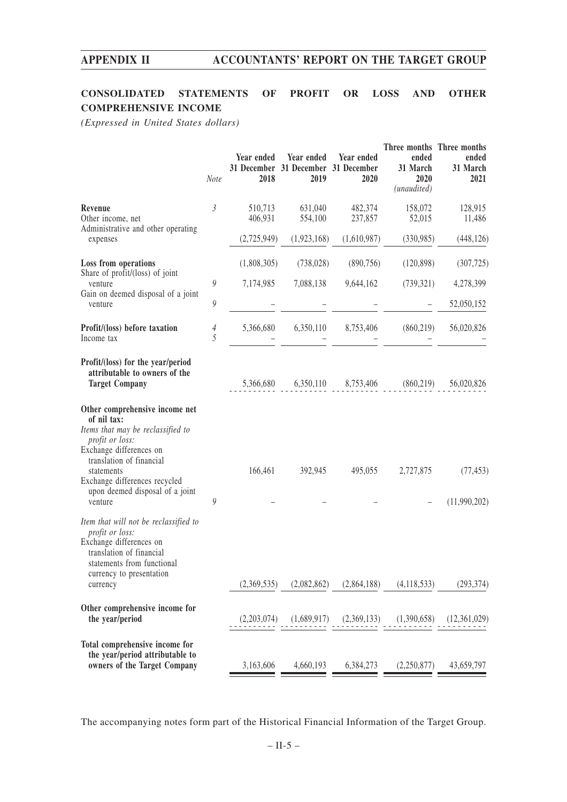# **CONSOLIDATED STATEMENTS OF PROFIT OR LOSS AND OTHER COMPREHENSIVE INCOME**

*(Expressed in United States dollars)*

|                                                                                                                                                                                                                                                           | Note                | Year ended<br>2018 | Year ended<br>31 December 31 December 31 December<br>2019 | Year ended<br>2020 | ended<br>31 March<br>2020<br>(unaudited) | Three months Three months<br>ended<br>31 March<br>2021 |
|-----------------------------------------------------------------------------------------------------------------------------------------------------------------------------------------------------------------------------------------------------------|---------------------|--------------------|-----------------------------------------------------------|--------------------|------------------------------------------|--------------------------------------------------------|
| Revenue<br>Other income, net<br>Administrative and other operating                                                                                                                                                                                        | $\beta$             | 510,713<br>406,931 | 631,040<br>554,100                                        | 482,374<br>237,857 | 158,072<br>52,015                        | 128,915<br>11,486                                      |
| expenses                                                                                                                                                                                                                                                  |                     | (2,725,949)        | (1,923,168)                                               | (1,610,987)        | (330,985)                                | (448, 126)                                             |
| Loss from operations<br>Share of profit/(loss) of joint                                                                                                                                                                                                   |                     | (1,808,305)        | (738, 028)                                                | (890, 756)         | (120, 898)                               | (307, 725)                                             |
| venture<br>Gain on deemed disposal of a joint                                                                                                                                                                                                             | 9                   | 7,174,985          | 7,088,138                                                 | 9,644,162          | (739, 321)                               | 4,278,399                                              |
| venture                                                                                                                                                                                                                                                   | 9                   |                    |                                                           |                    |                                          | 52,050,152                                             |
| Profit/(loss) before taxation<br>Income tax                                                                                                                                                                                                               | $\overline{4}$<br>5 | 5,366,680          | 6,350,110                                                 | 8,753,406          | (860, 219)                               | 56,020,826                                             |
| Profit/(loss) for the year/period<br>attributable to owners of the<br><b>Target Company</b>                                                                                                                                                               |                     | 5,366,680          |                                                           |                    | 6,350,110 8,753,406 (860,219)            | 56,020,826                                             |
| Other comprehensive income net<br>of nil tax:<br>Items that may be reclassified to<br>profit or loss:<br>Exchange differences on<br>translation of financial<br>statements<br>Exchange differences recycled<br>upon deemed disposal of a joint<br>venture | 9                   | 166,461            | 392,945                                                   | 495,055            | 2,727,875                                | (77, 453)<br>(11,990,202)                              |
| Item that will not be reclassified to<br>profit or loss:<br>Exchange differences on<br>translation of financial<br>statements from functional<br>currency to presentation<br>currency                                                                     |                     | (2,369,535)        | (2,082,862)                                               | (2,864,188)        | (4, 118, 533)                            | (293, 374)                                             |
| Other comprehensive income for<br>the year/period                                                                                                                                                                                                         |                     | (2,203,074)        | (1,689,917)                                               | (2,369,133)        | (1,390,658)                              | (12,361,029)                                           |
| Total comprehensive income for<br>the year/period attributable to<br>owners of the Target Company                                                                                                                                                         |                     | 3,163,606          | 4,660,193                                                 | 6,384,273          | (2,250,877)                              | 43,659,797                                             |

The accompanying notes form part of the Historical Financial Information of the Target Group.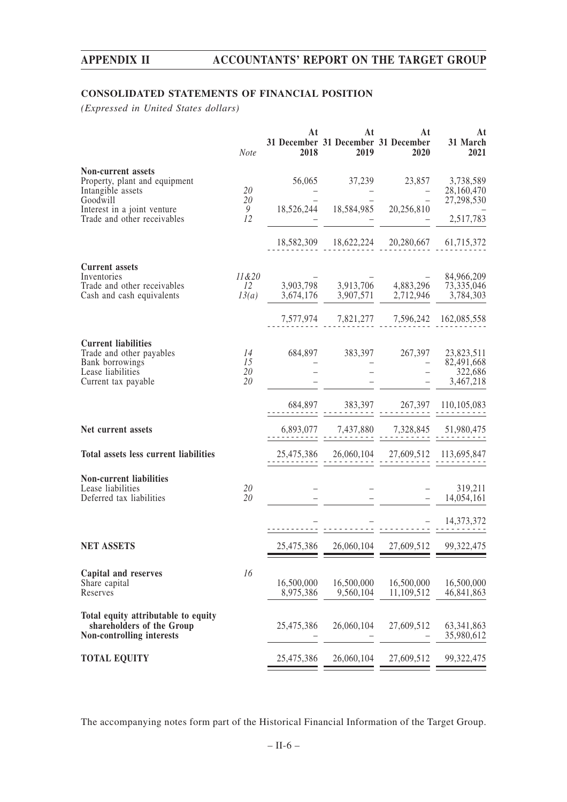# **CONSOLIDATED STATEMENTS OF FINANCIAL POSITION**

*(Expressed in United States dollars)*

|                                                                                                                                                    | <b>Note</b>          | At<br>2018                                              | At<br>2019              | At<br>31 December 31 December 31 December<br>2020                                                                       | At<br>31 March<br>2021                |
|----------------------------------------------------------------------------------------------------------------------------------------------------|----------------------|---------------------------------------------------------|-------------------------|-------------------------------------------------------------------------------------------------------------------------|---------------------------------------|
| Non-current assets<br>Property, plant and equipment<br>Intangible assets<br>Goodwill<br>Interest in a joint venture<br>Trade and other receivables | 20<br>20<br>9<br>12  |                                                         |                         | 56,065 37,239 23,857 3,738,589<br>18,526,244  18,584,985  20,256,810                                                    | 28,160,470<br>27,298,530<br>2,517,783 |
|                                                                                                                                                    |                      |                                                         |                         | 18,582,309  18,622,224  20,280,667  61,715,372                                                                          |                                       |
| <b>Current assets</b><br>Inventories<br>Trade and other receivables<br>Cash and cash equivalents                                                   | $11\&20$<br>12       | $13(a)$ $3,674,176$ $3,907,571$ $2,712,946$ $3,784,303$ |                         | $\overline{3,903,798}$ $\overline{3,913,706}$ $\overline{4,883,296}$ $\overline{73,335,046}$                            | 84,966,209                            |
| <b>Current liabilities</b><br>Trade and other payables<br>Bank borrowings<br>Lease liabilities<br>Current tax payable                              | 14<br>15<br>20<br>20 |                                                         |                         | 7,577,974 7,821,277 7,596,242 162,085,558<br>684,897 383,397 267,397 23,823,511                                         | 82,491,668<br>322,686<br>3,467,218    |
|                                                                                                                                                    |                      |                                                         |                         |                                                                                                                         |                                       |
| Net current assets<br>Total assets less current liabilities                                                                                        |                      |                                                         |                         | $6,893,077 \qquad 7,437,880 \qquad 7,328,845 \qquad 51,980,475$<br>$25,475,386$ $26,060,104$ $27,609,512$ $113,695,847$ |                                       |
| <b>Non-current liabilities</b><br>Lease liabilities<br>Deferred tax liabilities                                                                    | 20<br>20             |                                                         |                         |                                                                                                                         | 319,211<br>14,054,161                 |
| <b>NET ASSETS</b>                                                                                                                                  |                      | 25,475,386                                              |                         | 26,060,104 27,609,512 99,322,475                                                                                        | 14,373,372                            |
| Capital and reserves<br>Share capital<br>Reserves                                                                                                  | 16                   | 16,500,000<br>8,975,386                                 | 16,500,000<br>9,560,104 | 16,500,000<br>11,109,512                                                                                                | 16,500,000<br>46,841,863              |
| Total equity attributable to equity<br>shareholders of the Group<br>Non-controlling interests                                                      |                      | 25,475,386                                              | 26,060,104              | 27,609,512                                                                                                              | 63, 341, 863<br>35,980,612            |
| <b>TOTAL EQUITY</b>                                                                                                                                |                      | 25,475,386                                              | 26,060,104              | 27,609,512                                                                                                              | 99, 322, 475                          |

The accompanying notes form part of the Historical Financial Information of the Target Group.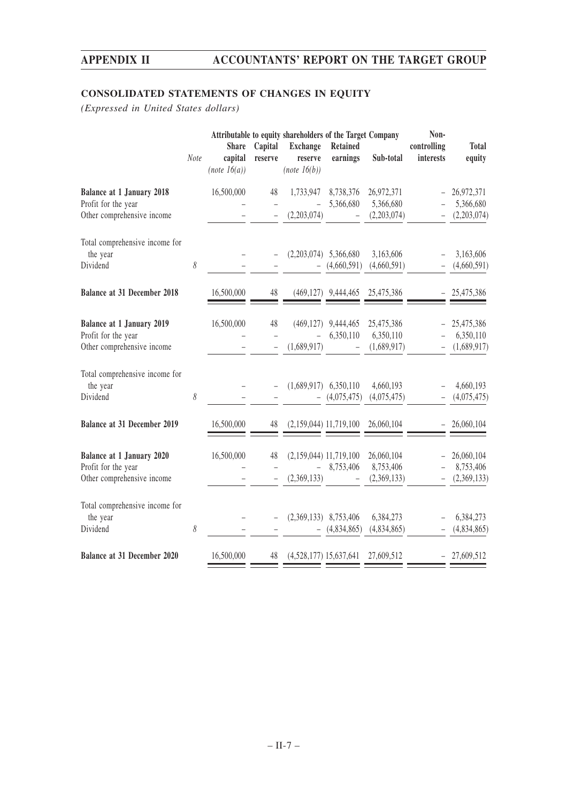# **CONSOLIDATED STATEMENTS OF CHANGES IN EQUITY**

*(Expressed in United States dollars)*

|                                                                                       | Note     | <b>Share</b><br>capital<br>(note 16(a)) | Capital<br>reserve | Attributable to equity shareholders of the Target Company<br><b>Exchange</b><br>reserve<br>(note 16(b)) | <b>Retained</b><br>earnings | Sub-total                              | Non-<br>controlling<br>interests | <b>Total</b><br>equity                 |
|---------------------------------------------------------------------------------------|----------|-----------------------------------------|--------------------|---------------------------------------------------------------------------------------------------------|-----------------------------|----------------------------------------|----------------------------------|----------------------------------------|
| <b>Balance at 1 January 2018</b><br>Profit for the year<br>Other comprehensive income |          | 16,500,000                              | 48                 | 1,733,947<br>(2,203,074)                                                                                | 8,738,376<br>5,366,680      | 26,972,371<br>5,366,680<br>(2,203,074) |                                  | 26,972,371<br>5,366,680<br>(2,203,074) |
| Total comprehensive income for<br>the year<br>Dividend                                | $\delta$ |                                         |                    | (2,203,074)                                                                                             | 5,366,680<br>(4,660,591)    | 3,163,606<br>(4,660,591)               |                                  | 3,163,606<br>(4,660,591)               |
| <b>Balance at 31 December 2018</b>                                                    |          | 16,500,000                              | 48                 |                                                                                                         | $(469, 127)$ 9,444,465      | 25,475,386                             |                                  | 25,475,386                             |
| <b>Balance at 1 January 2019</b><br>Profit for the year<br>Other comprehensive income |          | 16,500,000                              | 48                 | (469, 127)<br>(1,689,917)                                                                               | 9,444,465<br>6,350,110      | 25,475,386<br>6,350,110<br>(1,689,917) |                                  | 25,475,386<br>6,350,110<br>(1,689,917) |
| Total comprehensive income for<br>the year<br>Dividend                                | 8        |                                         |                    | (1,689,917)                                                                                             | 6,350,110<br>(4,075,475)    | 4,660,193<br>(4,075,475)               |                                  | 4,660,193<br>(4,075,475)               |
| <b>Balance at 31 December 2019</b>                                                    |          | 16,500,000                              | 48                 | $(2,159,044)$ 11,719,100                                                                                |                             | 26,060,104                             | $\overline{\phantom{a}}$         | 26,060,104                             |
| <b>Balance at 1 January 2020</b><br>Profit for the year<br>Other comprehensive income |          | 16,500,000                              | 48                 | $(2,159,044)$ 11,719,100<br>(2,369,133)                                                                 | 8,753,406                   | 26,060,104<br>8,753,406<br>(2,369,133) |                                  | 26,060,104<br>8,753,406<br>(2,369,133) |
| Total comprehensive income for<br>the year<br>Dividend                                | 8        |                                         |                    | (2,369,133)                                                                                             | 8,753,406<br>(4,834,865)    | 6,384,273<br>(4,834,865)               |                                  | 6,384,273<br>(4,834,865)               |
| <b>Balance at 31 December 2020</b>                                                    |          | 16,500,000                              | 48                 | $(4,528,177)$ 15,637,641                                                                                |                             | 27,609,512                             |                                  | 27,609,512                             |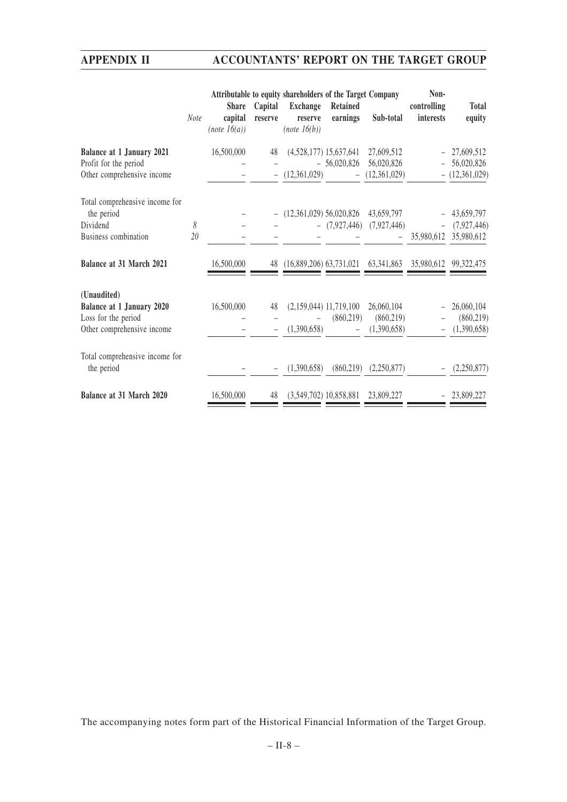|                                              |             |                                         |                    | Attributable to equity shareholders of the Target Company |                          |                                                             | Non-                     |                        |
|----------------------------------------------|-------------|-----------------------------------------|--------------------|-----------------------------------------------------------|--------------------------|-------------------------------------------------------------|--------------------------|------------------------|
|                                              | <b>Note</b> | <b>Share</b><br>capital<br>(note 16(a)) | Capital<br>reserve | <b>Exchange</b><br>reserve<br>(note 16(b))                | Retained<br>earnings     | Sub-total                                                   | controlling<br>interests | <b>Total</b><br>equity |
| <b>Balance at 1 January 2021</b>             |             | 16,500,000                              | 48                 |                                                           | $(4,528,177)$ 15,637,641 | 27,609,512                                                  |                          | $-27,609,512$          |
| Profit for the period                        |             |                                         |                    |                                                           | $-56,020,826$            | 56,020,826                                                  |                          | 56,020,826             |
| Other comprehensive income                   |             |                                         |                    | (12,361,029)                                              |                          | (12,361,029)                                                |                          | $-$ (12,361,029)       |
| Total comprehensive income for               |             |                                         |                    |                                                           |                          |                                                             |                          |                        |
| the period                                   |             |                                         |                    | $(12,361,029)$ 56,020,826                                 |                          | 43,659,797                                                  |                          | 43,659,797             |
| Dividend                                     | 8           |                                         |                    |                                                           |                          | $-$ (7,927,446) (7,927,446)                                 |                          | (7,927,446)            |
| Business combination                         | 20          |                                         |                    |                                                           |                          |                                                             | 35,980,612               | 35,980,612             |
| Balance at 31 March 2021                     |             | 16,500,000                              |                    |                                                           |                          | 48 (16,889,206) 63,731,021 63,341,863 35,980,612 99,322,475 |                          |                        |
| (Unaudited)<br>Balance at 1 January 2020     |             | 16,500,000                              | 48                 |                                                           | $(2,159,044)$ 11,719,100 | 26,060,104                                                  |                          | 26,060,104             |
| Loss for the period                          |             |                                         |                    |                                                           | (860, 219)               | (860, 219)                                                  |                          | (860, 219)             |
| Other comprehensive income                   |             |                                         |                    | (1,390,658)                                               |                          | (1,390,658)                                                 |                          | (1,390,658)            |
| Total comprehensive income for<br>the period |             |                                         |                    | (1,390,658)                                               | (860, 219)               | (2,250,877)                                                 |                          | (2,250,877)            |
|                                              |             |                                         |                    |                                                           |                          |                                                             |                          |                        |
| Balance at 31 March 2020                     |             | 16,500,000                              | 48                 |                                                           | $(3,549,702)$ 10,858,881 | 23,809,227                                                  |                          | 23,809,227             |

The accompanying notes form part of the Historical Financial Information of the Target Group.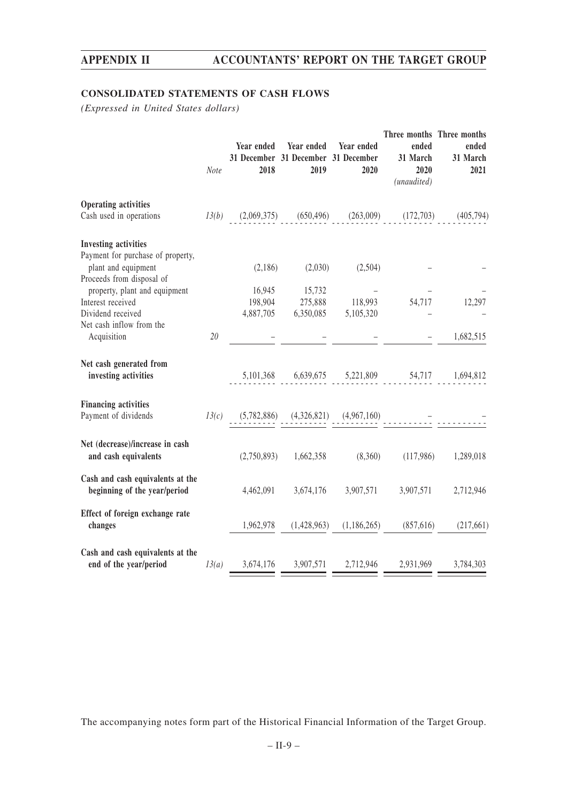# **CONSOLIDATED STATEMENTS OF CASH FLOWS**

*(Expressed in United States dollars)*

|                                                                                                                      | Note  | Year ended<br>2018                | Year ended<br>31 December 31 December 31 December<br>2019 | Year ended<br>2020          | Three months Three months<br>ended<br>31 March<br>2020<br>(unaudited) | ended<br>31 March<br>2021 |
|----------------------------------------------------------------------------------------------------------------------|-------|-----------------------------------|-----------------------------------------------------------|-----------------------------|-----------------------------------------------------------------------|---------------------------|
| <b>Operating activities</b><br>Cash used in operations                                                               |       | $13(b)$ $(2,069,375)$ $(650,496)$ |                                                           | (263,009)                   | (172,703)                                                             | (405, 794)                |
| <b>Investing activities</b><br>Payment for purchase of property,<br>plant and equipment<br>Proceeds from disposal of |       | (2,186)                           | (2,030)                                                   | (2,504)                     |                                                                       |                           |
| property, plant and equipment<br>Interest received<br>Dividend received<br>Net cash inflow from the                  |       | 16,945<br>198,904<br>4,887,705    | 15,732<br>275,888<br>6,350,085                            | 118,993<br>5,105,320        | 54,717                                                                | 12,297                    |
| Acquisition                                                                                                          | 20    |                                   |                                                           |                             |                                                                       | 1,682,515                 |
| Net cash generated from<br>investing activities                                                                      |       |                                   |                                                           |                             | 5,101,368 6,639,675 5,221,809 54,717                                  | 1,694,812                 |
| <b>Financing activities</b><br>Payment of dividends                                                                  | 13(c) | (5,782,886)                       |                                                           | $(4,326,821)$ $(4,967,160)$ |                                                                       |                           |
| Net (decrease)/increase in cash<br>and cash equivalents                                                              |       | (2,750,893)                       | 1,662,358                                                 | (8,360)                     | (117,986)                                                             | 1,289,018                 |
| Cash and cash equivalents at the<br>beginning of the year/period                                                     |       | 4,462,091                         | 3,674,176                                                 | 3,907,571                   | 3,907,571                                                             | 2,712,946                 |
| Effect of foreign exchange rate<br>changes                                                                           |       | 1,962,978                         | (1,428,963)                                               | (1,186,265)                 | (857,616)                                                             | (217,661)                 |
| Cash and cash equivalents at the<br>end of the year/period                                                           | 13(a) | 3,674,176                         | 3,907,571                                                 | 2,712,946                   | 2,931,969                                                             | 3,784,303                 |

The accompanying notes form part of the Historical Financial Information of the Target Group.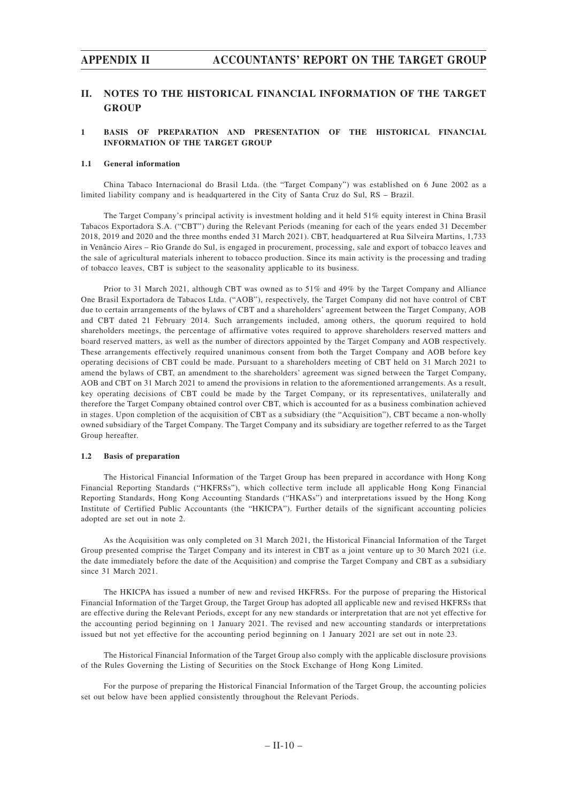# **II. NOTES TO THE HISTORICAL FINANCIAL INFORMATION OF THE TARGET GROUP**

### **1 BASIS OF PREPARATION AND PRESENTATION OF THE HISTORICAL FINANCIAL INFORMATION OF THE TARGET GROUP**

#### **1.1 General information**

China Tabaco Internacional do Brasil Ltda. (the "Target Company") was established on 6 June 2002 as a limited liability company and is headquartered in the City of Santa Cruz do Sul, RS – Brazil.

The Target Company's principal activity is investment holding and it held 51% equity interest in China Brasil Tabacos Exportadora S.A. ("CBT") during the Relevant Periods (meaning for each of the years ended 31 December 2018, 2019 and 2020 and the three months ended 31 March 2021). CBT, headquartered at Rua Silveira Martins, 1,733 in Venâncio Aires – Rio Grande do Sul, is engaged in procurement, processing, sale and export of tobacco leaves and the sale of agricultural materials inherent to tobacco production. Since its main activity is the processing and trading of tobacco leaves, CBT is subject to the seasonality applicable to its business.

Prior to 31 March 2021, although CBT was owned as to 51% and 49% by the Target Company and Alliance One Brasil Exportadora de Tabacos Ltda. ("AOB"), respectively, the Target Company did not have control of CBT due to certain arrangements of the bylaws of CBT and a shareholders' agreement between the Target Company, AOB and CBT dated 21 February 2014. Such arrangements included, among others, the quorum required to hold shareholders meetings, the percentage of affirmative votes required to approve shareholders reserved matters and board reserved matters, as well as the number of directors appointed by the Target Company and AOB respectively. These arrangements effectively required unanimous consent from both the Target Company and AOB before key operating decisions of CBT could be made. Pursuant to a shareholders meeting of CBT held on 31 March 2021 to amend the bylaws of CBT, an amendment to the shareholders' agreement was signed between the Target Company, AOB and CBT on 31 March 2021 to amend the provisions in relation to the aforementioned arrangements. As a result, key operating decisions of CBT could be made by the Target Company, or its representatives, unilaterally and therefore the Target Company obtained control over CBT, which is accounted for as a business combination achieved in stages. Upon completion of the acquisition of CBT as a subsidiary (the "Acquisition"), CBT became a non-wholly owned subsidiary of the Target Company. The Target Company and its subsidiary are together referred to as the Target Group hereafter.

#### **1.2 Basis of preparation**

The Historical Financial Information of the Target Group has been prepared in accordance with Hong Kong Financial Reporting Standards ("HKFRSs"), which collective term include all applicable Hong Kong Financial Reporting Standards, Hong Kong Accounting Standards ("HKASs") and interpretations issued by the Hong Kong Institute of Certified Public Accountants (the "HKICPA"). Further details of the significant accounting policies adopted are set out in note 2.

As the Acquisition was only completed on 31 March 2021, the Historical Financial Information of the Target Group presented comprise the Target Company and its interest in CBT as a joint venture up to 30 March 2021 (i.e. the date immediately before the date of the Acquisition) and comprise the Target Company and CBT as a subsidiary since 31 March 2021.

The HKICPA has issued a number of new and revised HKFRSs. For the purpose of preparing the Historical Financial Information of the Target Group, the Target Group has adopted all applicable new and revised HKFRSs that are effective during the Relevant Periods, except for any new standards or interpretation that are not yet effective for the accounting period beginning on 1 January 2021. The revised and new accounting standards or interpretations issued but not yet effective for the accounting period beginning on 1 January 2021 are set out in note 23.

The Historical Financial Information of the Target Group also comply with the applicable disclosure provisions of the Rules Governing the Listing of Securities on the Stock Exchange of Hong Kong Limited.

For the purpose of preparing the Historical Financial Information of the Target Group, the accounting policies set out below have been applied consistently throughout the Relevant Periods.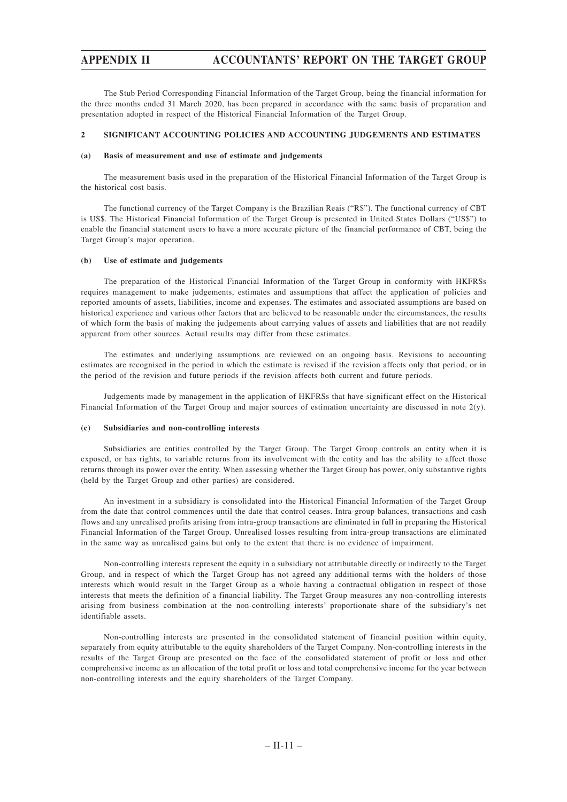The Stub Period Corresponding Financial Information of the Target Group, being the financial information for the three months ended 31 March 2020, has been prepared in accordance with the same basis of preparation and presentation adopted in respect of the Historical Financial Information of the Target Group.

### **2 SIGNIFICANT ACCOUNTING POLICIES AND ACCOUNTING JUDGEMENTS AND ESTIMATES**

#### **(a) Basis of measurement and use of estimate and judgements**

The measurement basis used in the preparation of the Historical Financial Information of the Target Group is the historical cost basis.

The functional currency of the Target Company is the Brazilian Reais ("R\$"). The functional currency of CBT is US\$. The Historical Financial Information of the Target Group is presented in United States Dollars ("US\$") to enable the financial statement users to have a more accurate picture of the financial performance of CBT, being the Target Group's major operation.

### **(b) Use of estimate and judgements**

The preparation of the Historical Financial Information of the Target Group in conformity with HKFRSs requires management to make judgements, estimates and assumptions that affect the application of policies and reported amounts of assets, liabilities, income and expenses. The estimates and associated assumptions are based on historical experience and various other factors that are believed to be reasonable under the circumstances, the results of which form the basis of making the judgements about carrying values of assets and liabilities that are not readily apparent from other sources. Actual results may differ from these estimates.

The estimates and underlying assumptions are reviewed on an ongoing basis. Revisions to accounting estimates are recognised in the period in which the estimate is revised if the revision affects only that period, or in the period of the revision and future periods if the revision affects both current and future periods.

Judgements made by management in the application of HKFRSs that have significant effect on the Historical Financial Information of the Target Group and major sources of estimation uncertainty are discussed in note 2(y).

#### **(c) Subsidiaries and non-controlling interests**

Subsidiaries are entities controlled by the Target Group. The Target Group controls an entity when it is exposed, or has rights, to variable returns from its involvement with the entity and has the ability to affect those returns through its power over the entity. When assessing whether the Target Group has power, only substantive rights (held by the Target Group and other parties) are considered.

An investment in a subsidiary is consolidated into the Historical Financial Information of the Target Group from the date that control commences until the date that control ceases. Intra-group balances, transactions and cash flows and any unrealised profits arising from intra-group transactions are eliminated in full in preparing the Historical Financial Information of the Target Group. Unrealised losses resulting from intra-group transactions are eliminated in the same way as unrealised gains but only to the extent that there is no evidence of impairment.

Non-controlling interests represent the equity in a subsidiary not attributable directly or indirectly to the Target Group, and in respect of which the Target Group has not agreed any additional terms with the holders of those interests which would result in the Target Group as a whole having a contractual obligation in respect of those interests that meets the definition of a financial liability. The Target Group measures any non-controlling interests arising from business combination at the non-controlling interests' proportionate share of the subsidiary's net identifiable assets.

Non-controlling interests are presented in the consolidated statement of financial position within equity, separately from equity attributable to the equity shareholders of the Target Company. Non-controlling interests in the results of the Target Group are presented on the face of the consolidated statement of profit or loss and other comprehensive income as an allocation of the total profit or loss and total comprehensive income for the year between non-controlling interests and the equity shareholders of the Target Company.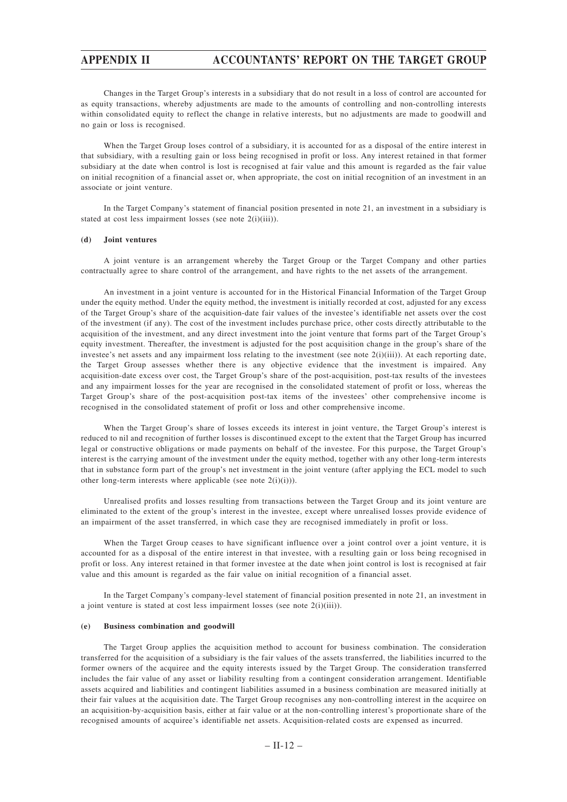Changes in the Target Group's interests in a subsidiary that do not result in a loss of control are accounted for as equity transactions, whereby adjustments are made to the amounts of controlling and non-controlling interests within consolidated equity to reflect the change in relative interests, but no adjustments are made to goodwill and no gain or loss is recognised.

When the Target Group loses control of a subsidiary, it is accounted for as a disposal of the entire interest in that subsidiary, with a resulting gain or loss being recognised in profit or loss. Any interest retained in that former subsidiary at the date when control is lost is recognised at fair value and this amount is regarded as the fair value on initial recognition of a financial asset or, when appropriate, the cost on initial recognition of an investment in an associate or joint venture.

In the Target Company's statement of financial position presented in note 21, an investment in a subsidiary is stated at cost less impairment losses (see note 2(i)(iii)).

#### **(d) Joint ventures**

A joint venture is an arrangement whereby the Target Group or the Target Company and other parties contractually agree to share control of the arrangement, and have rights to the net assets of the arrangement.

An investment in a joint venture is accounted for in the Historical Financial Information of the Target Group under the equity method. Under the equity method, the investment is initially recorded at cost, adjusted for any excess of the Target Group's share of the acquisition-date fair values of the investee's identifiable net assets over the cost of the investment (if any). The cost of the investment includes purchase price, other costs directly attributable to the acquisition of the investment, and any direct investment into the joint venture that forms part of the Target Group's equity investment. Thereafter, the investment is adjusted for the post acquisition change in the group's share of the investee's net assets and any impairment loss relating to the investment (see note  $2(i)(iii)$ ). At each reporting date, the Target Group assesses whether there is any objective evidence that the investment is impaired. Any acquisition-date excess over cost, the Target Group's share of the post-acquisition, post-tax results of the investees and any impairment losses for the year are recognised in the consolidated statement of profit or loss, whereas the Target Group's share of the post-acquisition post-tax items of the investees' other comprehensive income is recognised in the consolidated statement of profit or loss and other comprehensive income.

When the Target Group's share of losses exceeds its interest in joint venture, the Target Group's interest is reduced to nil and recognition of further losses is discontinued except to the extent that the Target Group has incurred legal or constructive obligations or made payments on behalf of the investee. For this purpose, the Target Group's interest is the carrying amount of the investment under the equity method, together with any other long-term interests that in substance form part of the group's net investment in the joint venture (after applying the ECL model to such other long-term interests where applicable (see note 2(i)(i))).

Unrealised profits and losses resulting from transactions between the Target Group and its joint venture are eliminated to the extent of the group's interest in the investee, except where unrealised losses provide evidence of an impairment of the asset transferred, in which case they are recognised immediately in profit or loss.

When the Target Group ceases to have significant influence over a joint control over a joint venture, it is accounted for as a disposal of the entire interest in that investee, with a resulting gain or loss being recognised in profit or loss. Any interest retained in that former investee at the date when joint control is lost is recognised at fair value and this amount is regarded as the fair value on initial recognition of a financial asset.

In the Target Company's company-level statement of financial position presented in note 21, an investment in a joint venture is stated at cost less impairment losses (see note 2(i)(iii)).

#### **(e) Business combination and goodwill**

The Target Group applies the acquisition method to account for business combination. The consideration transferred for the acquisition of a subsidiary is the fair values of the assets transferred, the liabilities incurred to the former owners of the acquiree and the equity interests issued by the Target Group. The consideration transferred includes the fair value of any asset or liability resulting from a contingent consideration arrangement. Identifiable assets acquired and liabilities and contingent liabilities assumed in a business combination are measured initially at their fair values at the acquisition date. The Target Group recognises any non-controlling interest in the acquiree on an acquisition-by-acquisition basis, either at fair value or at the non-controlling interest's proportionate share of the recognised amounts of acquiree's identifiable net assets. Acquisition-related costs are expensed as incurred.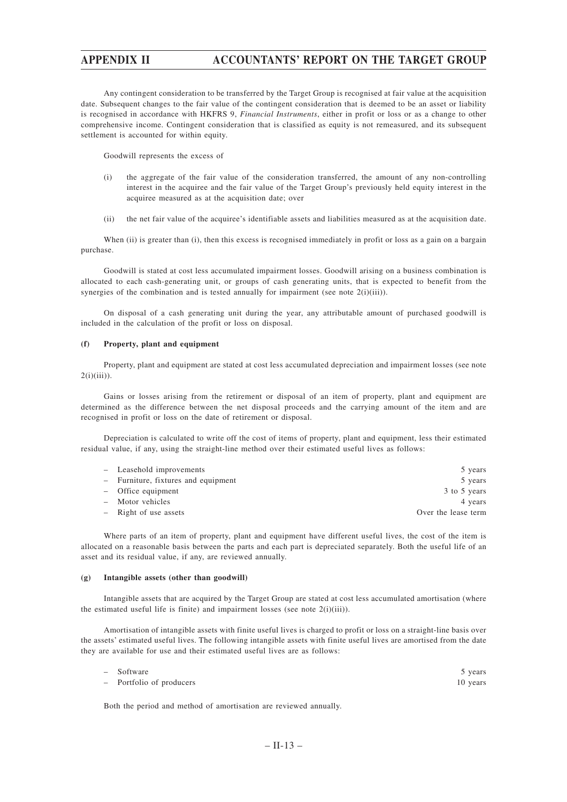Any contingent consideration to be transferred by the Target Group is recognised at fair value at the acquisition date. Subsequent changes to the fair value of the contingent consideration that is deemed to be an asset or liability is recognised in accordance with HKFRS 9, *Financial Instruments*, either in profit or loss or as a change to other comprehensive income. Contingent consideration that is classified as equity is not remeasured, and its subsequent settlement is accounted for within equity.

Goodwill represents the excess of

- (i) the aggregate of the fair value of the consideration transferred, the amount of any non-controlling interest in the acquiree and the fair value of the Target Group's previously held equity interest in the acquiree measured as at the acquisition date; over
- (ii) the net fair value of the acquiree's identifiable assets and liabilities measured as at the acquisition date.

When (ii) is greater than (i), then this excess is recognised immediately in profit or loss as a gain on a bargain purchase.

Goodwill is stated at cost less accumulated impairment losses. Goodwill arising on a business combination is allocated to each cash-generating unit, or groups of cash generating units, that is expected to benefit from the synergies of the combination and is tested annually for impairment (see note  $2(i)(iii)$ ).

On disposal of a cash generating unit during the year, any attributable amount of purchased goodwill is included in the calculation of the profit or loss on disposal.

### **(f) Property, plant and equipment**

Property, plant and equipment are stated at cost less accumulated depreciation and impairment losses (see note  $2(i)(iii)$ ).

Gains or losses arising from the retirement or disposal of an item of property, plant and equipment are determined as the difference between the net disposal proceeds and the carrying amount of the item and are recognised in profit or loss on the date of retirement or disposal.

Depreciation is calculated to write off the cost of items of property, plant and equipment, less their estimated residual value, if any, using the straight-line method over their estimated useful lives as follows:

| - Leasehold improvements            | 5 years             |
|-------------------------------------|---------------------|
| - Furniture, fixtures and equipment | 5 years             |
| - Office equipment                  | 3 to 5 years        |
| - Motor vehicles                    | 4 years             |
| - Right of use assets               | Over the lease term |

Where parts of an item of property, plant and equipment have different useful lives, the cost of the item is allocated on a reasonable basis between the parts and each part is depreciated separately. Both the useful life of an asset and its residual value, if any, are reviewed annually.

#### **(g) Intangible assets (other than goodwill)**

Intangible assets that are acquired by the Target Group are stated at cost less accumulated amortisation (where the estimated useful life is finite) and impairment losses (see note  $2(i)(iii)$ ).

Amortisation of intangible assets with finite useful lives is charged to profit or loss on a straight-line basis over the assets' estimated useful lives. The following intangible assets with finite useful lives are amortised from the date they are available for use and their estimated useful lives are as follows:

| - Software               | 5 years  |
|--------------------------|----------|
| - Portfolio of producers | 10 years |

Both the period and method of amortisation are reviewed annually.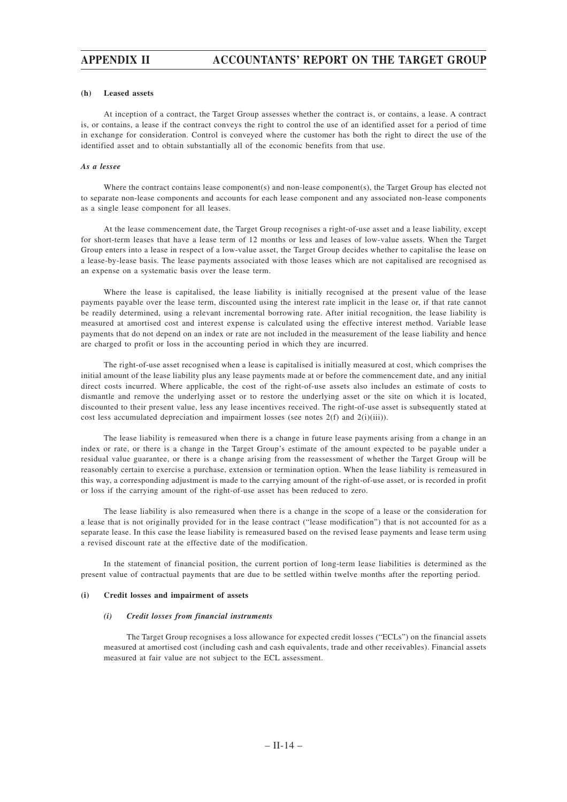#### **(h) Leased assets**

At inception of a contract, the Target Group assesses whether the contract is, or contains, a lease. A contract is, or contains, a lease if the contract conveys the right to control the use of an identified asset for a period of time in exchange for consideration. Control is conveyed where the customer has both the right to direct the use of the identified asset and to obtain substantially all of the economic benefits from that use.

#### *As a lessee*

Where the contract contains lease component(s) and non-lease component(s), the Target Group has elected not to separate non-lease components and accounts for each lease component and any associated non-lease components as a single lease component for all leases.

At the lease commencement date, the Target Group recognises a right-of-use asset and a lease liability, except for short-term leases that have a lease term of 12 months or less and leases of low-value assets. When the Target Group enters into a lease in respect of a low-value asset, the Target Group decides whether to capitalise the lease on a lease-by-lease basis. The lease payments associated with those leases which are not capitalised are recognised as an expense on a systematic basis over the lease term.

Where the lease is capitalised, the lease liability is initially recognised at the present value of the lease payments payable over the lease term, discounted using the interest rate implicit in the lease or, if that rate cannot be readily determined, using a relevant incremental borrowing rate. After initial recognition, the lease liability is measured at amortised cost and interest expense is calculated using the effective interest method. Variable lease payments that do not depend on an index or rate are not included in the measurement of the lease liability and hence are charged to profit or loss in the accounting period in which they are incurred.

The right-of-use asset recognised when a lease is capitalised is initially measured at cost, which comprises the initial amount of the lease liability plus any lease payments made at or before the commencement date, and any initial direct costs incurred. Where applicable, the cost of the right-of-use assets also includes an estimate of costs to dismantle and remove the underlying asset or to restore the underlying asset or the site on which it is located, discounted to their present value, less any lease incentives received. The right-of-use asset is subsequently stated at cost less accumulated depreciation and impairment losses (see notes  $2(f)$  and  $2(i)(iii)$ ).

The lease liability is remeasured when there is a change in future lease payments arising from a change in an index or rate, or there is a change in the Target Group's estimate of the amount expected to be payable under a residual value guarantee, or there is a change arising from the reassessment of whether the Target Group will be reasonably certain to exercise a purchase, extension or termination option. When the lease liability is remeasured in this way, a corresponding adjustment is made to the carrying amount of the right-of-use asset, or is recorded in profit or loss if the carrying amount of the right-of-use asset has been reduced to zero.

The lease liability is also remeasured when there is a change in the scope of a lease or the consideration for a lease that is not originally provided for in the lease contract ("lease modification") that is not accounted for as a separate lease. In this case the lease liability is remeasured based on the revised lease payments and lease term using a revised discount rate at the effective date of the modification.

In the statement of financial position, the current portion of long-term lease liabilities is determined as the present value of contractual payments that are due to be settled within twelve months after the reporting period.

#### **(i) Credit losses and impairment of assets**

#### *(i) Credit losses from financial instruments*

The Target Group recognises a loss allowance for expected credit losses ("ECLs") on the financial assets measured at amortised cost (including cash and cash equivalents, trade and other receivables). Financial assets measured at fair value are not subject to the ECL assessment.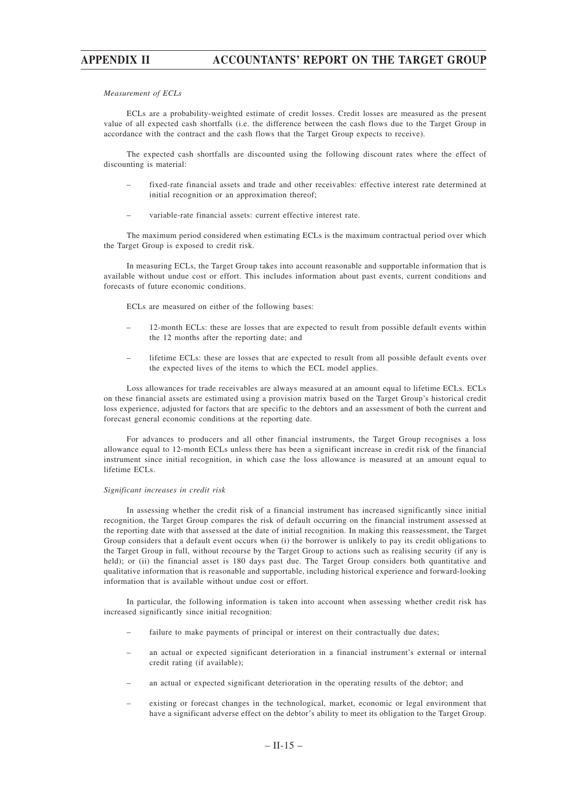#### *Measurement of ECLs*

ECLs are a probability-weighted estimate of credit losses. Credit losses are measured as the present value of all expected cash shortfalls (i.e. the difference between the cash flows due to the Target Group in accordance with the contract and the cash flows that the Target Group expects to receive).

The expected cash shortfalls are discounted using the following discount rates where the effect of discounting is material:

- fixed-rate financial assets and trade and other receivables: effective interest rate determined at initial recognition or an approximation thereof;
- variable-rate financial assets: current effective interest rate.

The maximum period considered when estimating ECLs is the maximum contractual period over which the Target Group is exposed to credit risk.

In measuring ECLs, the Target Group takes into account reasonable and supportable information that is available without undue cost or effort. This includes information about past events, current conditions and forecasts of future economic conditions.

ECLs are measured on either of the following bases:

- 12-month ECLs: these are losses that are expected to result from possible default events within the 12 months after the reporting date; and
- lifetime ECLs: these are losses that are expected to result from all possible default events over the expected lives of the items to which the ECL model applies.

Loss allowances for trade receivables are always measured at an amount equal to lifetime ECLs. ECLs on these financial assets are estimated using a provision matrix based on the Target Group's historical credit loss experience, adjusted for factors that are specific to the debtors and an assessment of both the current and forecast general economic conditions at the reporting date.

For advances to producers and all other financial instruments, the Target Group recognises a loss allowance equal to 12-month ECLs unless there has been a significant increase in credit risk of the financial instrument since initial recognition, in which case the loss allowance is measured at an amount equal to lifetime ECLs.

#### *Significant increases in credit risk*

In assessing whether the credit risk of a financial instrument has increased significantly since initial recognition, the Target Group compares the risk of default occurring on the financial instrument assessed at the reporting date with that assessed at the date of initial recognition. In making this reassessment, the Target Group considers that a default event occurs when (i) the borrower is unlikely to pay its credit obligations to the Target Group in full, without recourse by the Target Group to actions such as realising security (if any is held); or (ii) the financial asset is 180 days past due. The Target Group considers both quantitative and qualitative information that is reasonable and supportable, including historical experience and forward-looking information that is available without undue cost or effort.

In particular, the following information is taken into account when assessing whether credit risk has increased significantly since initial recognition:

- failure to make payments of principal or interest on their contractually due dates;
- an actual or expected significant deterioration in a financial instrument's external or internal credit rating (if available);
- an actual or expected significant deterioration in the operating results of the debtor; and
- existing or forecast changes in the technological, market, economic or legal environment that have a significant adverse effect on the debtor's ability to meet its obligation to the Target Group.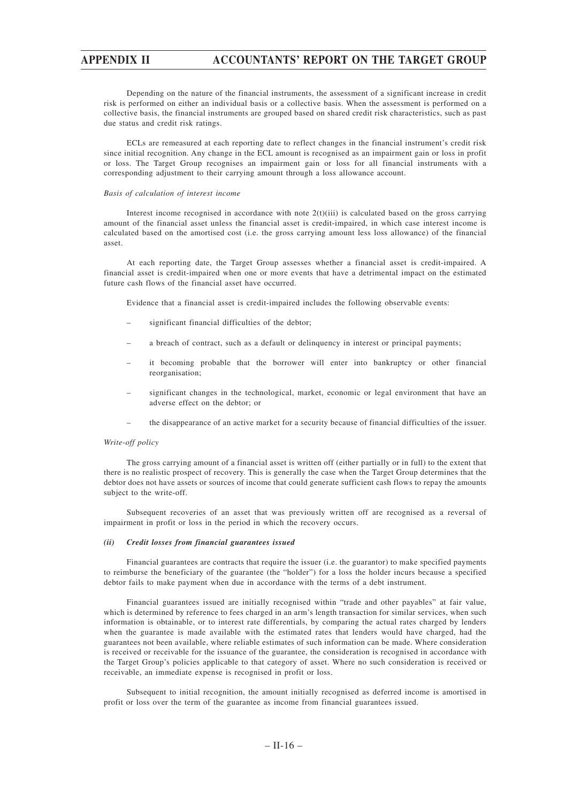Depending on the nature of the financial instruments, the assessment of a significant increase in credit risk is performed on either an individual basis or a collective basis. When the assessment is performed on a collective basis, the financial instruments are grouped based on shared credit risk characteristics, such as past due status and credit risk ratings.

ECLs are remeasured at each reporting date to reflect changes in the financial instrument's credit risk since initial recognition. Any change in the ECL amount is recognised as an impairment gain or loss in profit or loss. The Target Group recognises an impairment gain or loss for all financial instruments with a corresponding adjustment to their carrying amount through a loss allowance account.

#### *Basis of calculation of interest income*

Interest income recognised in accordance with note  $2(t)(iii)$  is calculated based on the gross carrying amount of the financial asset unless the financial asset is credit-impaired, in which case interest income is calculated based on the amortised cost (i.e. the gross carrying amount less loss allowance) of the financial asset.

At each reporting date, the Target Group assesses whether a financial asset is credit-impaired. A financial asset is credit-impaired when one or more events that have a detrimental impact on the estimated future cash flows of the financial asset have occurred.

Evidence that a financial asset is credit-impaired includes the following observable events:

- significant financial difficulties of the debtor;
- a breach of contract, such as a default or delinquency in interest or principal payments;
- it becoming probable that the borrower will enter into bankruptcy or other financial reorganisation;
- significant changes in the technological, market, economic or legal environment that have an adverse effect on the debtor; or
- the disappearance of an active market for a security because of financial difficulties of the issuer.

#### *Write-off policy*

The gross carrying amount of a financial asset is written off (either partially or in full) to the extent that there is no realistic prospect of recovery. This is generally the case when the Target Group determines that the debtor does not have assets or sources of income that could generate sufficient cash flows to repay the amounts subject to the write-off.

Subsequent recoveries of an asset that was previously written off are recognised as a reversal of impairment in profit or loss in the period in which the recovery occurs.

#### *(ii) Credit losses from financial guarantees issued*

Financial guarantees are contracts that require the issuer (i.e. the guarantor) to make specified payments to reimburse the beneficiary of the guarantee (the "holder") for a loss the holder incurs because a specified debtor fails to make payment when due in accordance with the terms of a debt instrument.

Financial guarantees issued are initially recognised within "trade and other payables" at fair value, which is determined by reference to fees charged in an arm's length transaction for similar services, when such information is obtainable, or to interest rate differentials, by comparing the actual rates charged by lenders when the guarantee is made available with the estimated rates that lenders would have charged, had the guarantees not been available, where reliable estimates of such information can be made. Where consideration is received or receivable for the issuance of the guarantee, the consideration is recognised in accordance with the Target Group's policies applicable to that category of asset. Where no such consideration is received or receivable, an immediate expense is recognised in profit or loss.

Subsequent to initial recognition, the amount initially recognised as deferred income is amortised in profit or loss over the term of the guarantee as income from financial guarantees issued.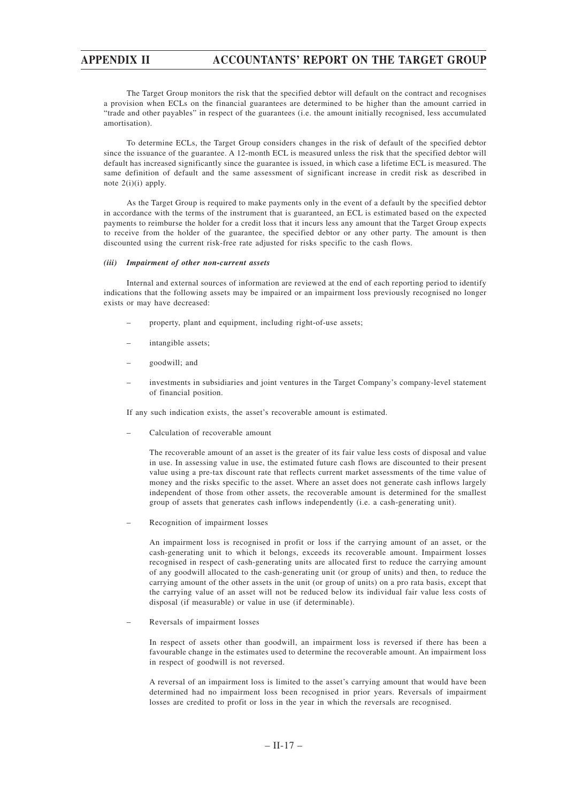The Target Group monitors the risk that the specified debtor will default on the contract and recognises a provision when ECLs on the financial guarantees are determined to be higher than the amount carried in "trade and other payables" in respect of the guarantees (i.e. the amount initially recognised, less accumulated amortisation).

To determine ECLs, the Target Group considers changes in the risk of default of the specified debtor since the issuance of the guarantee. A 12-month ECL is measured unless the risk that the specified debtor will default has increased significantly since the guarantee is issued, in which case a lifetime ECL is measured. The same definition of default and the same assessment of significant increase in credit risk as described in note 2(i)(i) apply.

As the Target Group is required to make payments only in the event of a default by the specified debtor in accordance with the terms of the instrument that is guaranteed, an ECL is estimated based on the expected payments to reimburse the holder for a credit loss that it incurs less any amount that the Target Group expects to receive from the holder of the guarantee, the specified debtor or any other party. The amount is then discounted using the current risk-free rate adjusted for risks specific to the cash flows.

#### *(iii) Impairment of other non-current assets*

Internal and external sources of information are reviewed at the end of each reporting period to identify indications that the following assets may be impaired or an impairment loss previously recognised no longer exists or may have decreased:

- property, plant and equipment, including right-of-use assets;
- intangible assets;
- goodwill; and
- investments in subsidiaries and joint ventures in the Target Company's company-level statement of financial position.

If any such indication exists, the asset's recoverable amount is estimated.

– Calculation of recoverable amount

The recoverable amount of an asset is the greater of its fair value less costs of disposal and value in use. In assessing value in use, the estimated future cash flows are discounted to their present value using a pre-tax discount rate that reflects current market assessments of the time value of money and the risks specific to the asset. Where an asset does not generate cash inflows largely independent of those from other assets, the recoverable amount is determined for the smallest group of assets that generates cash inflows independently (i.e. a cash-generating unit).

– Recognition of impairment losses

An impairment loss is recognised in profit or loss if the carrying amount of an asset, or the cash-generating unit to which it belongs, exceeds its recoverable amount. Impairment losses recognised in respect of cash-generating units are allocated first to reduce the carrying amount of any goodwill allocated to the cash-generating unit (or group of units) and then, to reduce the carrying amount of the other assets in the unit (or group of units) on a pro rata basis, except that the carrying value of an asset will not be reduced below its individual fair value less costs of disposal (if measurable) or value in use (if determinable).

– Reversals of impairment losses

In respect of assets other than goodwill, an impairment loss is reversed if there has been a favourable change in the estimates used to determine the recoverable amount. An impairment loss in respect of goodwill is not reversed.

A reversal of an impairment loss is limited to the asset's carrying amount that would have been determined had no impairment loss been recognised in prior years. Reversals of impairment losses are credited to profit or loss in the year in which the reversals are recognised.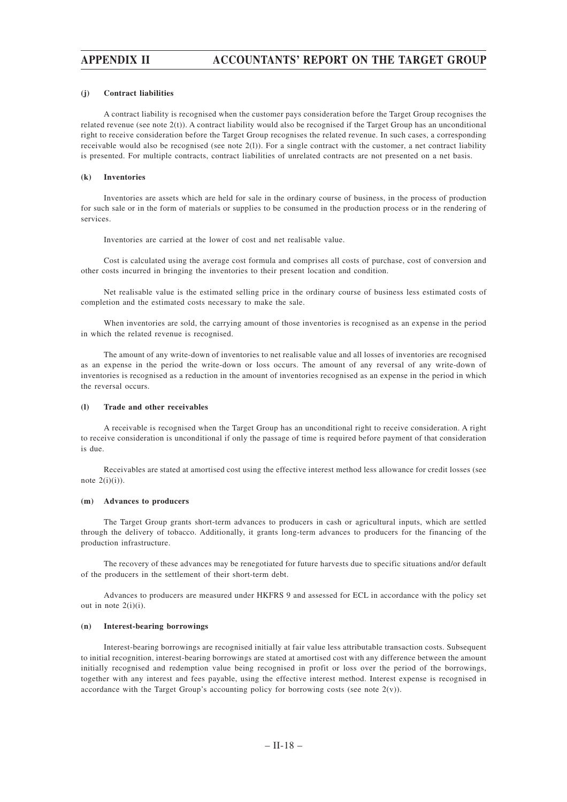#### **(j) Contract liabilities**

A contract liability is recognised when the customer pays consideration before the Target Group recognises the related revenue (see note 2(t)). A contract liability would also be recognised if the Target Group has an unconditional right to receive consideration before the Target Group recognises the related revenue. In such cases, a corresponding receivable would also be recognised (see note  $2(1)$ ). For a single contract with the customer, a net contract liability is presented. For multiple contracts, contract liabilities of unrelated contracts are not presented on a net basis.

#### **(k) Inventories**

Inventories are assets which are held for sale in the ordinary course of business, in the process of production for such sale or in the form of materials or supplies to be consumed in the production process or in the rendering of services.

Inventories are carried at the lower of cost and net realisable value.

Cost is calculated using the average cost formula and comprises all costs of purchase, cost of conversion and other costs incurred in bringing the inventories to their present location and condition.

Net realisable value is the estimated selling price in the ordinary course of business less estimated costs of completion and the estimated costs necessary to make the sale.

When inventories are sold, the carrying amount of those inventories is recognised as an expense in the period in which the related revenue is recognised.

The amount of any write-down of inventories to net realisable value and all losses of inventories are recognised as an expense in the period the write-down or loss occurs. The amount of any reversal of any write-down of inventories is recognised as a reduction in the amount of inventories recognised as an expense in the period in which the reversal occurs.

#### **(l) Trade and other receivables**

A receivable is recognised when the Target Group has an unconditional right to receive consideration. A right to receive consideration is unconditional if only the passage of time is required before payment of that consideration is due.

Receivables are stated at amortised cost using the effective interest method less allowance for credit losses (see note  $2(i)(i)$ ).

#### **(m) Advances to producers**

The Target Group grants short-term advances to producers in cash or agricultural inputs, which are settled through the delivery of tobacco. Additionally, it grants long-term advances to producers for the financing of the production infrastructure.

The recovery of these advances may be renegotiated for future harvests due to specific situations and/or default of the producers in the settlement of their short-term debt.

Advances to producers are measured under HKFRS 9 and assessed for ECL in accordance with the policy set out in note  $2(i)(i)$ .

#### **(n) Interest-bearing borrowings**

Interest-bearing borrowings are recognised initially at fair value less attributable transaction costs. Subsequent to initial recognition, interest-bearing borrowings are stated at amortised cost with any difference between the amount initially recognised and redemption value being recognised in profit or loss over the period of the borrowings, together with any interest and fees payable, using the effective interest method. Interest expense is recognised in accordance with the Target Group's accounting policy for borrowing costs (see note  $2(v)$ ).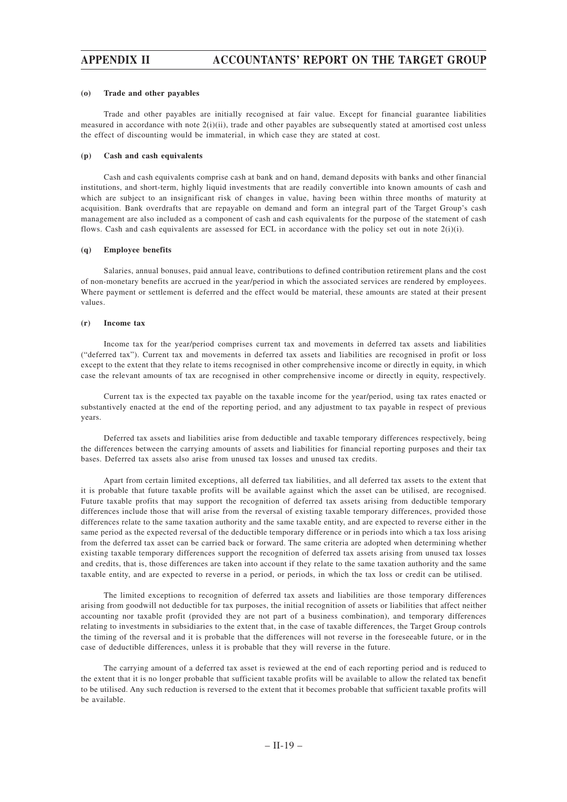#### **(o) Trade and other payables**

Trade and other payables are initially recognised at fair value. Except for financial guarantee liabilities measured in accordance with note 2(i)(ii), trade and other payables are subsequently stated at amortised cost unless the effect of discounting would be immaterial, in which case they are stated at cost.

### **(p) Cash and cash equivalents**

Cash and cash equivalents comprise cash at bank and on hand, demand deposits with banks and other financial institutions, and short-term, highly liquid investments that are readily convertible into known amounts of cash and which are subject to an insignificant risk of changes in value, having been within three months of maturity at acquisition. Bank overdrafts that are repayable on demand and form an integral part of the Target Group's cash management are also included as a component of cash and cash equivalents for the purpose of the statement of cash flows. Cash and cash equivalents are assessed for ECL in accordance with the policy set out in note  $2(i)(i)$ .

### **(q) Employee benefits**

Salaries, annual bonuses, paid annual leave, contributions to defined contribution retirement plans and the cost of non-monetary benefits are accrued in the year/period in which the associated services are rendered by employees. Where payment or settlement is deferred and the effect would be material, these amounts are stated at their present values.

#### **(r) Income tax**

Income tax for the year/period comprises current tax and movements in deferred tax assets and liabilities ("deferred tax"). Current tax and movements in deferred tax assets and liabilities are recognised in profit or loss except to the extent that they relate to items recognised in other comprehensive income or directly in equity, in which case the relevant amounts of tax are recognised in other comprehensive income or directly in equity, respectively.

Current tax is the expected tax payable on the taxable income for the year/period, using tax rates enacted or substantively enacted at the end of the reporting period, and any adjustment to tax payable in respect of previous years.

Deferred tax assets and liabilities arise from deductible and taxable temporary differences respectively, being the differences between the carrying amounts of assets and liabilities for financial reporting purposes and their tax bases. Deferred tax assets also arise from unused tax losses and unused tax credits.

Apart from certain limited exceptions, all deferred tax liabilities, and all deferred tax assets to the extent that it is probable that future taxable profits will be available against which the asset can be utilised, are recognised. Future taxable profits that may support the recognition of deferred tax assets arising from deductible temporary differences include those that will arise from the reversal of existing taxable temporary differences, provided those differences relate to the same taxation authority and the same taxable entity, and are expected to reverse either in the same period as the expected reversal of the deductible temporary difference or in periods into which a tax loss arising from the deferred tax asset can be carried back or forward. The same criteria are adopted when determining whether existing taxable temporary differences support the recognition of deferred tax assets arising from unused tax losses and credits, that is, those differences are taken into account if they relate to the same taxation authority and the same taxable entity, and are expected to reverse in a period, or periods, in which the tax loss or credit can be utilised.

The limited exceptions to recognition of deferred tax assets and liabilities are those temporary differences arising from goodwill not deductible for tax purposes, the initial recognition of assets or liabilities that affect neither accounting nor taxable profit (provided they are not part of a business combination), and temporary differences relating to investments in subsidiaries to the extent that, in the case of taxable differences, the Target Group controls the timing of the reversal and it is probable that the differences will not reverse in the foreseeable future, or in the case of deductible differences, unless it is probable that they will reverse in the future.

The carrying amount of a deferred tax asset is reviewed at the end of each reporting period and is reduced to the extent that it is no longer probable that sufficient taxable profits will be available to allow the related tax benefit to be utilised. Any such reduction is reversed to the extent that it becomes probable that sufficient taxable profits will be available.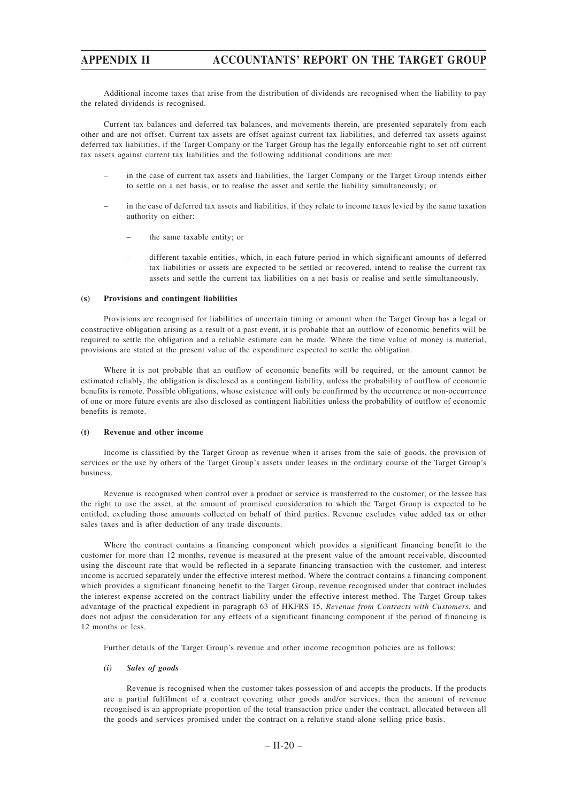Additional income taxes that arise from the distribution of dividends are recognised when the liability to pay the related dividends is recognised.

Current tax balances and deferred tax balances, and movements therein, are presented separately from each other and are not offset. Current tax assets are offset against current tax liabilities, and deferred tax assets against deferred tax liabilities, if the Target Company or the Target Group has the legally enforceable right to set off current tax assets against current tax liabilities and the following additional conditions are met:

- in the case of current tax assets and liabilities, the Target Company or the Target Group intends either to settle on a net basis, or to realise the asset and settle the liability simultaneously; or
- in the case of deferred tax assets and liabilities, if they relate to income taxes levied by the same taxation authority on either:
	- the same taxable entity; or
	- different taxable entities, which, in each future period in which significant amounts of deferred tax liabilities or assets are expected to be settled or recovered, intend to realise the current tax assets and settle the current tax liabilities on a net basis or realise and settle simultaneously.

### **(s) Provisions and contingent liabilities**

Provisions are recognised for liabilities of uncertain timing or amount when the Target Group has a legal or constructive obligation arising as a result of a past event, it is probable that an outflow of economic benefits will be required to settle the obligation and a reliable estimate can be made. Where the time value of money is material, provisions are stated at the present value of the expenditure expected to settle the obligation.

Where it is not probable that an outflow of economic benefits will be required, or the amount cannot be estimated reliably, the obligation is disclosed as a contingent liability, unless the probability of outflow of economic benefits is remote. Possible obligations, whose existence will only be confirmed by the occurrence or non-occurrence of one or more future events are also disclosed as contingent liabilities unless the probability of outflow of economic benefits is remote.

### **(t) Revenue and other income**

Income is classified by the Target Group as revenue when it arises from the sale of goods, the provision of services or the use by others of the Target Group's assets under leases in the ordinary course of the Target Group's business.

Revenue is recognised when control over a product or service is transferred to the customer, or the lessee has the right to use the asset, at the amount of promised consideration to which the Target Group is expected to be entitled, excluding those amounts collected on behalf of third parties. Revenue excludes value added tax or other sales taxes and is after deduction of any trade discounts.

Where the contract contains a financing component which provides a significant financing benefit to the customer for more than 12 months, revenue is measured at the present value of the amount receivable, discounted using the discount rate that would be reflected in a separate financing transaction with the customer, and interest income is accrued separately under the effective interest method. Where the contract contains a financing component which provides a significant financing benefit to the Target Group, revenue recognised under that contract includes the interest expense accreted on the contract liability under the effective interest method. The Target Group takes advantage of the practical expedient in paragraph 63 of HKFRS 15, *Revenue from Contracts with Customers*, and does not adjust the consideration for any effects of a significant financing component if the period of financing is 12 months or less.

Further details of the Target Group's revenue and other income recognition policies are as follows:

### *(i) Sales of goods*

Revenue is recognised when the customer takes possession of and accepts the products. If the products are a partial fulfilment of a contract covering other goods and/or services, then the amount of revenue recognised is an appropriate proportion of the total transaction price under the contract, allocated between all the goods and services promised under the contract on a relative stand-alone selling price basis.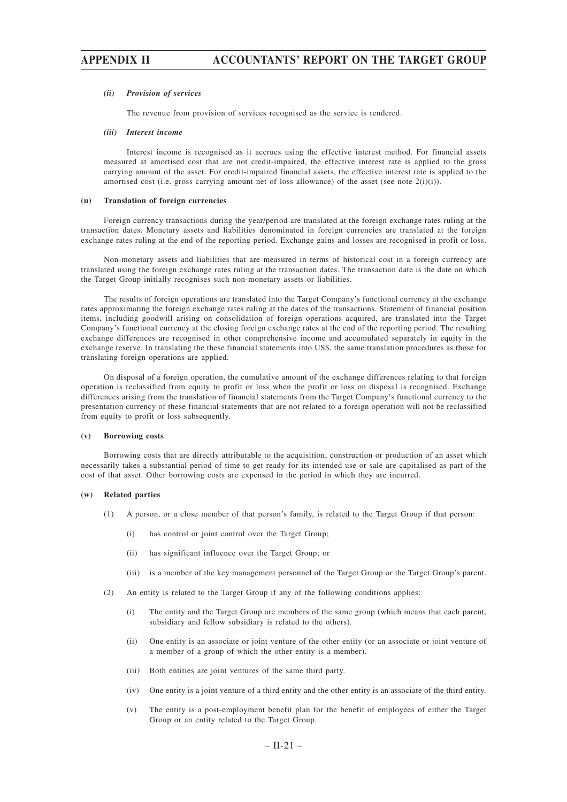#### *(ii) Provision of services*

The revenue from provision of services recognised as the service is rendered.

### *(iii) Interest income*

Interest income is recognised as it accrues using the effective interest method. For financial assets measured at amortised cost that are not credit-impaired, the effective interest rate is applied to the gross carrying amount of the asset. For credit-impaired financial assets, the effective interest rate is applied to the amortised cost (i.e. gross carrying amount net of loss allowance) of the asset (see note  $2(i)(i)$ ).

#### **(u) Translation of foreign currencies**

Foreign currency transactions during the year/period are translated at the foreign exchange rates ruling at the transaction dates. Monetary assets and liabilities denominated in foreign currencies are translated at the foreign exchange rates ruling at the end of the reporting period. Exchange gains and losses are recognised in profit or loss.

Non-monetary assets and liabilities that are measured in terms of historical cost in a foreign currency are translated using the foreign exchange rates ruling at the transaction dates. The transaction date is the date on which the Target Group initially recognises such non-monetary assets or liabilities.

The results of foreign operations are translated into the Target Company's functional currency at the exchange rates approximating the foreign exchange rates ruling at the dates of the transactions. Statement of financial position items, including goodwill arising on consolidation of foreign operations acquired, are translated into the Target Company's functional currency at the closing foreign exchange rates at the end of the reporting period. The resulting exchange differences are recognised in other comprehensive income and accumulated separately in equity in the exchange reserve. In translating the these financial statements into US\$, the same translation procedures as those for translating foreign operations are applied.

On disposal of a foreign operation, the cumulative amount of the exchange differences relating to that foreign operation is reclassified from equity to profit or loss when the profit or loss on disposal is recognised. Exchange differences arising from the translation of financial statements from the Target Company's functional currency to the presentation currency of these financial statements that are not related to a foreign operation will not be reclassified from equity to profit or loss subsequently.

#### **(v) Borrowing costs**

Borrowing costs that are directly attributable to the acquisition, construction or production of an asset which necessarily takes a substantial period of time to get ready for its intended use or sale are capitalised as part of the cost of that asset. Other borrowing costs are expensed in the period in which they are incurred.

### **(w) Related parties**

- (1) A person, or a close member of that person's family, is related to the Target Group if that person:
	- (i) has control or joint control over the Target Group;
	- (ii) has significant influence over the Target Group; or
	- (iii) is a member of the key management personnel of the Target Group or the Target Group's parent.
- (2) An entity is related to the Target Group if any of the following conditions applies:
	- (i) The entity and the Target Group are members of the same group (which means that each parent, subsidiary and fellow subsidiary is related to the others).
	- (ii) One entity is an associate or joint venture of the other entity (or an associate or joint venture of a member of a group of which the other entity is a member).
	- (iii) Both entities are joint ventures of the same third party.
	- (iv) One entity is a joint venture of a third entity and the other entity is an associate of the third entity.
	- (v) The entity is a post-employment benefit plan for the benefit of employees of either the Target Group or an entity related to the Target Group.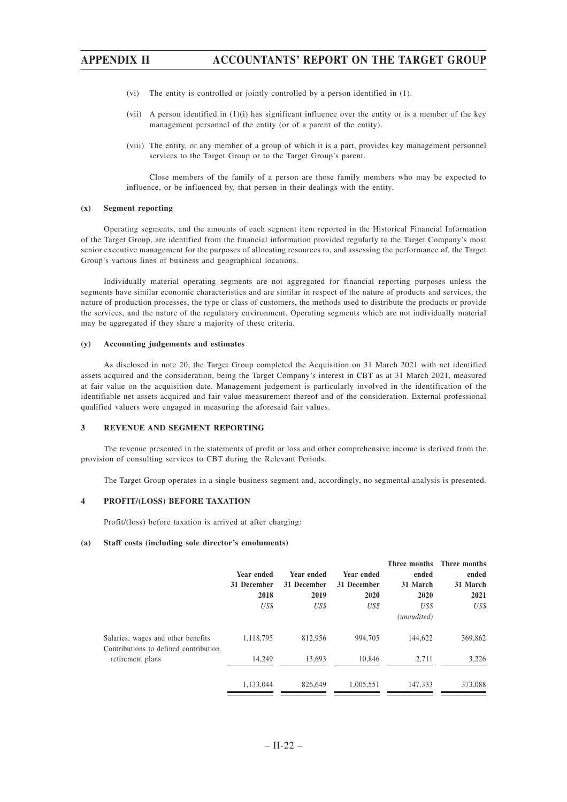- (vi) The entity is controlled or jointly controlled by a person identified in (1).
- (vii) A person identified in (1)(i) has significant influence over the entity or is a member of the key management personnel of the entity (or of a parent of the entity).
- (viii) The entity, or any member of a group of which it is a part, provides key management personnel services to the Target Group or to the Target Group's parent.

Close members of the family of a person are those family members who may be expected to influence, or be influenced by, that person in their dealings with the entity.

#### **(x) Segment reporting**

Operating segments, and the amounts of each segment item reported in the Historical Financial Information of the Target Group, are identified from the financial information provided regularly to the Target Company's most senior executive management for the purposes of allocating resources to, and assessing the performance of, the Target Group's various lines of business and geographical locations.

Individually material operating segments are not aggregated for financial reporting purposes unless the segments have similar economic characteristics and are similar in respect of the nature of products and services, the nature of production processes, the type or class of customers, the methods used to distribute the products or provide the services, and the nature of the regulatory environment. Operating segments which are not individually material may be aggregated if they share a majority of these criteria.

#### **(y) Accounting judgements and estimates**

As disclosed in note 20, the Target Group completed the Acquisition on 31 March 2021 with net identified assets acquired and the consideration, being the Target Company's interest in CBT as at 31 March 2021, measured at fair value on the acquisition date. Management judgement is particularly involved in the identification of the identifiable net assets acquired and fair value measurement thereof and of the consideration. External professional qualified valuers were engaged in measuring the aforesaid fair values.

#### **3 REVENUE AND SEGMENT REPORTING**

The revenue presented in the statements of profit or loss and other comprehensive income is derived from the provision of consulting services to CBT during the Relevant Periods.

The Target Group operates in a single business segment and, accordingly, no segmental analysis is presented.

### **4 PROFIT/(LOSS) BEFORE TAXATION**

Profit/(loss) before taxation is arrived at after charging:

#### **(a) Staff costs (including sole director's emoluments)**

|                                                                             | Year ended<br>31 December<br>2018<br>US\$ | Year ended<br>31 December<br>2019<br>US\$ | Year ended<br>31 December<br>2020<br>US\$ | ended<br>31 March<br>2020<br>US\$ | Three months Three months<br>ended<br>31 March<br>2021<br>US\$ |
|-----------------------------------------------------------------------------|-------------------------------------------|-------------------------------------------|-------------------------------------------|-----------------------------------|----------------------------------------------------------------|
| Salaries, wages and other benefits<br>Contributions to defined contribution | 1,118,795                                 | 812,956                                   | 994,705                                   | (unaudited)<br>144,622            | 369,862                                                        |
| retirement plans                                                            | 14.249                                    | 13.693                                    | 10.846                                    | 2.711                             | 3,226<br>373,088                                               |
|                                                                             | 1,133,044                                 | 826,649                                   | 1,005,551                                 | 147,333                           |                                                                |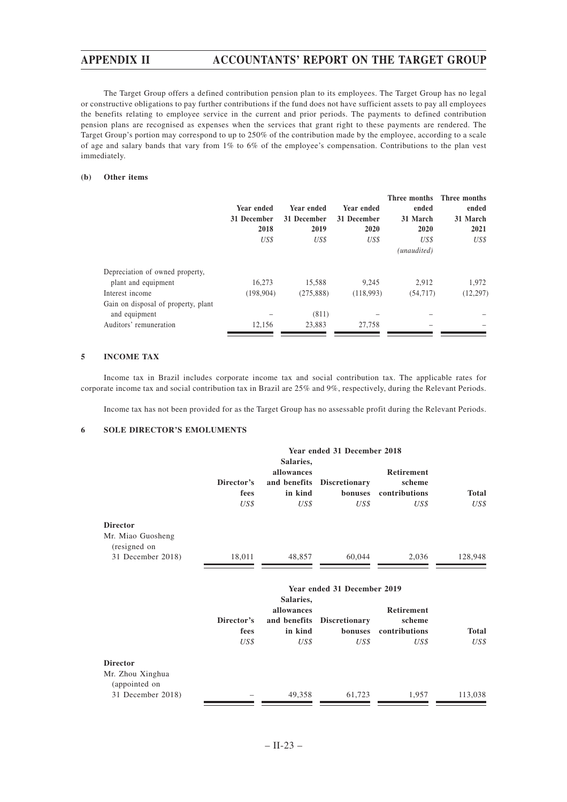The Target Group offers a defined contribution pension plan to its employees. The Target Group has no legal or constructive obligations to pay further contributions if the fund does not have sufficient assets to pay all employees the benefits relating to employee service in the current and prior periods. The payments to defined contribution pension plans are recognised as expenses when the services that grant right to these payments are rendered. The Target Group's portion may correspond to up to 250% of the contribution made by the employee, according to a scale of age and salary bands that vary from 1% to 6% of the employee's compensation. Contributions to the plan vest immediately.

### **(b) Other items**

|                                                        | Year ended<br>31 December<br>2018 | Year ended<br>31 December<br>2019 | Year ended<br>31 December<br>2020 | Three months<br>ended<br>31 March<br>2020 | Three months<br>ended<br>31 March<br>2021 |
|--------------------------------------------------------|-----------------------------------|-----------------------------------|-----------------------------------|-------------------------------------------|-------------------------------------------|
|                                                        | US\$                              | US\$                              | US\$                              | US\$<br>(unaudited)                       | US\$                                      |
| Depreciation of owned property,<br>plant and equipment | 16.273                            | 15,588                            | 9,245                             | 2.912                                     | 1,972                                     |
| Interest income                                        | (198, 904)                        | (275, 888)                        | (118,993)                         | (54, 717)                                 | (12, 297)                                 |
| Gain on disposal of property, plant<br>and equipment   |                                   | (811)                             |                                   |                                           |                                           |
| Auditors' remuneration                                 | 12.156                            | 23.883                            | 27.758                            |                                           |                                           |

### **5 INCOME TAX**

Income tax in Brazil includes corporate income tax and social contribution tax. The applicable rates for corporate income tax and social contribution tax in Brazil are 25% and 9%, respectively, during the Relevant Periods.

Income tax has not been provided for as the Target Group has no assessable profit during the Relevant Periods.

### **6 SOLE DIRECTOR'S EMOLUMENTS**

|                                                                           |                            |                                                            | Year ended 31 December 2018                                            |                                                      |                      |
|---------------------------------------------------------------------------|----------------------------|------------------------------------------------------------|------------------------------------------------------------------------|------------------------------------------------------|----------------------|
|                                                                           | Director's<br>fees<br>US\$ | Salaries,<br>allowances<br>and benefits<br>in kind<br>US\$ | <b>Discretionary</b><br>bonuses<br>US\$                                | Retirement<br>scheme<br>contributions<br>US\$        | <b>Total</b><br>US\$ |
| <b>Director</b><br>Mr. Miao Guosheng<br>(resigned on<br>31 December 2018) | 18,011                     | 48,857                                                     | 60,044                                                                 | 2,036                                                | 128,948              |
|                                                                           | Director's<br>fees<br>US\$ | Salaries,<br>allowances<br>and benefits<br>in kind<br>US\$ | Year ended 31 December 2019<br><b>Discretionary</b><br>bonuses<br>US\$ | <b>Retirement</b><br>scheme<br>contributions<br>US\$ | <b>Total</b><br>US\$ |
| <b>Director</b><br>Mr. Zhou Xinghua<br>(appointed on                      |                            |                                                            |                                                                        |                                                      |                      |

31 December 2018) – 49,358 61,723 1,957 113,038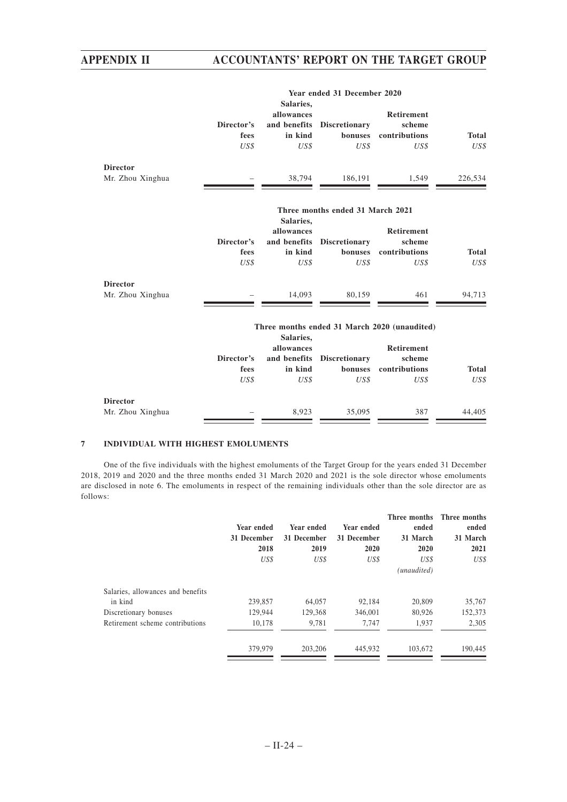|                  |                            |                                                            | Year ended 31 December 2020             |                                                      |                      |
|------------------|----------------------------|------------------------------------------------------------|-----------------------------------------|------------------------------------------------------|----------------------|
|                  | Director's<br>fees<br>US\$ | Salaries,<br>allowances<br>and benefits<br>in kind<br>US\$ | <b>Discretionary</b><br>bonuses<br>US\$ | <b>Retirement</b><br>scheme<br>contributions<br>US\$ | <b>Total</b><br>US\$ |
| <b>Director</b>  |                            |                                                            |                                         |                                                      |                      |
| Mr. Zhou Xinghua |                            | 38,794                                                     | 186,191                                 | 1,549                                                | 226,534              |
|                  |                            | Salaries,                                                  | Three months ended 31 March 2021        |                                                      |                      |
|                  |                            | allowances                                                 |                                         | <b>Retirement</b>                                    |                      |
|                  | Director's                 | and benefits                                               | <b>Discretionary</b>                    | scheme                                               |                      |
|                  | fees                       | in kind                                                    | bonuses                                 | contributions                                        | Total                |
|                  | US\$                       | US\$                                                       | US\$                                    | US\$                                                 | US\$                 |

| <b>Director</b>  |        |        |        |     |        |
|------------------|--------|--------|--------|-----|--------|
| Mr. Zhou Xinghua | $\sim$ | 14.093 | 80.159 | 461 | 94,713 |
|                  |        |        |        |     |        |

| Three months ended 31 March 2020 (unaudited) |  |  |  |
|----------------------------------------------|--|--|--|
| Salariac                                     |  |  |  |

|                  | Director's<br>fees | Salaries,<br>allowances<br>in kind | and benefits Discretionary<br>bonuses | <b>Retirement</b><br>scheme<br>contributions | <b>Total</b> |
|------------------|--------------------|------------------------------------|---------------------------------------|----------------------------------------------|--------------|
|                  | US\$               | US\$                               | US\$                                  | US\$                                         | US\$         |
| <b>Director</b>  |                    |                                    |                                       |                                              |              |
| Mr. Zhou Xinghua | -                  | 8.923                              | 35,095                                | 387                                          | 44,405       |

### **7 INDIVIDUAL WITH HIGHEST EMOLUMENTS**

One of the five individuals with the highest emoluments of the Target Group for the years ended 31 December 2018, 2019 and 2020 and the three months ended 31 March 2020 and 2021 is the sole director whose emoluments are disclosed in note 6. The emoluments in respect of the remaining individuals other than the sole director are as follows:

|                                   | Year ended<br>31 December<br>2018<br>US\$ | Year ended<br>31 December<br>2019<br>US\$ | Year ended<br>31 December<br>2020<br>US\$ | Three months<br>ended<br>31 March<br>2020<br>US\$<br>(unaudited) | Three months<br>ended<br>31 March<br>2021<br>US\$ |
|-----------------------------------|-------------------------------------------|-------------------------------------------|-------------------------------------------|------------------------------------------------------------------|---------------------------------------------------|
| Salaries, allowances and benefits |                                           |                                           |                                           |                                                                  |                                                   |
| in kind                           | 239,857                                   | 64,057                                    | 92.184                                    | 20,809                                                           | 35,767                                            |
| Discretionary bonuses             | 129,944                                   | 129,368                                   | 346,001                                   | 80.926                                                           | 152,373                                           |
| Retirement scheme contributions   | 10,178                                    | 9,781                                     | 7.747                                     | 1,937                                                            | 2,305                                             |
|                                   | 379,979                                   | 203,206                                   | 445,932                                   | 103,672                                                          | 190,445                                           |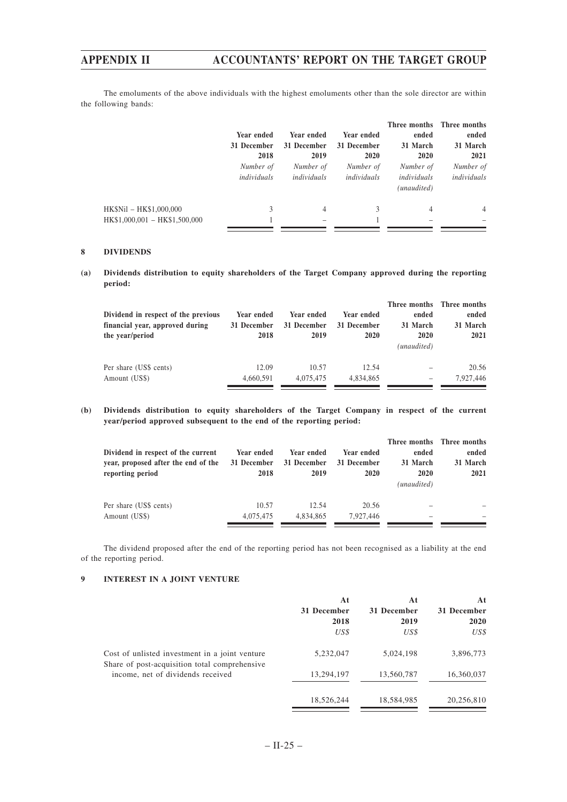The emoluments of the above individuals with the highest emoluments other than the sole director are within the following bands:

|                                                          | Year ended<br>31 December<br>2018 | Year ended<br>31 December<br>2019 | Year ended<br>31 December<br>2020 | ended<br>31 March<br>2020               | Three months Three months<br>ended<br>31 March<br>2021 |
|----------------------------------------------------------|-----------------------------------|-----------------------------------|-----------------------------------|-----------------------------------------|--------------------------------------------------------|
|                                                          | Number of<br>individuals          | Number of<br>individuals          | Number of<br>individuals          | Number of<br>individuals<br>(unaudited) | Number of<br>individuals                               |
| HK\$Nil - HK\$1,000,000<br>HK\$1,000,001 - HK\$1,500,000 | 3                                 | 4                                 | 3                                 | 4                                       | 4                                                      |

### **8 DIVIDENDS**

**(a) Dividends distribution to equity shareholders of the Target Company approved during the reporting period:**

| Dividend in respect of the previous<br>financial year, approved during<br>the year/period | Year ended<br>31 December<br>2018 | Year ended<br>31 December<br>2019 | Year ended<br>31 December<br>2020 | ended<br>31 March<br>2020<br>(unaudited)                                  | Three months Three months<br>ended<br>31 March<br>2021 |
|-------------------------------------------------------------------------------------------|-----------------------------------|-----------------------------------|-----------------------------------|---------------------------------------------------------------------------|--------------------------------------------------------|
| Per share (US\$ cents)                                                                    | 12.09                             | 10.57                             | 12.54                             | -                                                                         | 20.56                                                  |
| Amount (US\$)                                                                             | 4,660,591                         | 4,075,475                         | 4,834,865                         | $\hspace{1.0cm} \rule{1.5cm}{0.15cm} \hspace{1.0cm} \rule{1.5cm}{0.15cm}$ | 7.927.446                                              |
|                                                                                           |                                   |                                   |                                   |                                                                           |                                                        |

**(b) Dividends distribution to equity shareholders of the Target Company in respect of the current year/period approved subsequent to the end of the reporting period:**

| Dividend in respect of the current<br>year, proposed after the end of the<br>reporting period | Year ended<br>31 December<br>2018 | Year ended<br>31 December<br>2019 | Year ended<br>31 December<br>2020 | ended<br>31 March<br>2020<br>(unaudited) | Three months Three months<br>ended<br>31 March<br>2021 |
|-----------------------------------------------------------------------------------------------|-----------------------------------|-----------------------------------|-----------------------------------|------------------------------------------|--------------------------------------------------------|
| Per share (US\$ cents)                                                                        | 10.57                             | 12.54                             | 20.56                             |                                          |                                                        |
| Amount (US\$)                                                                                 | 4,075,475                         | 4.834.865                         | 7.927.446                         | $\overline{\phantom{a}}$                 |                                                        |

The dividend proposed after the end of the reporting period has not been recognised as a liability at the end of the reporting period.

### **9 INTEREST IN A JOINT VENTURE**

|                                                                                                 | At<br>31 December<br>2018 | At<br>31 December<br>2019 | At<br>31 December<br>2020 |
|-------------------------------------------------------------------------------------------------|---------------------------|---------------------------|---------------------------|
|                                                                                                 | US\$                      | US\$                      | US\$                      |
| Cost of unlisted investment in a joint venture<br>Share of post-acquisition total comprehensive | 5,232,047                 | 5,024,198                 | 3,896,773                 |
| income, net of dividends received                                                               | 13,294,197                | 13,560,787                | 16,360,037                |
|                                                                                                 | 18,526,244                | 18,584,985                | 20,256,810                |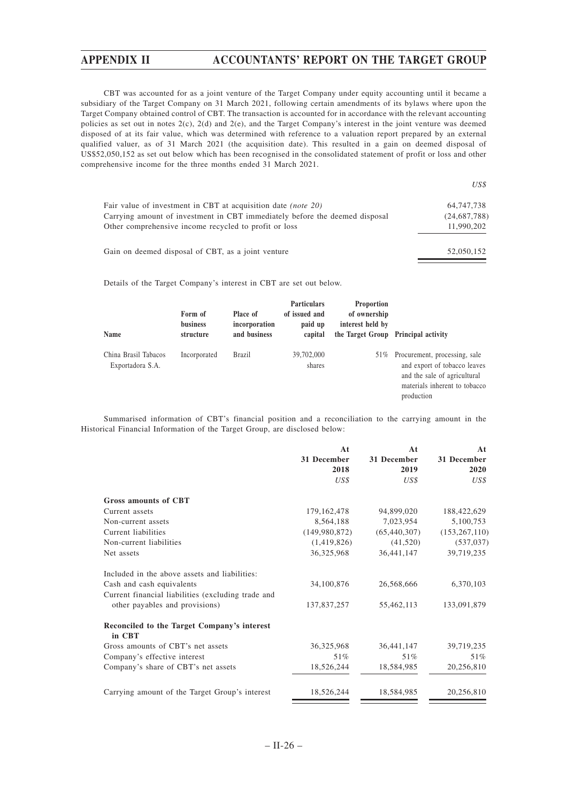$U$ 

CBT was accounted for as a joint venture of the Target Company under equity accounting until it became a subsidiary of the Target Company on 31 March 2021, following certain amendments of its bylaws where upon the Target Company obtained control of CBT. The transaction is accounted for in accordance with the relevant accounting policies as set out in notes  $2(c)$ ,  $2(d)$  and  $2(e)$ , and the Target Company's interest in the joint venture was deemed disposed of at its fair value, which was determined with reference to a valuation report prepared by an external qualified valuer, as of 31 March 2021 (the acquisition date). This resulted in a gain on deemed disposal of US\$52,050,152 as set out below which has been recognised in the consolidated statement of profit or loss and other comprehensive income for the three months ended 31 March 2021.

|                                                                             | USS.         |
|-----------------------------------------------------------------------------|--------------|
| Fair value of investment in CBT at acquisition date <i>(note 20)</i>        | 64,747,738   |
| Carrying amount of investment in CBT immediately before the deemed disposal | (24,687,788) |
| Other comprehensive income recycled to profit or loss                       | 11,990,202   |
| Gain on deemed disposal of CBT, as a joint venture                          | 52,050,152   |

Details of the Target Company's interest in CBT are set out below.

| Name                                     | Form of<br><b>business</b><br>structure | Place of<br>incorporation<br>and business | <b>Particulars</b><br>of issued and<br>paid up<br>capital | <b>Proportion</b><br>of ownership<br>interest held by | the Target Group Principal activity                                                                                                          |
|------------------------------------------|-----------------------------------------|-------------------------------------------|-----------------------------------------------------------|-------------------------------------------------------|----------------------------------------------------------------------------------------------------------------------------------------------|
| China Brasil Tabacos<br>Exportadora S.A. | Incorporated                            | Brazil                                    | 39,702,000<br>shares                                      | 51%                                                   | Procurement, processing, sale<br>and export of tobacco leaves<br>and the sale of agricultural<br>materials inherent to tobacco<br>production |

Summarised information of CBT's financial position and a reconciliation to the carrying amount in the Historical Financial Information of the Target Group, are disclosed below:

|                                                       | At            | At             | At              |
|-------------------------------------------------------|---------------|----------------|-----------------|
|                                                       | 31 December   | 31 December    | 31 December     |
|                                                       | 2018          | 2019           | 2020            |
|                                                       | US\$          | US\$           | US\$            |
| <b>Gross amounts of CBT</b>                           |               |                |                 |
| Current assets                                        | 179, 162, 478 | 94,899,020     | 188,422,629     |
| Non-current assets                                    | 8,564,188     | 7,023,954      | 5,100,753       |
| Current liabilities                                   | (149,980,872) | (65, 440, 307) | (153, 267, 110) |
| Non-current liabilities                               | (1,419,826)   | (41,520)       | (537, 037)      |
| Net assets                                            | 36,325,968    | 36,441,147     | 39,719,235      |
| Included in the above assets and liabilities:         |               |                |                 |
| Cash and cash equivalents                             | 34,100,876    | 26,568,666     | 6,370,103       |
| Current financial liabilities (excluding trade and    |               |                |                 |
| other payables and provisions)                        | 137,837,257   | 55,462,113     | 133,091,879     |
| Reconciled to the Target Company's interest<br>in CBT |               |                |                 |
| Gross amounts of CBT's net assets                     | 36, 325, 968  | 36,441,147     | 39,719,235      |
| Company's effective interest                          | 51%           | 51%            | 51%             |
| Company's share of CBT's net assets                   | 18,526,244    | 18,584,985     | 20,256,810      |
| Carrying amount of the Target Group's interest        | 18,526,244    | 18,584,985     | 20,256,810      |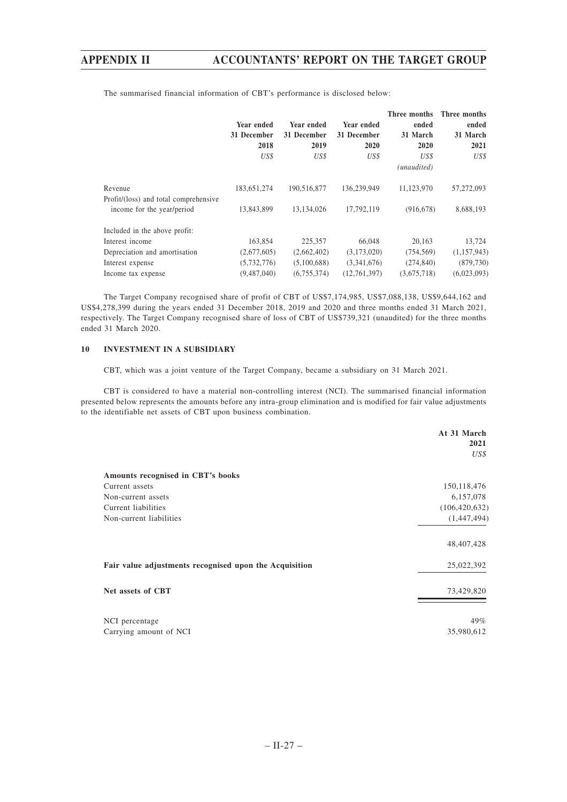|                                       | Year ended<br>31 December<br>2018<br>US\$ | Year ended<br>31 December<br>2019<br>US\$ | Year ended<br>31 December<br>2020<br>US\$ | Three months<br>ended<br>31 March<br>2020<br>US\$<br>(unaudited) | Three months<br>ended<br>31 March<br>2021<br>US\$ |
|---------------------------------------|-------------------------------------------|-------------------------------------------|-------------------------------------------|------------------------------------------------------------------|---------------------------------------------------|
| Revenue                               | 183,651,274                               | 190,516,877                               | 136,239,949                               | 11,123,970                                                       | 57,272,093                                        |
| Profit/(loss) and total comprehensive |                                           |                                           |                                           |                                                                  |                                                   |
| income for the year/period            | 13,843,899                                | 13,134,026                                | 17,792,119                                | (916, 678)                                                       | 8,688,193                                         |
| Included in the above profit:         |                                           |                                           |                                           |                                                                  |                                                   |
| Interest income                       | 163,854                                   | 225,357                                   | 66,048                                    | 20,163                                                           | 13,724                                            |
| Depreciation and amortisation         | (2,677,605)                               | (2,662,402)                               | (3,173,020)                               | (754, 569)                                                       | (1,157,943)                                       |
| Interest expense                      | (5,732,776)                               | (5,100,688)                               | (3,341,676)                               | (274, 840)                                                       | (879, 730)                                        |
| Income tax expense                    | (9,487,040)                               | (6,755,374)                               | (12,761,397)                              | (3,675,718)                                                      | (6,023,093)                                       |

The summarised financial information of CBT's performance is disclosed below:

The Target Company recognised share of profit of CBT of US\$7,174,985, US\$7,088,138, US\$9,644,162 and US\$4,278,399 during the years ended 31 December 2018, 2019 and 2020 and three months ended 31 March 2021, respectively. The Target Company recognised share of loss of CBT of US\$739,321 (unaudited) for the three months ended 31 March 2020.

### **10 INVESTMENT IN A SUBSIDIARY**

CBT, which was a joint venture of the Target Company, became a subsidiary on 31 March 2021.

CBT is considered to have a material non-controlling interest (NCI). The summarised financial information presented below represents the amounts before any intra-group elimination and is modified for fair value adjustments to the identifiable net assets of CBT upon business combination.

| 2021<br>Amounts recognised in CBT's books                            | US\$ |
|----------------------------------------------------------------------|------|
|                                                                      |      |
|                                                                      |      |
| 150, 118, 476<br>Current assets                                      |      |
| 6,157,078<br>Non-current assets                                      |      |
| Current liabilities<br>(106, 420, 632)                               |      |
| (1,447,494)<br>Non-current liabilities                               |      |
| 48, 407, 428                                                         |      |
| Fair value adjustments recognised upon the Acquisition<br>25,022,392 |      |
| Net assets of CBT<br>73,429,820                                      |      |
| 49%<br>NCI percentage                                                |      |
| Carrying amount of NCI<br>35,980,612                                 |      |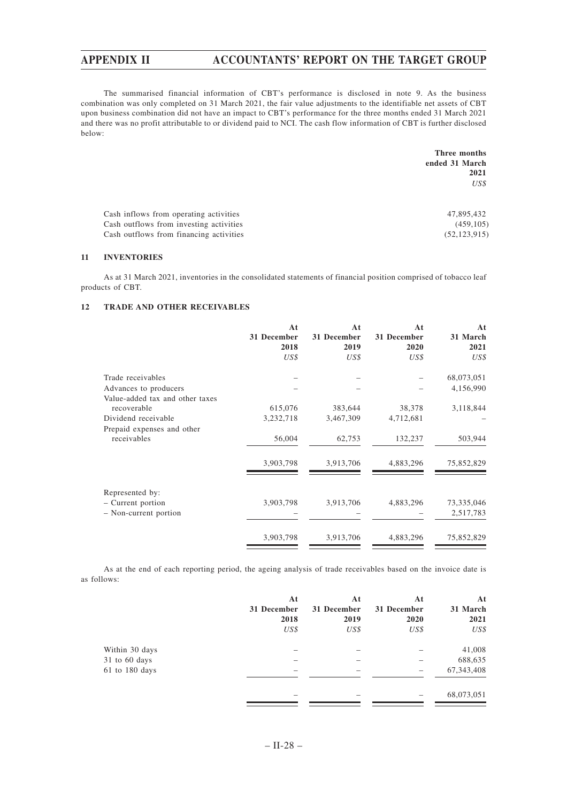The summarised financial information of CBT's performance is disclosed in note 9. As the business combination was only completed on 31 March 2021, the fair value adjustments to the identifiable net assets of CBT upon business combination did not have an impact to CBT's performance for the three months ended 31 March 2021 and there was no profit attributable to or dividend paid to NCI. The cash flow information of CBT is further disclosed below:

|                                         | Three months   |
|-----------------------------------------|----------------|
|                                         | ended 31 March |
|                                         | 2021           |
|                                         | US\$           |
|                                         |                |
| Cash inflows from operating activities  | 47,895,432     |
| Cash outflows from investing activities | (459, 105)     |
| Cash outflows from financing activities | (52, 123, 915) |
|                                         |                |

### **11 INVENTORIES**

As at 31 March 2021, inventories in the consolidated statements of financial position comprised of tobacco leaf products of CBT.

## **12 TRADE AND OTHER RECEIVABLES**

|                                      | At          | At          | At          | At         |
|--------------------------------------|-------------|-------------|-------------|------------|
|                                      | 31 December | 31 December | 31 December | 31 March   |
|                                      | 2018        | 2019        | 2020        | 2021       |
|                                      | US\$        | US\$        | US\$        | US\$       |
| Trade receivables                    |             |             |             | 68,073,051 |
| Advances to producers                |             |             |             | 4,156,990  |
| Value-added tax and other taxes      |             |             |             |            |
| recoverable                          | 615,076     | 383,644     | 38,378      | 3,118,844  |
| Dividend receivable                  | 3,232,718   | 3,467,309   | 4,712,681   |            |
| Prepaid expenses and other           |             |             |             |            |
| receivables                          | 56,004      | 62,753      | 132,237     | 503,944    |
|                                      | 3,903,798   | 3,913,706   | 4,883,296   | 75,852,829 |
|                                      |             |             |             |            |
| Represented by:<br>- Current portion | 3,903,798   | 3,913,706   | 4,883,296   | 73,335,046 |
| - Non-current portion                |             |             |             | 2,517,783  |
|                                      |             |             |             |            |
|                                      | 3,903,798   | 3,913,706   | 4,883,296   | 75,852,829 |
|                                      |             |             |             |            |

As at the end of each reporting period, the ageing analysis of trade receivables based on the invoice date is as follows:

|                | At          | At          | At          | At           |
|----------------|-------------|-------------|-------------|--------------|
|                | 31 December | 31 December | 31 December | 31 March     |
|                | 2018        | 2019        | 2020        | 2021         |
|                | US\$        | US\$        | US\$        | US\$         |
| Within 30 days |             |             |             | 41,008       |
| 31 to 60 days  |             | -           |             | 688,635      |
| 61 to 180 days | -           | -           |             | 67, 343, 408 |
|                |             |             |             | 68,073,051   |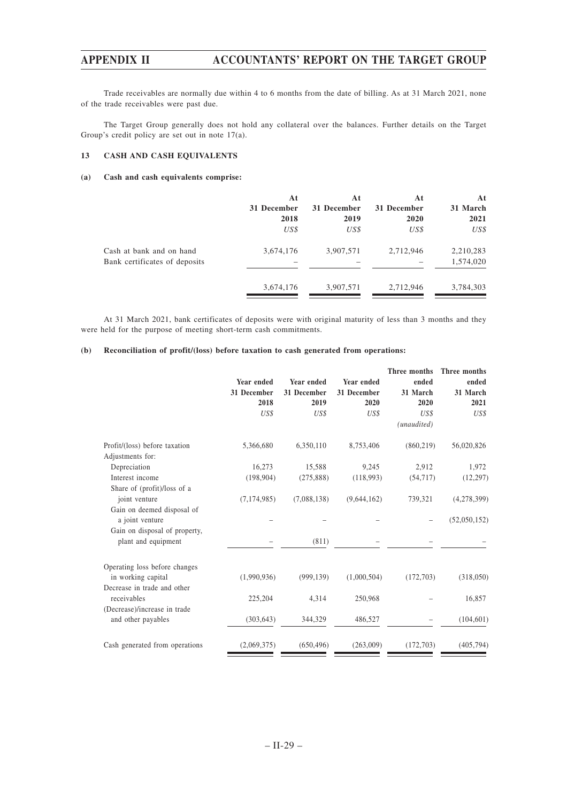Trade receivables are normally due within 4 to 6 months from the date of billing. As at 31 March 2021, none of the trade receivables were past due.

The Target Group generally does not hold any collateral over the balances. Further details on the Target Group's credit policy are set out in note 17(a).

### **13 CASH AND CASH EQUIVALENTS**

### **(a) Cash and cash equivalents comprise:**

|                               | At          | At          | At          | At        |
|-------------------------------|-------------|-------------|-------------|-----------|
|                               | 31 December | 31 December | 31 December | 31 March  |
|                               | 2018        | 2019        | 2020        | 2021      |
|                               | US\$        | US\$        | US\$        | US\$      |
| Cash at bank and on hand      | 3,674,176   | 3,907,571   | 2,712,946   | 2,210,283 |
| Bank certificates of deposits |             |             |             | 1,574,020 |
|                               | 3,674,176   | 3,907,571   | 2,712,946   | 3,784,303 |

At 31 March 2021, bank certificates of deposits were with original maturity of less than 3 months and they were held for the purpose of meeting short-term cash commitments.

### **(b) Reconciliation of profit/(loss) before taxation to cash generated from operations:**

|               |             |             | Three months | Three months |
|---------------|-------------|-------------|--------------|--------------|
| Year ended    | Year ended  | Year ended  | ended        | ended        |
| 31 December   | 31 December | 31 December | 31 March     | 31 March     |
| 2018          | 2019        | 2020        | 2020         | 2021         |
| US\$          | US\$        | US\$        | US\$         | US\$         |
|               |             |             | (unaudited)  |              |
| 5,366,680     | 6,350,110   | 8,753,406   | (860, 219)   | 56,020,826   |
| 16,273        | 15,588      | 9,245       | 2,912        | 1,972        |
| (198, 904)    | (275, 888)  | (118,993)   | (54, 717)    | (12, 297)    |
|               |             |             |              |              |
| (7, 174, 985) | (7,088,138) | (9,644,162) | 739,321      | (4,278,399)  |
|               |             |             |              |              |
|               |             |             |              | (52,050,152) |
|               |             |             |              |              |
|               | (811)       |             |              |              |
|               |             |             |              |              |
| (1,990,936)   | (999, 139)  | (1,000,504) | (172,703)    | (318,050)    |
|               |             |             |              |              |
| 225,204       | 4,314       | 250,968     |              | 16,857       |
|               |             |             |              |              |
| (303, 643)    | 344,329     | 486,527     |              | (104, 601)   |
| (2,069,375)   | (650, 496)  | (263,009)   | (172,703)    | (405, 794)   |
|               |             |             |              |              |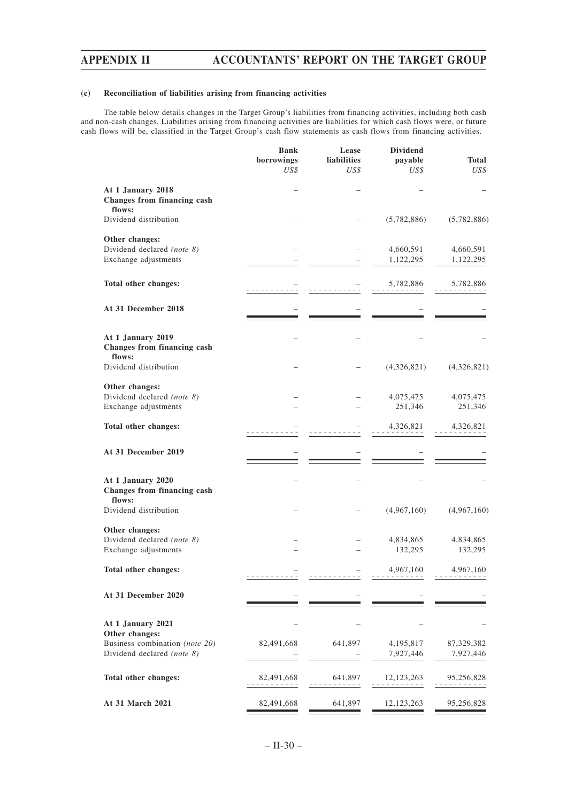## **(c) Reconciliation of liabilities arising from financing activities**

The table below details changes in the Target Group's liabilities from financing activities, including both cash and non-cash changes. Liabilities arising from financing activities are liabilities for which cash flows were, or future cash flows will be, classified in the Target Group's cash flow statements as cash flows from financing activities.

|                                                                      | <b>Bank</b><br>borrowings<br>US\$ | Lease<br>liabilities<br>US\$                                                                                                                   | <b>Dividend</b><br>payable<br>US\$ | Total<br>US\$           |
|----------------------------------------------------------------------|-----------------------------------|------------------------------------------------------------------------------------------------------------------------------------------------|------------------------------------|-------------------------|
| At 1 January 2018<br>Changes from financing cash<br>flows:           |                                   |                                                                                                                                                |                                    |                         |
| Dividend distribution                                                |                                   |                                                                                                                                                | (5,782,886)                        | (5,782,886)             |
| Other changes:<br>Dividend declared (note 8)<br>Exchange adjustments |                                   |                                                                                                                                                | 4,660,591<br>1,122,295             | 4,660,591<br>1,122,295  |
| Total other changes:                                                 |                                   |                                                                                                                                                | 5,782,886                          | 5,782,886               |
| At 31 December 2018                                                  |                                   |                                                                                                                                                |                                    |                         |
| At 1 January 2019<br>Changes from financing cash<br>flows:           |                                   |                                                                                                                                                |                                    |                         |
| Dividend distribution                                                |                                   |                                                                                                                                                | (4,326,821)                        | (4,326,821)             |
| Other changes:<br>Dividend declared (note 8)<br>Exchange adjustments |                                   |                                                                                                                                                | 4,075,475<br>251,346               | 4,075,475<br>251,346    |
| Total other changes:                                                 |                                   |                                                                                                                                                | 4,326,821                          | 4,326,821               |
| At 31 December 2019                                                  |                                   |                                                                                                                                                |                                    |                         |
| At 1 January 2020<br>Changes from financing cash<br>flows:           |                                   |                                                                                                                                                |                                    |                         |
| Dividend distribution                                                |                                   |                                                                                                                                                | (4,967,160)                        | (4,967,160)             |
| Other changes:<br>Dividend declared (note 8)<br>Exchange adjustments |                                   |                                                                                                                                                | 4,834,865<br>132,295               | 4,834,865<br>132,295    |
| Total other changes:                                                 |                                   |                                                                                                                                                | 4,967,160                          | 4,967,160               |
| At 31 December 2020                                                  |                                   |                                                                                                                                                |                                    |                         |
| At 1 January 2021<br>Other changes:                                  |                                   |                                                                                                                                                |                                    |                         |
| Business combination (note 20)<br>Dividend declared (note 8)         | 82,491,668                        | 641,897                                                                                                                                        | 4,195,817<br>7,927,446             | 87,329,382<br>7,927,446 |
| Total other changes:                                                 | 82,491,668<br>.                   | 641,897<br>$\begin{array}{cccccccccccccc} \bullet & \bullet & \bullet & \bullet & \bullet & \bullet & \bullet & \bullet & \bullet \end{array}$ | 12, 123, 263                       | 95,256,828              |
| At 31 March 2021                                                     | 82,491,668                        | 641,897                                                                                                                                        | 12, 123, 263                       | 95,256,828              |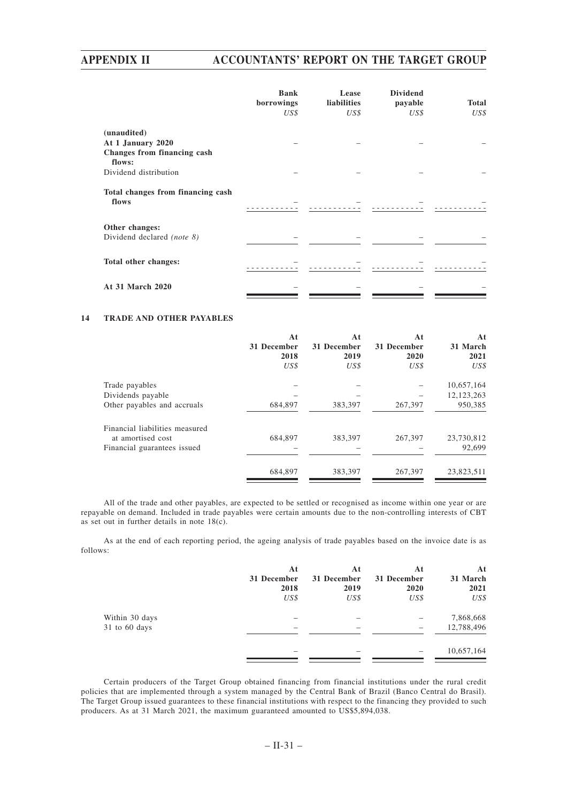# **APPENDIX II ACCOUNTANTS' REPORT ON THE TARGET GROUP**

|                                            | <b>Bank</b><br>borrowings<br>US\$ | Lease<br>liabilities<br>US\$ | <b>Dividend</b><br>payable<br>US\$ | <b>Total</b><br>US\$ |
|--------------------------------------------|-----------------------------------|------------------------------|------------------------------------|----------------------|
|                                            |                                   |                              |                                    |                      |
| (unaudited)                                |                                   |                              |                                    |                      |
| At 1 January 2020                          |                                   |                              |                                    |                      |
| Changes from financing cash<br>flows:      |                                   |                              |                                    |                      |
| Dividend distribution                      |                                   |                              |                                    |                      |
| Total changes from financing cash<br>flows |                                   |                              |                                    |                      |
| Other changes:                             |                                   |                              |                                    |                      |
| Dividend declared (note 8)                 |                                   |                              |                                    |                      |
| Total other changes:                       |                                   |                              |                                    |                      |
| At 31 March 2020                           |                                   |                              |                                    |                      |

## **14 TRADE AND OTHER PAYABLES**

|                                | At<br>31 December<br>2018<br>US\$ | At<br>31 December<br>2019<br>US\$ | At<br>31 December<br>2020<br>US\$ | At<br>31 March<br>2021<br>US\$ |
|--------------------------------|-----------------------------------|-----------------------------------|-----------------------------------|--------------------------------|
| Trade payables                 |                                   |                                   |                                   | 10,657,164                     |
| Dividends payable              |                                   |                                   |                                   | 12, 123, 263                   |
| Other payables and accruals    | 684,897                           | 383,397                           | 267,397                           | 950,385                        |
| Financial liabilities measured |                                   |                                   |                                   |                                |
| at amortised cost              | 684,897                           | 383.397                           | 267,397                           | 23,730,812                     |
| Financial guarantees issued    |                                   |                                   |                                   | 92,699                         |
|                                | 684,897                           | 383.397                           | 267,397                           | 23,823,511                     |
|                                |                                   |                                   |                                   |                                |

All of the trade and other payables, are expected to be settled or recognised as income within one year or are repayable on demand. Included in trade payables were certain amounts due to the non-controlling interests of CBT as set out in further details in note 18(c).

As at the end of each reporting period, the ageing analysis of trade payables based on the invoice date is as follows:

|                 | At<br>31 December<br>2018 | At<br>31 December<br>2019 | At<br>31 December<br>2020 | At<br>31 March<br>2021 |
|-----------------|---------------------------|---------------------------|---------------------------|------------------------|
|                 | US\$                      | US\$                      | US\$                      | US\$                   |
| Within 30 days  | -                         |                           |                           | 7,868,668              |
| $31$ to 60 days | -                         | $\overline{\phantom{a}}$  |                           | 12,788,496             |
|                 | -                         | $\overline{\phantom{a}}$  |                           | 10,657,164             |

Certain producers of the Target Group obtained financing from financial institutions under the rural credit policies that are implemented through a system managed by the Central Bank of Brazil (Banco Central do Brasil). The Target Group issued guarantees to these financial institutions with respect to the financing they provided to such producers. As at 31 March 2021, the maximum guaranteed amounted to US\$5,894,038.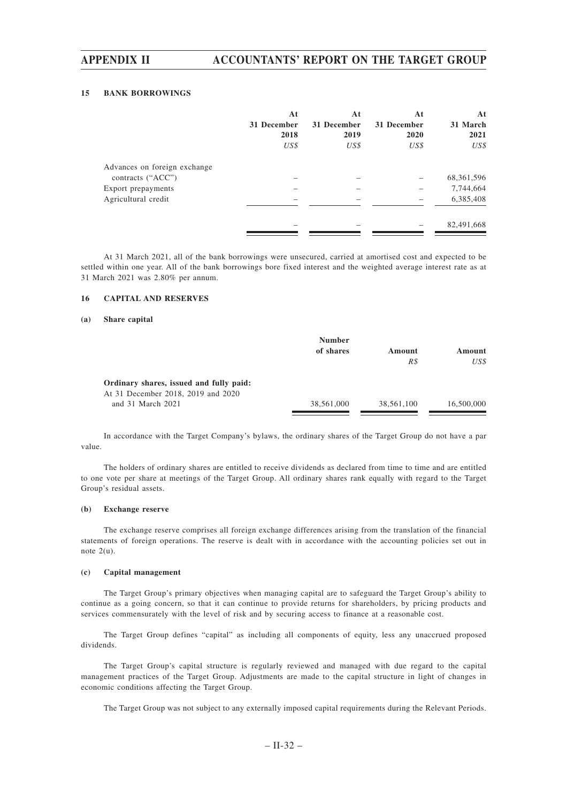## **15 BANK BORROWINGS**

|                              | At<br>31 December<br>2018<br>US\$ | At<br>31 December<br>2019<br>US\$ | At<br>31 December<br>2020<br>US\$ | At<br>31 March<br>2021<br>US\$ |
|------------------------------|-----------------------------------|-----------------------------------|-----------------------------------|--------------------------------|
| Advances on foreign exchange |                                   |                                   |                                   |                                |
| contracts ("ACC")            |                                   |                                   |                                   | 68, 361, 596                   |
| Export prepayments           |                                   |                                   |                                   | 7,744,664                      |
| Agricultural credit          |                                   |                                   |                                   | 6,385,408                      |
|                              |                                   |                                   |                                   | 82,491,668                     |

At 31 March 2021, all of the bank borrowings were unsecured, carried at amortised cost and expected to be settled within one year. All of the bank borrowings bore fixed interest and the weighted average interest rate as at 31 March 2021 was 2.80% per annum.

## **16 CAPITAL AND RESERVES**

## **(a) Share capital**

|                                         | <b>Number</b> |            |            |
|-----------------------------------------|---------------|------------|------------|
|                                         | of shares     | Amount     | Amount     |
|                                         |               | R\$        | US\$       |
| Ordinary shares, issued and fully paid: |               |            |            |
| At 31 December 2018, 2019 and 2020      |               |            |            |
| and 31 March 2021                       | 38,561,000    | 38,561,100 | 16,500,000 |

In accordance with the Target Company's bylaws, the ordinary shares of the Target Group do not have a par value.

The holders of ordinary shares are entitled to receive dividends as declared from time to time and are entitled to one vote per share at meetings of the Target Group. All ordinary shares rank equally with regard to the Target Group's residual assets.

### **(b) Exchange reserve**

The exchange reserve comprises all foreign exchange differences arising from the translation of the financial statements of foreign operations. The reserve is dealt with in accordance with the accounting policies set out in note  $2(u)$ .

### **(c) Capital management**

The Target Group's primary objectives when managing capital are to safeguard the Target Group's ability to continue as a going concern, so that it can continue to provide returns for shareholders, by pricing products and services commensurately with the level of risk and by securing access to finance at a reasonable cost.

The Target Group defines "capital" as including all components of equity, less any unaccrued proposed dividends.

The Target Group's capital structure is regularly reviewed and managed with due regard to the capital management practices of the Target Group. Adjustments are made to the capital structure in light of changes in economic conditions affecting the Target Group.

The Target Group was not subject to any externally imposed capital requirements during the Relevant Periods.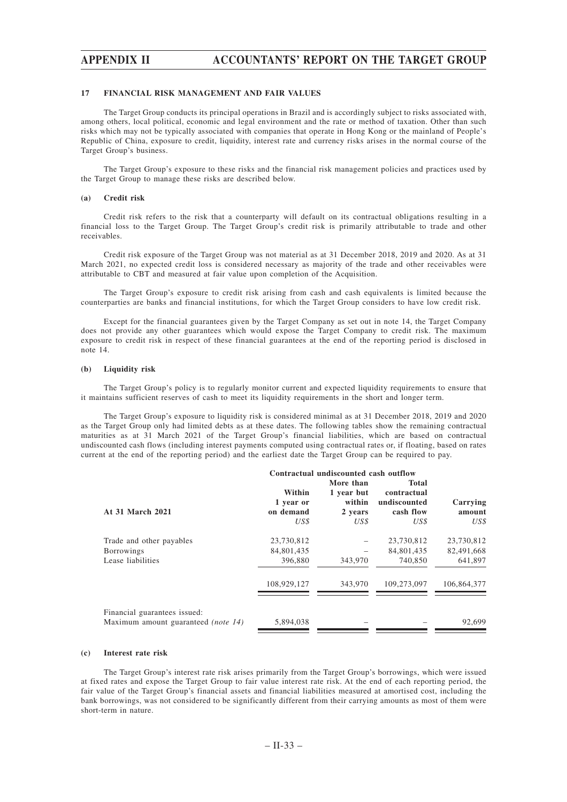# **APPENDIX II ACCOUNTANTS' REPORT ON THE TARGET GROUP**

### **17 FINANCIAL RISK MANAGEMENT AND FAIR VALUES**

The Target Group conducts its principal operations in Brazil and is accordingly subject to risks associated with, among others, local political, economic and legal environment and the rate or method of taxation. Other than such risks which may not be typically associated with companies that operate in Hong Kong or the mainland of People's Republic of China, exposure to credit, liquidity, interest rate and currency risks arises in the normal course of the Target Group's business.

The Target Group's exposure to these risks and the financial risk management policies and practices used by the Target Group to manage these risks are described below.

### **(a) Credit risk**

Credit risk refers to the risk that a counterparty will default on its contractual obligations resulting in a financial loss to the Target Group. The Target Group's credit risk is primarily attributable to trade and other receivables.

Credit risk exposure of the Target Group was not material as at 31 December 2018, 2019 and 2020. As at 31 March 2021, no expected credit loss is considered necessary as majority of the trade and other receivables were attributable to CBT and measured at fair value upon completion of the Acquisition.

The Target Group's exposure to credit risk arising from cash and cash equivalents is limited because the counterparties are banks and financial institutions, for which the Target Group considers to have low credit risk.

Except for the financial guarantees given by the Target Company as set out in note 14, the Target Company does not provide any other guarantees which would expose the Target Company to credit risk. The maximum exposure to credit risk in respect of these financial guarantees at the end of the reporting period is disclosed in note 14.

### **(b) Liquidity risk**

The Target Group's policy is to regularly monitor current and expected liquidity requirements to ensure that it maintains sufficient reserves of cash to meet its liquidity requirements in the short and longer term.

The Target Group's exposure to liquidity risk is considered minimal as at 31 December 2018, 2019 and 2020 as the Target Group only had limited debts as at these dates. The following tables show the remaining contractual maturities as at 31 March 2021 of the Target Group's financial liabilities, which are based on contractual undiscounted cash flows (including interest payments computed using contractual rates or, if floating, based on rates current at the end of the reporting period) and the earliest date the Target Group can be required to pay.

|                                                                     | Contractual undiscounted cash outflow |                                 |                                          |                    |  |
|---------------------------------------------------------------------|---------------------------------------|---------------------------------|------------------------------------------|--------------------|--|
|                                                                     | Within                                | More than                       | <b>Total</b>                             |                    |  |
| At 31 March 2021                                                    | 1 year or<br>on demand                | 1 year but<br>within<br>2 years | contractual<br>undiscounted<br>cash flow | Carrying<br>amount |  |
|                                                                     | US\$                                  | US\$                            | US\$                                     | US\$               |  |
| Trade and other payables                                            | 23,730,812                            |                                 | 23,730,812                               | 23,730,812         |  |
| <b>Borrowings</b>                                                   | 84,801,435                            |                                 | 84,801,435                               | 82,491,668         |  |
| Lease liabilities                                                   | 396,880                               | 343,970                         | 740,850                                  | 641,897            |  |
|                                                                     | 108,929,127                           | 343,970                         | 109.273.097                              | 106,864,377        |  |
| Financial guarantees issued:<br>Maximum amount guaranteed (note 14) | 5,894,038                             |                                 |                                          | 92,699             |  |
|                                                                     |                                       |                                 |                                          |                    |  |

#### **(c) Interest rate risk**

The Target Group's interest rate risk arises primarily from the Target Group's borrowings, which were issued at fixed rates and expose the Target Group to fair value interest rate risk. At the end of each reporting period, the fair value of the Target Group's financial assets and financial liabilities measured at amortised cost, including the bank borrowings, was not considered to be significantly different from their carrying amounts as most of them were short-term in nature.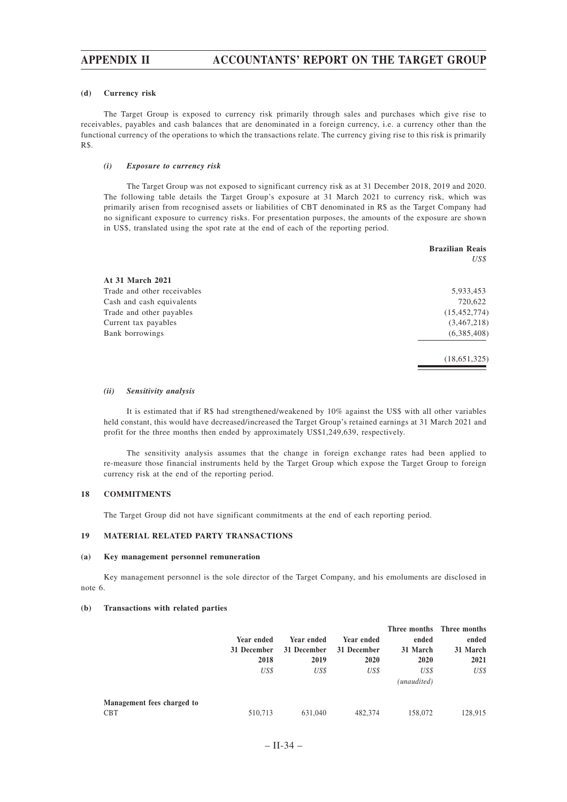# **APPENDIX II ACCOUNTANTS' REPORT ON THE TARGET GROUP**

#### **(d) Currency risk**

The Target Group is exposed to currency risk primarily through sales and purchases which give rise to receivables, payables and cash balances that are denominated in a foreign currency, i.e. a currency other than the functional currency of the operations to which the transactions relate. The currency giving rise to this risk is primarily R\$.

### *(i) Exposure to currency risk*

The Target Group was not exposed to significant currency risk as at 31 December 2018, 2019 and 2020. The following table details the Target Group's exposure at 31 March 2021 to currency risk, which was primarily arisen from recognised assets or liabilities of CBT denominated in R\$ as the Target Company had no significant exposure to currency risks. For presentation purposes, the amounts of the exposure are shown in US\$, translated using the spot rate at the end of each of the reporting period.

|                             | <b>Brazilian Reais</b> |
|-----------------------------|------------------------|
|                             | US\$                   |
| At 31 March 2021            |                        |
| Trade and other receivables | 5,933,453              |
| Cash and cash equivalents   | 720,622                |
| Trade and other payables    | (15, 452, 774)         |
| Current tax payables        | (3,467,218)            |
| Bank borrowings             | (6,385,408)            |
|                             | (18,651,325)           |

### *(ii) Sensitivity analysis*

It is estimated that if R\$ had strengthened/weakened by 10% against the US\$ with all other variables held constant, this would have decreased/increased the Target Group's retained earnings at 31 March 2021 and profit for the three months then ended by approximately US\$1,249,639, respectively.

The sensitivity analysis assumes that the change in foreign exchange rates had been applied to re-measure those financial instruments held by the Target Group which expose the Target Group to foreign currency risk at the end of the reporting period.

## **18 COMMITMENTS**

The Target Group did not have significant commitments at the end of each reporting period.

## **19 MATERIAL RELATED PARTY TRANSACTIONS**

#### **(a) Key management personnel remuneration**

Key management personnel is the sole director of the Target Company, and his emoluments are disclosed in note 6.

### **(b) Transactions with related parties**

|                            | Year ended<br>31 December | Year ended<br>31 December | Year ended<br>31 December | ended<br>31 March   | Three months Three months<br>ended<br>31 March |
|----------------------------|---------------------------|---------------------------|---------------------------|---------------------|------------------------------------------------|
|                            | 2018                      | 2019                      | 2020                      | 2020                | 2021                                           |
|                            | US\$                      | US\$                      | US\$                      | US\$<br>(unaudited) | US\$                                           |
| Management fees charged to |                           |                           |                           |                     |                                                |
| CBT                        | 510,713                   | 631,040                   | 482,374                   | 158,072             | 128,915                                        |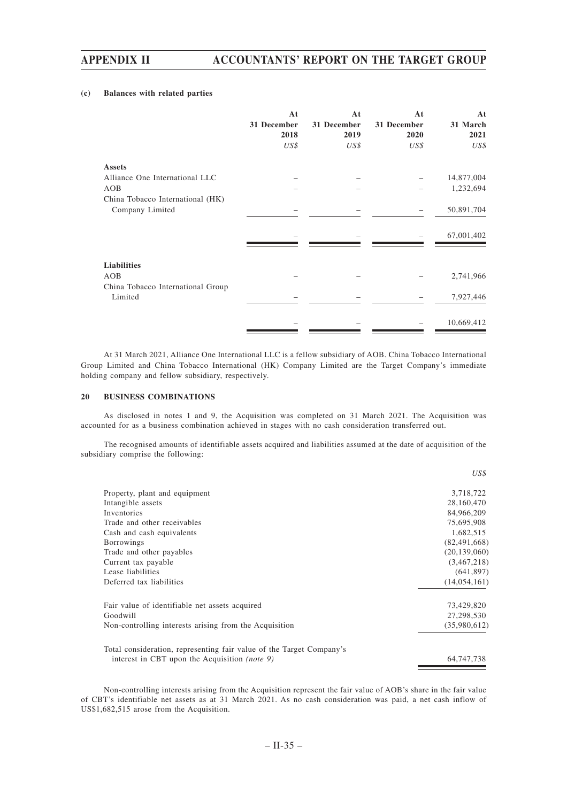### **(c) Balances with related parties**

| At<br>31 December<br>2018<br>US\$ | At<br>31 December<br>2019<br>US\$ | At<br>31 December<br>2020<br>US\$ | At<br>31 March<br>2021<br>US\$ |
|-----------------------------------|-----------------------------------|-----------------------------------|--------------------------------|
|                                   |                                   |                                   |                                |
|                                   |                                   |                                   | 14,877,004                     |
|                                   |                                   |                                   | 1,232,694                      |
|                                   |                                   |                                   |                                |
|                                   |                                   |                                   | 50,891,704                     |
|                                   |                                   |                                   |                                |
|                                   |                                   |                                   | 67,001,402                     |
|                                   |                                   |                                   |                                |
|                                   |                                   |                                   |                                |
|                                   |                                   |                                   | 2,741,966                      |
|                                   |                                   |                                   |                                |
|                                   |                                   |                                   | 7,927,446                      |
|                                   |                                   |                                   |                                |
|                                   |                                   |                                   | 10,669,412                     |
|                                   |                                   |                                   |                                |

At 31 March 2021, Alliance One International LLC is a fellow subsidiary of AOB. China Tobacco International Group Limited and China Tobacco International (HK) Company Limited are the Target Company's immediate holding company and fellow subsidiary, respectively.

### **20 BUSINESS COMBINATIONS**

As disclosed in notes 1 and 9, the Acquisition was completed on 31 March 2021. The Acquisition was accounted for as a business combination achieved in stages with no cash consideration transferred out.

The recognised amounts of identifiable assets acquired and liabilities assumed at the date of acquisition of the subsidiary comprise the following:

|                                                                      | US\$           |
|----------------------------------------------------------------------|----------------|
| Property, plant and equipment                                        | 3,718,722      |
| Intangible assets                                                    | 28,160,470     |
| Inventories                                                          | 84,966,209     |
| Trade and other receivables                                          | 75,695,908     |
| Cash and cash equivalents                                            | 1,682,515      |
| <b>Borrowings</b>                                                    | (82, 491, 668) |
| Trade and other payables                                             | (20, 139, 060) |
| Current tax payable                                                  | (3,467,218)    |
| Lease liabilities                                                    | (641, 897)     |
| Deferred tax liabilities                                             | (14, 054, 161) |
| Fair value of identifiable net assets acquired                       | 73,429,820     |
| Goodwill                                                             | 27,298,530     |
| Non-controlling interests arising from the Acquisition               | (35,980,612)   |
| Total consideration, representing fair value of the Target Company's |                |
| interest in CBT upon the Acquisition <i>(note 9)</i>                 | 64, 747, 738   |

Non-controlling interests arising from the Acquisition represent the fair value of AOB's share in the fair value of CBT's identifiable net assets as at 31 March 2021. As no cash consideration was paid, a net cash inflow of US\$1,682,515 arose from the Acquisition.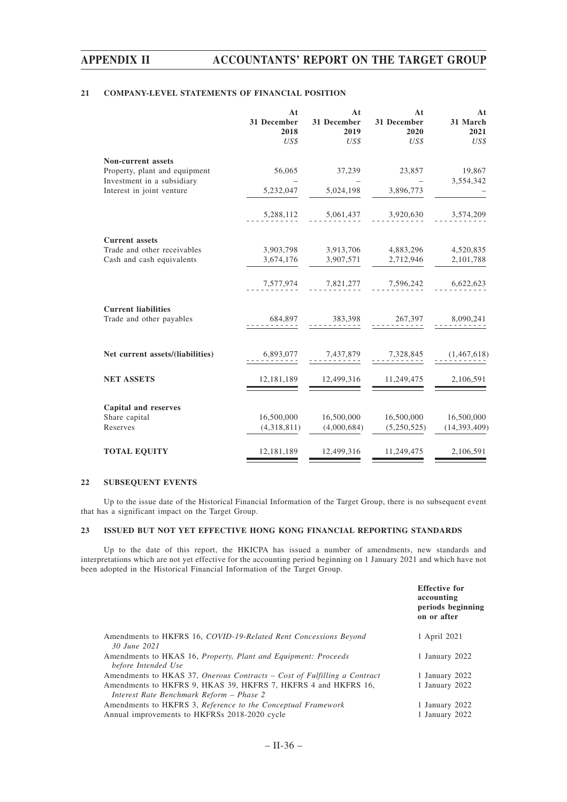# **21 COMPANY-LEVEL STATEMENTS OF FINANCIAL POSITION**

|                                                         | At<br>31 December<br>2018<br>US\$ | At<br>31 December<br>2019<br>US\$ | At<br>31 December<br>2020<br>US\$ | At<br>31 March<br>2021<br>US\$ |
|---------------------------------------------------------|-----------------------------------|-----------------------------------|-----------------------------------|--------------------------------|
| Non-current assets                                      |                                   |                                   |                                   |                                |
| Property, plant and equipment                           | 56,065                            | 37,239                            | 23,857                            | 19,867                         |
| Investment in a subsidiary<br>Interest in joint venture | 5,232,047                         | 5,024,198                         | 3,896,773                         | 3,554,342                      |
|                                                         | 5,288,112                         | 5,061,437                         | 3,920,630                         | 3,574,209                      |
|                                                         |                                   |                                   |                                   |                                |
| <b>Current</b> assets<br>Trade and other receivables    |                                   |                                   |                                   |                                |
| Cash and cash equivalents                               | 3,903,798<br>3,674,176            | 3,913,706<br>3,907,571            | 4,883,296<br>2,712,946            | 4,520,835<br>2,101,788         |
|                                                         |                                   |                                   |                                   |                                |
|                                                         | 7,577,974                         | 7,821,277                         | 7,596,242                         | 6,622,623                      |
| <b>Current liabilities</b>                              |                                   |                                   |                                   |                                |
| Trade and other payables                                | 684,897                           | 383,398                           | 267,397                           | 8,090,241                      |
|                                                         |                                   |                                   |                                   |                                |
| Net current assets/(liabilities)                        | 6,893,077                         | 7,437,879                         | 7,328,845                         | (1,467,618)                    |
| <b>NET ASSETS</b>                                       | 12,181,189                        | 12,499,316                        | 11,249,475                        | 2,106,591                      |
|                                                         |                                   |                                   |                                   |                                |
| Capital and reserves<br>Share capital                   | 16,500,000                        | 16,500,000                        | 16,500,000                        | 16,500,000                     |
| Reserves                                                | (4,318,811)                       | (4,000,684)                       | (5,250,525)                       | (14, 393, 409)                 |
| <b>TOTAL EQUITY</b>                                     | 12,181,189                        | 12,499,316                        | 11,249,475                        | 2,106,591                      |

### **22 SUBSEQUENT EVENTS**

Up to the issue date of the Historical Financial Information of the Target Group, there is no subsequent event that has a significant impact on the Target Group.

# **23 ISSUED BUT NOT YET EFFECTIVE HONG KONG FINANCIAL REPORTING STANDARDS**

Up to the date of this report, the HKICPA has issued a number of amendments, new standards and interpretations which are not yet effective for the accounting period beginning on 1 January 2021 and which have not been adopted in the Historical Financial Information of the Target Group.

|                                                                                                            | <b>Effective for</b><br>accounting<br>periods beginning<br>on or after |
|------------------------------------------------------------------------------------------------------------|------------------------------------------------------------------------|
| Amendments to HKFRS 16, COVID-19-Related Rent Concessions Beyond<br>30 June 2021                           | 1 April 2021                                                           |
| Amendments to HKAS 16, <i>Property, Plant and Equipment: Proceeds</i><br>before Intended Use               | 1 January 2022                                                         |
| Amendments to HKAS 37, Onerous Contracts – Cost of Fulfilling a Contract                                   | 1 January 2022                                                         |
| Amendments to HKFRS 9, HKAS 39, HKFRS 7, HKFRS 4 and HKFRS 16,<br>Interest Rate Benchmark Reform - Phase 2 | 1 January 2022                                                         |
| Amendments to HKFRS 3, Reference to the Conceptual Framework                                               | 1 January 2022                                                         |
| Annual improvements to HKFRSs 2018-2020 cycle                                                              | 1 January 2022                                                         |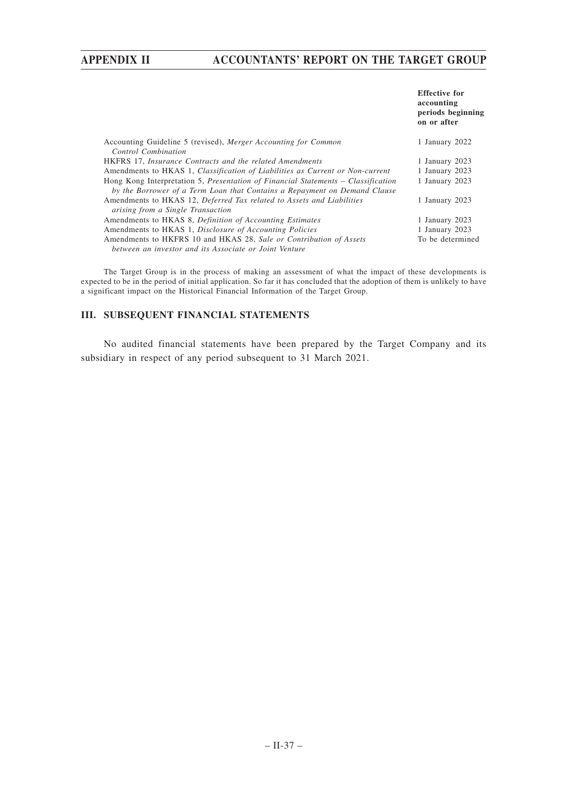# **APPENDIX II ACCOUNTANTS' REPORT ON THE TARGET GROUP**

|                                                                                   | <b>Effective for</b><br>accounting<br>periods beginning<br>on or after |
|-----------------------------------------------------------------------------------|------------------------------------------------------------------------|
| Accounting Guideline 5 (revised), Merger Accounting for Common                    | 1 January 2022                                                         |
| Control Combination                                                               |                                                                        |
| <b>HKFRS</b> 17, <i>Insurance Contracts and the related Amendments</i>            | 1 January 2023                                                         |
| Amendments to HKAS 1, Classification of Liabilities as Current or Non-current     | 1 January 2023                                                         |
| Hong Kong Interpretation 5, Presentation of Financial Statements – Classification | 1 January 2023                                                         |
| by the Borrower of a Term Loan that Contains a Repayment on Demand Clause         |                                                                        |
| Amendments to HKAS 12, Deferred Tax related to Assets and Liabilities             | 1 January 2023                                                         |
| arising from a Single Transaction                                                 |                                                                        |
| Amendments to HKAS 8, Definition of Accounting Estimates                          | 1 January 2023                                                         |
| Amendments to HKAS 1, Disclosure of Accounting Policies                           | 1 January 2023                                                         |
| Amendments to HKFRS 10 and HKAS 28, Sale or Contribution of Assets                | To be determined                                                       |
| between an investor and its Associate or Joint Venture                            |                                                                        |

The Target Group is in the process of making an assessment of what the impact of these developments is expected to be in the period of initial application. So far it has concluded that the adoption of them is unlikely to have a significant impact on the Historical Financial Information of the Target Group.

# **III. SUBSEQUENT FINANCIAL STATEMENTS**

No audited financial statements have been prepared by the Target Company and its subsidiary in respect of any period subsequent to 31 March 2021.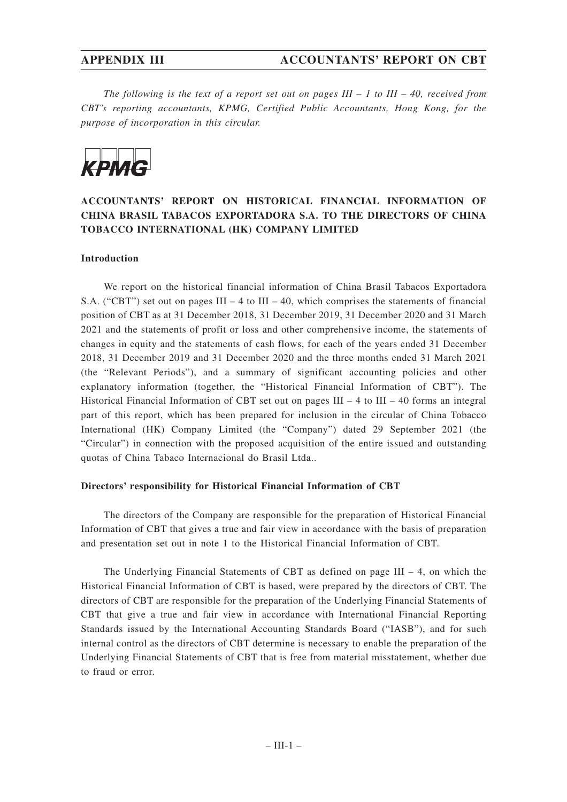*The following is the text of a report set out on pages III – 1 to III – 40, received from CBT's reporting accountants, KPMG, Certified Public Accountants, Hong Kong, for the purpose of incorporation in this circular.*



# **ACCOUNTANTS' REPORT ON HISTORICAL FINANCIAL INFORMATION OF CHINA BRASIL TABACOS EXPORTADORA S.A. TO THE DIRECTORS OF CHINA TOBACCO INTERNATIONAL (HK) COMPANY LIMITED**

# **Introduction**

We report on the historical financial information of China Brasil Tabacos Exportadora S.A. ("CBT") set out on pages III – 4 to III – 40, which comprises the statements of financial position of CBT as at 31 December 2018, 31 December 2019, 31 December 2020 and 31 March 2021 and the statements of profit or loss and other comprehensive income, the statements of changes in equity and the statements of cash flows, for each of the years ended 31 December 2018, 31 December 2019 and 31 December 2020 and the three months ended 31 March 2021 (the "Relevant Periods"), and a summary of significant accounting policies and other explanatory information (together, the "Historical Financial Information of CBT"). The Historical Financial Information of CBT set out on pages III – 4 to III – 40 forms an integral part of this report, which has been prepared for inclusion in the circular of China Tobacco International (HK) Company Limited (the "Company") dated 29 September 2021 (the "Circular") in connection with the proposed acquisition of the entire issued and outstanding quotas of China Tabaco Internacional do Brasil Ltda..

# **Directors' responsibility for Historical Financial Information of CBT**

The directors of the Company are responsible for the preparation of Historical Financial Information of CBT that gives a true and fair view in accordance with the basis of preparation and presentation set out in note 1 to the Historical Financial Information of CBT.

The Underlying Financial Statements of CBT as defined on page  $III - 4$ , on which the Historical Financial Information of CBT is based, were prepared by the directors of CBT. The directors of CBT are responsible for the preparation of the Underlying Financial Statements of CBT that give a true and fair view in accordance with International Financial Reporting Standards issued by the International Accounting Standards Board ("IASB"), and for such internal control as the directors of CBT determine is necessary to enable the preparation of the Underlying Financial Statements of CBT that is free from material misstatement, whether due to fraud or error.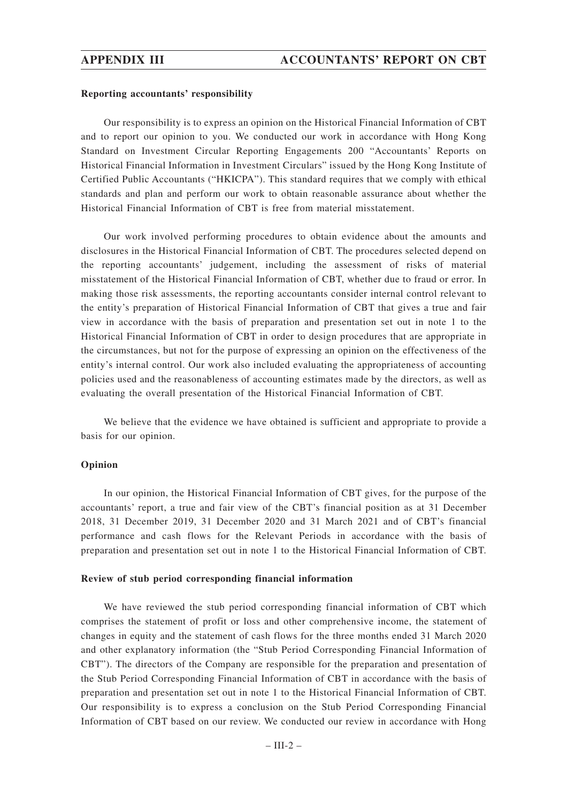# **Reporting accountants' responsibility**

Our responsibility is to express an opinion on the Historical Financial Information of CBT and to report our opinion to you. We conducted our work in accordance with Hong Kong Standard on Investment Circular Reporting Engagements 200 "Accountants' Reports on Historical Financial Information in Investment Circulars" issued by the Hong Kong Institute of Certified Public Accountants ("HKICPA"). This standard requires that we comply with ethical standards and plan and perform our work to obtain reasonable assurance about whether the Historical Financial Information of CBT is free from material misstatement.

Our work involved performing procedures to obtain evidence about the amounts and disclosures in the Historical Financial Information of CBT. The procedures selected depend on the reporting accountants' judgement, including the assessment of risks of material misstatement of the Historical Financial Information of CBT, whether due to fraud or error. In making those risk assessments, the reporting accountants consider internal control relevant to the entity's preparation of Historical Financial Information of CBT that gives a true and fair view in accordance with the basis of preparation and presentation set out in note 1 to the Historical Financial Information of CBT in order to design procedures that are appropriate in the circumstances, but not for the purpose of expressing an opinion on the effectiveness of the entity's internal control. Our work also included evaluating the appropriateness of accounting policies used and the reasonableness of accounting estimates made by the directors, as well as evaluating the overall presentation of the Historical Financial Information of CBT.

We believe that the evidence we have obtained is sufficient and appropriate to provide a basis for our opinion.

## **Opinion**

In our opinion, the Historical Financial Information of CBT gives, for the purpose of the accountants' report, a true and fair view of the CBT's financial position as at 31 December 2018, 31 December 2019, 31 December 2020 and 31 March 2021 and of CBT's financial performance and cash flows for the Relevant Periods in accordance with the basis of preparation and presentation set out in note 1 to the Historical Financial Information of CBT.

## **Review of stub period corresponding financial information**

We have reviewed the stub period corresponding financial information of CBT which comprises the statement of profit or loss and other comprehensive income, the statement of changes in equity and the statement of cash flows for the three months ended 31 March 2020 and other explanatory information (the "Stub Period Corresponding Financial Information of CBT"). The directors of the Company are responsible for the preparation and presentation of the Stub Period Corresponding Financial Information of CBT in accordance with the basis of preparation and presentation set out in note 1 to the Historical Financial Information of CBT. Our responsibility is to express a conclusion on the Stub Period Corresponding Financial Information of CBT based on our review. We conducted our review in accordance with Hong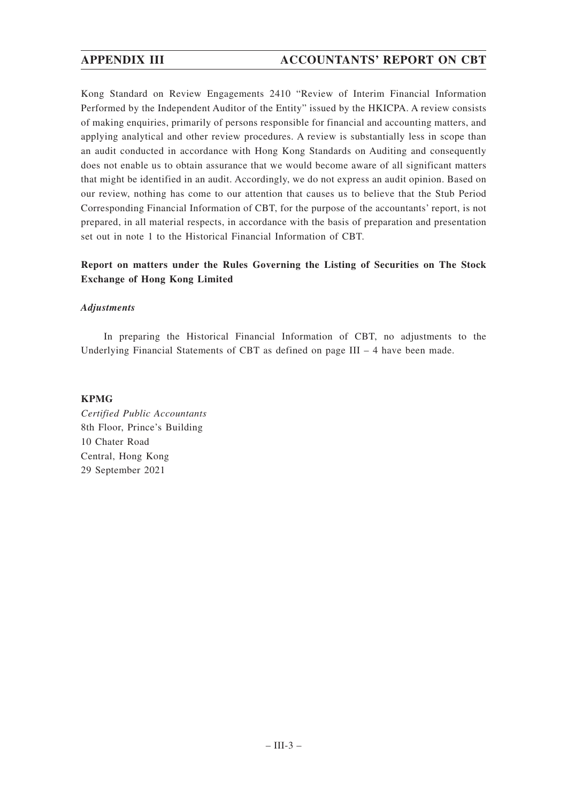Kong Standard on Review Engagements 2410 "Review of Interim Financial Information Performed by the Independent Auditor of the Entity" issued by the HKICPA. A review consists of making enquiries, primarily of persons responsible for financial and accounting matters, and applying analytical and other review procedures. A review is substantially less in scope than an audit conducted in accordance with Hong Kong Standards on Auditing and consequently does not enable us to obtain assurance that we would become aware of all significant matters that might be identified in an audit. Accordingly, we do not express an audit opinion. Based on our review, nothing has come to our attention that causes us to believe that the Stub Period Corresponding Financial Information of CBT, for the purpose of the accountants' report, is not prepared, in all material respects, in accordance with the basis of preparation and presentation set out in note 1 to the Historical Financial Information of CBT.

# **Report on matters under the Rules Governing the Listing of Securities on The Stock Exchange of Hong Kong Limited**

# *Adjustments*

In preparing the Historical Financial Information of CBT, no adjustments to the Underlying Financial Statements of CBT as defined on page III – 4 have been made.

# **KPMG**

*Certified Public Accountants* 8th Floor, Prince's Building 10 Chater Road Central, Hong Kong 29 September 2021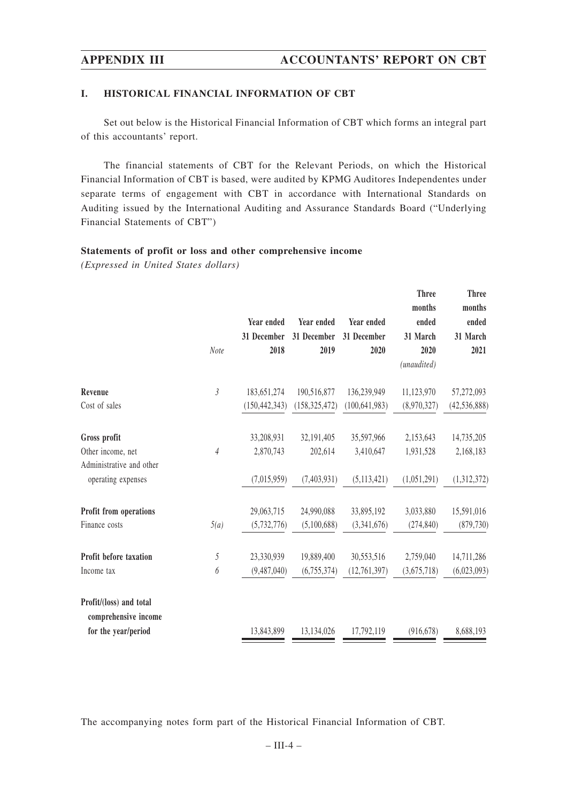# **I. HISTORICAL FINANCIAL INFORMATION OF CBT**

Set out below is the Historical Financial Information of CBT which forms an integral part of this accountants' report.

The financial statements of CBT for the Relevant Periods, on which the Historical Financial Information of CBT is based, were audited by KPMG Auditores Independentes under separate terms of engagement with CBT in accordance with International Standards on Auditing issued by the International Auditing and Assurance Standards Board ("Underlying Financial Statements of CBT")

# **Statements of profit or loss and other comprehensive income**

*(Expressed in United States dollars)*

|                                                 | Note           | Year ended<br>31 December<br>2018 | Year ended<br>31 December<br>2019 | <b>Year ended</b><br>31 December<br>2020 | <b>Three</b><br>months<br>ended<br>31 March<br>2020<br>(unaudited) | <b>Three</b><br>months<br>ended<br>31 March<br>2021 |
|-------------------------------------------------|----------------|-----------------------------------|-----------------------------------|------------------------------------------|--------------------------------------------------------------------|-----------------------------------------------------|
| Revenue                                         | $\mathfrak{Z}$ | 183,651,274                       | 190,516,877                       | 136,239,949                              | 11,123,970                                                         | 57,272,093                                          |
| Cost of sales                                   |                | (150, 442, 343)                   | (158, 325, 472)                   | (100, 641, 983)                          | (8,970,327)                                                        | (42, 536, 888)                                      |
| Gross profit                                    |                | 33,208,931                        | 32,191,405                        | 35,597,966                               | 2,153,643                                                          | 14,735,205                                          |
| Other income, net                               | $\sqrt{4}$     | 2,870,743                         | 202,614                           | 3,410,647                                | 1,931,528                                                          | 2,168,183                                           |
| Administrative and other<br>operating expenses  |                | (7,015,959)                       | (7,403,931)                       | (5,113,421)                              | (1,051,291)                                                        | (1,312,372)                                         |
| Profit from operations                          |                | 29,063,715                        | 24,990,088                        | 33,895,192                               | 3,033,880                                                          | 15,591,016                                          |
| Finance costs                                   | 5(a)           | (5,732,776)                       | (5,100,688)                       | (3,341,676)                              | (274, 840)                                                         | (879, 730)                                          |
| <b>Profit before taxation</b>                   | 5              | 23,330,939                        | 19,889,400                        | 30,553,516                               | 2,759,040                                                          | 14,711,286                                          |
| Income tax                                      | 6              | (9,487,040)                       | (6,755,374)                       | (12, 761, 397)                           | (3,675,718)                                                        | (6,023,093)                                         |
| Profit/(loss) and total<br>comprehensive income |                |                                   |                                   |                                          |                                                                    |                                                     |
| for the year/period                             |                | 13,843,899                        | 13,134,026                        | 17,792,119                               | (916, 678)                                                         | 8,688,193                                           |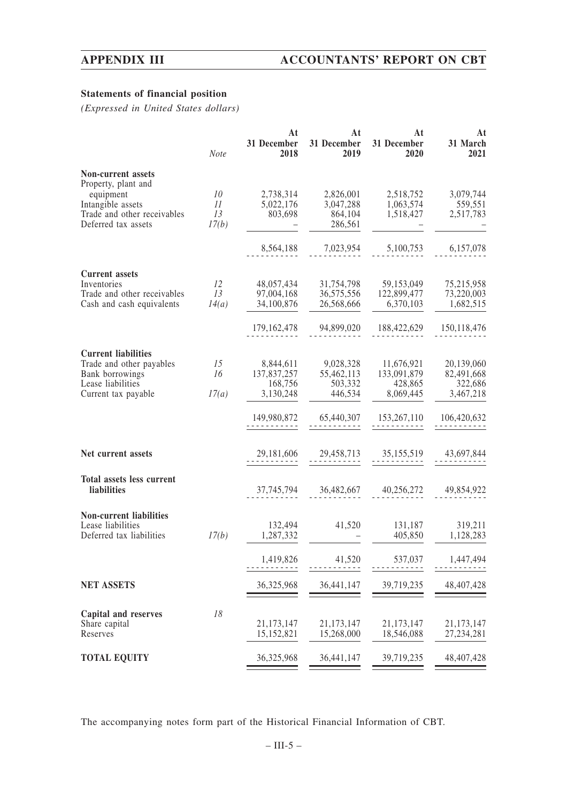# **Statements of financial position**

*(Expressed in United States dollars)*

|                                                  | Note     | At<br>31 December<br>2018 | At<br>31 December<br>2019 | At<br>31 December<br>2020 | At<br>31 March<br>2021 |
|--------------------------------------------------|----------|---------------------------|---------------------------|---------------------------|------------------------|
| Non-current assets                               |          |                           |                           |                           |                        |
| Property, plant and                              |          |                           |                           |                           |                        |
| equipment                                        | 10       | 2,738,314                 | 2,826,001                 | 2,518,752                 | 3,079,744              |
| Intangible assets<br>Trade and other receivables | 11<br>13 | 5,022,176<br>803,698      | 3,047,288<br>864,104      | 1,063,574<br>1,518,427    | 559,551                |
| Deferred tax assets                              | 17(b)    |                           | 286,561                   |                           | 2,517,783              |
|                                                  |          |                           |                           |                           |                        |
|                                                  |          | 8,564,188                 | 7,023,954                 | 5,100,753                 | 6,157,078              |
| <b>Current assets</b>                            |          |                           |                           |                           |                        |
| Inventories                                      | 12       | 48,057,434                | 31,754,798                | 59,153,049                | 75,215,958             |
| Trade and other receivables                      | 13       | 97,004,168                | 36,575,556                | 122,899,477               | 73,220,003             |
| Cash and cash equivalents                        | 14(a)    | 34,100,876                | 26,568,666                | 6,370,103                 | 1,682,515              |
|                                                  |          | 179, 162, 478             | 94,899,020                | 188,422,629               | 150, 118, 476          |
| <b>Current liabilities</b>                       |          |                           |                           |                           |                        |
| Trade and other payables                         | 15       | 8,844,611                 | 9,028,328                 | 11,676,921                | 20,139,060             |
| Bank borrowings                                  | 16       | 137,837,257               | 55,462,113                | 133,091,879               | 82,491,668             |
| Lease liabilities                                |          | 168,756                   | 503,332                   | 428,865                   | 322,686                |
| Current tax payable                              | 17(a)    | 3,130,248                 | 446,534                   | 8,069,445                 | 3,467,218              |
|                                                  |          | 149,980,872               | 65,440,307                | 153,267,110               | 106,420,632            |
| Net current assets                               |          | 29,181,606                | 29,458,713                | 35,155,519                | 43,697,844             |
| Total assets less current                        |          |                           |                           |                           |                        |
| liabilities                                      |          | 37,745,794                | 36,482,667                | 40,256,272                | 49,854,922             |
| <b>Non-current liabilities</b>                   |          |                           |                           |                           |                        |
| Lease liabilities                                |          | 132,494                   | 41,520                    | 131,187                   | 319,211                |
| Deferred tax liabilities                         | 17(b)    | 1,287,332                 |                           | 405,850                   | 1,128,283              |
|                                                  |          | 1,419,826                 | 41,520                    | 537,037                   | 1,447,494              |
|                                                  |          |                           |                           |                           |                        |
| <b>NET ASSETS</b>                                |          | 36,325,968                | 36,441,147                | 39,719,235                | 48, 407, 428           |
| Capital and reserves                             | 18       |                           |                           |                           |                        |
| Share capital                                    |          | 21,173,147                | 21,173,147                | 21,173,147                | 21,173,147             |
| Reserves                                         |          | 15,152,821                | 15,268,000                | 18,546,088                | 27, 234, 281           |
| <b>TOTAL EQUITY</b>                              |          | 36,325,968                | 36,441,147                | 39,719,235                | 48, 407, 428           |
|                                                  |          |                           |                           |                           |                        |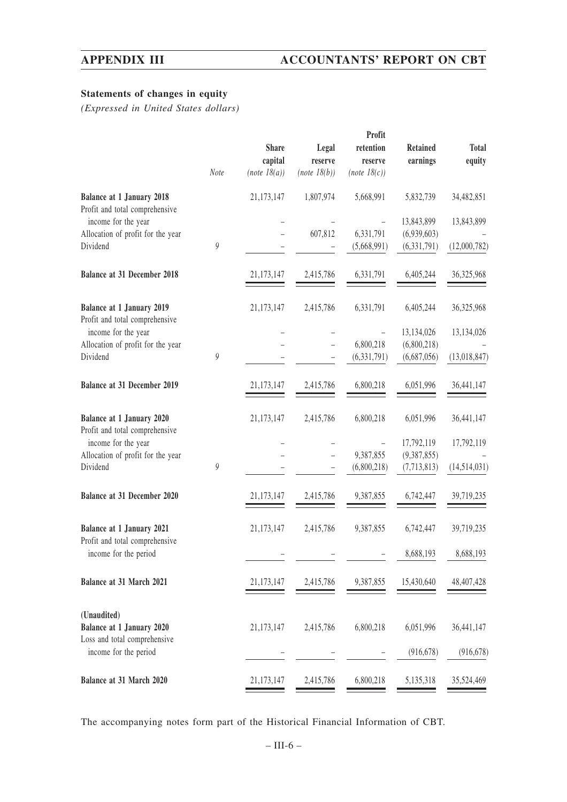# **Statements of changes in equity**

*(Expressed in United States dollars)*

| <b>Total</b><br><b>Retained</b><br>earnings<br>equity |
|-------------------------------------------------------|
|                                                       |
| 5,832,739<br>34,482,851                               |
| 13,843,899<br>13,843,899                              |
| (6,939,603)                                           |
| (12,000,782)<br>(6, 331, 791)                         |
| 36,325,968<br>6,405,244                               |
| 6,405,244<br>36,325,968                               |
| 13,134,026<br>13,134,026                              |
| (6,800,218)                                           |
| (6,687,056)<br>(13,018,847)                           |
|                                                       |
| 6,051,996<br>36,441,147                               |
| 6,051,996<br>36,441,147                               |
| 17,792,119<br>17,792,119                              |
| (9,387,855)                                           |
| (14,514,031)<br>(7,713,813)                           |
| 6,742,447<br>39,719,235                               |
| 39,719,235<br>6,742,447                               |
| 8,688,193<br>8,688,193                                |
| 15,430,640<br>48,407,428                              |
|                                                       |
| 6,051,996<br>36,441,147                               |
| (916, 678)<br>(916, 678)                              |
| 5,135,318<br>35,524,469                               |
|                                                       |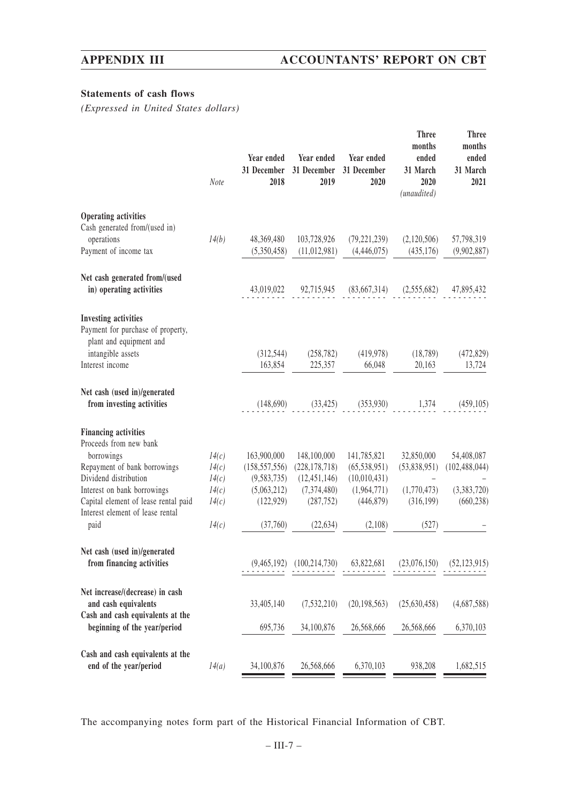# **Statements of cash flows**

*(Expressed in United States dollars)*

| Note  | Year ended<br>31 December<br>2018 | Year ended<br>31 December<br>2019   | Year ended<br>31 December<br>2020 | months<br>ended<br>31 March<br>2020<br>(unaudited) | months<br>ended<br>31 March<br>2021           |
|-------|-----------------------------------|-------------------------------------|-----------------------------------|----------------------------------------------------|-----------------------------------------------|
|       |                                   |                                     |                                   |                                                    |                                               |
|       |                                   |                                     |                                   |                                                    | 57,798,319                                    |
|       | (5,350,458)                       | (11, 012, 981)                      | (4,446,075)                       | (435, 176)                                         | (9,902,887)                                   |
|       | 43,019,022                        | 92,715,945                          | (83,667,314)                      | (2,555,682)                                        | 47,895,432                                    |
|       |                                   |                                     |                                   |                                                    |                                               |
|       | (312, 544)                        | (258, 782)                          | (419,978)                         | (18, 789)                                          | (472, 829)                                    |
|       |                                   | 225,357                             | 66,048                            | 20,163                                             | 13,724                                        |
|       | (148,690)                         |                                     |                                   |                                                    | (459, 105)                                    |
|       |                                   |                                     |                                   |                                                    |                                               |
| 14(c) | 163,900,000                       | 148,100,000                         | 141,785,821                       | 32,850,000                                         | 54,408,087                                    |
| 14(c) | (158, 557, 556)                   | (228, 178, 718)                     | (65, 538, 951)                    | (53,838,951)                                       | (102, 488, 044)                               |
| 14(c) | (9, 583, 735)                     | (12, 451, 146)                      | (10,010,431)                      |                                                    |                                               |
| 14(c) | (5,063,212)                       | (7,374,480)                         | (1,964,771)                       | (1,770,473)                                        | (3,383,720)                                   |
|       |                                   |                                     |                                   |                                                    | (660, 238)                                    |
| 14(c) | (37,760)                          | (22, 634)                           | (2,108)                           | (527)                                              |                                               |
|       | (9,465,192)                       | (100, 214, 730)                     | 63,822,681                        | (23,076,150)                                       | (52, 123, 915)                                |
|       | 33,405,140                        | (7,532,210)                         | (20, 198, 563)                    | (25,630,458)                                       | (4,687,588)                                   |
|       | 695,736                           | 34,100,876                          | 26,568,666                        | 26,568,666                                         | 6,370,103                                     |
| 14(a) | 34,100,876                        | 26,568,666                          | 6,370,103                         | 938,208                                            | 1,682,515                                     |
|       | 14(b)<br>14(c)                    | 48,369,480<br>163,854<br>(122, 929) | 103,728,926<br>(287, 752)         | (79, 221, 239)<br>(33, 425)<br>(446,879)           | (2,120,506)<br>$(353,930)$ 1,374<br>(316,199) |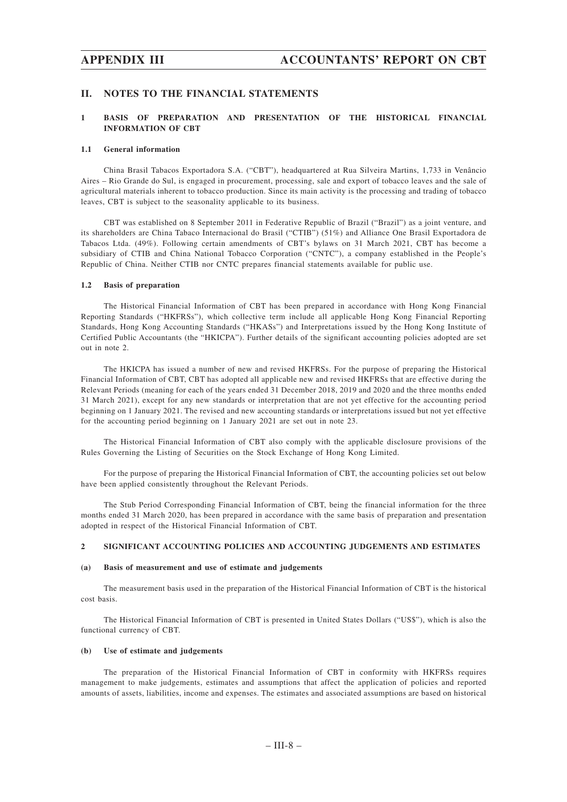## **II. NOTES TO THE FINANCIAL STATEMENTS**

## **1 BASIS OF PREPARATION AND PRESENTATION OF THE HISTORICAL FINANCIAL INFORMATION OF CBT**

#### **1.1 General information**

China Brasil Tabacos Exportadora S.A. ("CBT"), headquartered at Rua Silveira Martins, 1,733 in Venâncio Aires – Rio Grande do Sul, is engaged in procurement, processing, sale and export of tobacco leaves and the sale of agricultural materials inherent to tobacco production. Since its main activity is the processing and trading of tobacco leaves, CBT is subject to the seasonality applicable to its business.

CBT was established on 8 September 2011 in Federative Republic of Brazil ("Brazil") as a joint venture, and its shareholders are China Tabaco Internacional do Brasil ("CTIB") (51%) and Alliance One Brasil Exportadora de Tabacos Ltda. (49%). Following certain amendments of CBT's bylaws on 31 March 2021, CBT has become a subsidiary of CTIB and China National Tobacco Corporation ("CNTC"), a company established in the People's Republic of China. Neither CTIB nor CNTC prepares financial statements available for public use.

### **1.2 Basis of preparation**

The Historical Financial Information of CBT has been prepared in accordance with Hong Kong Financial Reporting Standards ("HKFRSs"), which collective term include all applicable Hong Kong Financial Reporting Standards, Hong Kong Accounting Standards ("HKASs") and Interpretations issued by the Hong Kong Institute of Certified Public Accountants (the "HKICPA"). Further details of the significant accounting policies adopted are set out in note 2.

The HKICPA has issued a number of new and revised HKFRSs. For the purpose of preparing the Historical Financial Information of CBT, CBT has adopted all applicable new and revised HKFRSs that are effective during the Relevant Periods (meaning for each of the years ended 31 December 2018, 2019 and 2020 and the three months ended 31 March 2021), except for any new standards or interpretation that are not yet effective for the accounting period beginning on 1 January 2021. The revised and new accounting standards or interpretations issued but not yet effective for the accounting period beginning on 1 January 2021 are set out in note 23.

The Historical Financial Information of CBT also comply with the applicable disclosure provisions of the Rules Governing the Listing of Securities on the Stock Exchange of Hong Kong Limited.

For the purpose of preparing the Historical Financial Information of CBT, the accounting policies set out below have been applied consistently throughout the Relevant Periods.

The Stub Period Corresponding Financial Information of CBT, being the financial information for the three months ended 31 March 2020, has been prepared in accordance with the same basis of preparation and presentation adopted in respect of the Historical Financial Information of CBT.

#### **2 SIGNIFICANT ACCOUNTING POLICIES AND ACCOUNTING JUDGEMENTS AND ESTIMATES**

#### **(a) Basis of measurement and use of estimate and judgements**

The measurement basis used in the preparation of the Historical Financial Information of CBT is the historical cost basis.

The Historical Financial Information of CBT is presented in United States Dollars ("US\$"), which is also the functional currency of CBT.

### **(b) Use of estimate and judgements**

The preparation of the Historical Financial Information of CBT in conformity with HKFRSs requires management to make judgements, estimates and assumptions that affect the application of policies and reported amounts of assets, liabilities, income and expenses. The estimates and associated assumptions are based on historical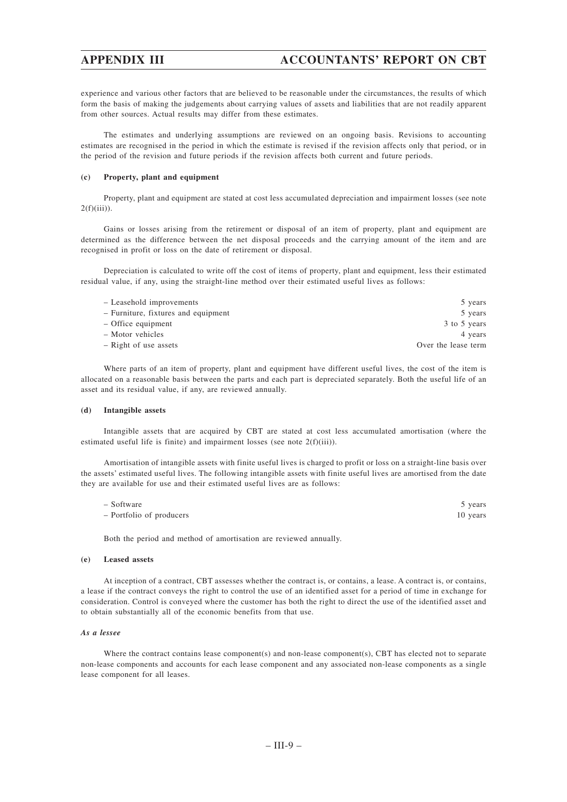experience and various other factors that are believed to be reasonable under the circumstances, the results of which form the basis of making the judgements about carrying values of assets and liabilities that are not readily apparent from other sources. Actual results may differ from these estimates.

The estimates and underlying assumptions are reviewed on an ongoing basis. Revisions to accounting estimates are recognised in the period in which the estimate is revised if the revision affects only that period, or in the period of the revision and future periods if the revision affects both current and future periods.

### **(c) Property, plant and equipment**

Property, plant and equipment are stated at cost less accumulated depreciation and impairment losses (see note  $2(f)(iii)$ ).

Gains or losses arising from the retirement or disposal of an item of property, plant and equipment are determined as the difference between the net disposal proceeds and the carrying amount of the item and are recognised in profit or loss on the date of retirement or disposal.

Depreciation is calculated to write off the cost of items of property, plant and equipment, less their estimated residual value, if any, using the straight-line method over their estimated useful lives as follows:

| 5 years             |
|---------------------|
| 5 years             |
| 3 to 5 years        |
| 4 years             |
| Over the lease term |
|                     |

Where parts of an item of property, plant and equipment have different useful lives, the cost of the item is allocated on a reasonable basis between the parts and each part is depreciated separately. Both the useful life of an asset and its residual value, if any, are reviewed annually.

### **(d) Intangible assets**

Intangible assets that are acquired by CBT are stated at cost less accumulated amortisation (where the estimated useful life is finite) and impairment losses (see note 2(f)(iii)).

Amortisation of intangible assets with finite useful lives is charged to profit or loss on a straight-line basis over the assets' estimated useful lives. The following intangible assets with finite useful lives are amortised from the date they are available for use and their estimated useful lives are as follows:

| - Software               | 5 years  |
|--------------------------|----------|
| - Portfolio of producers | 10 years |

Both the period and method of amortisation are reviewed annually.

### **(e) Leased assets**

At inception of a contract, CBT assesses whether the contract is, or contains, a lease. A contract is, or contains, a lease if the contract conveys the right to control the use of an identified asset for a period of time in exchange for consideration. Control is conveyed where the customer has both the right to direct the use of the identified asset and to obtain substantially all of the economic benefits from that use.

### *As a lessee*

Where the contract contains lease component(s) and non-lease component(s), CBT has elected not to separate non-lease components and accounts for each lease component and any associated non-lease components as a single lease component for all leases.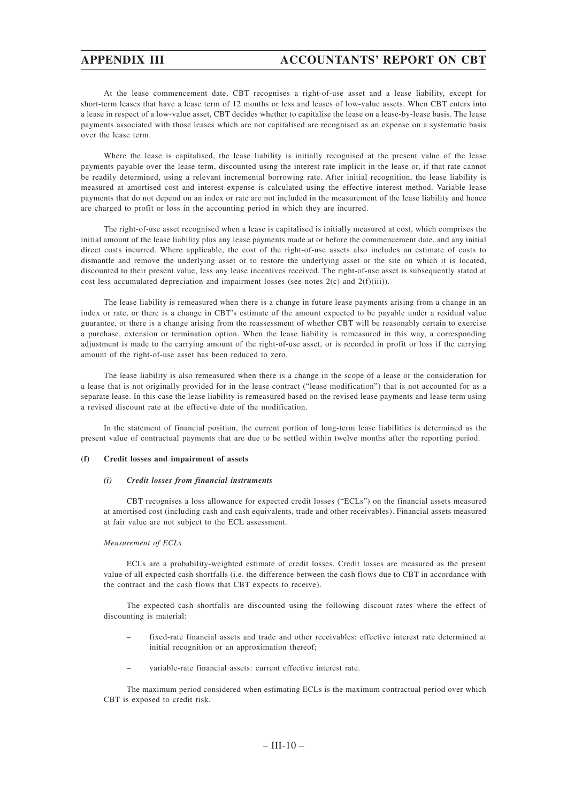At the lease commencement date, CBT recognises a right-of-use asset and a lease liability, except for short-term leases that have a lease term of 12 months or less and leases of low-value assets. When CBT enters into a lease in respect of a low-value asset, CBT decides whether to capitalise the lease on a lease-by-lease basis. The lease payments associated with those leases which are not capitalised are recognised as an expense on a systematic basis over the lease term.

Where the lease is capitalised, the lease liability is initially recognised at the present value of the lease payments payable over the lease term, discounted using the interest rate implicit in the lease or, if that rate cannot be readily determined, using a relevant incremental borrowing rate. After initial recognition, the lease liability is measured at amortised cost and interest expense is calculated using the effective interest method. Variable lease payments that do not depend on an index or rate are not included in the measurement of the lease liability and hence are charged to profit or loss in the accounting period in which they are incurred.

The right-of-use asset recognised when a lease is capitalised is initially measured at cost, which comprises the initial amount of the lease liability plus any lease payments made at or before the commencement date, and any initial direct costs incurred. Where applicable, the cost of the right-of-use assets also includes an estimate of costs to dismantle and remove the underlying asset or to restore the underlying asset or the site on which it is located, discounted to their present value, less any lease incentives received. The right-of-use asset is subsequently stated at cost less accumulated depreciation and impairment losses (see notes  $2(c)$  and  $2(f)(iii)$ ).

The lease liability is remeasured when there is a change in future lease payments arising from a change in an index or rate, or there is a change in CBT's estimate of the amount expected to be payable under a residual value guarantee, or there is a change arising from the reassessment of whether CBT will be reasonably certain to exercise a purchase, extension or termination option. When the lease liability is remeasured in this way, a corresponding adjustment is made to the carrying amount of the right-of-use asset, or is recorded in profit or loss if the carrying amount of the right-of-use asset has been reduced to zero.

The lease liability is also remeasured when there is a change in the scope of a lease or the consideration for a lease that is not originally provided for in the lease contract ("lease modification") that is not accounted for as a separate lease. In this case the lease liability is remeasured based on the revised lease payments and lease term using a revised discount rate at the effective date of the modification.

In the statement of financial position, the current portion of long-term lease liabilities is determined as the present value of contractual payments that are due to be settled within twelve months after the reporting period.

### **(f) Credit losses and impairment of assets**

#### *(i) Credit losses from financial instruments*

CBT recognises a loss allowance for expected credit losses ("ECLs") on the financial assets measured at amortised cost (including cash and cash equivalents, trade and other receivables). Financial assets measured at fair value are not subject to the ECL assessment.

### *Measurement of ECLs*

ECLs are a probability-weighted estimate of credit losses. Credit losses are measured as the present value of all expected cash shortfalls (i.e. the difference between the cash flows due to CBT in accordance with the contract and the cash flows that CBT expects to receive).

The expected cash shortfalls are discounted using the following discount rates where the effect of discounting is material:

- fixed-rate financial assets and trade and other receivables: effective interest rate determined at initial recognition or an approximation thereof;
- variable-rate financial assets: current effective interest rate.

The maximum period considered when estimating ECLs is the maximum contractual period over which CBT is exposed to credit risk.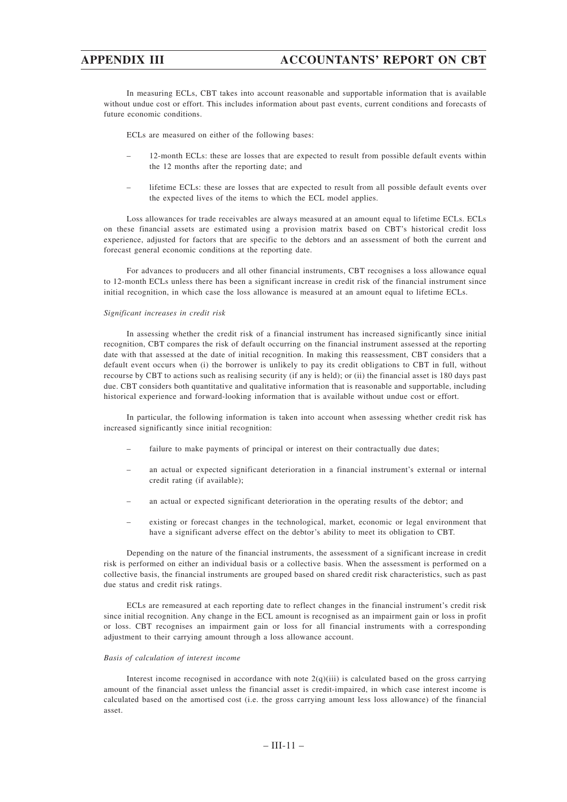In measuring ECLs, CBT takes into account reasonable and supportable information that is available without undue cost or effort. This includes information about past events, current conditions and forecasts of future economic conditions.

ECLs are measured on either of the following bases:

- 12-month ECLs: these are losses that are expected to result from possible default events within the 12 months after the reporting date; and
- lifetime ECLs: these are losses that are expected to result from all possible default events over the expected lives of the items to which the ECL model applies.

Loss allowances for trade receivables are always measured at an amount equal to lifetime ECLs. ECLs on these financial assets are estimated using a provision matrix based on CBT's historical credit loss experience, adjusted for factors that are specific to the debtors and an assessment of both the current and forecast general economic conditions at the reporting date.

For advances to producers and all other financial instruments, CBT recognises a loss allowance equal to 12-month ECLs unless there has been a significant increase in credit risk of the financial instrument since initial recognition, in which case the loss allowance is measured at an amount equal to lifetime ECLs.

### *Significant increases in credit risk*

In assessing whether the credit risk of a financial instrument has increased significantly since initial recognition, CBT compares the risk of default occurring on the financial instrument assessed at the reporting date with that assessed at the date of initial recognition. In making this reassessment, CBT considers that a default event occurs when (i) the borrower is unlikely to pay its credit obligations to CBT in full, without recourse by CBT to actions such as realising security (if any is held); or (ii) the financial asset is 180 days past due. CBT considers both quantitative and qualitative information that is reasonable and supportable, including historical experience and forward-looking information that is available without undue cost or effort.

In particular, the following information is taken into account when assessing whether credit risk has increased significantly since initial recognition:

- failure to make payments of principal or interest on their contractually due dates;
- an actual or expected significant deterioration in a financial instrument's external or internal credit rating (if available);
- an actual or expected significant deterioration in the operating results of the debtor; and
- existing or forecast changes in the technological, market, economic or legal environment that have a significant adverse effect on the debtor's ability to meet its obligation to CBT.

Depending on the nature of the financial instruments, the assessment of a significant increase in credit risk is performed on either an individual basis or a collective basis. When the assessment is performed on a collective basis, the financial instruments are grouped based on shared credit risk characteristics, such as past due status and credit risk ratings.

ECLs are remeasured at each reporting date to reflect changes in the financial instrument's credit risk since initial recognition. Any change in the ECL amount is recognised as an impairment gain or loss in profit or loss. CBT recognises an impairment gain or loss for all financial instruments with a corresponding adjustment to their carrying amount through a loss allowance account.

#### *Basis of calculation of interest income*

Interest income recognised in accordance with note  $2(q)(iii)$  is calculated based on the gross carrying amount of the financial asset unless the financial asset is credit-impaired, in which case interest income is calculated based on the amortised cost (i.e. the gross carrying amount less loss allowance) of the financial asset.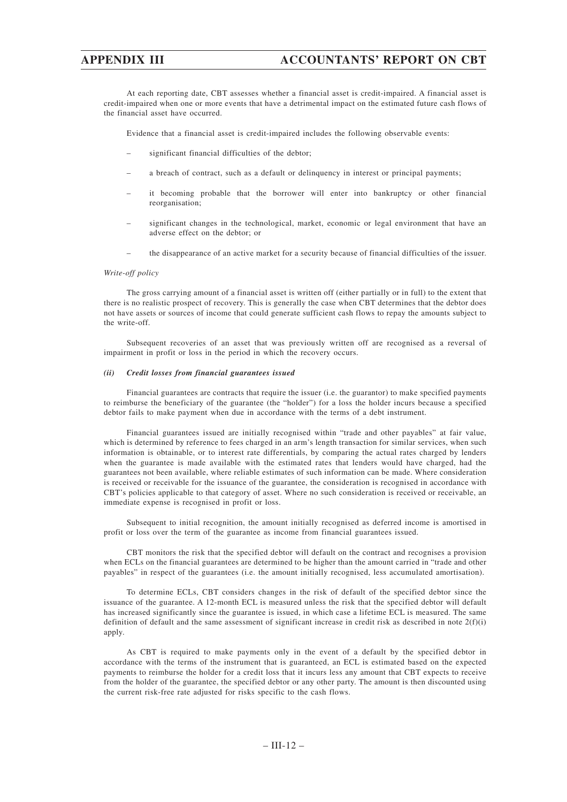At each reporting date, CBT assesses whether a financial asset is credit-impaired. A financial asset is credit-impaired when one or more events that have a detrimental impact on the estimated future cash flows of the financial asset have occurred.

Evidence that a financial asset is credit-impaired includes the following observable events:

- significant financial difficulties of the debtor;
- a breach of contract, such as a default or delinquency in interest or principal payments;
- it becoming probable that the borrower will enter into bankruptcy or other financial reorganisation;
- significant changes in the technological, market, economic or legal environment that have an adverse effect on the debtor; or
- the disappearance of an active market for a security because of financial difficulties of the issuer.

### *Write-off policy*

The gross carrying amount of a financial asset is written off (either partially or in full) to the extent that there is no realistic prospect of recovery. This is generally the case when CBT determines that the debtor does not have assets or sources of income that could generate sufficient cash flows to repay the amounts subject to the write-off.

Subsequent recoveries of an asset that was previously written off are recognised as a reversal of impairment in profit or loss in the period in which the recovery occurs.

### *(ii) Credit losses from financial guarantees issued*

Financial guarantees are contracts that require the issuer (i.e. the guarantor) to make specified payments to reimburse the beneficiary of the guarantee (the "holder") for a loss the holder incurs because a specified debtor fails to make payment when due in accordance with the terms of a debt instrument.

Financial guarantees issued are initially recognised within "trade and other payables" at fair value, which is determined by reference to fees charged in an arm's length transaction for similar services, when such information is obtainable, or to interest rate differentials, by comparing the actual rates charged by lenders when the guarantee is made available with the estimated rates that lenders would have charged, had the guarantees not been available, where reliable estimates of such information can be made. Where consideration is received or receivable for the issuance of the guarantee, the consideration is recognised in accordance with CBT's policies applicable to that category of asset. Where no such consideration is received or receivable, an immediate expense is recognised in profit or loss.

Subsequent to initial recognition, the amount initially recognised as deferred income is amortised in profit or loss over the term of the guarantee as income from financial guarantees issued.

CBT monitors the risk that the specified debtor will default on the contract and recognises a provision when ECLs on the financial guarantees are determined to be higher than the amount carried in "trade and other payables" in respect of the guarantees (i.e. the amount initially recognised, less accumulated amortisation).

To determine ECLs, CBT considers changes in the risk of default of the specified debtor since the issuance of the guarantee. A 12-month ECL is measured unless the risk that the specified debtor will default has increased significantly since the guarantee is issued, in which case a lifetime ECL is measured. The same definition of default and the same assessment of significant increase in credit risk as described in note  $2(f)(i)$ apply.

As CBT is required to make payments only in the event of a default by the specified debtor in accordance with the terms of the instrument that is guaranteed, an ECL is estimated based on the expected payments to reimburse the holder for a credit loss that it incurs less any amount that CBT expects to receive from the holder of the guarantee, the specified debtor or any other party. The amount is then discounted using the current risk-free rate adjusted for risks specific to the cash flows.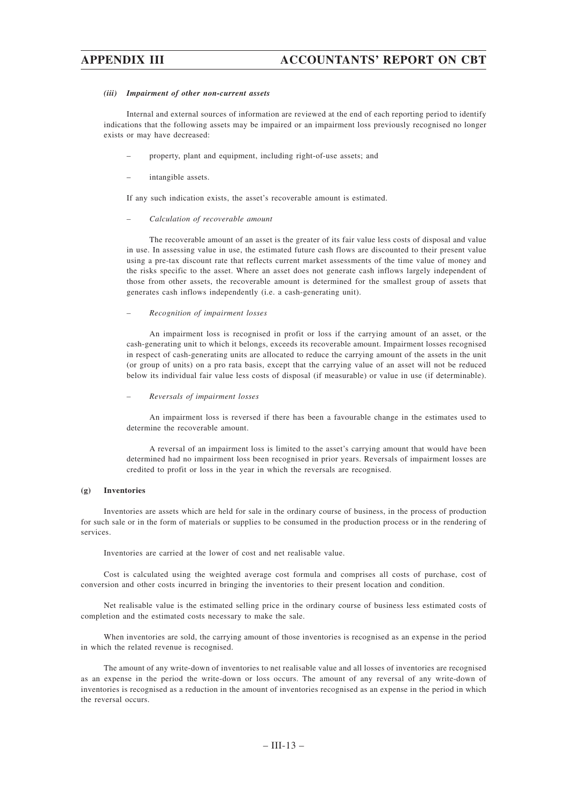#### *(iii) Impairment of other non-current assets*

Internal and external sources of information are reviewed at the end of each reporting period to identify indications that the following assets may be impaired or an impairment loss previously recognised no longer exists or may have decreased:

- property, plant and equipment, including right-of-use assets; and
- intangible assets.

If any such indication exists, the asset's recoverable amount is estimated.

#### *– Calculation of recoverable amount*

The recoverable amount of an asset is the greater of its fair value less costs of disposal and value in use. In assessing value in use, the estimated future cash flows are discounted to their present value using a pre-tax discount rate that reflects current market assessments of the time value of money and the risks specific to the asset. Where an asset does not generate cash inflows largely independent of those from other assets, the recoverable amount is determined for the smallest group of assets that generates cash inflows independently (i.e. a cash-generating unit).

### *– Recognition of impairment losses*

An impairment loss is recognised in profit or loss if the carrying amount of an asset, or the cash-generating unit to which it belongs, exceeds its recoverable amount. Impairment losses recognised in respect of cash-generating units are allocated to reduce the carrying amount of the assets in the unit (or group of units) on a pro rata basis, except that the carrying value of an asset will not be reduced below its individual fair value less costs of disposal (if measurable) or value in use (if determinable).

#### *– Reversals of impairment losses*

An impairment loss is reversed if there has been a favourable change in the estimates used to determine the recoverable amount.

A reversal of an impairment loss is limited to the asset's carrying amount that would have been determined had no impairment loss been recognised in prior years. Reversals of impairment losses are credited to profit or loss in the year in which the reversals are recognised.

#### **(g) Inventories**

Inventories are assets which are held for sale in the ordinary course of business, in the process of production for such sale or in the form of materials or supplies to be consumed in the production process or in the rendering of services.

Inventories are carried at the lower of cost and net realisable value.

Cost is calculated using the weighted average cost formula and comprises all costs of purchase, cost of conversion and other costs incurred in bringing the inventories to their present location and condition.

Net realisable value is the estimated selling price in the ordinary course of business less estimated costs of completion and the estimated costs necessary to make the sale.

When inventories are sold, the carrying amount of those inventories is recognised as an expense in the period in which the related revenue is recognised.

The amount of any write-down of inventories to net realisable value and all losses of inventories are recognised as an expense in the period the write-down or loss occurs. The amount of any reversal of any write-down of inventories is recognised as a reduction in the amount of inventories recognised as an expense in the period in which the reversal occurs.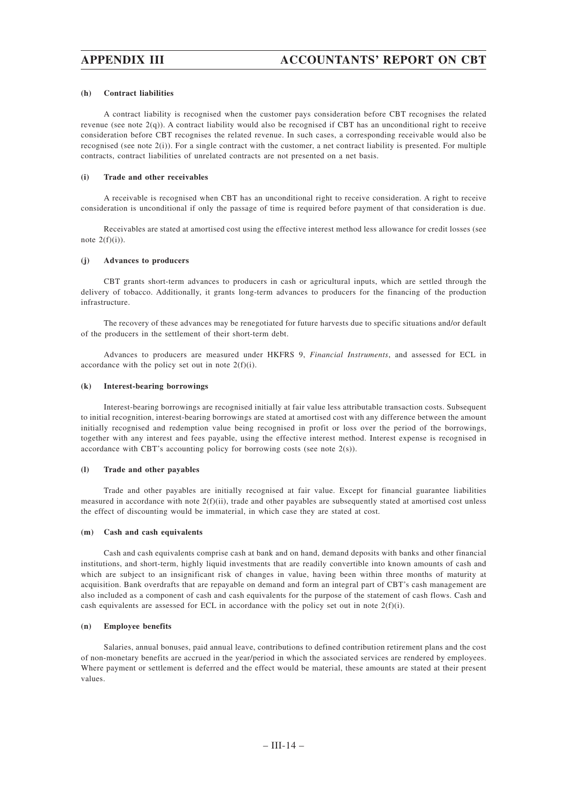### **(h) Contract liabilities**

A contract liability is recognised when the customer pays consideration before CBT recognises the related revenue (see note  $2(q)$ ). A contract liability would also be recognised if CBT has an unconditional right to receive consideration before CBT recognises the related revenue. In such cases, a corresponding receivable would also be recognised (see note  $2(i)$ ). For a single contract with the customer, a net contract liability is presented. For multiple contracts, contract liabilities of unrelated contracts are not presented on a net basis.

### **(i) Trade and other receivables**

A receivable is recognised when CBT has an unconditional right to receive consideration. A right to receive consideration is unconditional if only the passage of time is required before payment of that consideration is due.

Receivables are stated at amortised cost using the effective interest method less allowance for credit losses (see note  $2(f)(i)$ ).

### **(j) Advances to producers**

CBT grants short-term advances to producers in cash or agricultural inputs, which are settled through the delivery of tobacco. Additionally, it grants long-term advances to producers for the financing of the production infrastructure.

The recovery of these advances may be renegotiated for future harvests due to specific situations and/or default of the producers in the settlement of their short-term debt.

Advances to producers are measured under HKFRS 9, *Financial Instruments*, and assessed for ECL in accordance with the policy set out in note 2(f)(i).

### **(k) Interest-bearing borrowings**

Interest-bearing borrowings are recognised initially at fair value less attributable transaction costs. Subsequent to initial recognition, interest-bearing borrowings are stated at amortised cost with any difference between the amount initially recognised and redemption value being recognised in profit or loss over the period of the borrowings, together with any interest and fees payable, using the effective interest method. Interest expense is recognised in accordance with CBT's accounting policy for borrowing costs (see note 2(s)).

#### **(l) Trade and other payables**

Trade and other payables are initially recognised at fair value. Except for financial guarantee liabilities measured in accordance with note 2(f)(ii), trade and other payables are subsequently stated at amortised cost unless the effect of discounting would be immaterial, in which case they are stated at cost.

#### **(m) Cash and cash equivalents**

Cash and cash equivalents comprise cash at bank and on hand, demand deposits with banks and other financial institutions, and short-term, highly liquid investments that are readily convertible into known amounts of cash and which are subject to an insignificant risk of changes in value, having been within three months of maturity at acquisition. Bank overdrafts that are repayable on demand and form an integral part of CBT's cash management are also included as a component of cash and cash equivalents for the purpose of the statement of cash flows. Cash and cash equivalents are assessed for ECL in accordance with the policy set out in note  $2(f)(i)$ .

### **(n) Employee benefits**

Salaries, annual bonuses, paid annual leave, contributions to defined contribution retirement plans and the cost of non-monetary benefits are accrued in the year/period in which the associated services are rendered by employees. Where payment or settlement is deferred and the effect would be material, these amounts are stated at their present values.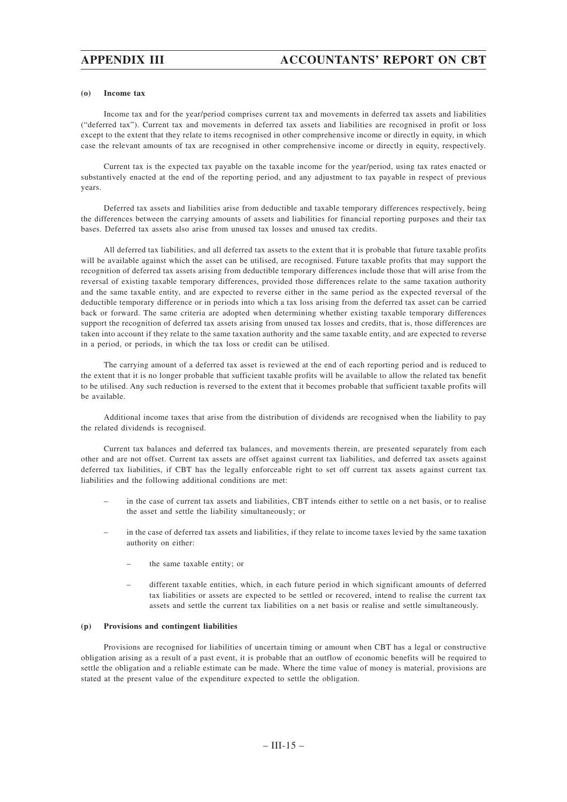### **(o) Income tax**

Income tax and for the year/period comprises current tax and movements in deferred tax assets and liabilities ("deferred tax"). Current tax and movements in deferred tax assets and liabilities are recognised in profit or loss except to the extent that they relate to items recognised in other comprehensive income or directly in equity, in which case the relevant amounts of tax are recognised in other comprehensive income or directly in equity, respectively.

Current tax is the expected tax payable on the taxable income for the year/period, using tax rates enacted or substantively enacted at the end of the reporting period, and any adjustment to tax payable in respect of previous years.

Deferred tax assets and liabilities arise from deductible and taxable temporary differences respectively, being the differences between the carrying amounts of assets and liabilities for financial reporting purposes and their tax bases. Deferred tax assets also arise from unused tax losses and unused tax credits.

All deferred tax liabilities, and all deferred tax assets to the extent that it is probable that future taxable profits will be available against which the asset can be utilised, are recognised. Future taxable profits that may support the recognition of deferred tax assets arising from deductible temporary differences include those that will arise from the reversal of existing taxable temporary differences, provided those differences relate to the same taxation authority and the same taxable entity, and are expected to reverse either in the same period as the expected reversal of the deductible temporary difference or in periods into which a tax loss arising from the deferred tax asset can be carried back or forward. The same criteria are adopted when determining whether existing taxable temporary differences support the recognition of deferred tax assets arising from unused tax losses and credits, that is, those differences are taken into account if they relate to the same taxation authority and the same taxable entity, and are expected to reverse in a period, or periods, in which the tax loss or credit can be utilised.

The carrying amount of a deferred tax asset is reviewed at the end of each reporting period and is reduced to the extent that it is no longer probable that sufficient taxable profits will be available to allow the related tax benefit to be utilised. Any such reduction is reversed to the extent that it becomes probable that sufficient taxable profits will be available.

Additional income taxes that arise from the distribution of dividends are recognised when the liability to pay the related dividends is recognised.

Current tax balances and deferred tax balances, and movements therein, are presented separately from each other and are not offset. Current tax assets are offset against current tax liabilities, and deferred tax assets against deferred tax liabilities, if CBT has the legally enforceable right to set off current tax assets against current tax liabilities and the following additional conditions are met:

- in the case of current tax assets and liabilities, CBT intends either to settle on a net basis, or to realise the asset and settle the liability simultaneously; or
- in the case of deferred tax assets and liabilities, if they relate to income taxes levied by the same taxation authority on either:
	- the same taxable entity; or
	- different taxable entities, which, in each future period in which significant amounts of deferred tax liabilities or assets are expected to be settled or recovered, intend to realise the current tax assets and settle the current tax liabilities on a net basis or realise and settle simultaneously.

## **(p) Provisions and contingent liabilities**

Provisions are recognised for liabilities of uncertain timing or amount when CBT has a legal or constructive obligation arising as a result of a past event, it is probable that an outflow of economic benefits will be required to settle the obligation and a reliable estimate can be made. Where the time value of money is material, provisions are stated at the present value of the expenditure expected to settle the obligation.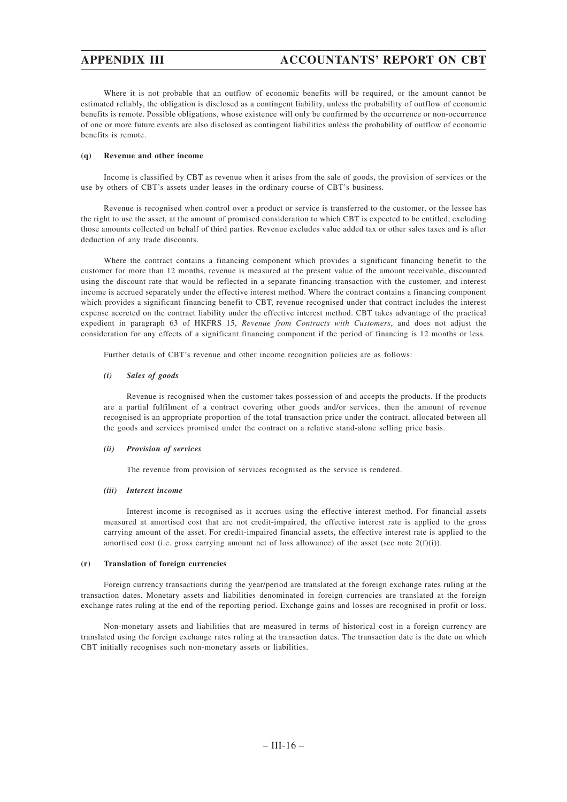Where it is not probable that an outflow of economic benefits will be required, or the amount cannot be estimated reliably, the obligation is disclosed as a contingent liability, unless the probability of outflow of economic benefits is remote. Possible obligations, whose existence will only be confirmed by the occurrence or non-occurrence of one or more future events are also disclosed as contingent liabilities unless the probability of outflow of economic benefits is remote.

## **(q) Revenue and other income**

Income is classified by CBT as revenue when it arises from the sale of goods, the provision of services or the use by others of CBT's assets under leases in the ordinary course of CBT's business.

Revenue is recognised when control over a product or service is transferred to the customer, or the lessee has the right to use the asset, at the amount of promised consideration to which CBT is expected to be entitled, excluding those amounts collected on behalf of third parties. Revenue excludes value added tax or other sales taxes and is after deduction of any trade discounts.

Where the contract contains a financing component which provides a significant financing benefit to the customer for more than 12 months, revenue is measured at the present value of the amount receivable, discounted using the discount rate that would be reflected in a separate financing transaction with the customer, and interest income is accrued separately under the effective interest method. Where the contract contains a financing component which provides a significant financing benefit to CBT, revenue recognised under that contract includes the interest expense accreted on the contract liability under the effective interest method. CBT takes advantage of the practical expedient in paragraph 63 of HKFRS 15, *Revenue from Contracts with Customers*, and does not adjust the consideration for any effects of a significant financing component if the period of financing is 12 months or less.

Further details of CBT's revenue and other income recognition policies are as follows:

## *(i) Sales of goods*

Revenue is recognised when the customer takes possession of and accepts the products. If the products are a partial fulfilment of a contract covering other goods and/or services, then the amount of revenue recognised is an appropriate proportion of the total transaction price under the contract, allocated between all the goods and services promised under the contract on a relative stand-alone selling price basis.

### *(ii) Provision of services*

The revenue from provision of services recognised as the service is rendered.

### *(iii) Interest income*

Interest income is recognised as it accrues using the effective interest method. For financial assets measured at amortised cost that are not credit-impaired, the effective interest rate is applied to the gross carrying amount of the asset. For credit-impaired financial assets, the effective interest rate is applied to the amortised cost (i.e. gross carrying amount net of loss allowance) of the asset (see note  $2(f)(i)$ ).

### **(r) Translation of foreign currencies**

Foreign currency transactions during the year/period are translated at the foreign exchange rates ruling at the transaction dates. Monetary assets and liabilities denominated in foreign currencies are translated at the foreign exchange rates ruling at the end of the reporting period. Exchange gains and losses are recognised in profit or loss.

Non-monetary assets and liabilities that are measured in terms of historical cost in a foreign currency are translated using the foreign exchange rates ruling at the transaction dates. The transaction date is the date on which CBT initially recognises such non-monetary assets or liabilities.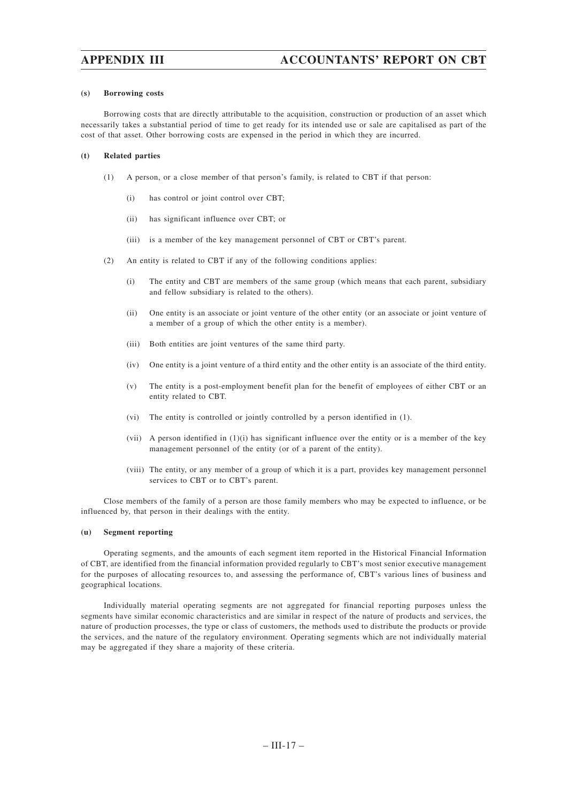### **(s) Borrowing costs**

Borrowing costs that are directly attributable to the acquisition, construction or production of an asset which necessarily takes a substantial period of time to get ready for its intended use or sale are capitalised as part of the cost of that asset. Other borrowing costs are expensed in the period in which they are incurred.

### **(t) Related parties**

- (1) A person, or a close member of that person's family, is related to CBT if that person:
	- (i) has control or joint control over CBT;
	- (ii) has significant influence over CBT; or
	- (iii) is a member of the key management personnel of CBT or CBT's parent.
- (2) An entity is related to CBT if any of the following conditions applies:
	- (i) The entity and CBT are members of the same group (which means that each parent, subsidiary and fellow subsidiary is related to the others).
	- (ii) One entity is an associate or joint venture of the other entity (or an associate or joint venture of a member of a group of which the other entity is a member).
	- (iii) Both entities are joint ventures of the same third party.
	- (iv) One entity is a joint venture of a third entity and the other entity is an associate of the third entity.
	- (v) The entity is a post-employment benefit plan for the benefit of employees of either CBT or an entity related to CBT.
	- (vi) The entity is controlled or jointly controlled by a person identified in (1).
	- (vii) A person identified in (1)(i) has significant influence over the entity or is a member of the key management personnel of the entity (or of a parent of the entity).
	- (viii) The entity, or any member of a group of which it is a part, provides key management personnel services to CBT or to CBT's parent.

Close members of the family of a person are those family members who may be expected to influence, or be influenced by, that person in their dealings with the entity.

### **(u) Segment reporting**

Operating segments, and the amounts of each segment item reported in the Historical Financial Information of CBT, are identified from the financial information provided regularly to CBT's most senior executive management for the purposes of allocating resources to, and assessing the performance of, CBT's various lines of business and geographical locations.

Individually material operating segments are not aggregated for financial reporting purposes unless the segments have similar economic characteristics and are similar in respect of the nature of products and services, the nature of production processes, the type or class of customers, the methods used to distribute the products or provide the services, and the nature of the regulatory environment. Operating segments which are not individually material may be aggregated if they share a majority of these criteria.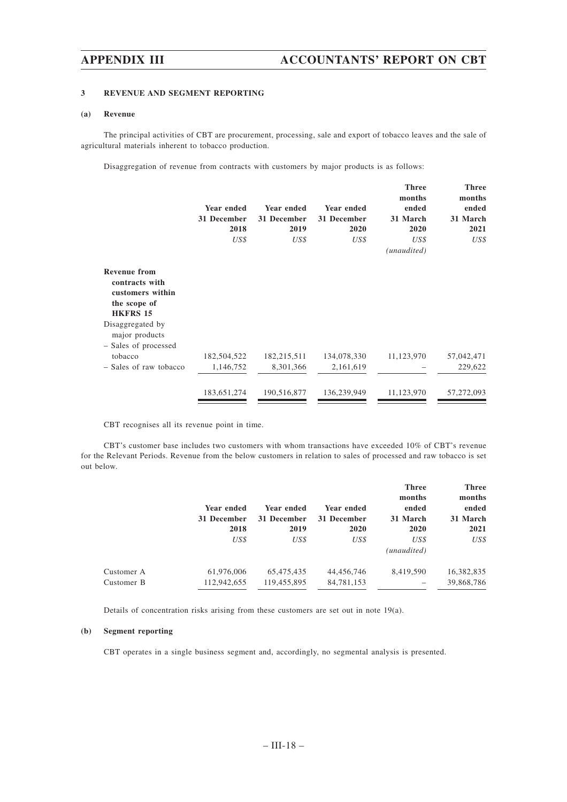# **3 REVENUE AND SEGMENT REPORTING**

## **(a) Revenue**

The principal activities of CBT are procurement, processing, sale and export of tobacco leaves and the sale of agricultural materials inherent to tobacco production.

Disaggregation of revenue from contracts with customers by major products is as follows:

|                                                                                              | Year ended<br>31 December<br>2018<br>US\$ | Year ended<br>31 December<br>2019<br>US\$ | Year ended<br>31 December<br>2020<br>US\$ | <b>Three</b><br>months<br>ended<br>31 March<br>2020<br>US\$<br>(unaudited) | <b>Three</b><br>months<br>ended<br>31 March<br>2021<br>US\$ |
|----------------------------------------------------------------------------------------------|-------------------------------------------|-------------------------------------------|-------------------------------------------|----------------------------------------------------------------------------|-------------------------------------------------------------|
| <b>Revenue from</b><br>contracts with<br>customers within<br>the scope of<br><b>HKFRS 15</b> |                                           |                                           |                                           |                                                                            |                                                             |
| Disaggregated by<br>major products<br>- Sales of processed                                   |                                           |                                           |                                           |                                                                            |                                                             |
| tobacco                                                                                      | 182,504,522                               | 182,215,511                               | 134,078,330                               | 11,123,970                                                                 | 57,042,471                                                  |
| - Sales of raw tobacco                                                                       | 1,146,752                                 | 8,301,366                                 | 2,161,619                                 |                                                                            | 229,622                                                     |
|                                                                                              | 183,651,274                               | 190,516,877                               | 136,239,949                               | 11,123,970                                                                 | 57,272,093                                                  |

CBT recognises all its revenue point in time.

CBT's customer base includes two customers with whom transactions have exceeded 10% of CBT's revenue for the Relevant Periods. Revenue from the below customers in relation to sales of processed and raw tobacco is set out below.

|            |             |             |             | <b>Three</b><br>months | <b>Three</b><br>months |
|------------|-------------|-------------|-------------|------------------------|------------------------|
|            | Year ended  | Year ended  | Year ended  | ended                  | ended                  |
|            | 31 December | 31 December | 31 December | 31 March               | 31 March               |
|            | 2018        | 2019        | 2020        | 2020                   | 2021                   |
|            | US\$        | US\$        | US\$        | US\$<br>(unaudited)    | US\$                   |
| Customer A | 61,976,006  | 65,475,435  | 44,456,746  | 8,419,590              | 16,382,835             |
| Customer B | 112,942,655 | 119,455,895 | 84,781,153  | -                      | 39,868,786             |

Details of concentration risks arising from these customers are set out in note 19(a).

# **(b) Segment reporting**

CBT operates in a single business segment and, accordingly, no segmental analysis is presented.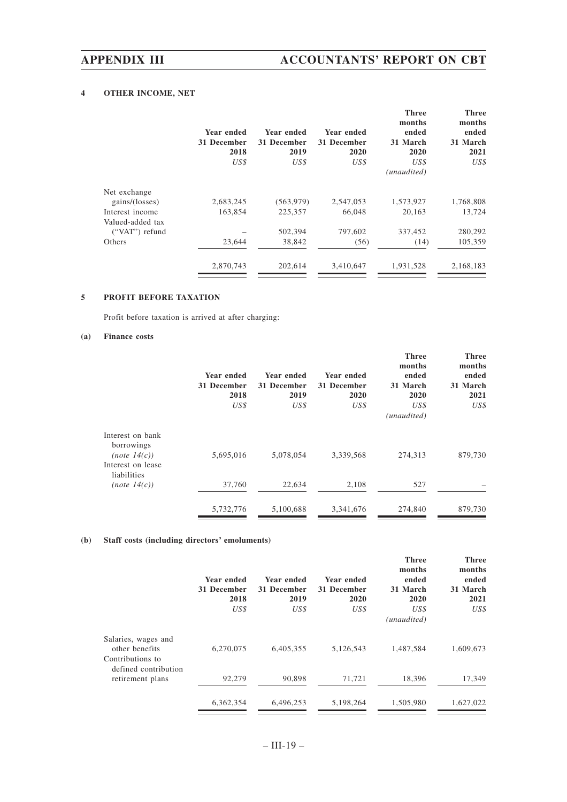# **4 OTHER INCOME, NET**

|                  | Year ended<br>31 December<br>2018<br>US\$ | Year ended<br>31 December<br>2019<br>US\$ | Year ended<br>31 December<br>2020<br>US\$ | <b>Three</b><br>months<br>ended<br>31 March<br>2020<br>US\$<br>(unaudited) | <b>Three</b><br>months<br>ended<br>31 March<br>2021<br>US\$ |
|------------------|-------------------------------------------|-------------------------------------------|-------------------------------------------|----------------------------------------------------------------------------|-------------------------------------------------------------|
|                  |                                           |                                           |                                           |                                                                            |                                                             |
| Net exchange     |                                           |                                           |                                           |                                                                            |                                                             |
| gains/(losses)   | 2,683,245                                 | (563, 979)                                | 2,547,053                                 | 1,573,927                                                                  | 1,768,808                                                   |
| Interest income  | 163,854                                   | 225,357                                   | 66,048                                    | 20,163                                                                     | 13,724                                                      |
| Valued-added tax |                                           |                                           |                                           |                                                                            |                                                             |
| ("VAT") refund   |                                           | 502,394                                   | 797,602                                   | 337,452                                                                    | 280,292                                                     |
| Others           | 23,644                                    | 38,842                                    | (56)                                      | (14)                                                                       | 105,359                                                     |
|                  | 2,870,743                                 | 202,614                                   | 3,410,647                                 | 1,931,528                                                                  | 2,168,183                                                   |
|                  |                                           |                                           |                                           |                                                                            |                                                             |

# **5 PROFIT BEFORE TAXATION**

Profit before taxation is arrived at after charging:

# **(a) Finance costs**

|                                                       | Year ended<br>31 December<br>2018<br>US\$ | Year ended<br>31 December<br>2019<br>US\$ | Year ended<br>31 December<br>2020<br>US\$ | <b>Three</b><br>months<br>ended<br>31 March<br>2020<br>US\$ | <b>Three</b><br>months<br>ended<br>31 March<br>2021<br>US\$ |
|-------------------------------------------------------|-------------------------------------------|-------------------------------------------|-------------------------------------------|-------------------------------------------------------------|-------------------------------------------------------------|
|                                                       |                                           |                                           |                                           | (unaudited)                                                 |                                                             |
| Interest on bank<br>borrowings<br>$(note \; 14(c))$   | 5,695,016                                 | 5,078,054                                 | 3,339,568                                 | 274,313                                                     | 879,730                                                     |
| Interest on lease<br>liabilities<br>$(note \; 14(c))$ | 37,760                                    | 22,634                                    | 2,108                                     | 527                                                         |                                                             |
|                                                       | 5,732,776                                 | 5,100,688                                 | 3,341,676                                 | 274,840                                                     | 879,730                                                     |

# **(b) Staff costs (including directors' emoluments)**

|                                                           | Year ended<br>31 December<br>2018<br>US\$ | Year ended<br>31 December<br>2019<br>US\$ | Year ended<br>31 December<br>2020<br>US\$ | <b>Three</b><br>months<br>ended<br>31 March<br>2020<br>US\$<br>(unaudited) | <b>Three</b><br>months<br>ended<br>31 March<br>2021<br>US\$ |
|-----------------------------------------------------------|-------------------------------------------|-------------------------------------------|-------------------------------------------|----------------------------------------------------------------------------|-------------------------------------------------------------|
| Salaries, wages and<br>other benefits<br>Contributions to | 6,270,075                                 | 6,405,355                                 | 5,126,543                                 | 1,487,584                                                                  | 1,609,673                                                   |
| defined contribution<br>retirement plans                  | 92,279                                    | 90.898                                    | 71,721                                    | 18,396                                                                     | 17,349                                                      |
|                                                           | 6,362,354                                 | 6.496.253                                 | 5,198,264                                 | 1.505.980                                                                  | 1,627,022                                                   |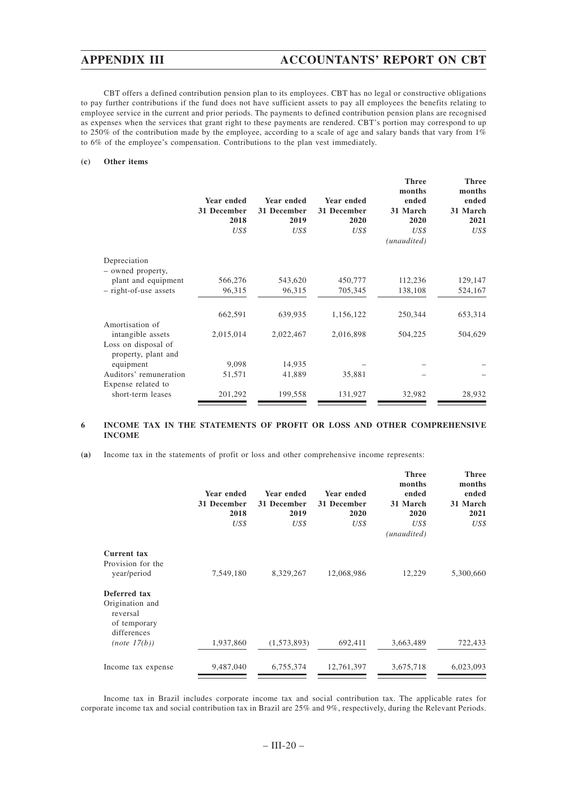CBT offers a defined contribution pension plan to its employees. CBT has no legal or constructive obligations to pay further contributions if the fund does not have sufficient assets to pay all employees the benefits relating to employee service in the current and prior periods. The payments to defined contribution pension plans are recognised as expenses when the services that grant right to these payments are rendered. CBT's portion may correspond to up to 250% of the contribution made by the employee, according to a scale of age and salary bands that vary from  $1\%$ to 6% of the employee's compensation. Contributions to the plan vest immediately.

## **(c) Other items**

|                                            | Year ended<br>31 December<br>2018<br>US\$ | Year ended<br>31 December<br>2019<br>US\$ | Year ended<br>31 December<br>2020<br>US\$ | <b>Three</b><br>months<br>ended<br>31 March<br>2020<br>US\$<br>(unaudited) | <b>Three</b><br>months<br>ended<br>31 March<br>2021<br>US\$ |
|--------------------------------------------|-------------------------------------------|-------------------------------------------|-------------------------------------------|----------------------------------------------------------------------------|-------------------------------------------------------------|
| Depreciation                               |                                           |                                           |                                           |                                                                            |                                                             |
| - owned property,<br>plant and equipment   | 566,276                                   | 543,620                                   | 450,777                                   | 112,236                                                                    | 129,147                                                     |
| - right-of-use assets                      | 96,315                                    | 96,315                                    | 705,345                                   | 138,108                                                                    | 524,167                                                     |
|                                            | 662,591                                   | 639,935                                   | 1,156,122                                 | 250,344                                                                    | 653,314                                                     |
| Amortisation of<br>intangible assets       | 2,015,014                                 | 2,022,467                                 | 2,016,898                                 | 504,225                                                                    | 504,629                                                     |
| Loss on disposal of<br>property, plant and |                                           |                                           |                                           |                                                                            |                                                             |
| equipment                                  | 9,098                                     | 14,935                                    |                                           |                                                                            |                                                             |
| Auditors' remuneration                     | 51,571                                    | 41,889                                    | 35,881                                    |                                                                            |                                                             |
| Expense related to                         |                                           |                                           |                                           |                                                                            |                                                             |
| short-term leases                          | 201,292                                   | 199,558                                   | 131,927                                   | 32,982                                                                     | 28,932                                                      |

## **6 INCOME TAX IN THE STATEMENTS OF PROFIT OR LOSS AND OTHER COMPREHENSIVE INCOME**

**(a)** Income tax in the statements of profit or loss and other comprehensive income represents:

|                                                                            | Year ended<br>31 December<br>2018<br>US\$ | Year ended<br>31 December<br>2019<br>US\$ | Year ended<br>31 December<br>2020<br>US\$ | <b>Three</b><br>months<br>ended<br>31 March<br>2020<br>US\$<br>(unaudited) | <b>Three</b><br>months<br>ended<br>31 March<br>2021<br>US\$ |
|----------------------------------------------------------------------------|-------------------------------------------|-------------------------------------------|-------------------------------------------|----------------------------------------------------------------------------|-------------------------------------------------------------|
| Current tax                                                                |                                           |                                           |                                           |                                                                            |                                                             |
| Provision for the<br>year/period                                           | 7,549,180                                 | 8,329,267                                 | 12,068,986                                | 12,229                                                                     | 5,300,660                                                   |
| Deferred tax<br>Origination and<br>reversal<br>of temporary<br>differences |                                           |                                           |                                           |                                                                            |                                                             |
| (note 17(b))                                                               | 1,937,860                                 | (1,573,893)                               | 692,411                                   | 3,663,489                                                                  | 722,433                                                     |
| Income tax expense                                                         | 9,487,040                                 | 6,755,374                                 | 12,761,397                                | 3,675,718                                                                  | 6,023,093                                                   |

Income tax in Brazil includes corporate income tax and social contribution tax. The applicable rates for corporate income tax and social contribution tax in Brazil are 25% and 9%, respectively, during the Relevant Periods.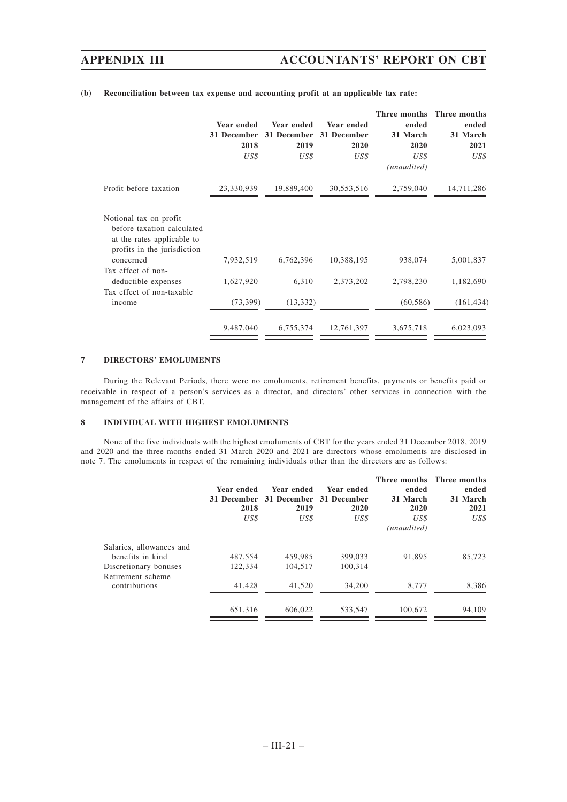|                                                                                                                                                                             | Year ended<br>31 December<br>2018<br>US\$ | Year ended<br>2019<br>US\$ | Year ended<br>31 December 31 December<br>2020<br>US\$ | Three months<br>ended<br>31 March<br>2020<br>US\$<br>(unaudited) | Three months<br>ended<br>31 March<br>2021<br>US\$ |
|-----------------------------------------------------------------------------------------------------------------------------------------------------------------------------|-------------------------------------------|----------------------------|-------------------------------------------------------|------------------------------------------------------------------|---------------------------------------------------|
| Profit before taxation                                                                                                                                                      | 23,330,939                                | 19,889,400                 | 30,553,516                                            | 2,759,040                                                        | 14,711,286                                        |
| Notional tax on profit<br>before taxation calculated<br>at the rates applicable to<br>profits in the jurisdiction<br>concerned<br>Tax effect of non-<br>deductible expenses | 7,932,519<br>1,627,920                    | 6,762,396<br>6,310         | 10,388,195<br>2,373,202                               | 938,074<br>2,798,230                                             | 5,001,837<br>1,182,690                            |
| Tax effect of non-taxable<br>income                                                                                                                                         | (73, 399)                                 | (13, 332)                  |                                                       | (60, 586)                                                        | (161, 434)                                        |
|                                                                                                                                                                             | 9,487,040                                 | 6,755,374                  | 12,761,397                                            | 3,675,718                                                        | 6,023,093                                         |

## **(b) Reconciliation between tax expense and accounting profit at an applicable tax rate:**

## **7 DIRECTORS' EMOLUMENTS**

During the Relevant Periods, there were no emoluments, retirement benefits, payments or benefits paid or receivable in respect of a person's services as a director, and directors' other services in connection with the management of the affairs of CBT.

## **8 INDIVIDUAL WITH HIGHEST EMOLUMENTS**

None of the five individuals with the highest emoluments of CBT for the years ended 31 December 2018, 2019 and 2020 and the three months ended 31 March 2020 and 2021 are directors whose emoluments are disclosed in note 7. The emoluments in respect of the remaining individuals other than the directors are as follows:

| Year ended | Year ended  | Year ended | ended                   | Three months Three months<br>ended |
|------------|-------------|------------|-------------------------|------------------------------------|
|            |             |            |                         | 31 March                           |
| 2018       | 2019        | 2020       | 2020                    | 2021                               |
| US\$       | US\$        | US\$       | US\$                    | US\$                               |
|            |             |            | (unaudited)             |                                    |
|            |             |            |                         |                                    |
| 487.554    | 459.985     | 399,033    | 91,895                  | 85.723                             |
| 122,334    | 104.517     | 100.314    |                         |                                    |
|            |             |            |                         |                                    |
| 41,428     | 41,520      | 34,200     | 8,777                   | 8,386                              |
| 651,316    | 606.022     | 533.547    | 100.672                 | 94,109                             |
|            | 31 December |            | 31 December 31 December | 31 March                           |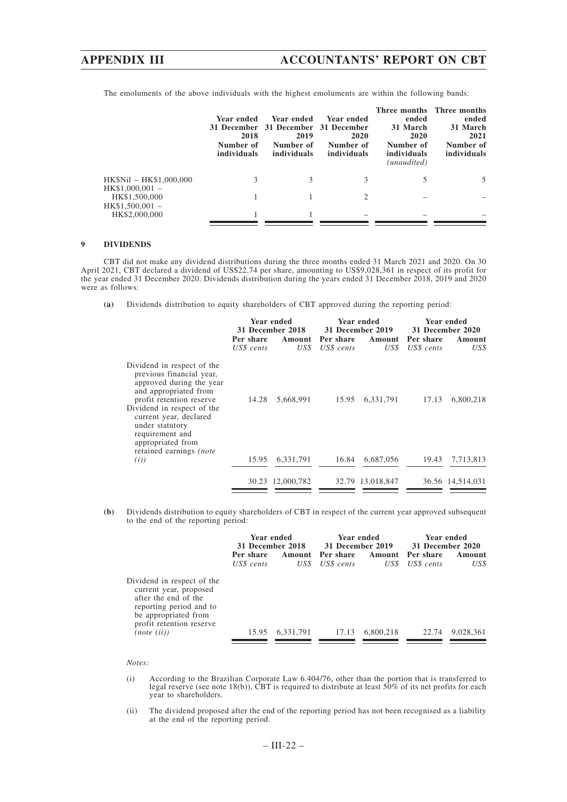# **APPENDIX III ACCOUNTANTS' REPORT ON CBT**

|                                             | Year ended<br>2018<br>Number of<br>individuals | Year ended<br>31 December 31 December<br>2019<br>Number of<br>individuals | - Year ended<br>- 31 December<br>2020<br>Number of<br>individuals | ended<br>31 March<br>2020<br>Number of<br>individuals<br>(unaudited) | Three months Three months<br>ended<br>31 March<br>2021<br>Number of<br>individuals |
|---------------------------------------------|------------------------------------------------|---------------------------------------------------------------------------|-------------------------------------------------------------------|----------------------------------------------------------------------|------------------------------------------------------------------------------------|
| HK\$Nil - HK\$1,000,000<br>$HK$1,000,001 -$ | 3                                              | 3                                                                         | 3                                                                 | 5                                                                    |                                                                                    |
| HK\$1,500,000                               |                                                |                                                                           |                                                                   |                                                                      |                                                                                    |
| $HK$1,500,001 -$<br>HK\$2,000,000           |                                                |                                                                           |                                                                   |                                                                      |                                                                                    |

The emoluments of the above individuals with the highest emoluments are within the following bands:

### **9 DIVIDENDS**

CBT did not make any dividend distributions during the three months ended 31 March 2021 and 2020. On 30 April 2021, CBT declared a dividend of US\$22.74 per share, amounting to US\$9,028,361 in respect of its profit for the year ended 31 December 2020. Dividends distribution during the years ended 31 December 2018, 2019 and 2020 were as follows:

**(a)** Dividends distribution to equity shareholders of CBT approved during the reporting period:

|                                                                                                                                                                                                                                                                                       | Per share<br>US\$ cents | Year ended<br>31 December 2018<br>Amount<br>US\$ | Per share<br>US\$ cents | Year ended<br>31 December 2019<br>Amount<br>US\$ | Per share<br>US\$ cents | Year ended<br>31 December 2020<br>Amount<br>US\$ |
|---------------------------------------------------------------------------------------------------------------------------------------------------------------------------------------------------------------------------------------------------------------------------------------|-------------------------|--------------------------------------------------|-------------------------|--------------------------------------------------|-------------------------|--------------------------------------------------|
| Dividend in respect of the<br>previous financial year,<br>approved during the year<br>and appropriated from<br>profit retention reserve<br>Dividend in respect of the<br>current year, declared<br>under statutory<br>requirement and<br>appropriated from<br>retained earnings (note | 14.28                   | 5,668,991                                        | 15.95                   | 6,331,791                                        | 17.13                   | 6,800,218                                        |
| (i)                                                                                                                                                                                                                                                                                   | 15.95                   | 6,331,791                                        | 16.84                   | 6,687,056                                        | 19.43                   | 7,713,813                                        |
|                                                                                                                                                                                                                                                                                       |                         | 30.23 12,000,782                                 |                         | 32.79 13,018,847                                 |                         | 36.56 14,514,031                                 |

**(b)** Dividends distribution to equity shareholders of CBT in respect of the current year approved subsequent to the end of the reporting period:

|                                                                                                                                                             | Year ended<br><b>31 December 2018</b> |           | Year ended<br>31 December 2019 |           | Year ended<br>31 December 2020 |           |  |
|-------------------------------------------------------------------------------------------------------------------------------------------------------------|---------------------------------------|-----------|--------------------------------|-----------|--------------------------------|-----------|--|
|                                                                                                                                                             | Per share                             |           | Amount Pershare                |           | Amount Per share               | Amount    |  |
|                                                                                                                                                             | US\$ cents                            | US\$      | US\$ cents                     | US\$      | US\$ cents                     | US\$      |  |
| Dividend in respect of the<br>current year, proposed<br>after the end of the<br>reporting period and to<br>be appropriated from<br>profit retention reserve |                                       |           |                                |           |                                |           |  |
| (note (ii))                                                                                                                                                 | 15.95                                 | 6,331,791 | 17.13                          | 6,800,218 | 22.74                          | 9,028,361 |  |

#### *Notes:*

- (i) According to the Brazilian Corporate Law 6.404/76, other than the portion that is transferred to legal reserve (see note 18(b)), CBT is required to distribute at least 50% of its net profits for each year to shareholders.
- (ii) The dividend proposed after the end of the reporting period has not been recognised as a liability at the end of the reporting period.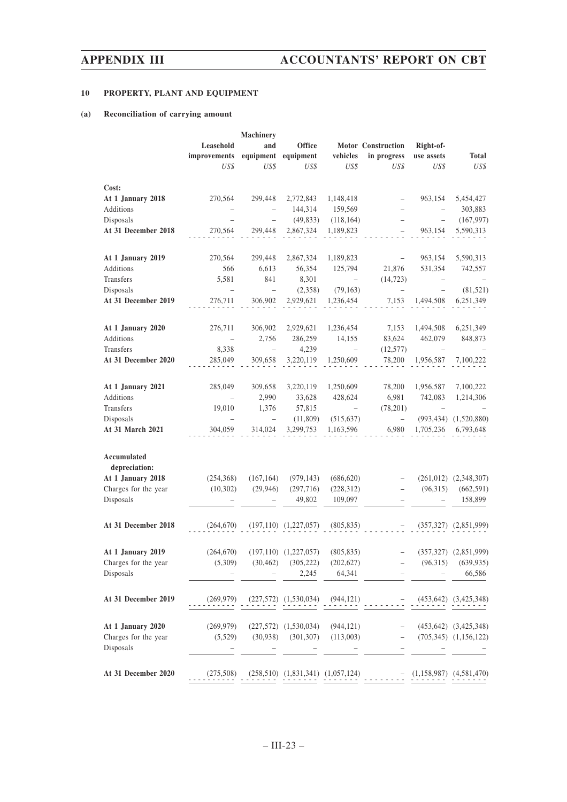# **10 PROPERTY, PLANT AND EQUIPMENT**

# **(a) Reconciliation of carrying amount**

|                                                                                        | Leasehold<br>improvements<br>US\$ | <b>Machinery</b><br>and<br>equipment<br>US\$ | <b>Office</b><br>equipment<br>US\$               | vehicles<br>US\$                    | <b>Motor Construction</b><br>in progress<br>US\$                          | Right-of-<br>use assets<br>US\$             | <b>Total</b><br>US\$                                      |
|----------------------------------------------------------------------------------------|-----------------------------------|----------------------------------------------|--------------------------------------------------|-------------------------------------|---------------------------------------------------------------------------|---------------------------------------------|-----------------------------------------------------------|
| Cost:<br>At 1 January 2018<br>Additions                                                | 270,564                           | 299,448<br>$\qquad \qquad -$                 | 2,772,843<br>144,314                             | 1,148,418<br>159,569                | $\overline{\phantom{0}}$                                                  | 963,154                                     | 5,454,427<br>303,883                                      |
| Disposals                                                                              |                                   |                                              | (49, 833)                                        | (118, 164)                          | -                                                                         |                                             | (167, 997)                                                |
| At 31 December 2018                                                                    | 270,564                           | 299,448                                      | 2,867,324                                        | 1,189,823                           | -                                                                         | 963,154                                     | 5,590,313                                                 |
| At 1 January 2019                                                                      | 270,564                           | 299,448                                      | 2,867,324                                        | 1,189,823                           |                                                                           | 963,154                                     | 5,590,313                                                 |
| Additions                                                                              | 566                               | 6,613                                        | 56,354                                           | 125,794                             | 21,876                                                                    | 531,354                                     | 742,557                                                   |
| Transfers                                                                              | 5,581                             | 841                                          | 8,301                                            | $\qquad \qquad -$                   | (14, 723)                                                                 |                                             |                                                           |
| Disposals<br>At 31 December 2019                                                       | 276,711                           | $\hspace{0.1in} - \hspace{0.1in}$<br>306,902 | (2,358)<br>2,929,621                             | (79, 163)<br>1,236,454              | 7,153                                                                     | $\overline{\phantom{0}}$<br>1,494,508       | (81, 521)<br>6,251,349                                    |
| At 1 January 2020                                                                      | 276,711                           | 306,902                                      | 2,929,621                                        | 1,236,454                           | 7,153                                                                     | 1,494,508                                   | 6,251,349                                                 |
| Additions                                                                              | $\qquad \qquad -$                 | 2,756                                        | 286,259                                          | 14,155                              | 83,624                                                                    | 462,079                                     | 848,873                                                   |
| Transfers                                                                              | 8,338                             | $\overline{\phantom{0}}$                     | 4,239                                            | $\qquad \qquad -$                   | (12, 577)                                                                 |                                             |                                                           |
| At 31 December 2020                                                                    | 285,049                           | 309,658                                      | 3,220,119                                        | 1,250,609                           | 78,200                                                                    | 1,956,587                                   | 7,100,222                                                 |
| At 1 January 2021                                                                      | 285,049                           | 309,658                                      | 3,220,119                                        | 1,250,609                           | 78,200                                                                    | 1,956,587                                   | 7,100,222                                                 |
| Additions                                                                              | $\overline{\phantom{0}}$          | 2,990                                        | 33,628                                           | 428,624                             | 6,981                                                                     | 742,083                                     | 1,214,306                                                 |
| Transfers<br>Disposals                                                                 | 19,010<br>$\equiv$                | 1,376<br>$\qquad \qquad -$                   | 57,815<br>(11,809)                               | $\qquad \qquad -$<br>(515, 637)     | (78,201)<br>$\qquad \qquad -$                                             | (993, 434)                                  | (1,520,880)                                               |
| At 31 March 2021                                                                       | 304,059                           | 314,024                                      | 3,299,753                                        | 1,163,596                           | 6,980                                                                     | 1,705,236                                   | 6,793,648                                                 |
| Accumulated<br>depreciation:<br>At 1 January 2018<br>Charges for the year<br>Disposals | (254, 368)<br>(10,302)            | (167, 164)<br>(29, 946)                      | (979, 143)<br>(297, 716)<br>49,802               | (686, 620)<br>(228, 312)<br>109,097 | $\overline{\phantom{0}}$<br>$\qquad \qquad -$<br>$\overline{\phantom{0}}$ | (261, 012)<br>(96,315)<br>$\qquad \qquad -$ | (2,348,307)<br>(662, 591)<br>158,899                      |
| At 31 December 2018                                                                    | (264, 670)                        |                                              | $(197,110)$ $(1,227,057)$                        | (805, 835)                          |                                                                           | (357, 327)                                  | (2,851,999)                                               |
| At 1 January 2019<br>Charges for the year<br>Disposals                                 | (264, 670)<br>(5,309)             | (30, 462)                                    | $(197,110)$ $(1,227,057)$<br>(305, 222)<br>2,245 | (805, 835)<br>(202, 627)<br>64,341  |                                                                           | (96,315)                                    | $(357,327)$ $(2,851,999)$<br>(639, 935)<br>66,586         |
| At 31 December 2019                                                                    | (269, 979)                        |                                              | $(227,572)$ $(1,530,034)$                        | (944, 121)                          |                                                                           |                                             | $(453, 642)$ $(3, 425, 348)$                              |
| At 1 January 2020<br>Charges for the year<br>Disposals                                 | (269, 979)<br>(5,529)             | (30, 938)                                    | $(227,572)$ $(1,530,034)$<br>(301, 307)          | (944, 121)<br>(113,003)             |                                                                           |                                             | $(453, 642)$ $(3, 425, 348)$<br>$(705,345)$ $(1,156,122)$ |
| At 31 December 2020                                                                    | (275,508)                         |                                              | $(258,510)$ $(1,831,341)$ $(1,057,124)$          |                                     |                                                                           |                                             | $(1,158,987)$ $(4,581,470)$                               |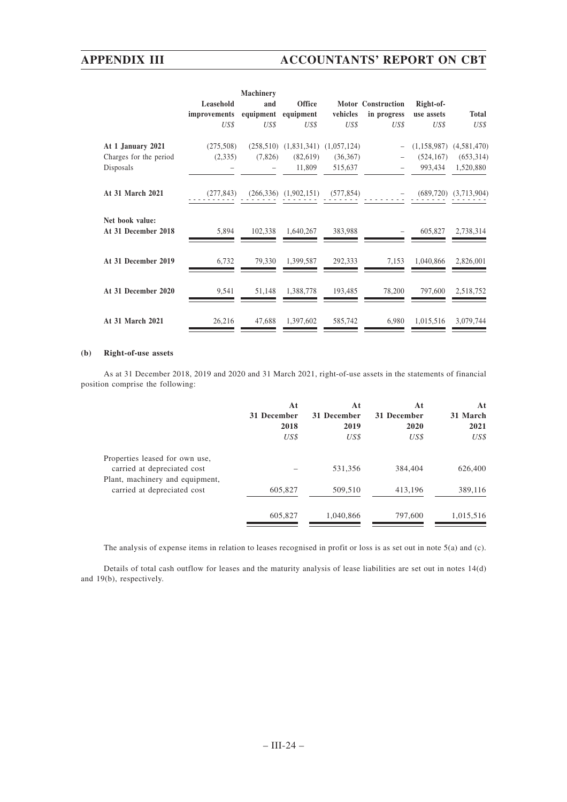|                                        |              | <b>Machinery</b> |                                         |            |                    |               |                           |
|----------------------------------------|--------------|------------------|-----------------------------------------|------------|--------------------|---------------|---------------------------|
|                                        | Leasehold    | and              | <b>Office</b>                           |            | Motor Construction | Right-of-     |                           |
|                                        | improvements | equipment        | equipment                               | vehicles   | in progress        | use assets    | <b>Total</b>              |
|                                        | US\$         | US\$             | US\$                                    | US\$       | US\$               | US\$          | US\$                      |
| At 1 January 2021                      | (275,508)    |                  | $(258,510)$ $(1,831,341)$ $(1,057,124)$ |            |                    | (1, 158, 987) | (4,581,470)               |
| Charges for the period                 | (2,335)      | (7,826)          | (82,619)                                | (36,367)   |                    | (524, 167)    | (653, 314)                |
| Disposals                              |              |                  | 11,809                                  | 515,637    |                    | 993,434       | 1,520,880                 |
| At 31 March 2021                       | (277, 843)   |                  | $(266,336)$ $(1,902,151)$               | (577, 854) |                    |               | $(689,720)$ $(3,713,904)$ |
| Net book value:<br>At 31 December 2018 | 5,894        | 102,338          | 1,640,267                               | 383,988    |                    | 605,827       | 2,738,314                 |
| At 31 December 2019                    | 6,732        | 79,330           | 1,399,587                               | 292,333    | 7,153              | 1,040,866     | 2,826,001                 |
| At 31 December 2020                    | 9,541        | 51,148           | 1,388,778                               | 193,485    | 78,200             | 797,600       | 2,518,752                 |
| At 31 March 2021                       | 26,216       | 47,688           | 1,397,602                               | 585,742    | 6,980              | 1,015,516     | 3,079,744                 |

## **(b) Right-of-use assets**

As at 31 December 2018, 2019 and 2020 and 31 March 2021, right-of-use assets in the statements of financial position comprise the following:

|                                 | At          | At          | At          | At        |
|---------------------------------|-------------|-------------|-------------|-----------|
|                                 | 31 December | 31 December | 31 December | 31 March  |
|                                 | 2018        | 2019        | 2020        | 2021      |
|                                 | US\$        | US\$        | US\$        | US\$      |
| Properties leased for own use,  |             |             |             |           |
| carried at depreciated cost     |             | 531,356     | 384,404     | 626,400   |
| Plant, machinery and equipment, |             |             |             |           |
| carried at depreciated cost     | 605,827     | 509,510     | 413,196     | 389,116   |
|                                 |             |             |             |           |
|                                 | 605,827     | 1,040,866   | 797,600     | 1,015,516 |
|                                 |             |             |             |           |

The analysis of expense items in relation to leases recognised in profit or loss is as set out in note 5(a) and (c).

Details of total cash outflow for leases and the maturity analysis of lease liabilities are set out in notes 14(d) and 19(b), respectively.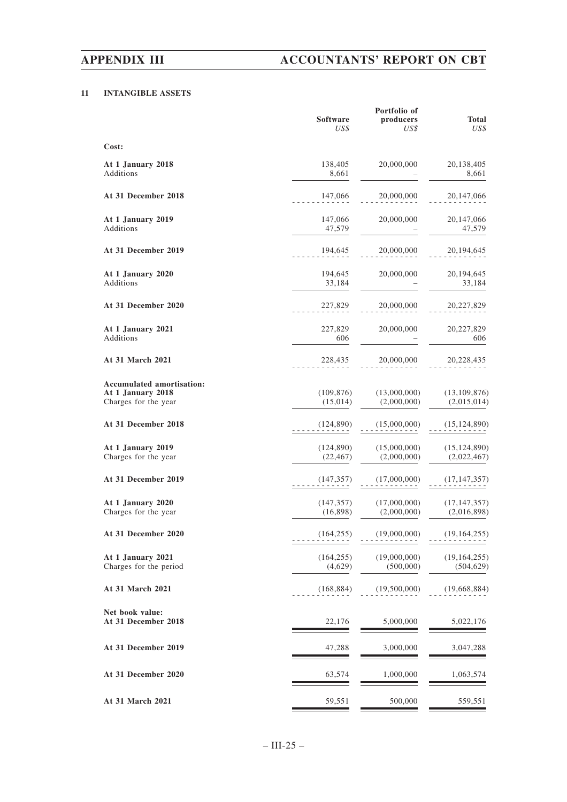# **11 INTANGIBLE ASSETS**

|                                                                        | <b>Software</b><br>US\$ | Portfolio of<br>producers<br>US\$ | <b>Total</b><br>US\$          |
|------------------------------------------------------------------------|-------------------------|-----------------------------------|-------------------------------|
| Cost:                                                                  |                         |                                   |                               |
| At 1 January 2018<br>Additions                                         | 138,405<br>8,661        | 20,000,000                        | 20,138,405<br>8,661           |
| At 31 December 2018                                                    | 147,066                 | 20,000,000                        | 20,147,066                    |
| At 1 January 2019<br>Additions                                         | 147,066<br>47,579       | 20,000,000                        | 20, 147, 066<br>47,579        |
| At 31 December 2019                                                    | 194,645                 | 20,000,000                        | 20, 194, 645                  |
| At 1 January 2020<br>Additions                                         | 194,645<br>33,184       | 20,000,000                        | 20,194,645<br>33,184          |
| At 31 December 2020                                                    | 227,829                 | 20,000,000                        | 20,227,829                    |
| At 1 January 2021<br>Additions                                         | 227,829<br>606          | 20,000,000                        | 20,227,829<br>606             |
| At 31 March 2021                                                       | 228,435                 | 20,000,000                        | 20,228,435                    |
| Accumulated amortisation:<br>At 1 January 2018<br>Charges for the year | (109, 876)<br>(15,014)  | (13,000,000)<br>(2,000,000)       | (13, 109, 876)<br>(2,015,014) |
| At 31 December 2018                                                    | (124,890)               | (15,000,000)                      | (15, 124, 890)                |
| At 1 January 2019<br>Charges for the year                              | (124, 890)<br>(22, 467) | (15,000,000)<br>(2,000,000)       | (15, 124, 890)<br>(2,022,467) |
| At 31 December 2019                                                    | (147, 357)              | (17,000,000)                      | (17, 147, 357)                |
| At 1 January 2020<br>Charges for the year                              | (147, 357)<br>(16,898)  | (17,000,000)<br>(2,000,000)       | (17, 147, 357)<br>(2,016,898) |
| At 31 December 2020                                                    | (164, 255)              | (19,000,000)                      | (19, 164, 255)                |
| At 1 January 2021<br>Charges for the period                            | (164, 255)<br>(4,629)   | (19,000,000)<br>(500,000)         | (19, 164, 255)<br>(504, 629)  |
| At 31 March 2021                                                       | (168, 884)              | (19,500,000)                      | (19,668,884)                  |
| Net book value:<br>At 31 December 2018                                 | 22,176                  | 5,000,000                         | 5,022,176                     |
| At 31 December 2019                                                    | 47,288                  | 3,000,000                         | 3,047,288                     |
| At 31 December 2020                                                    | 63,574                  | 1,000,000                         | 1,063,574                     |
| At 31 March 2021                                                       | 59,551                  | 500,000                           | 559,551                       |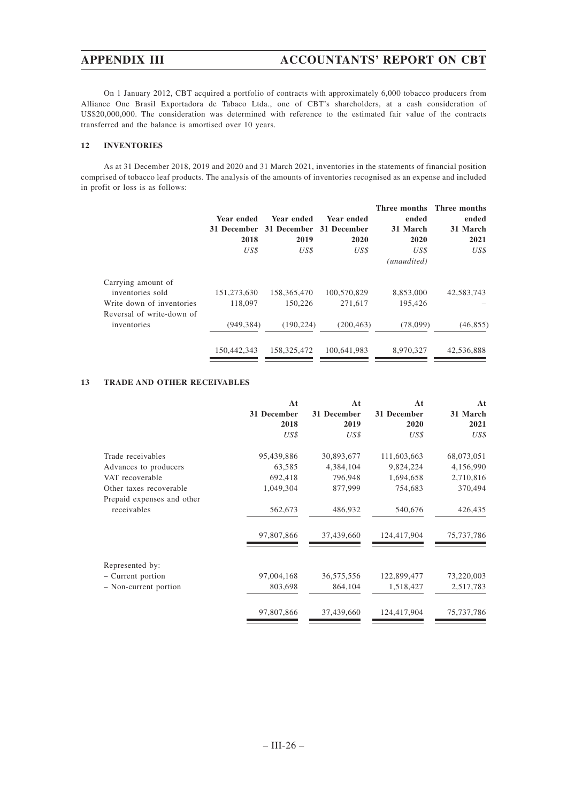On 1 January 2012, CBT acquired a portfolio of contracts with approximately 6,000 tobacco producers from Alliance One Brasil Exportadora de Tabaco Ltda., one of CBT's shareholders, at a cash consideration of US\$20,000,000. The consideration was determined with reference to the estimated fair value of the contracts transferred and the balance is amortised over 10 years.

# **12 INVENTORIES**

As at 31 December 2018, 2019 and 2020 and 31 March 2021, inventories in the statements of financial position comprised of tobacco leaf products. The analysis of the amounts of inventories recognised as an expense and included in profit or loss is as follows:

|                           |             |             |             |             | Three months Three months |
|---------------------------|-------------|-------------|-------------|-------------|---------------------------|
|                           | Year ended  | Year ended  | Year ended  | ended       | ended                     |
|                           | 31 December | 31 December | 31 December | 31 March    | 31 March                  |
|                           | 2018        | 2019        | 2020        | 2020        | 2021                      |
|                           | US\$        | US\$        | US\$        | US\$        | US\$                      |
|                           |             |             |             | (unaudited) |                           |
| Carrying amount of        |             |             |             |             |                           |
| inventories sold          | 151,273,630 | 158,365,470 | 100.570.829 | 8,853,000   | 42,583,743                |
| Write down of inventories | 118,097     | 150,226     | 271,617     | 195.426     |                           |
| Reversal of write-down of |             |             |             |             |                           |
| inventories               | (949, 384)  | (190.224)   | (200, 463)  | (78,099)    | (46, 855)                 |
|                           | 150,442,343 | 158,325,472 | 100.641.983 | 8.970.327   | 42,536,888                |

# **13 TRADE AND OTHER RECEIVABLES**

|                            | At          | At          | At          | At         |
|----------------------------|-------------|-------------|-------------|------------|
|                            | 31 December | 31 December | 31 December | 31 March   |
|                            | 2018        | 2019        | 2020        | 2021       |
|                            | US\$        | US\$        | US\$        | US\$       |
| Trade receivables          | 95,439,886  | 30,893,677  | 111,603,663 | 68,073,051 |
| Advances to producers      | 63,585      | 4,384,104   | 9,824,224   | 4,156,990  |
| VAT recoverable            | 692,418     | 796,948     | 1,694,658   | 2,710,816  |
| Other taxes recoverable    | 1,049,304   | 877,999     | 754,683     | 370,494    |
| Prepaid expenses and other |             |             |             |            |
| receivables                | 562,673     | 486,932     | 540,676     | 426,435    |
|                            | 97,807,866  | 37,439,660  | 124,417,904 | 75,737,786 |
| Represented by:            |             |             |             |            |
| - Current portion          | 97,004,168  | 36,575,556  | 122,899,477 | 73,220,003 |
| - Non-current portion      | 803,698     | 864,104     | 1,518,427   | 2,517,783  |
|                            |             |             |             |            |
|                            | 97,807,866  | 37,439,660  | 124,417,904 | 75,737,786 |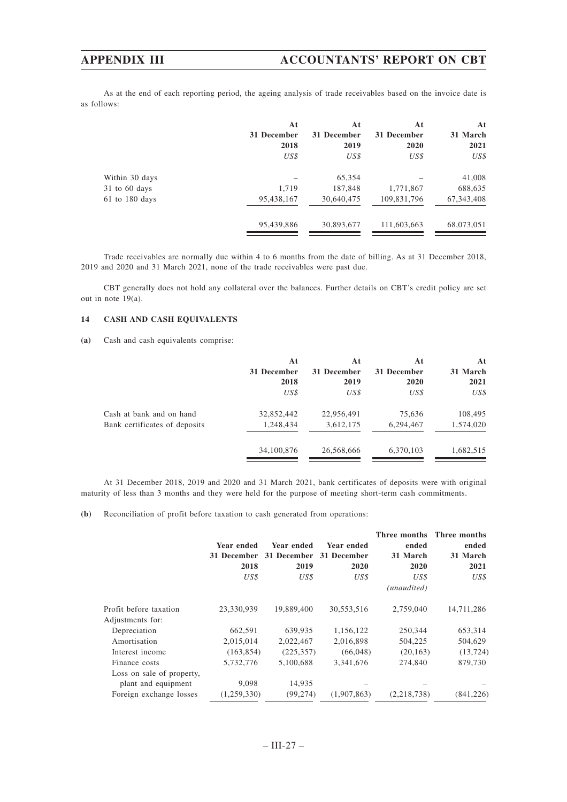As at the end of each reporting period, the ageing analysis of trade receivables based on the invoice date is as follows:

|                    | At<br>31 December | At<br>31 December | At<br>31 December | At<br>31 March |
|--------------------|-------------------|-------------------|-------------------|----------------|
|                    | 2018              | 2019              | 2020              | 2021           |
|                    | US\$              | US\$              | US\$              | US\$           |
| Within 30 days     |                   | 65,354            |                   | 41,008         |
| $31$ to 60 days    | 1,719             | 187,848           | 1,771,867         | 688,635        |
| $61$ to $180$ days | 95,438,167        | 30,640,475        | 109,831,796       | 67, 343, 408   |
|                    | 95,439,886        | 30,893,677        | 111,603,663       | 68,073,051     |

Trade receivables are normally due within 4 to 6 months from the date of billing. As at 31 December 2018, 2019 and 2020 and 31 March 2021, none of the trade receivables were past due.

CBT generally does not hold any collateral over the balances. Further details on CBT's credit policy are set out in note 19(a).

# **14 CASH AND CASH EQUIVALENTS**

**(a)** Cash and cash equivalents comprise:

|                               | At          | Αt          | At          | At        |
|-------------------------------|-------------|-------------|-------------|-----------|
|                               | 31 December | 31 December | 31 December | 31 March  |
|                               | 2018        | 2019        | 2020        | 2021      |
|                               | US\$        | US\$        | US\$        | US\$      |
| Cash at bank and on hand      | 32,852,442  | 22,956,491  | 75,636      | 108,495   |
| Bank certificates of deposits | 1,248,434   | 3,612,175   | 6,294,467   | 1,574,020 |
|                               | 34,100,876  | 26,568,666  | 6,370,103   | 1,682,515 |
|                               |             |             |             |           |

At 31 December 2018, 2019 and 2020 and 31 March 2021, bank certificates of deposits were with original maturity of less than 3 months and they were held for the purpose of meeting short-term cash commitments.

**(b)** Reconciliation of profit before taxation to cash generated from operations:

|                           |             |                     |             |                  | Three months Three months |
|---------------------------|-------------|---------------------|-------------|------------------|---------------------------|
|                           | Year ended  | Year ended          | Year ended  | ended            | ended                     |
|                           | 31 December | 31 December<br>2019 | 31 December | 31 March<br>2020 | 31 March<br>2021          |
|                           | 2018        |                     | 2020        |                  |                           |
|                           | US\$        | US\$                | US\$        | US\$             | US\$                      |
|                           |             |                     |             | (unaudited)      |                           |
| Profit before taxation    | 23,330,939  | 19,889,400          | 30,553,516  | 2.759,040        | 14,711,286                |
| Adjustments for:          |             |                     |             |                  |                           |
| Depreciation              | 662,591     | 639,935             | 1,156,122   | 250,344          | 653,314                   |
| Amortisation              | 2,015,014   | 2,022,467           | 2,016,898   | 504,225          | 504,629                   |
| Interest income           | (163, 854)  | (225, 357)          | (66, 048)   | (20, 163)        | (13, 724)                 |
| Finance costs             | 5,732,776   | 5,100,688           | 3,341,676   | 274,840          | 879,730                   |
| Loss on sale of property, |             |                     |             |                  |                           |
| plant and equipment       | 9,098       | 14,935              |             |                  |                           |
| Foreign exchange losses   | (1,259,330) | (99, 274)           | (1.907.863) | (2.218.738)      | (841, 226)                |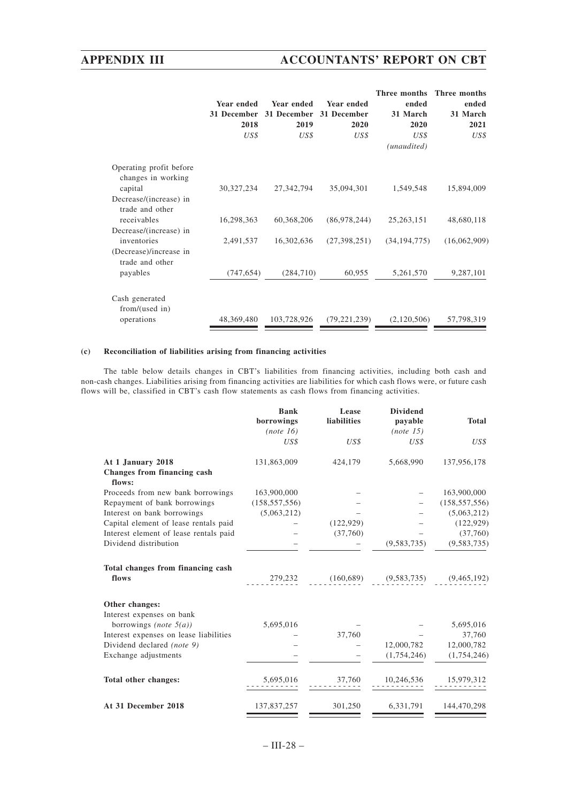# **APPENDIX III ACCOUNTANTS' REPORT ON CBT**

|                   |             |                   | Three months   | Three months                                   |
|-------------------|-------------|-------------------|----------------|------------------------------------------------|
| <b>Year ended</b> | Year ended  | <b>Year ended</b> | ended          | ended                                          |
| 31 December       | 31 December | 31 December       | 31 March       | 31 March<br>2021                               |
| 2018              | 2019        | 2020              | 2020           |                                                |
| US\$              | US\$        | US\$              | US\$           | US\$                                           |
|                   |             |                   | (unaudited)    |                                                |
|                   |             |                   |                |                                                |
| 30, 327, 234      | 27,342,794  | 35,094,301        | 1,549,548      | 15,894,009                                     |
|                   |             |                   |                |                                                |
| 16,298,363        | 60,368,206  |                   | 25, 263, 151   | 48,680,118                                     |
|                   |             |                   |                |                                                |
| 2,491,537         | 16,302,636  |                   | (34, 194, 775) | (16,062,909)                                   |
|                   |             |                   |                |                                                |
|                   |             | 60,955            | 5,261,570      | 9,287,101                                      |
|                   |             |                   |                |                                                |
| 48,369,480        | 103,728,926 |                   | (2,120,506)    | 57,798,319                                     |
|                   |             | (747, 654)        | (284,710)      | (86,978,244)<br>(27,398,251)<br>(79, 221, 239) |

# **(c) Reconciliation of liabilities arising from financing activities**

The table below details changes in CBT's liabilities from financing activities, including both cash and non-cash changes. Liabilities arising from financing activities are liabilities for which cash flows were, or future cash flows will be, classified in CBT's cash flow statements as cash flows from financing activities.

|                                              | <b>Bank</b><br>borrowings<br>(note 16) | Lease<br>liabilities                      | <b>Dividend</b><br>payable<br>(note 15) | <b>Total</b>    |
|----------------------------------------------|----------------------------------------|-------------------------------------------|-----------------------------------------|-----------------|
|                                              | US\$                                   | US\$                                      | US\$                                    | US\$            |
| At 1 January 2018                            | 131,863,009                            | 424,179                                   | 5,668,990                               | 137,956,178     |
| <b>Changes from financing cash</b><br>flows: |                                        |                                           |                                         |                 |
| Proceeds from new bank borrowings            | 163,900,000                            |                                           |                                         | 163,900,000     |
| Repayment of bank borrowings                 | (158, 557, 556)                        |                                           |                                         | (158, 557, 556) |
| Interest on bank borrowings                  | (5,063,212)                            |                                           |                                         | (5,063,212)     |
| Capital element of lease rentals paid        |                                        | (122, 929)                                |                                         | (122, 929)      |
| Interest element of lease rentals paid       |                                        | (37,760)                                  |                                         | (37,760)        |
| Dividend distribution                        |                                        |                                           | (9,583,735)                             | (9, 583, 735)   |
| Total changes from financing cash            |                                        |                                           |                                         |                 |
| flows                                        |                                        | 279,232 (160,689) (9,583,735) (9,465,192) |                                         |                 |
| Other changes:                               |                                        |                                           |                                         |                 |
| Interest expenses on bank                    |                                        |                                           |                                         |                 |
| borrowings <i>(note</i> $5(a)$ )             | 5,695,016                              |                                           |                                         | 5,695,016       |
| Interest expenses on lease liabilities       |                                        | 37,760                                    |                                         | 37,760          |
| Dividend declared (note 9)                   |                                        |                                           | 12,000,782                              | 12,000,782      |
| Exchange adjustments                         |                                        |                                           | (1,754,246)                             | (1,754,246)     |
| Total other changes:                         | 5,695,016                              | 37,760                                    | 10,246,536                              | 15,979,312      |
| At 31 December 2018                          | 137,837,257                            | 301,250                                   | 6,331,791                               | 144,470,298     |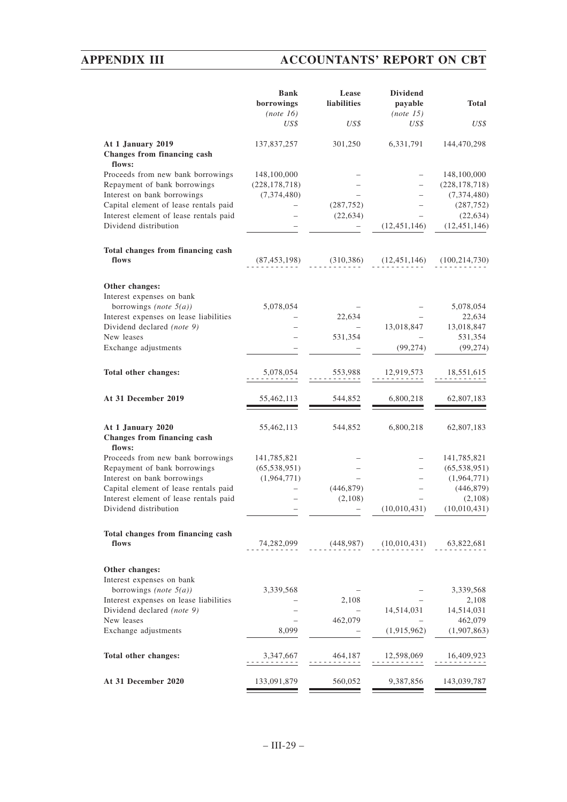# **APPENDIX III ACCOUNTANTS' REPORT ON CBT**

|                                                                 | <b>Bank</b><br>borrowings<br>(note 16) | Lease<br><b>liabilities</b> | <b>Dividend</b><br>payable<br>(note 15) | <b>Total</b>                |
|-----------------------------------------------------------------|----------------------------------------|-----------------------------|-----------------------------------------|-----------------------------|
|                                                                 | US\$                                   | US\$                        | US\$                                    | US\$                        |
| At 1 January 2019<br>Changes from financing cash<br>flows:      | 137,837,257                            | 301,250                     | 6,331,791                               | 144,470,298                 |
| Proceeds from new bank borrowings                               | 148,100,000                            |                             |                                         | 148,100,000                 |
| Repayment of bank borrowings                                    | (228, 178, 718)                        |                             |                                         | (228, 178, 718)             |
| Interest on bank borrowings                                     | (7, 374, 480)                          |                             |                                         | (7, 374, 480)               |
| Capital element of lease rentals paid                           |                                        | (287, 752)                  |                                         | (287, 752)                  |
| Interest element of lease rentals paid<br>Dividend distribution |                                        | (22, 634)                   | (12, 451, 146)                          | (22, 634)<br>(12, 451, 146) |
|                                                                 |                                        |                             |                                         |                             |
| Total changes from financing cash                               |                                        |                             |                                         |                             |
| flows                                                           | (87, 453, 198)                         | (310, 386)                  | (12, 451, 146)                          | (100, 214, 730)             |
| Other changes:                                                  |                                        |                             |                                         |                             |
| Interest expenses on bank                                       |                                        |                             |                                         |                             |
| borrowings (note $5(a)$ )                                       | 5,078,054                              |                             |                                         | 5,078,054                   |
| Interest expenses on lease liabilities                          |                                        | 22,634                      |                                         | 22,634                      |
| Dividend declared (note 9)                                      |                                        |                             | 13,018,847                              | 13,018,847                  |
| New leases                                                      |                                        | 531,354                     |                                         | 531,354                     |
| Exchange adjustments                                            |                                        |                             | (99, 274)                               | (99, 274)                   |
| Total other changes:                                            | 5,078,054                              | 553,988                     | 12,919,573                              | 18,551,615                  |
| At 31 December 2019                                             | 55,462,113                             | 544,852                     | 6,800,218                               | 62,807,183                  |
| At 1 January 2020<br>Changes from financing cash<br>flows:      | 55,462,113                             | 544,852                     | 6,800,218                               | 62,807,183                  |
| Proceeds from new bank borrowings                               | 141,785,821                            |                             |                                         | 141,785,821                 |
| Repayment of bank borrowings                                    | (65, 538, 951)                         |                             |                                         | (65, 538, 951)              |
| Interest on bank borrowings                                     | (1,964,771)                            |                             |                                         | (1,964,771)                 |
| Capital element of lease rentals paid                           |                                        | (446, 879)                  |                                         | (446, 879)                  |
| Interest element of lease rentals paid                          |                                        | (2,108)                     |                                         | (2,108)                     |
| Dividend distribution                                           |                                        |                             | (10,010,431)                            | (10,010,431)                |
| Total changes from financing cash                               |                                        |                             |                                         |                             |
| flows                                                           | 74,282,099                             | (448, 987)                  | (10,010,431)                            | 63,822,681                  |
| Other changes:                                                  |                                        |                             |                                         |                             |
| Interest expenses on bank                                       |                                        |                             |                                         |                             |
| borrowings (note $5(a)$ )                                       | 3,339,568                              |                             |                                         | 3,339,568                   |
| Interest expenses on lease liabilities                          |                                        | 2,108                       |                                         | 2,108                       |
| Dividend declared (note 9)                                      |                                        |                             | 14,514,031                              | 14,514,031                  |
| New leases                                                      |                                        | 462,079                     |                                         | 462,079                     |
| Exchange adjustments                                            | 8,099                                  |                             | (1,915,962)                             | (1,907,863)                 |
| Total other changes:                                            | 3,347,667<br>$- - - - - - - -$         | 464,187<br>د د د د د د د    | 12,598,069<br>---------                 | 16,409,923<br>.             |
| At 31 December 2020                                             | 133,091,879                            | 560,052                     | 9,387,856                               | 143,039,787                 |
|                                                                 |                                        |                             |                                         |                             |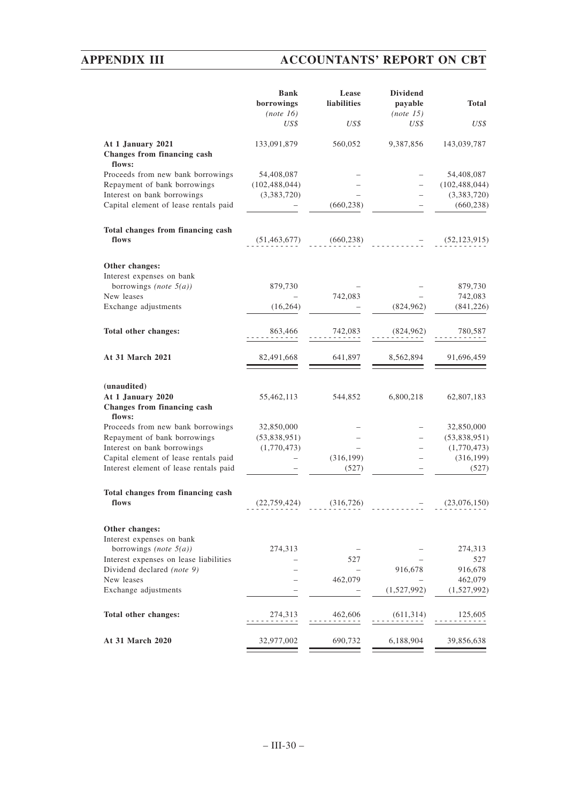# **APPENDIX III ACCOUNTANTS' REPORT ON CBT**

Г.

|                                                                           | <b>Bank</b><br>borrowings<br>(note 16) | Lease<br>liabilities | <b>Dividend</b><br>payable<br>(note 15) | <b>Total</b>    |
|---------------------------------------------------------------------------|----------------------------------------|----------------------|-----------------------------------------|-----------------|
|                                                                           | US\$                                   | US\$                 | US\$                                    | US\$            |
| At 1 January 2021<br>Changes from financing cash<br>flows:                | 133,091,879                            | 560,052              | 9,387,856                               | 143,039,787     |
| Proceeds from new bank borrowings                                         | 54,408,087                             |                      |                                         | 54,408,087      |
| Repayment of bank borrowings                                              | (102, 488, 044)                        |                      |                                         | (102, 488, 044) |
| Interest on bank borrowings                                               | (3,383,720)                            |                      |                                         | (3,383,720)     |
| Capital element of lease rentals paid                                     |                                        | (660, 238)           |                                         | (660, 238)      |
| Total changes from financing cash<br>flows                                | (51, 463, 677)                         | (660, 238)           |                                         | (52, 123, 915)  |
| Other changes:                                                            |                                        |                      |                                         |                 |
| Interest expenses on bank                                                 |                                        |                      |                                         |                 |
| borrowings (note $5(a)$ )                                                 | 879,730                                |                      |                                         | 879,730         |
| New leases                                                                |                                        | 742,083              |                                         | 742,083         |
| Exchange adjustments                                                      | (16, 264)                              |                      | (824, 962)                              | (841, 226)      |
| Total other changes:                                                      | 863,466                                | 742,083              | (824, 962)                              | 780,587         |
| At 31 March 2021                                                          | 82,491,668                             | 641,897              | 8,562,894                               | 91,696,459      |
|                                                                           |                                        |                      |                                         |                 |
| (unaudited)<br>At 1 January 2020<br>Changes from financing cash<br>flows: | 55,462,113                             | 544,852              | 6,800,218                               | 62,807,183      |
| Proceeds from new bank borrowings                                         | 32,850,000                             |                      |                                         | 32,850,000      |
| Repayment of bank borrowings                                              | (53,838,951)                           |                      |                                         | (53,838,951)    |
| Interest on bank borrowings                                               | (1,770,473)                            |                      |                                         | (1,770,473)     |
| Capital element of lease rentals paid                                     |                                        | (316, 199)           |                                         | (316, 199)      |
| Interest element of lease rentals paid                                    |                                        | (527)                |                                         | (527)           |
| Total changes from financing cash                                         |                                        |                      |                                         |                 |
| flows                                                                     | (22, 759, 424)                         | (316, 726)           |                                         | (23,076,150)    |
| Other changes:                                                            |                                        |                      |                                         |                 |
| Interest expenses on bank<br>borrowings (note $5(a)$ )                    | 274,313                                |                      |                                         | 274,313         |
| Interest expenses on lease liabilities                                    |                                        | 527                  |                                         | 527             |
| Dividend declared (note 9)                                                |                                        |                      | 916,678                                 | 916,678         |
| New leases                                                                |                                        | 462,079              |                                         | 462,079         |
| Exchange adjustments                                                      |                                        |                      | (1,527,992)                             | (1,527,992)     |
| Total other changes:                                                      | 274,313                                | 462,606              | (611, 314)                              | 125,605         |
| At 31 March 2020                                                          | 32,977,002                             | 690,732              | 6,188,904                               | 39,856,638      |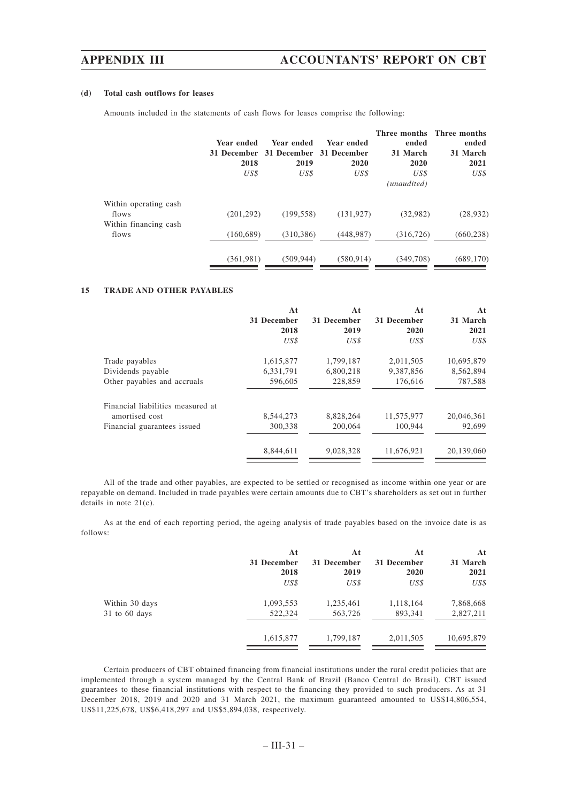### **(d) Total cash outflows for leases**

Amounts included in the statements of cash flows for leases comprise the following:

|                                                         | Year ended<br>31 December<br>2018 | Year ended<br>31 December 31 December<br>2019 | Year ended<br>2020 | Three months Three months<br>ended<br>31 March<br>2020 | ended<br>31 March<br>2021 |
|---------------------------------------------------------|-----------------------------------|-----------------------------------------------|--------------------|--------------------------------------------------------|---------------------------|
|                                                         | US\$                              | US\$                                          | US\$               | US\$<br>(unaudited)                                    | US\$                      |
| Within operating cash<br>flows<br>Within financing cash | (201, 292)                        | (199, 558)                                    | (131, 927)         | (32,982)                                               | (28, 932)                 |
| flows                                                   | (160, 689)                        | (310, 386)                                    | (448, 987)         | (316, 726)                                             | (660, 238)                |
|                                                         | (361, 981)                        | (509.944)                                     | (580, 914)         | (349,708)                                              | (689, 170)                |

### **15 TRADE AND OTHER PAYABLES**

|                                   | At          | At          | At          | At         |
|-----------------------------------|-------------|-------------|-------------|------------|
|                                   | 31 December | 31 December | 31 December | 31 March   |
|                                   | 2018        | 2019        | 2020        | 2021       |
|                                   | US\$        | US\$        | US\$        | US\$       |
| Trade payables                    | 1,615,877   | 1,799,187   | 2,011,505   | 10,695,879 |
| Dividends payable                 | 6,331,791   | 6,800,218   | 9.387.856   | 8,562,894  |
| Other payables and accruals       | 596,605     | 228,859     | 176,616     | 787,588    |
| Financial liabilities measured at |             |             |             |            |
| amortised cost                    | 8,544,273   | 8,828,264   | 11,575,977  | 20,046,361 |
| Financial guarantees issued       | 300,338     | 200,064     | 100,944     | 92,699     |
|                                   | 8,844,611   | 9,028,328   | 11.676.921  | 20.139,060 |
|                                   |             |             |             |            |

All of the trade and other payables, are expected to be settled or recognised as income within one year or are repayable on demand. Included in trade payables were certain amounts due to CBT's shareholders as set out in further details in note 21(c).

As at the end of each reporting period, the ageing analysis of trade payables based on the invoice date is as follows:

|                | At          | At          | At          | At         |
|----------------|-------------|-------------|-------------|------------|
|                | 31 December | 31 December | 31 December | 31 March   |
|                | 2018        | 2019        | 2020        | 2021       |
|                | US\$        | US\$        | US\$        | US\$       |
| Within 30 days | 1,093,553   | 1,235,461   | 1,118,164   | 7,868,668  |
| 31 to 60 days  | 522,324     | 563,726     | 893,341     | 2,827,211  |
|                | 1,615,877   | 1,799,187   | 2,011,505   | 10,695,879 |
|                |             |             |             |            |

Certain producers of CBT obtained financing from financial institutions under the rural credit policies that are implemented through a system managed by the Central Bank of Brazil (Banco Central do Brasil). CBT issued guarantees to these financial institutions with respect to the financing they provided to such producers. As at 31 December 2018, 2019 and 2020 and 31 March 2021, the maximum guaranteed amounted to US\$14,806,554, US\$11,225,678, US\$6,418,297 and US\$5,894,038, respectively.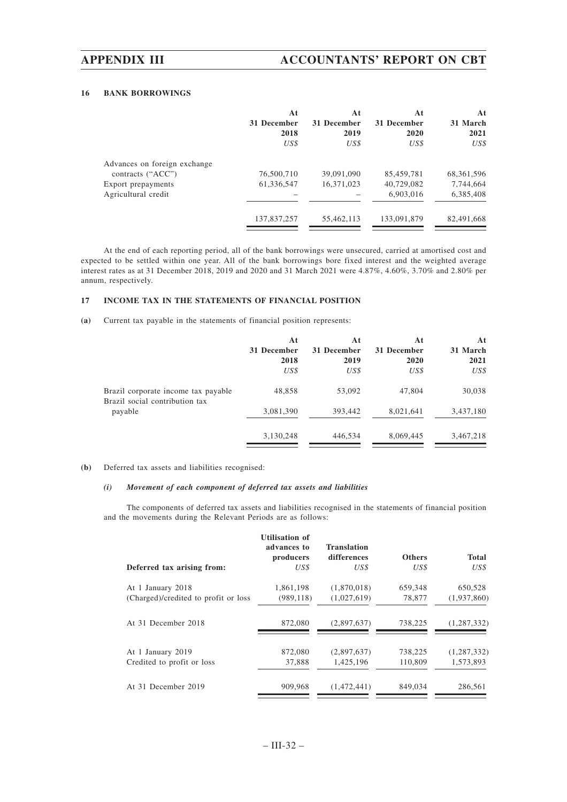### **16 BANK BORROWINGS**

|                              | At<br>31 December<br>2018<br>US\$ | At<br>31 December<br>2019<br>US\$ | At<br>31 December<br>2020<br>US\$ | At<br>31 March<br>2021<br>US\$ |
|------------------------------|-----------------------------------|-----------------------------------|-----------------------------------|--------------------------------|
| Advances on foreign exchange |                                   |                                   |                                   |                                |
| contracts ("ACC")            | 76,500,710                        | 39,091,090                        | 85,459,781                        | 68, 361, 596                   |
| Export prepayments           | 61,336,547                        | 16,371,023                        | 40,729,082                        | 7,744,664                      |
| Agricultural credit          |                                   |                                   | 6,903,016                         | 6,385,408                      |
|                              | 137,837,257                       | 55,462,113                        | 133,091,879                       | 82,491,668                     |

At the end of each reporting period, all of the bank borrowings were unsecured, carried at amortised cost and expected to be settled within one year. All of the bank borrowings bore fixed interest and the weighted average interest rates as at 31 December 2018, 2019 and 2020 and 31 March 2021 were 4.87%, 4.60%, 3.70% and 2.80% per annum, respectively.

### **17 INCOME TAX IN THE STATEMENTS OF FINANCIAL POSITION**

**(a)** Current tax payable in the statements of financial position represents:

|                                                                       | At<br>31 December<br>2018 | At<br>31 December<br>2019 | At<br>31 December<br>2020 | At<br>31 March<br>2021 |
|-----------------------------------------------------------------------|---------------------------|---------------------------|---------------------------|------------------------|
|                                                                       | US\$                      | US\$                      | US\$                      | US\$                   |
| Brazil corporate income tax payable<br>Brazil social contribution tax | 48,858                    | 53,092                    | 47,804                    | 30,038                 |
| payable                                                               | 3,081,390                 | 393,442                   | 8,021,641                 | 3,437,180              |
|                                                                       | 3,130,248                 | 446,534                   | 8,069,445                 | 3,467,218              |

### **(b)** Deferred tax assets and liabilities recognised:

# *(i) Movement of each component of deferred tax assets and liabilities*

The components of deferred tax assets and liabilities recognised in the statements of financial position and the movements during the Relevant Periods are as follows:

| Deferred tax arising from:           | <b>Utilisation of</b><br>advances to<br>producers<br>US\$ | <b>Translation</b><br>differences<br>US\$ | <b>Others</b><br>US\$ | <b>Total</b><br>US\$ |
|--------------------------------------|-----------------------------------------------------------|-------------------------------------------|-----------------------|----------------------|
|                                      |                                                           |                                           |                       |                      |
| At 1 January 2018                    | 1,861,198                                                 | (1,870,018)                               | 659,348               | 650,528              |
| (Charged)/credited to profit or loss | (989, 118)                                                | (1,027,619)                               | 78,877                | (1,937,860)          |
| At 31 December 2018                  | 872,080                                                   | (2,897,637)                               | 738,225               | (1, 287, 332)        |
| At 1 January 2019                    | 872,080                                                   | (2,897,637)                               | 738,225               | (1, 287, 332)        |
| Credited to profit or loss           | 37.888                                                    | 1.425.196                                 | 110,809               | 1.573.893            |
| At 31 December 2019                  | 909.968                                                   | (1.472.441)                               | 849,034               | 286.561              |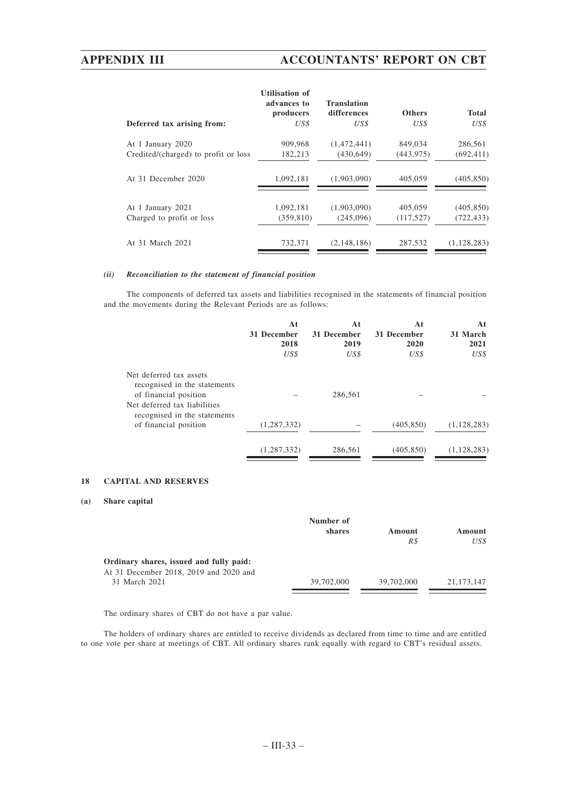# **APPENDIX III ACCOUNTANTS' REPORT ON CBT**

|                                      | <b>Utilisation of</b><br>advances to<br>producers | <b>Translation</b><br>differences | <b>Others</b> | <b>Total</b>  |
|--------------------------------------|---------------------------------------------------|-----------------------------------|---------------|---------------|
| Deferred tax arising from:           | US\$                                              | US\$                              | US\$          | US\$          |
| At 1 January 2020                    | 909,968                                           | (1,472,441)                       | 849,034       | 286.561       |
| Credited/(charged) to profit or loss | 182,213                                           | (430, 649)                        | (443, 975)    | (692, 411)    |
| At 31 December 2020                  | 1,092,181                                         | (1,903,090)                       | 405,059       | (405, 850)    |
| At 1 January 2021                    | 1,092,181                                         | (1.903.090)                       | 405,059       | (405, 850)    |
| Charged to profit or loss            | (359, 810)                                        | (245,096)                         | (117, 527)    | (722, 433)    |
| At 31 March 2021                     | 732.371                                           | (2.148.186)                       | 287.532       | (1, 128, 283) |

### *(ii) Reconciliation to the statement of financial position*

The components of deferred tax assets and liabilities recognised in the statements of financial position and the movements during the Relevant Periods are as follows:

|                                                                                                                                                  | At<br>31 December<br>2018<br>US\$ | At<br>31 December<br>2019<br>US\$ | At<br>31 December<br>2020<br>US\$ | At<br>31 March<br>2021<br>US\$ |
|--------------------------------------------------------------------------------------------------------------------------------------------------|-----------------------------------|-----------------------------------|-----------------------------------|--------------------------------|
| Net deferred tax assets<br>recognised in the statements<br>of financial position<br>Net deferred tax liabilities<br>recognised in the statements |                                   | 286,561                           |                                   |                                |
| of financial position                                                                                                                            | (1, 287, 332)                     |                                   | (405, 850)                        | (1, 128, 283)                  |
|                                                                                                                                                  | (1, 287, 332)                     | 286,561                           | (405, 850)                        | (1, 128, 283)                  |

### **18 CAPITAL AND RESERVES**

### **(a) Share capital**

|                                         | Number of  |               |                |
|-----------------------------------------|------------|---------------|----------------|
|                                         | shares     | Amount<br>R\$ | Amount<br>US\$ |
| Ordinary shares, issued and fully paid: |            |               |                |
| At 31 December 2018, 2019 and 2020 and  |            |               |                |
| 31 March 2021                           | 39,702,000 | 39,702,000    | 21, 173, 147   |

The ordinary shares of CBT do not have a par value.

The holders of ordinary shares are entitled to receive dividends as declared from time to time and are entitled to one vote per share at meetings of CBT. All ordinary shares rank equally with regard to CBT's residual assets.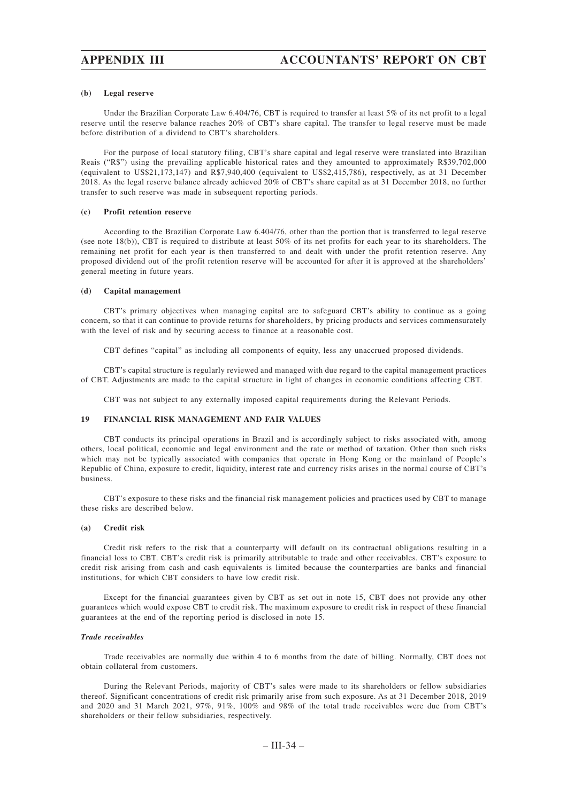### **(b) Legal reserve**

Under the Brazilian Corporate Law 6.404/76, CBT is required to transfer at least 5% of its net profit to a legal reserve until the reserve balance reaches 20% of CBT's share capital. The transfer to legal reserve must be made before distribution of a dividend to CBT's shareholders.

For the purpose of local statutory filing, CBT's share capital and legal reserve were translated into Brazilian Reais ("R\$") using the prevailing applicable historical rates and they amounted to approximately R\$39,702,000 (equivalent to US\$21,173,147) and R\$7,940,400 (equivalent to US\$2,415,786), respectively, as at 31 December 2018. As the legal reserve balance already achieved 20% of CBT's share capital as at 31 December 2018, no further transfer to such reserve was made in subsequent reporting periods.

### **(c) Profit retention reserve**

According to the Brazilian Corporate Law 6.404/76, other than the portion that is transferred to legal reserve (see note 18(b)), CBT is required to distribute at least 50% of its net profits for each year to its shareholders. The remaining net profit for each year is then transferred to and dealt with under the profit retention reserve. Any proposed dividend out of the profit retention reserve will be accounted for after it is approved at the shareholders' general meeting in future years.

### **(d) Capital management**

CBT's primary objectives when managing capital are to safeguard CBT's ability to continue as a going concern, so that it can continue to provide returns for shareholders, by pricing products and services commensurately with the level of risk and by securing access to finance at a reasonable cost.

CBT defines "capital" as including all components of equity, less any unaccrued proposed dividends.

CBT's capital structure is regularly reviewed and managed with due regard to the capital management practices of CBT. Adjustments are made to the capital structure in light of changes in economic conditions affecting CBT.

CBT was not subject to any externally imposed capital requirements during the Relevant Periods.

### **19 FINANCIAL RISK MANAGEMENT AND FAIR VALUES**

CBT conducts its principal operations in Brazil and is accordingly subject to risks associated with, among others, local political, economic and legal environment and the rate or method of taxation. Other than such risks which may not be typically associated with companies that operate in Hong Kong or the mainland of People's Republic of China, exposure to credit, liquidity, interest rate and currency risks arises in the normal course of CBT's business.

CBT's exposure to these risks and the financial risk management policies and practices used by CBT to manage these risks are described below.

### **(a) Credit risk**

Credit risk refers to the risk that a counterparty will default on its contractual obligations resulting in a financial loss to CBT. CBT's credit risk is primarily attributable to trade and other receivables. CBT's exposure to credit risk arising from cash and cash equivalents is limited because the counterparties are banks and financial institutions, for which CBT considers to have low credit risk.

Except for the financial guarantees given by CBT as set out in note 15, CBT does not provide any other guarantees which would expose CBT to credit risk. The maximum exposure to credit risk in respect of these financial guarantees at the end of the reporting period is disclosed in note 15.

### *Trade receivables*

Trade receivables are normally due within 4 to 6 months from the date of billing. Normally, CBT does not obtain collateral from customers.

During the Relevant Periods, majority of CBT's sales were made to its shareholders or fellow subsidiaries thereof. Significant concentrations of credit risk primarily arise from such exposure. As at 31 December 2018, 2019 and 2020 and 31 March 2021, 97%, 91%, 100% and 98% of the total trade receivables were due from CBT's shareholders or their fellow subsidiaries, respectively.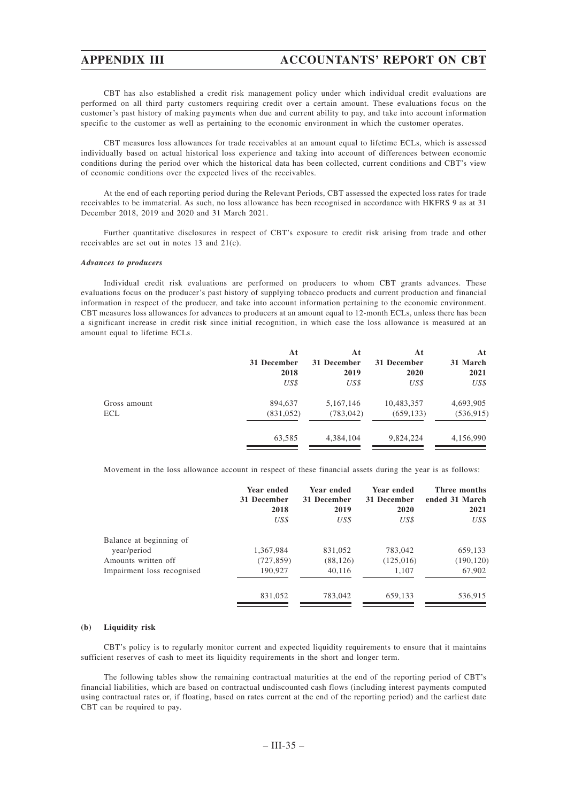CBT has also established a credit risk management policy under which individual credit evaluations are performed on all third party customers requiring credit over a certain amount. These evaluations focus on the customer's past history of making payments when due and current ability to pay, and take into account information specific to the customer as well as pertaining to the economic environment in which the customer operates.

CBT measures loss allowances for trade receivables at an amount equal to lifetime ECLs, which is assessed individually based on actual historical loss experience and taking into account of differences between economic conditions during the period over which the historical data has been collected, current conditions and CBT's view of economic conditions over the expected lives of the receivables.

At the end of each reporting period during the Relevant Periods, CBT assessed the expected loss rates for trade receivables to be immaterial. As such, no loss allowance has been recognised in accordance with HKFRS 9 as at 31 December 2018, 2019 and 2020 and 31 March 2021.

Further quantitative disclosures in respect of CBT's exposure to credit risk arising from trade and other receivables are set out in notes 13 and 21(c).

### *Advances to producers*

Individual credit risk evaluations are performed on producers to whom CBT grants advances. These evaluations focus on the producer's past history of supplying tobacco products and current production and financial information in respect of the producer, and take into account information pertaining to the economic environment. CBT measures loss allowances for advances to producers at an amount equal to 12-month ECLs, unless there has been a significant increase in credit risk since initial recognition, in which case the loss allowance is measured at an amount equal to lifetime ECLs.

|              | At          | At          | At          | At         |
|--------------|-------------|-------------|-------------|------------|
|              | 31 December | 31 December | 31 December | 31 March   |
|              | 2018        | 2019        | 2020        | 2021       |
|              | US\$        | US\$        | US\$        | US\$       |
| Gross amount | 894,637     | 5,167,146   | 10,483,357  | 4,693,905  |
| ECL          | (831,052)   | (783, 042)  | (659, 133)  | (536, 915) |
|              | 63,585      | 4,384,104   | 9,824,224   | 4,156,990  |
|              |             |             |             |            |

Movement in the loss allowance account in respect of these financial assets during the year is as follows:

|                                        | Year ended  | Year ended  | Year ended  | Three months   |
|----------------------------------------|-------------|-------------|-------------|----------------|
|                                        | 31 December | 31 December | 31 December | ended 31 March |
|                                        | 2018        | 2019        | 2020        | 2021           |
|                                        | US\$        | US\$        | US\$        | US\$           |
| Balance at beginning of<br>year/period | 1,367,984   | 831,052     | 783,042     | 659,133        |
| Amounts written off                    | (727, 859)  | (88, 126)   | (125,016)   | (190, 120)     |
| Impairment loss recognised             | 190,927     | 40,116      | 1,107       | 67,902         |
|                                        | 831,052     | 783,042     | 659.133     | 536,915        |

### **(b) Liquidity risk**

CBT's policy is to regularly monitor current and expected liquidity requirements to ensure that it maintains sufficient reserves of cash to meet its liquidity requirements in the short and longer term.

The following tables show the remaining contractual maturities at the end of the reporting period of CBT's financial liabilities, which are based on contractual undiscounted cash flows (including interest payments computed using contractual rates or, if floating, based on rates current at the end of the reporting period) and the earliest date CBT can be required to pay.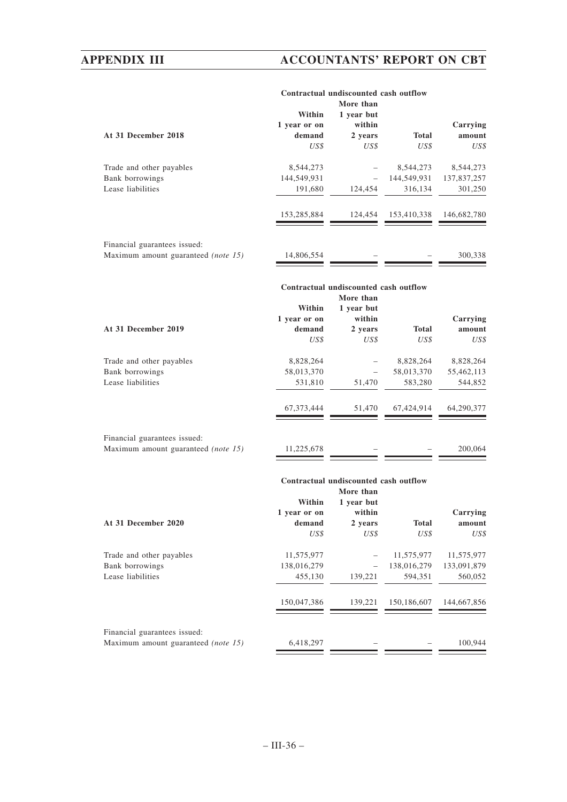# **APPENDIX III ACCOUNTANTS' REPORT ON CBT**

|                                     | Within       | Contractual undiscounted cash outflow<br>More than<br>1 year but |              |             |
|-------------------------------------|--------------|------------------------------------------------------------------|--------------|-------------|
|                                     | 1 year or on | within                                                           |              | Carrying    |
| At 31 December 2018                 | demand       | 2 years                                                          | <b>Total</b> | amount      |
|                                     | US\$         | US\$                                                             | US\$         | US\$        |
| Trade and other payables            | 8,544,273    |                                                                  | 8,544,273    | 8,544,273   |
| Bank borrowings                     | 144,549,931  |                                                                  | 144,549,931  | 137,837,257 |
| Lease liabilities                   | 191,680      | 124,454                                                          | 316,134      | 301,250     |
|                                     | 153,285,884  | 124,454                                                          | 153,410,338  | 146,682,780 |
| Financial guarantees issued:        |              |                                                                  |              |             |
| Maximum amount guaranteed (note 15) | 14,806,554   |                                                                  |              | 300,338     |
|                                     |              |                                                                  |              |             |
|                                     |              | Contractual undiscounted cash outflow                            |              |             |
|                                     | Within       | More than<br>1 year but                                          |              |             |
|                                     | 1 year or on | within                                                           |              | Carrying    |
| At 31 December 2019                 | demand       | 2 years                                                          | <b>Total</b> | amount      |
|                                     | US\$         | US\$                                                             | US\$         | US\$        |
| Trade and other payables            | 8,828,264    |                                                                  | 8,828,264    | 8,828,264   |
| Bank borrowings                     | 58,013,370   |                                                                  | 58,013,370   | 55,462,113  |
| Lease liabilities                   | 531,810      | 51,470                                                           | 583,280      | 544,852     |
|                                     | 67, 373, 444 | 51,470                                                           | 67,424,914   | 64,290,377  |
| Financial guarantees issued:        |              |                                                                  |              |             |
| Maximum amount guaranteed (note 15) | 11,225,678   |                                                                  |              | 200,064     |
|                                     |              |                                                                  |              |             |
|                                     |              | Contractual undiscounted cash outflow<br>More than               |              |             |
|                                     | Within       | 1 year but                                                       |              |             |
|                                     | 1 year or on | within                                                           |              | Carrying    |
| At 31 December 2020                 | demand       | 2 years                                                          | <b>Total</b> | amount      |
|                                     |              |                                                                  |              |             |

*US\$ US\$ US\$ US\$* Trade and other payables 11,575,977 – 11,575,977 11,575,977<br>Bank borrowings 138,016,279 – 138,016,279 133,091,879 Bank borrowings 138,016,279 – Lease liabilities 455,130 139,221 594,351 560,052  $\frac{150,047,386}{\longrightarrow} \frac{139,221}{\longrightarrow} \frac{150,186,607}{\longrightarrow} \frac{144,667,856}{\longrightarrow}$ Financial guarantees issued: Maximum amount guaranteed *(note 15)* 6,418,297 – – 100,944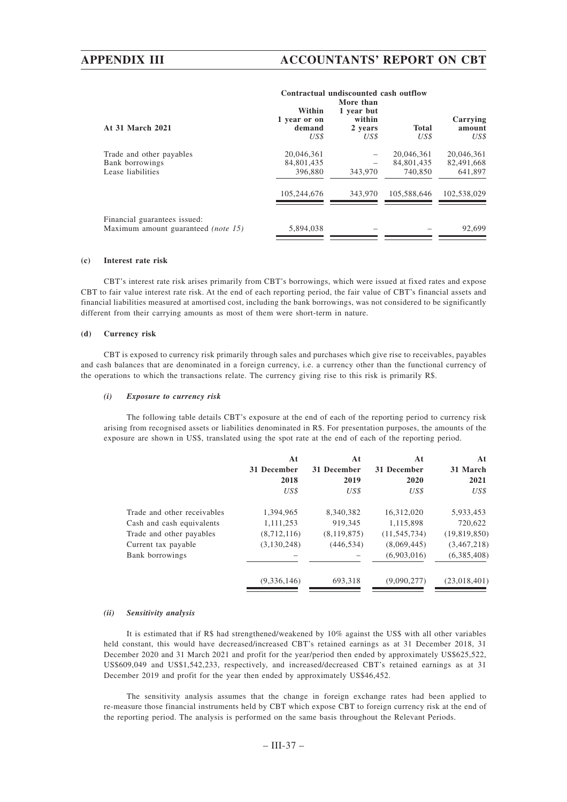# **APPENDIX III ACCOUNTANTS' REPORT ON CBT**

**Contractual undiscounted cash outflow**

|                                                                            | улты аспан иникулинси самп ойноо         |                                                      |                                     |                                     |  |  |
|----------------------------------------------------------------------------|------------------------------------------|------------------------------------------------------|-------------------------------------|-------------------------------------|--|--|
| At 31 March 2021                                                           | Within<br>1 year or on<br>demand<br>US\$ | More than<br>1 year but<br>within<br>2 years<br>US\$ | Total<br>US\$                       | Carrying<br>amount<br>US\$          |  |  |
| Trade and other payables<br>Bank borrowings<br>Lease liabilities           | 20,046,361<br>84,801,435<br>396,880      | 343,970                                              | 20.046.361<br>84,801,435<br>740,850 | 20.046.361<br>82,491,668<br>641,897 |  |  |
|                                                                            | 105,244,676                              | 343,970                                              | 105.588.646                         | 102.538.029                         |  |  |
| Financial guarantees issued:<br>Maximum amount guaranteed <i>(note 15)</i> | 5,894,038                                |                                                      |                                     | 92.699                              |  |  |

### **(c) Interest rate risk**

CBT's interest rate risk arises primarily from CBT's borrowings, which were issued at fixed rates and expose CBT to fair value interest rate risk. At the end of each reporting period, the fair value of CBT's financial assets and financial liabilities measured at amortised cost, including the bank borrowings, was not considered to be significantly different from their carrying amounts as most of them were short-term in nature.

### **(d) Currency risk**

CBT is exposed to currency risk primarily through sales and purchases which give rise to receivables, payables and cash balances that are denominated in a foreign currency, i.e. a currency other than the functional currency of the operations to which the transactions relate. The currency giving rise to this risk is primarily R\$.

### *(i) Exposure to currency risk*

The following table details CBT's exposure at the end of each of the reporting period to currency risk arising from recognised assets or liabilities denominated in R\$. For presentation purposes, the amounts of the exposure are shown in US\$, translated using the spot rate at the end of each of the reporting period.

|                             | At<br>31 December<br>2018<br>US\$ | At<br>31 December<br>2019<br>US\$ | At<br>31 December<br>2020<br>US\$ | At<br>31 March<br>2021<br>US\$ |
|-----------------------------|-----------------------------------|-----------------------------------|-----------------------------------|--------------------------------|
| Trade and other receivables | 1,394,965                         | 8,340,382                         | 16,312,020                        | 5,933,453                      |
| Cash and cash equivalents   | 1,111,253                         | 919,345                           | 1,115,898                         | 720,622                        |
| Trade and other payables    | (8,712,116)                       | (8, 119, 875)                     | (11, 545, 734)                    | (19,819,850)                   |
| Current tax payable         | (3,130,248)                       | (446, 534)                        | (8,069,445)                       | (3,467,218)                    |
| Bank borrowings             |                                   |                                   | (6,903,016)                       | (6,385,408)                    |
|                             | (9,336,146)                       | 693,318                           | (9,090,277)                       | (23,018,401)                   |

### *(ii) Sensitivity analysis*

It is estimated that if R\$ had strengthened/weakened by 10% against the US\$ with all other variables held constant, this would have decreased/increased CBT's retained earnings as at 31 December 2018, 31 December 2020 and 31 March 2021 and profit for the year/period then ended by approximately US\$625,522, US\$609,049 and US\$1,542,233, respectively, and increased/decreased CBT's retained earnings as at 31 December 2019 and profit for the year then ended by approximately US\$46,452.

The sensitivity analysis assumes that the change in foreign exchange rates had been applied to re-measure those financial instruments held by CBT which expose CBT to foreign currency risk at the end of the reporting period. The analysis is performed on the same basis throughout the Relevant Periods.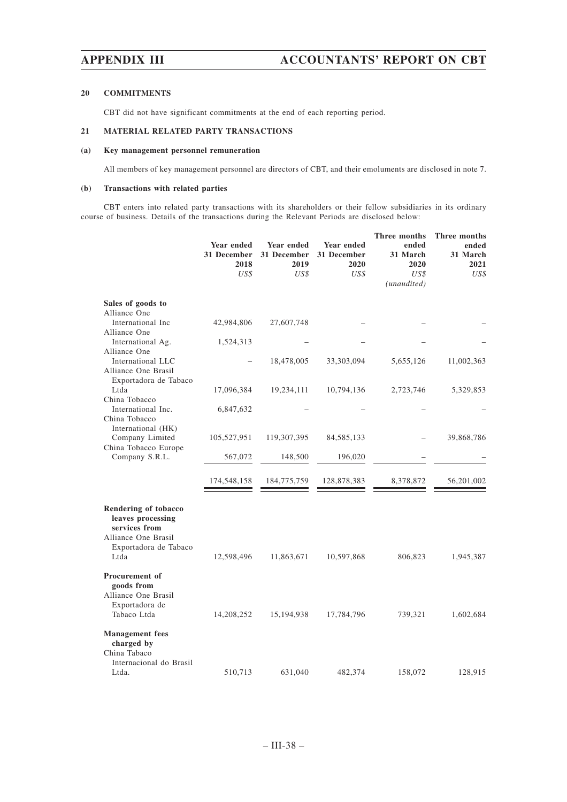### **20 COMMITMENTS**

CBT did not have significant commitments at the end of each reporting period.

# **21 MATERIAL RELATED PARTY TRANSACTIONS**

### **(a) Key management personnel remuneration**

All members of key management personnel are directors of CBT, and their emoluments are disclosed in note 7.

### **(b) Transactions with related parties**

CBT enters into related party transactions with its shareholders or their fellow subsidiaries in its ordinary course of business. Details of the transactions during the Relevant Periods are disclosed below:

|                                                                                                                    | Year ended<br>31 December<br>2018<br>US\$ | Year ended<br>31 December<br>2019<br>US\$ | Year ended<br>31 December<br>2020<br>US\$ | Three months<br>ended<br>31 March<br>2020<br>US\$<br>(unaudited) | Three months<br>ended<br>31 March<br>2021<br>US\$ |
|--------------------------------------------------------------------------------------------------------------------|-------------------------------------------|-------------------------------------------|-------------------------------------------|------------------------------------------------------------------|---------------------------------------------------|
| Sales of goods to                                                                                                  |                                           |                                           |                                           |                                                                  |                                                   |
| Alliance One<br>International Inc                                                                                  | 42,984,806                                | 27,607,748                                |                                           |                                                                  |                                                   |
| Alliance One<br>International Ag.                                                                                  | 1,524,313                                 |                                           |                                           |                                                                  |                                                   |
| Alliance One<br>International LLC<br>Alliance One Brasil                                                           |                                           | 18,478,005                                | 33,303,094                                | 5,655,126                                                        | 11,002,363                                        |
| Exportadora de Tabaco<br>Ltda                                                                                      | 17,096,384                                | 19,234,111                                | 10,794,136                                | 2,723,746                                                        | 5,329,853                                         |
| China Tobacco<br>International Inc.<br>China Tobacco                                                               | 6,847,632                                 |                                           |                                           |                                                                  |                                                   |
| International (HK)<br>Company Limited                                                                              | 105,527,951                               | 119,307,395                               | 84, 585, 133                              |                                                                  | 39,868,786                                        |
| China Tobacco Europe<br>Company S.R.L.                                                                             | 567,072                                   | 148,500                                   | 196,020                                   |                                                                  |                                                   |
|                                                                                                                    | 174,548,158                               | 184,775,759                               | 128,878,383                               | 8,378,872                                                        | 56,201,002                                        |
| Rendering of tobacco<br>leaves processing<br>services from<br>Alliance One Brasil<br>Exportadora de Tabaco<br>Ltda | 12,598,496                                | 11,863,671                                | 10,597,868                                | 806,823                                                          | 1,945,387                                         |
| Procurement of<br>goods from<br>Alliance One Brasil<br>Exportadora de<br>Tabaco Ltda                               |                                           |                                           |                                           |                                                                  |                                                   |
| <b>Management</b> fees                                                                                             | 14,208,252                                | 15,194,938                                | 17,784,796                                | 739,321                                                          | 1,602,684                                         |
| charged by<br>China Tabaco<br>Internacional do Brasil<br>Ltda.                                                     | 510,713                                   | 631,040                                   | 482,374                                   | 158,072                                                          | 128,915                                           |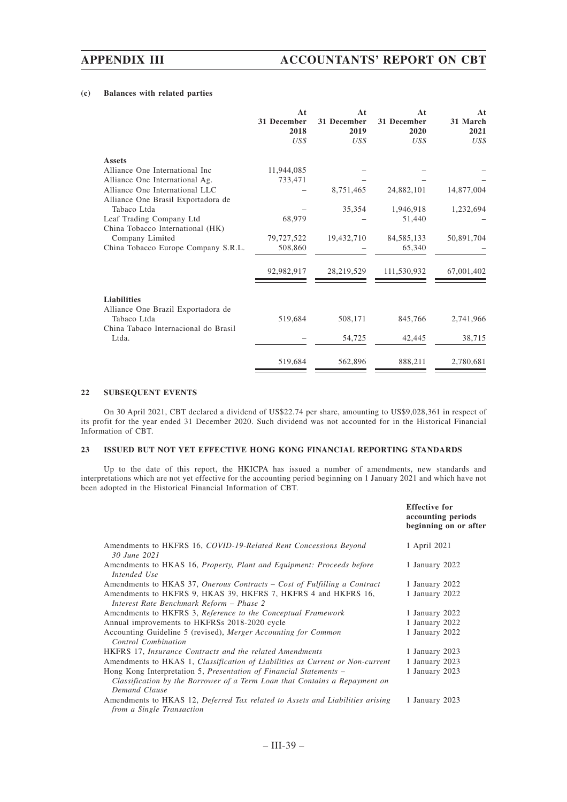### **(c) Balances with related parties**

|                                      | At<br>31 December<br>2018<br>US\$ | At<br>31 December<br>2019<br>US\$ | At<br>31 December<br>2020<br>US\$ | At<br>31 March<br>2021<br>US\$ |
|--------------------------------------|-----------------------------------|-----------------------------------|-----------------------------------|--------------------------------|
| <b>Assets</b>                        |                                   |                                   |                                   |                                |
| Alliance One International Inc       | 11,944,085                        |                                   |                                   |                                |
| Alliance One International Ag.       | 733,471                           |                                   |                                   |                                |
| Alliance One International LLC       |                                   | 8,751,465                         | 24,882,101                        | 14,877,004                     |
| Alliance One Brasil Exportadora de   |                                   |                                   |                                   |                                |
| Tabaco Ltda                          |                                   | 35,354                            | 1,946,918                         | 1,232,694                      |
| Leaf Trading Company Ltd             | 68,979                            |                                   | 51,440                            |                                |
| China Tobacco International (HK)     |                                   |                                   |                                   |                                |
| Company Limited                      | 79,727,522                        | 19,432,710                        | 84, 585, 133                      | 50,891,704                     |
| China Tobacco Europe Company S.R.L.  | 508,860                           |                                   | 65,340                            |                                |
|                                      | 92,982,917                        | 28,219,529                        | 111,530,932                       | 67,001,402                     |
| <b>Liabilities</b>                   |                                   |                                   |                                   |                                |
| Alliance One Brazil Exportadora de   |                                   |                                   |                                   |                                |
| Tabaco Ltda                          | 519,684                           | 508,171                           | 845,766                           | 2,741,966                      |
| China Tabaco Internacional do Brasil |                                   |                                   |                                   |                                |
| Ltda.                                |                                   | 54,725                            | 42,445                            | 38,715                         |
|                                      |                                   |                                   |                                   |                                |
|                                      | 519,684                           | 562,896                           | 888,211                           | 2,780,681                      |

### **22 SUBSEQUENT EVENTS**

On 30 April 2021, CBT declared a dividend of US\$22.74 per share, amounting to US\$9,028,361 in respect of its profit for the year ended 31 December 2020. Such dividend was not accounted for in the Historical Financial Information of CBT.

### **23 ISSUED BUT NOT YET EFFECTIVE HONG KONG FINANCIAL REPORTING STANDARDS**

Up to the date of this report, the HKICPA has issued a number of amendments, new standards and interpretations which are not yet effective for the accounting period beginning on 1 January 2021 and which have not been adopted in the Historical Financial Information of CBT.

|                                                                                                                                                                   | <b>Effective for</b><br>accounting periods<br>beginning on or after |
|-------------------------------------------------------------------------------------------------------------------------------------------------------------------|---------------------------------------------------------------------|
| Amendments to HKFRS 16, COVID-19-Related Rent Concessions Beyond<br>30 June 2021                                                                                  | 1 April 2021                                                        |
| Amendments to HKAS 16, Property, Plant and Equipment: Proceeds before<br>Intended Use                                                                             | 1 January 2022                                                      |
| Amendments to HKAS 37, Onerous Contracts – Cost of Fulfilling a Contract                                                                                          | 1 January 2022                                                      |
| Amendments to HKFRS 9, HKAS 39, HKFRS 7, HKFRS 4 and HKFRS 16,<br>Interest Rate Benchmark Reform - Phase 2                                                        | 1 January 2022                                                      |
| Amendments to HKFRS 3, Reference to the Conceptual Framework                                                                                                      | 1 January 2022                                                      |
| Annual improvements to HKFRSs 2018-2020 cycle                                                                                                                     | 1 January 2022                                                      |
| Accounting Guideline 5 (revised), Merger Accounting for Common<br>Control Combination                                                                             | 1 January 2022                                                      |
| HKFRS 17, Insurance Contracts and the related Amendments                                                                                                          | 1 January 2023                                                      |
| Amendments to HKAS 1, Classification of Liabilities as Current or Non-current                                                                                     | 1 January 2023                                                      |
| Hong Kong Interpretation 5, Presentation of Financial Statements –<br>Classification by the Borrower of a Term Loan that Contains a Repayment on<br>Demand Clause | 1 January 2023                                                      |
| Amendments to HKAS 12, Deferred Tax related to Assets and Liabilities arising<br>from a Single Transaction                                                        | 1 January 2023                                                      |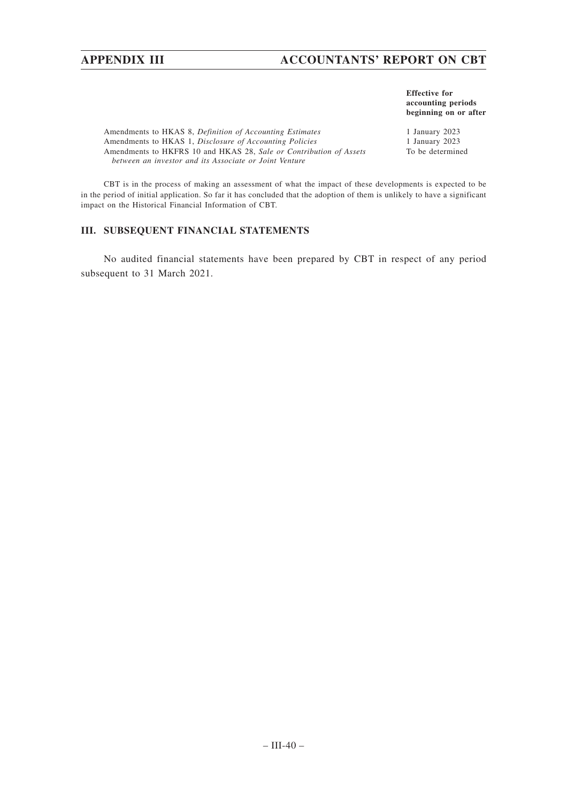# **APPENDIX III ACCOUNTANTS' REPORT ON CBT**

**Effective for accounting periods beginning on or after**

Amendments to HKAS 8, *Definition of Accounting Estimates* 1 January 2023<br>Amendments to HKAS 1, *Disclosure of Accounting Policies* 1 January 2023 Amendments to HKAS 1, *Disclosure of Accounting Policies* Amendments to HKFRS 10 and HKAS 28, *Sale or Contribution of Assets between an investor and its Associate or Joint Venture*

To be determined

CBT is in the process of making an assessment of what the impact of these developments is expected to be in the period of initial application. So far it has concluded that the adoption of them is unlikely to have a significant impact on the Historical Financial Information of CBT.

# **III. SUBSEQUENT FINANCIAL STATEMENTS**

No audited financial statements have been prepared by CBT in respect of any period subsequent to 31 March 2021.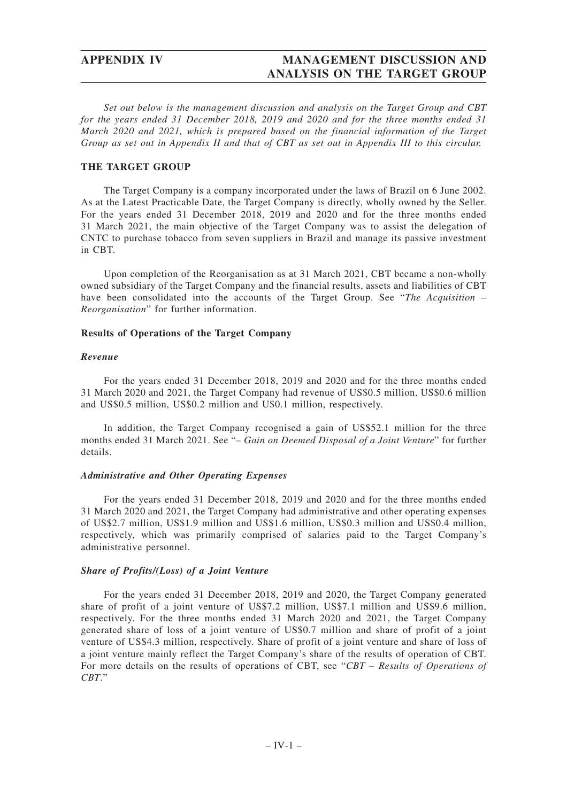*Set out below is the management discussion and analysis on the Target Group and CBT for the years ended 31 December 2018, 2019 and 2020 and for the three months ended 31 March 2020 and 2021, which is prepared based on the financial information of the Target Group as set out in Appendix II and that of CBT as set out in Appendix III to this circular.*

# **THE TARGET GROUP**

The Target Company is a company incorporated under the laws of Brazil on 6 June 2002. As at the Latest Practicable Date, the Target Company is directly, wholly owned by the Seller. For the years ended 31 December 2018, 2019 and 2020 and for the three months ended 31 March 2021, the main objective of the Target Company was to assist the delegation of CNTC to purchase tobacco from seven suppliers in Brazil and manage its passive investment in CBT.

Upon completion of the Reorganisation as at 31 March 2021, CBT became a non-wholly owned subsidiary of the Target Company and the financial results, assets and liabilities of CBT have been consolidated into the accounts of the Target Group. See "*The Acquisition* – *Reorganisation*" for further information.

# **Results of Operations of the Target Company**

# *Revenue*

For the years ended 31 December 2018, 2019 and 2020 and for the three months ended 31 March 2020 and 2021, the Target Company had revenue of US\$0.5 million, US\$0.6 million and US\$0.5 million, US\$0.2 million and U\$0.1 million, respectively.

In addition, the Target Company recognised a gain of US\$52.1 million for the three months ended 31 March 2021. See "– *Gain on Deemed Disposal of a Joint Venture*" for further details.

# *Administrative and Other Operating Expenses*

For the years ended 31 December 2018, 2019 and 2020 and for the three months ended 31 March 2020 and 2021, the Target Company had administrative and other operating expenses of US\$2.7 million, US\$1.9 million and US\$1.6 million, US\$0.3 million and US\$0.4 million, respectively, which was primarily comprised of salaries paid to the Target Company's administrative personnel.

# *Share of Profits/(Loss) of a Joint Venture*

For the years ended 31 December 2018, 2019 and 2020, the Target Company generated share of profit of a joint venture of US\$7.2 million, US\$7.1 million and US\$9.6 million, respectively. For the three months ended 31 March 2020 and 2021, the Target Company generated share of loss of a joint venture of US\$0.7 million and share of profit of a joint venture of US\$4.3 million, respectively. Share of profit of a joint venture and share of loss of a joint venture mainly reflect the Target Company's share of the results of operation of CBT. For more details on the results of operations of CBT, see "*CBT – Results of Operations of CBT*."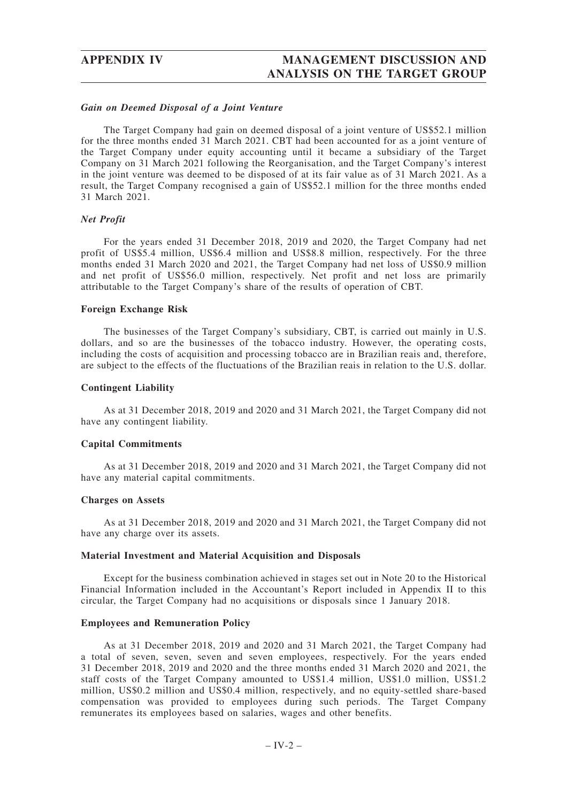## *Gain on Deemed Disposal of a Joint Venture*

The Target Company had gain on deemed disposal of a joint venture of US\$52.1 million for the three months ended 31 March 2021. CBT had been accounted for as a joint venture of the Target Company under equity accounting until it became a subsidiary of the Target Company on 31 March 2021 following the Reorganisation, and the Target Company's interest in the joint venture was deemed to be disposed of at its fair value as of 31 March 2021. As a result, the Target Company recognised a gain of US\$52.1 million for the three months ended 31 March 2021.

### *Net Profit*

For the years ended 31 December 2018, 2019 and 2020, the Target Company had net profit of US\$5.4 million, US\$6.4 million and US\$8.8 million, respectively. For the three months ended 31 March 2020 and 2021, the Target Company had net loss of US\$0.9 million and net profit of US\$56.0 million, respectively. Net profit and net loss are primarily attributable to the Target Company's share of the results of operation of CBT.

### **Foreign Exchange Risk**

The businesses of the Target Company's subsidiary, CBT, is carried out mainly in U.S. dollars, and so are the businesses of the tobacco industry. However, the operating costs, including the costs of acquisition and processing tobacco are in Brazilian reais and, therefore, are subject to the effects of the fluctuations of the Brazilian reais in relation to the U.S. dollar.

## **Contingent Liability**

As at 31 December 2018, 2019 and 2020 and 31 March 2021, the Target Company did not have any contingent liability.

## **Capital Commitments**

As at 31 December 2018, 2019 and 2020 and 31 March 2021, the Target Company did not have any material capital commitments.

## **Charges on Assets**

As at 31 December 2018, 2019 and 2020 and 31 March 2021, the Target Company did not have any charge over its assets.

## **Material Investment and Material Acquisition and Disposals**

Except for the business combination achieved in stages set out in Note 20 to the Historical Financial Information included in the Accountant's Report included in Appendix II to this circular, the Target Company had no acquisitions or disposals since 1 January 2018.

## **Employees and Remuneration Policy**

As at 31 December 2018, 2019 and 2020 and 31 March 2021, the Target Company had a total of seven, seven, seven and seven employees, respectively. For the years ended 31 December 2018, 2019 and 2020 and the three months ended 31 March 2020 and 2021, the staff costs of the Target Company amounted to US\$1.4 million, US\$1.0 million, US\$1.2 million, US\$0.2 million and US\$0.4 million, respectively, and no equity-settled share-based compensation was provided to employees during such periods. The Target Company remunerates its employees based on salaries, wages and other benefits.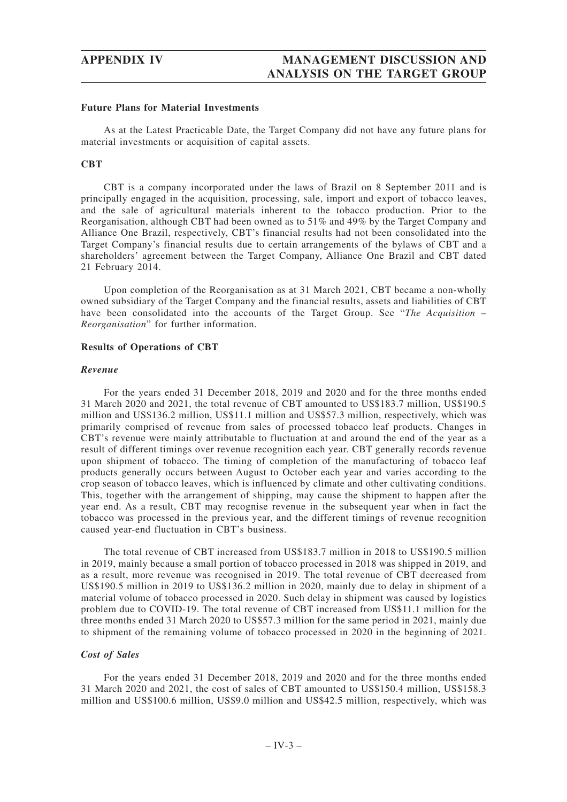## **Future Plans for Material Investments**

As at the Latest Practicable Date, the Target Company did not have any future plans for material investments or acquisition of capital assets.

## **CBT**

CBT is a company incorporated under the laws of Brazil on 8 September 2011 and is principally engaged in the acquisition, processing, sale, import and export of tobacco leaves, and the sale of agricultural materials inherent to the tobacco production. Prior to the Reorganisation, although CBT had been owned as to 51% and 49% by the Target Company and Alliance One Brazil, respectively, CBT's financial results had not been consolidated into the Target Company's financial results due to certain arrangements of the bylaws of CBT and a shareholders' agreement between the Target Company, Alliance One Brazil and CBT dated 21 February 2014.

Upon completion of the Reorganisation as at 31 March 2021, CBT became a non-wholly owned subsidiary of the Target Company and the financial results, assets and liabilities of CBT have been consolidated into the accounts of the Target Group. See "*The Acquisition – Reorganisation*" for further information.

### **Results of Operations of CBT**

### *Revenue*

For the years ended 31 December 2018, 2019 and 2020 and for the three months ended 31 March 2020 and 2021, the total revenue of CBT amounted to US\$183.7 million, US\$190.5 million and US\$136.2 million, US\$11.1 million and US\$57.3 million, respectively, which was primarily comprised of revenue from sales of processed tobacco leaf products. Changes in CBT's revenue were mainly attributable to fluctuation at and around the end of the year as a result of different timings over revenue recognition each year. CBT generally records revenue upon shipment of tobacco. The timing of completion of the manufacturing of tobacco leaf products generally occurs between August to October each year and varies according to the crop season of tobacco leaves, which is influenced by climate and other cultivating conditions. This, together with the arrangement of shipping, may cause the shipment to happen after the year end. As a result, CBT may recognise revenue in the subsequent year when in fact the tobacco was processed in the previous year, and the different timings of revenue recognition caused year-end fluctuation in CBT's business.

The total revenue of CBT increased from US\$183.7 million in 2018 to US\$190.5 million in 2019, mainly because a small portion of tobacco processed in 2018 was shipped in 2019, and as a result, more revenue was recognised in 2019. The total revenue of CBT decreased from US\$190.5 million in 2019 to US\$136.2 million in 2020, mainly due to delay in shipment of a material volume of tobacco processed in 2020. Such delay in shipment was caused by logistics problem due to COVID-19. The total revenue of CBT increased from US\$11.1 million for the three months ended 31 March 2020 to US\$57.3 million for the same period in 2021, mainly due to shipment of the remaining volume of tobacco processed in 2020 in the beginning of 2021.

## *Cost of Sales*

For the years ended 31 December 2018, 2019 and 2020 and for the three months ended 31 March 2020 and 2021, the cost of sales of CBT amounted to US\$150.4 million, US\$158.3 million and US\$100.6 million, US\$9.0 million and US\$42.5 million, respectively, which was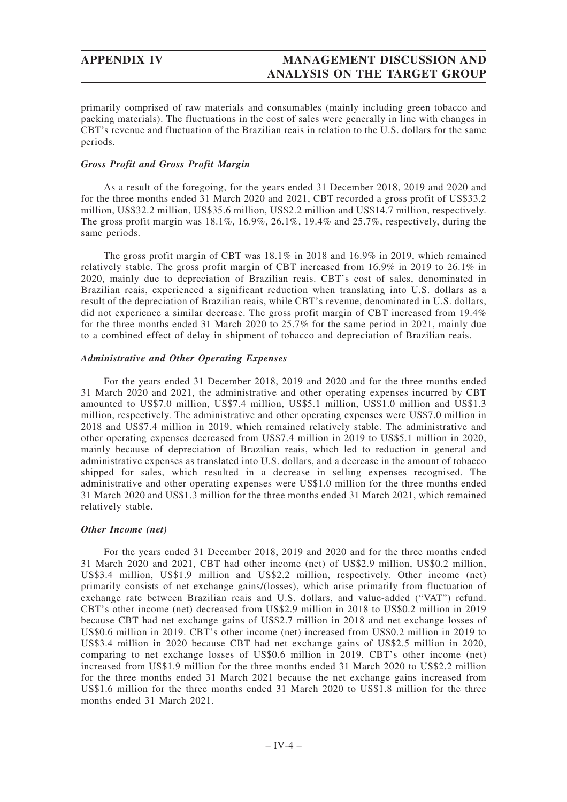primarily comprised of raw materials and consumables (mainly including green tobacco and packing materials). The fluctuations in the cost of sales were generally in line with changes in CBT's revenue and fluctuation of the Brazilian reais in relation to the U.S. dollars for the same periods.

# *Gross Profit and Gross Profit Margin*

As a result of the foregoing, for the years ended 31 December 2018, 2019 and 2020 and for the three months ended 31 March 2020 and 2021, CBT recorded a gross profit of US\$33.2 million, US\$32.2 million, US\$35.6 million, US\$2.2 million and US\$14.7 million, respectively. The gross profit margin was  $18.1\%$ ,  $16.9\%$ ,  $26.1\%$ ,  $19.4\%$  and  $25.7\%$ , respectively, during the same periods.

The gross profit margin of CBT was 18.1% in 2018 and 16.9% in 2019, which remained relatively stable. The gross profit margin of CBT increased from 16.9% in 2019 to 26.1% in 2020, mainly due to depreciation of Brazilian reais. CBT's cost of sales, denominated in Brazilian reais, experienced a significant reduction when translating into U.S. dollars as a result of the depreciation of Brazilian reais, while CBT's revenue, denominated in U.S. dollars, did not experience a similar decrease. The gross profit margin of CBT increased from 19.4% for the three months ended 31 March 2020 to 25.7% for the same period in 2021, mainly due to a combined effect of delay in shipment of tobacco and depreciation of Brazilian reais.

# *Administrative and Other Operating Expenses*

For the years ended 31 December 2018, 2019 and 2020 and for the three months ended 31 March 2020 and 2021, the administrative and other operating expenses incurred by CBT amounted to US\$7.0 million, US\$7.4 million, US\$5.1 million, US\$1.0 million and US\$1.3 million, respectively. The administrative and other operating expenses were US\$7.0 million in 2018 and US\$7.4 million in 2019, which remained relatively stable. The administrative and other operating expenses decreased from US\$7.4 million in 2019 to US\$5.1 million in 2020, mainly because of depreciation of Brazilian reais, which led to reduction in general and administrative expenses as translated into U.S. dollars, and a decrease in the amount of tobacco shipped for sales, which resulted in a decrease in selling expenses recognised. The administrative and other operating expenses were US\$1.0 million for the three months ended 31 March 2020 and US\$1.3 million for the three months ended 31 March 2021, which remained relatively stable.

# *Other Income (net)*

For the years ended 31 December 2018, 2019 and 2020 and for the three months ended 31 March 2020 and 2021, CBT had other income (net) of US\$2.9 million, US\$0.2 million, US\$3.4 million, US\$1.9 million and US\$2.2 million, respectively. Other income (net) primarily consists of net exchange gains/(losses), which arise primarily from fluctuation of exchange rate between Brazilian reais and U.S. dollars, and value-added ("VAT") refund. CBT's other income (net) decreased from US\$2.9 million in 2018 to US\$0.2 million in 2019 because CBT had net exchange gains of US\$2.7 million in 2018 and net exchange losses of US\$0.6 million in 2019. CBT's other income (net) increased from US\$0.2 million in 2019 to US\$3.4 million in 2020 because CBT had net exchange gains of US\$2.5 million in 2020, comparing to net exchange losses of US\$0.6 million in 2019. CBT's other income (net) increased from US\$1.9 million for the three months ended 31 March 2020 to US\$2.2 million for the three months ended 31 March 2021 because the net exchange gains increased from US\$1.6 million for the three months ended 31 March 2020 to US\$1.8 million for the three months ended 31 March 2021.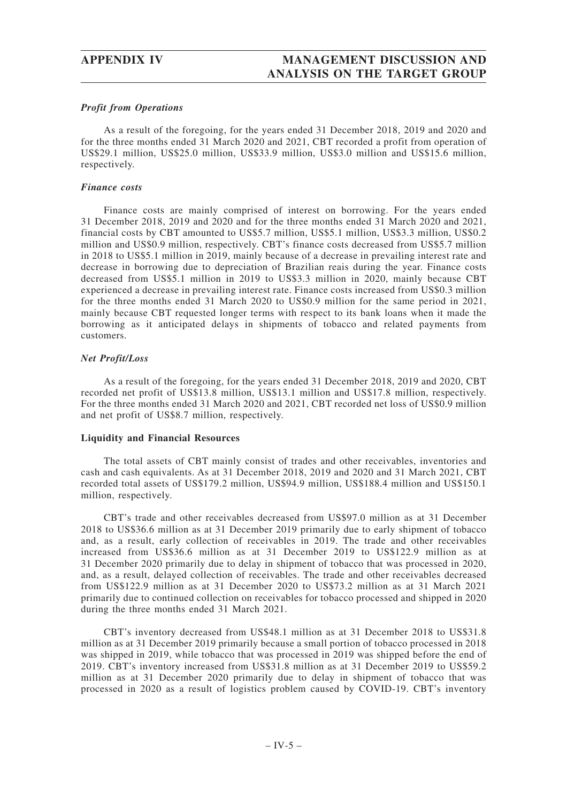# *Profit from Operations*

As a result of the foregoing, for the years ended 31 December 2018, 2019 and 2020 and for the three months ended 31 March 2020 and 2021, CBT recorded a profit from operation of US\$29.1 million, US\$25.0 million, US\$33.9 million, US\$3.0 million and US\$15.6 million, respectively.

## *Finance costs*

Finance costs are mainly comprised of interest on borrowing. For the years ended 31 December 2018, 2019 and 2020 and for the three months ended 31 March 2020 and 2021, financial costs by CBT amounted to US\$5.7 million, US\$5.1 million, US\$3.3 million, US\$0.2 million and US\$0.9 million, respectively. CBT's finance costs decreased from US\$5.7 million in 2018 to US\$5.1 million in 2019, mainly because of a decrease in prevailing interest rate and decrease in borrowing due to depreciation of Brazilian reais during the year. Finance costs decreased from US\$5.1 million in 2019 to US\$3.3 million in 2020, mainly because CBT experienced a decrease in prevailing interest rate. Finance costs increased from US\$0.3 million for the three months ended 31 March 2020 to US\$0.9 million for the same period in 2021, mainly because CBT requested longer terms with respect to its bank loans when it made the borrowing as it anticipated delays in shipments of tobacco and related payments from customers.

# *Net Profit/Loss*

As a result of the foregoing, for the years ended 31 December 2018, 2019 and 2020, CBT recorded net profit of US\$13.8 million, US\$13.1 million and US\$17.8 million, respectively. For the three months ended 31 March 2020 and 2021, CBT recorded net loss of US\$0.9 million and net profit of US\$8.7 million, respectively.

# **Liquidity and Financial Resources**

The total assets of CBT mainly consist of trades and other receivables, inventories and cash and cash equivalents. As at 31 December 2018, 2019 and 2020 and 31 March 2021, CBT recorded total assets of US\$179.2 million, US\$94.9 million, US\$188.4 million and US\$150.1 million, respectively.

CBT's trade and other receivables decreased from US\$97.0 million as at 31 December 2018 to US\$36.6 million as at 31 December 2019 primarily due to early shipment of tobacco and, as a result, early collection of receivables in 2019. The trade and other receivables increased from US\$36.6 million as at 31 December 2019 to US\$122.9 million as at 31 December 2020 primarily due to delay in shipment of tobacco that was processed in 2020, and, as a result, delayed collection of receivables. The trade and other receivables decreased from US\$122.9 million as at 31 December 2020 to US\$73.2 million as at 31 March 2021 primarily due to continued collection on receivables for tobacco processed and shipped in 2020 during the three months ended 31 March 2021.

CBT's inventory decreased from US\$48.1 million as at 31 December 2018 to US\$31.8 million as at 31 December 2019 primarily because a small portion of tobacco processed in 2018 was shipped in 2019, while tobacco that was processed in 2019 was shipped before the end of 2019. CBT's inventory increased from US\$31.8 million as at 31 December 2019 to US\$59.2 million as at 31 December 2020 primarily due to delay in shipment of tobacco that was processed in 2020 as a result of logistics problem caused by COVID-19. CBT's inventory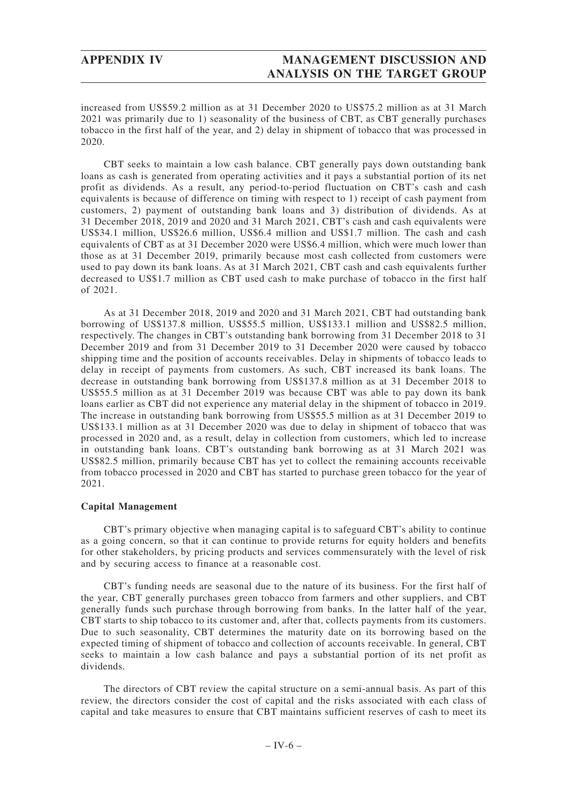increased from US\$59.2 million as at 31 December 2020 to US\$75.2 million as at 31 March 2021 was primarily due to 1) seasonality of the business of CBT, as CBT generally purchases tobacco in the first half of the year, and 2) delay in shipment of tobacco that was processed in 2020.

CBT seeks to maintain a low cash balance. CBT generally pays down outstanding bank loans as cash is generated from operating activities and it pays a substantial portion of its net profit as dividends. As a result, any period-to-period fluctuation on CBT's cash and cash equivalents is because of difference on timing with respect to 1) receipt of cash payment from customers, 2) payment of outstanding bank loans and 3) distribution of dividends. As at 31 December 2018, 2019 and 2020 and 31 March 2021, CBT's cash and cash equivalents were US\$34.1 million, US\$26.6 million, US\$6.4 million and US\$1.7 million. The cash and cash equivalents of CBT as at 31 December 2020 were US\$6.4 million, which were much lower than those as at 31 December 2019, primarily because most cash collected from customers were used to pay down its bank loans. As at 31 March 2021, CBT cash and cash equivalents further decreased to US\$1.7 million as CBT used cash to make purchase of tobacco in the first half of 2021.

As at 31 December 2018, 2019 and 2020 and 31 March 2021, CBT had outstanding bank borrowing of US\$137.8 million, US\$55.5 million, US\$133.1 million and US\$82.5 million, respectively. The changes in CBT's outstanding bank borrowing from 31 December 2018 to 31 December 2019 and from 31 December 2019 to 31 December 2020 were caused by tobacco shipping time and the position of accounts receivables. Delay in shipments of tobacco leads to delay in receipt of payments from customers. As such, CBT increased its bank loans. The decrease in outstanding bank borrowing from US\$137.8 million as at 31 December 2018 to US\$55.5 million as at 31 December 2019 was because CBT was able to pay down its bank loans earlier as CBT did not experience any material delay in the shipment of tobacco in 2019. The increase in outstanding bank borrowing from US\$55.5 million as at 31 December 2019 to US\$133.1 million as at 31 December 2020 was due to delay in shipment of tobacco that was processed in 2020 and, as a result, delay in collection from customers, which led to increase in outstanding bank loans. CBT's outstanding bank borrowing as at 31 March 2021 was US\$82.5 million, primarily because CBT has yet to collect the remaining accounts receivable from tobacco processed in 2020 and CBT has started to purchase green tobacco for the year of 2021.

# **Capital Management**

CBT's primary objective when managing capital is to safeguard CBT's ability to continue as a going concern, so that it can continue to provide returns for equity holders and benefits for other stakeholders, by pricing products and services commensurately with the level of risk and by securing access to finance at a reasonable cost.

CBT's funding needs are seasonal due to the nature of its business. For the first half of the year, CBT generally purchases green tobacco from farmers and other suppliers, and CBT generally funds such purchase through borrowing from banks. In the latter half of the year, CBT starts to ship tobacco to its customer and, after that, collects payments from its customers. Due to such seasonality, CBT determines the maturity date on its borrowing based on the expected timing of shipment of tobacco and collection of accounts receivable. In general, CBT seeks to maintain a low cash balance and pays a substantial portion of its net profit as dividends.

The directors of CBT review the capital structure on a semi-annual basis. As part of this review, the directors consider the cost of capital and the risks associated with each class of capital and take measures to ensure that CBT maintains sufficient reserves of cash to meet its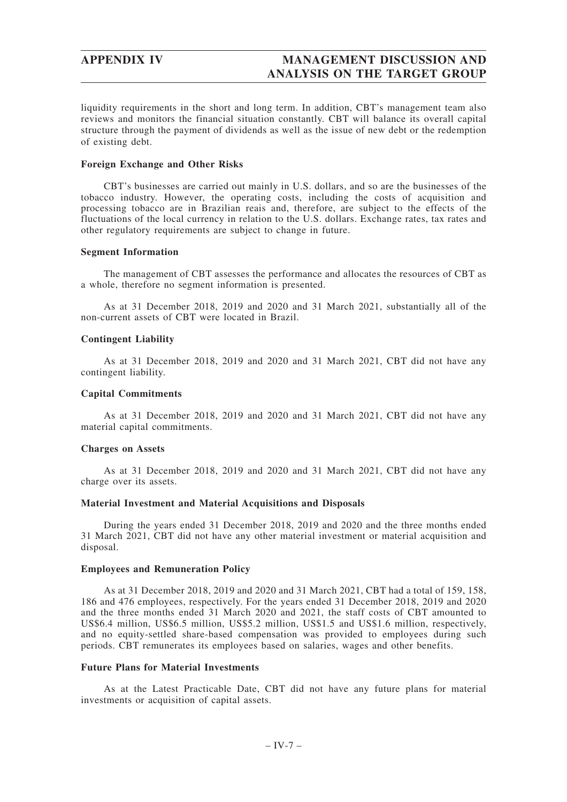liquidity requirements in the short and long term. In addition, CBT's management team also reviews and monitors the financial situation constantly. CBT will balance its overall capital structure through the payment of dividends as well as the issue of new debt or the redemption of existing debt.

## **Foreign Exchange and Other Risks**

CBT's businesses are carried out mainly in U.S. dollars, and so are the businesses of the tobacco industry. However, the operating costs, including the costs of acquisition and processing tobacco are in Brazilian reais and, therefore, are subject to the effects of the fluctuations of the local currency in relation to the U.S. dollars. Exchange rates, tax rates and other regulatory requirements are subject to change in future.

## **Segment Information**

The management of CBT assesses the performance and allocates the resources of CBT as a whole, therefore no segment information is presented.

As at 31 December 2018, 2019 and 2020 and 31 March 2021, substantially all of the non-current assets of CBT were located in Brazil.

# **Contingent Liability**

As at 31 December 2018, 2019 and 2020 and 31 March 2021, CBT did not have any contingent liability.

## **Capital Commitments**

As at 31 December 2018, 2019 and 2020 and 31 March 2021, CBT did not have any material capital commitments.

## **Charges on Assets**

As at 31 December 2018, 2019 and 2020 and 31 March 2021, CBT did not have any charge over its assets.

## **Material Investment and Material Acquisitions and Disposals**

During the years ended 31 December 2018, 2019 and 2020 and the three months ended 31 March 2021, CBT did not have any other material investment or material acquisition and disposal.

## **Employees and Remuneration Policy**

As at 31 December 2018, 2019 and 2020 and 31 March 2021, CBT had a total of 159, 158, 186 and 476 employees, respectively. For the years ended 31 December 2018, 2019 and 2020 and the three months ended 31 March 2020 and 2021, the staff costs of CBT amounted to US\$6.4 million, US\$6.5 million, US\$5.2 million, US\$1.5 and US\$1.6 million, respectively, and no equity-settled share-based compensation was provided to employees during such periods. CBT remunerates its employees based on salaries, wages and other benefits.

# **Future Plans for Material Investments**

As at the Latest Practicable Date, CBT did not have any future plans for material investments or acquisition of capital assets.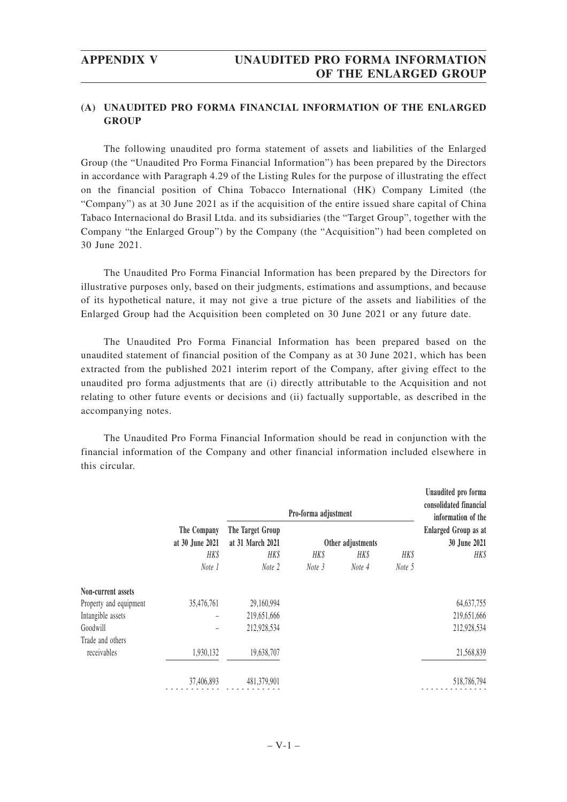# **(A) UNAUDITED PRO FORMA FINANCIAL INFORMATION OF THE ENLARGED GROUP**

The following unaudited pro forma statement of assets and liabilities of the Enlarged Group (the "Unaudited Pro Forma Financial Information") has been prepared by the Directors in accordance with Paragraph 4.29 of the Listing Rules for the purpose of illustrating the effect on the financial position of China Tobacco International (HK) Company Limited (the "Company") as at 30 June 2021 as if the acquisition of the entire issued share capital of China Tabaco Internacional do Brasil Ltda. and its subsidiaries (the "Target Group", together with the Company "the Enlarged Group") by the Company (the "Acquisition") had been completed on 30 June 2021.

The Unaudited Pro Forma Financial Information has been prepared by the Directors for illustrative purposes only, based on their judgments, estimations and assumptions, and because of its hypothetical nature, it may not give a true picture of the assets and liabilities of the Enlarged Group had the Acquisition been completed on 30 June 2021 or any future date.

The Unaudited Pro Forma Financial Information has been prepared based on the unaudited statement of financial position of the Company as at 30 June 2021, which has been extracted from the published 2021 interim report of the Company, after giving effect to the unaudited pro forma adjustments that are (i) directly attributable to the Acquisition and not relating to other future events or decisions and (ii) factually supportable, as described in the accompanying notes.

The Unaudited Pro Forma Financial Information should be read in conjunction with the financial information of the Company and other financial information included elsewhere in this circular.

|                                |            |                                      | Pro-forma adjustment |        |        | Unaudited pro forma<br>consolidated financial<br>information of the |  |
|--------------------------------|------------|--------------------------------------|----------------------|--------|--------|---------------------------------------------------------------------|--|
| The Company<br>at 30 June 2021 |            | The Target Group<br>at 31 March 2021 | Other adjustments    |        |        | <b>Enlarged Group as at</b><br>30 June 2021                         |  |
|                                | HK\$       | HK\$                                 | HK\$                 | HK\$   | HK\$   | HK\$                                                                |  |
|                                | Note 1     | Note 2                               | Note 3               | Note 4 | Note 5 |                                                                     |  |
| Non-current assets             |            |                                      |                      |        |        |                                                                     |  |
| Property and equipment         | 35,476,761 | 29,160,994                           |                      |        |        | 64, 637, 755                                                        |  |
| Intangible assets              |            | 219,651,666                          |                      |        |        | 219,651,666                                                         |  |
| Goodwill                       |            | 212,928,534                          |                      |        |        | 212,928,534                                                         |  |
| Trade and others               |            |                                      |                      |        |        |                                                                     |  |
| receivables                    | 1,930,132  | 19,638,707                           |                      |        |        | 21,568,839                                                          |  |
|                                | 37,406,893 | 481,379,901                          |                      |        |        | 518,786,794                                                         |  |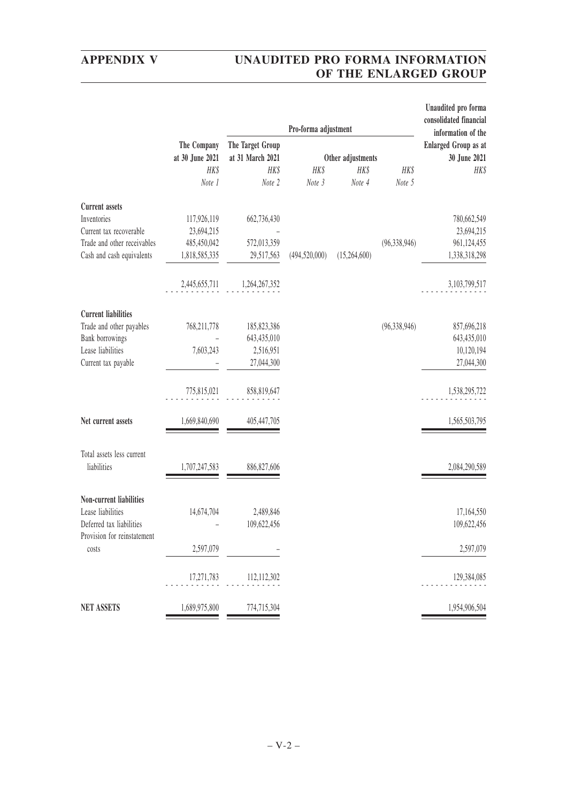# **APPENDIX V UNAUDITED PRO FORMA INFORMATION OF THE ENLARGED GROUP**

|                             |                 |                  | Pro-forma adjustment |                                                   |                | Unaudited pro forma<br>consolidated financial |
|-----------------------------|-----------------|------------------|----------------------|---------------------------------------------------|----------------|-----------------------------------------------|
|                             | The Company     | The Target Group |                      | information of the<br><b>Enlarged Group as at</b> |                |                                               |
|                             | at 30 June 2021 | at 31 March 2021 |                      | Other adjustments                                 |                | 30 June 2021                                  |
|                             | HK\$            | HK\$             | HK\$                 | HK\$                                              | HK\$           | HK\$                                          |
|                             | Note 1          | Note 2           | Note 3               | Note 4                                            | Note 5         |                                               |
| <b>Current</b> assets       |                 |                  |                      |                                                   |                |                                               |
| Inventories                 | 117,926,119     | 662,736,430      |                      |                                                   |                | 780,662,549                                   |
| Current tax recoverable     | 23,694,215      |                  |                      |                                                   |                | 23,694,215                                    |
| Trade and other receivables | 485,450,042     | 572,013,359      |                      |                                                   | (96, 338, 946) | 961,124,455                                   |
| Cash and cash equivalents   | 1,818,585,335   | 29,517,563       | (494, 520, 000)      | (15,264,600)                                      |                | 1,338,318,298                                 |
|                             | 2,445,655,711   | 1,264,267,352    |                      |                                                   |                | 3, 103, 799, 517                              |
| <b>Current liabilities</b>  |                 |                  |                      |                                                   |                |                                               |
| Trade and other payables    | 768,211,778     | 185, 823, 386    |                      |                                                   | (96, 338, 946) | 857,696,218                                   |
| Bank borrowings             |                 | 643,435,010      |                      |                                                   |                | 643,435,010                                   |
| Lease liabilities           | 7,603,243       | 2,516,951        |                      |                                                   |                | 10,120,194                                    |
| Current tax payable         |                 | 27,044,300       |                      |                                                   |                | 27,044,300                                    |
|                             | 775,815,021     | 858,819,647      |                      |                                                   |                | 1,538,295,722                                 |
| Net current assets          | 1,669,840,690   | 405,447,705      |                      |                                                   |                | 1,565,503,795                                 |
| Total assets less current   |                 |                  |                      |                                                   |                |                                               |
| liabilities                 | 1,707,247,583   | 886, 827, 606    |                      |                                                   |                | 2,084,290,589                                 |
| Non-current liabilities     |                 |                  |                      |                                                   |                |                                               |
| Lease liabilities           | 14,674,704      | 2,489,846        |                      |                                                   |                | 17,164,550                                    |
| Deferred tax liabilities    |                 | 109,622,456      |                      |                                                   |                | 109,622,456                                   |
| Provision for reinstatement |                 |                  |                      |                                                   |                |                                               |
| costs                       | 2,597,079       |                  |                      |                                                   |                | 2,597,079                                     |
|                             | 17,271,783      | 112,112,302      |                      |                                                   |                | 129,384,085                                   |
| <b>NET ASSETS</b>           | 1,689,975,800   | 774,715,304      |                      |                                                   |                | 1,954,906,504                                 |
|                             |                 |                  |                      |                                                   |                |                                               |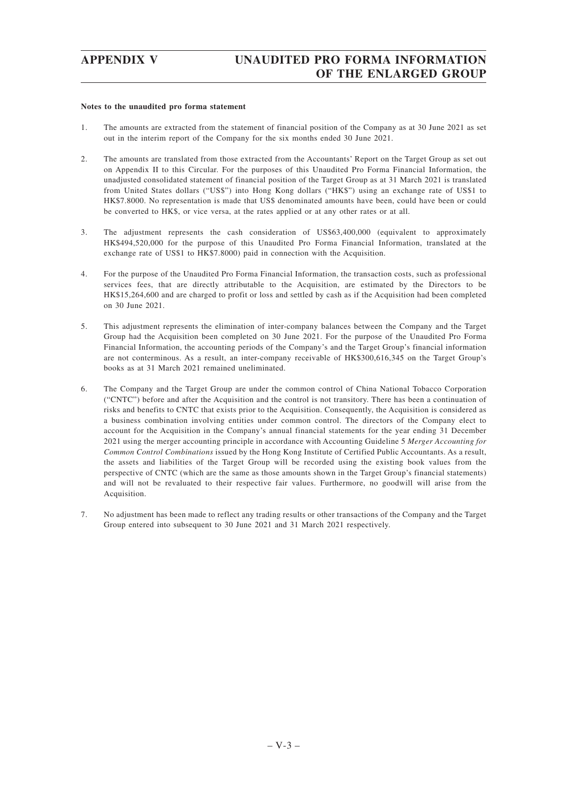### **Notes to the unaudited pro forma statement**

- 1. The amounts are extracted from the statement of financial position of the Company as at 30 June 2021 as set out in the interim report of the Company for the six months ended 30 June 2021.
- 2. The amounts are translated from those extracted from the Accountants' Report on the Target Group as set out on Appendix II to this Circular. For the purposes of this Unaudited Pro Forma Financial Information, the unadjusted consolidated statement of financial position of the Target Group as at 31 March 2021 is translated from United States dollars ("US\$") into Hong Kong dollars ("HK\$") using an exchange rate of US\$1 to HK\$7.8000. No representation is made that US\$ denominated amounts have been, could have been or could be converted to HK\$, or vice versa, at the rates applied or at any other rates or at all.
- 3. The adjustment represents the cash consideration of US\$63,400,000 (equivalent to approximately HK\$494,520,000 for the purpose of this Unaudited Pro Forma Financial Information, translated at the exchange rate of US\$1 to HK\$7.8000) paid in connection with the Acquisition.
- 4. For the purpose of the Unaudited Pro Forma Financial Information, the transaction costs, such as professional services fees, that are directly attributable to the Acquisition, are estimated by the Directors to be HK\$15,264,600 and are charged to profit or loss and settled by cash as if the Acquisition had been completed on 30 June 2021.
- 5. This adjustment represents the elimination of inter-company balances between the Company and the Target Group had the Acquisition been completed on 30 June 2021. For the purpose of the Unaudited Pro Forma Financial Information, the accounting periods of the Company's and the Target Group's financial information are not conterminous. As a result, an inter-company receivable of HK\$300,616,345 on the Target Group's books as at 31 March 2021 remained uneliminated.
- 6. The Company and the Target Group are under the common control of China National Tobacco Corporation ("CNTC") before and after the Acquisition and the control is not transitory. There has been a continuation of risks and benefits to CNTC that exists prior to the Acquisition. Consequently, the Acquisition is considered as a business combination involving entities under common control. The directors of the Company elect to account for the Acquisition in the Company's annual financial statements for the year ending 31 December 2021 using the merger accounting principle in accordance with Accounting Guideline 5 *Merger Accounting for Common Control Combinations* issued by the Hong Kong Institute of Certified Public Accountants. As a result, the assets and liabilities of the Target Group will be recorded using the existing book values from the perspective of CNTC (which are the same as those amounts shown in the Target Group's financial statements) and will not be revaluated to their respective fair values. Furthermore, no goodwill will arise from the Acquisition.
- 7. No adjustment has been made to reflect any trading results or other transactions of the Company and the Target Group entered into subsequent to 30 June 2021 and 31 March 2021 respectively.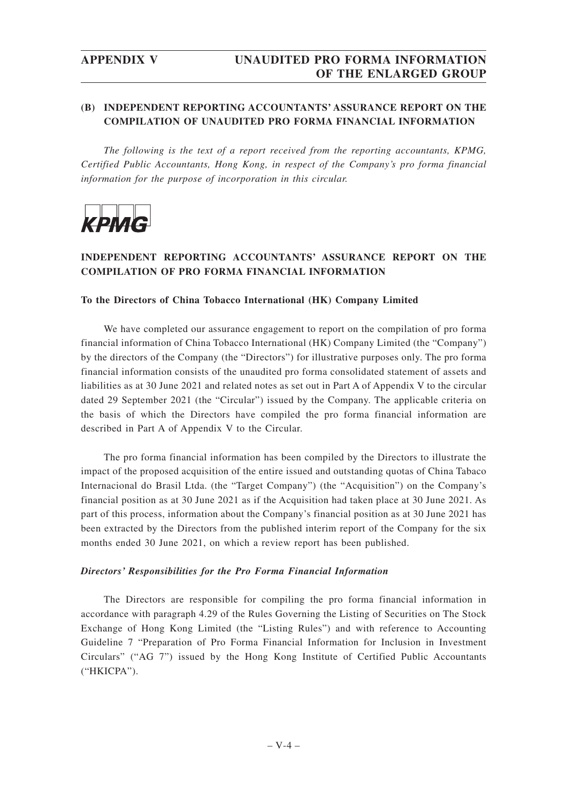# **(B) INDEPENDENT REPORTING ACCOUNTANTS' ASSURANCE REPORT ON THE COMPILATION OF UNAUDITED PRO FORMA FINANCIAL INFORMATION**

*The following is the text of a report received from the reporting accountants, KPMG, Certified Public Accountants, Hong Kong, in respect of the Company's pro forma financial information for the purpose of incorporation in this circular.*



# **INDEPENDENT REPORTING ACCOUNTANTS' ASSURANCE REPORT ON THE COMPILATION OF PRO FORMA FINANCIAL INFORMATION**

# **To the Directors of China Tobacco International (HK) Company Limited**

We have completed our assurance engagement to report on the compilation of pro forma financial information of China Tobacco International (HK) Company Limited (the "Company") by the directors of the Company (the "Directors") for illustrative purposes only. The pro forma financial information consists of the unaudited pro forma consolidated statement of assets and liabilities as at 30 June 2021 and related notes as set out in Part A of Appendix V to the circular dated 29 September 2021 (the "Circular") issued by the Company. The applicable criteria on the basis of which the Directors have compiled the pro forma financial information are described in Part A of Appendix V to the Circular.

The pro forma financial information has been compiled by the Directors to illustrate the impact of the proposed acquisition of the entire issued and outstanding quotas of China Tabaco Internacional do Brasil Ltda. (the "Target Company") (the "Acquisition") on the Company's financial position as at 30 June 2021 as if the Acquisition had taken place at 30 June 2021. As part of this process, information about the Company's financial position as at 30 June 2021 has been extracted by the Directors from the published interim report of the Company for the six months ended 30 June 2021, on which a review report has been published.

# *Directors' Responsibilities for the Pro Forma Financial Information*

The Directors are responsible for compiling the pro forma financial information in accordance with paragraph 4.29 of the Rules Governing the Listing of Securities on The Stock Exchange of Hong Kong Limited (the "Listing Rules") and with reference to Accounting Guideline 7 "Preparation of Pro Forma Financial Information for Inclusion in Investment Circulars" ("AG 7") issued by the Hong Kong Institute of Certified Public Accountants ("HKICPA").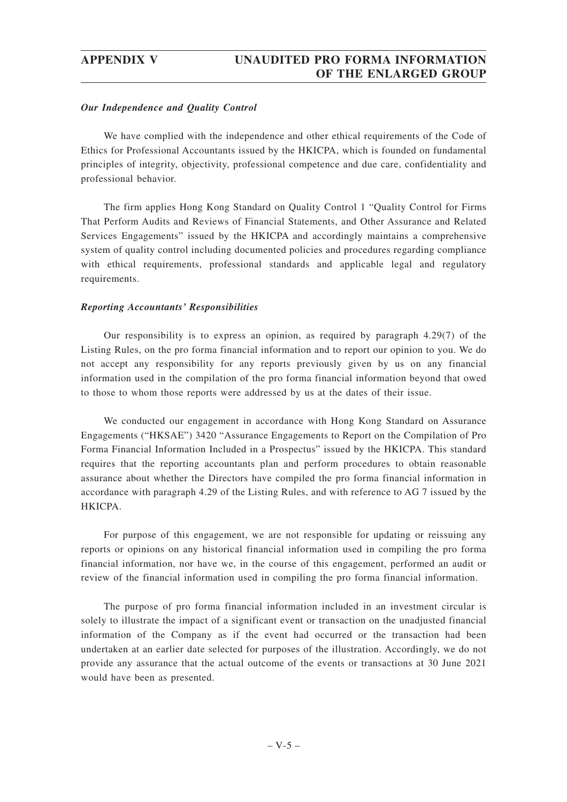# *Our Independence and Quality Control*

We have complied with the independence and other ethical requirements of the Code of Ethics for Professional Accountants issued by the HKICPA, which is founded on fundamental principles of integrity, objectivity, professional competence and due care, confidentiality and professional behavior.

The firm applies Hong Kong Standard on Quality Control 1 "Quality Control for Firms That Perform Audits and Reviews of Financial Statements, and Other Assurance and Related Services Engagements" issued by the HKICPA and accordingly maintains a comprehensive system of quality control including documented policies and procedures regarding compliance with ethical requirements, professional standards and applicable legal and regulatory requirements.

# *Reporting Accountants' Responsibilities*

Our responsibility is to express an opinion, as required by paragraph 4.29(7) of the Listing Rules, on the pro forma financial information and to report our opinion to you. We do not accept any responsibility for any reports previously given by us on any financial information used in the compilation of the pro forma financial information beyond that owed to those to whom those reports were addressed by us at the dates of their issue.

We conducted our engagement in accordance with Hong Kong Standard on Assurance Engagements ("HKSAE") 3420 "Assurance Engagements to Report on the Compilation of Pro Forma Financial Information Included in a Prospectus" issued by the HKICPA. This standard requires that the reporting accountants plan and perform procedures to obtain reasonable assurance about whether the Directors have compiled the pro forma financial information in accordance with paragraph 4.29 of the Listing Rules, and with reference to AG 7 issued by the HKICPA.

For purpose of this engagement, we are not responsible for updating or reissuing any reports or opinions on any historical financial information used in compiling the pro forma financial information, nor have we, in the course of this engagement, performed an audit or review of the financial information used in compiling the pro forma financial information.

The purpose of pro forma financial information included in an investment circular is solely to illustrate the impact of a significant event or transaction on the unadjusted financial information of the Company as if the event had occurred or the transaction had been undertaken at an earlier date selected for purposes of the illustration. Accordingly, we do not provide any assurance that the actual outcome of the events or transactions at 30 June 2021 would have been as presented.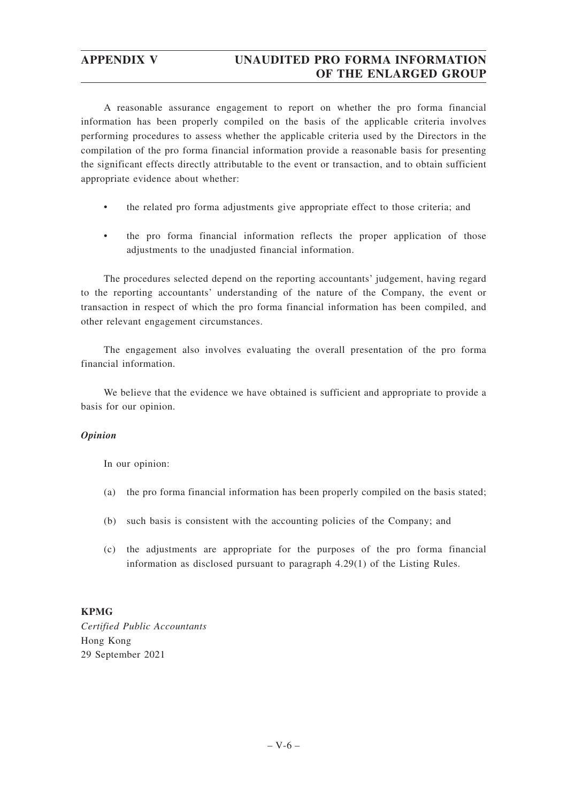# **APPENDIX V UNAUDITED PRO FORMA INFORMATION OF THE ENLARGED GROUP**

A reasonable assurance engagement to report on whether the pro forma financial information has been properly compiled on the basis of the applicable criteria involves performing procedures to assess whether the applicable criteria used by the Directors in the compilation of the pro forma financial information provide a reasonable basis for presenting the significant effects directly attributable to the event or transaction, and to obtain sufficient appropriate evidence about whether:

- the related pro forma adjustments give appropriate effect to those criteria; and
- the pro forma financial information reflects the proper application of those adjustments to the unadjusted financial information.

The procedures selected depend on the reporting accountants' judgement, having regard to the reporting accountants' understanding of the nature of the Company, the event or transaction in respect of which the pro forma financial information has been compiled, and other relevant engagement circumstances.

The engagement also involves evaluating the overall presentation of the pro forma financial information.

We believe that the evidence we have obtained is sufficient and appropriate to provide a basis for our opinion.

# *Opinion*

In our opinion:

- (a) the pro forma financial information has been properly compiled on the basis stated;
- (b) such basis is consistent with the accounting policies of the Company; and
- (c) the adjustments are appropriate for the purposes of the pro forma financial information as disclosed pursuant to paragraph 4.29(1) of the Listing Rules.

# **KPMG**

*Certified Public Accountants* Hong Kong 29 September 2021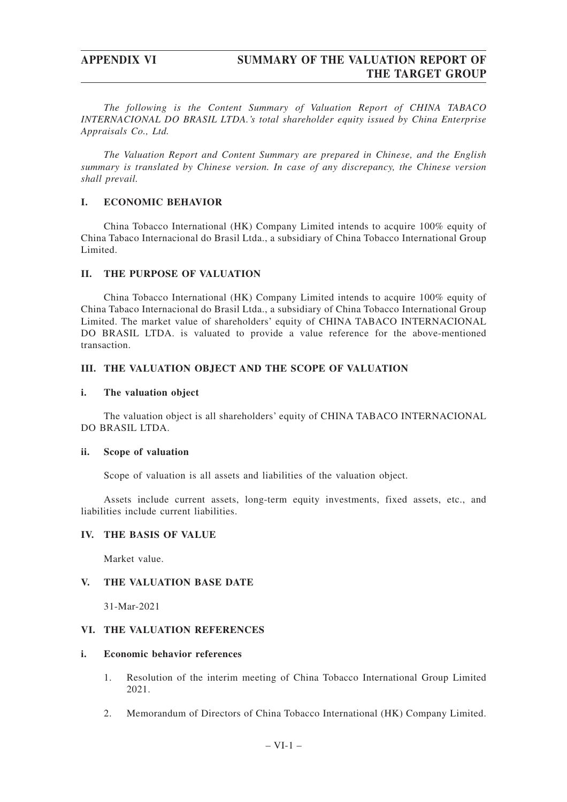*The following is the Content Summary of Valuation Report of CHINA TABACO INTERNACIONAL DO BRASIL LTDA.'s total shareholder equity issued by China Enterprise Appraisals Co., Ltd.*

*The Valuation Report and Content Summary are prepared in Chinese, and the English summary is translated by Chinese version. In case of any discrepancy, the Chinese version shall prevail.*

# **I. ECONOMIC BEHAVIOR**

China Tobacco International (HK) Company Limited intends to acquire 100% equity of China Tabaco Internacional do Brasil Ltda., a subsidiary of China Tobacco International Group Limited.

# **II. THE PURPOSE OF VALUATION**

China Tobacco International (HK) Company Limited intends to acquire 100% equity of China Tabaco Internacional do Brasil Ltda., a subsidiary of China Tobacco International Group Limited. The market value of shareholders' equity of CHINA TABACO INTERNACIONAL DO BRASIL LTDA. is valuated to provide a value reference for the above-mentioned transaction.

# **III. THE VALUATION OBJECT AND THE SCOPE OF VALUATION**

# **i. The valuation object**

The valuation object is all shareholders' equity of CHINA TABACO INTERNACIONAL DO BRASIL LTDA.

# **ii. Scope of valuation**

Scope of valuation is all assets and liabilities of the valuation object.

Assets include current assets, long-term equity investments, fixed assets, etc., and liabilities include current liabilities.

# **IV. THE BASIS OF VALUE**

Market value.

# **V. THE VALUATION BASE DATE**

31-Mar-2021

# **VI. THE VALUATION REFERENCES**

# **i. Economic behavior references**

- 1. Resolution of the interim meeting of China Tobacco International Group Limited 2021.
- 2. Memorandum of Directors of China Tobacco International (HK) Company Limited.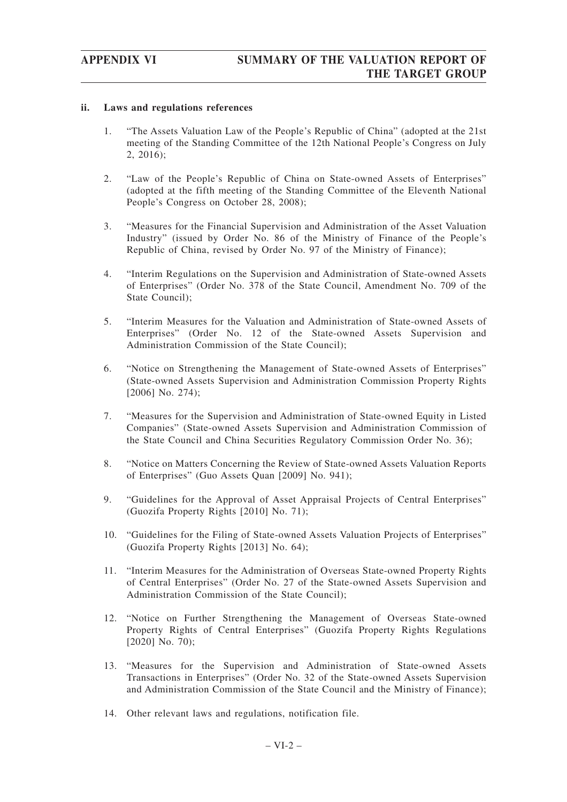# **ii. Laws and regulations references**

- 1. "The Assets Valuation Law of the People's Republic of China" (adopted at the 21st meeting of the Standing Committee of the 12th National People's Congress on July 2, 2016);
- 2. "Law of the People's Republic of China on State-owned Assets of Enterprises" (adopted at the fifth meeting of the Standing Committee of the Eleventh National People's Congress on October 28, 2008);
- 3. "Measures for the Financial Supervision and Administration of the Asset Valuation Industry" (issued by Order No. 86 of the Ministry of Finance of the People's Republic of China, revised by Order No. 97 of the Ministry of Finance);
- 4. "Interim Regulations on the Supervision and Administration of State-owned Assets of Enterprises" (Order No. 378 of the State Council, Amendment No. 709 of the State Council);
- 5. "Interim Measures for the Valuation and Administration of State-owned Assets of Enterprises" (Order No. 12 of the State-owned Assets Supervision and Administration Commission of the State Council);
- 6. "Notice on Strengthening the Management of State-owned Assets of Enterprises" (State-owned Assets Supervision and Administration Commission Property Rights [2006] No. 274);
- 7. "Measures for the Supervision and Administration of State-owned Equity in Listed Companies" (State-owned Assets Supervision and Administration Commission of the State Council and China Securities Regulatory Commission Order No. 36);
- 8. "Notice on Matters Concerning the Review of State-owned Assets Valuation Reports of Enterprises" (Guo Assets Quan [2009] No. 941);
- 9. "Guidelines for the Approval of Asset Appraisal Projects of Central Enterprises" (Guozifa Property Rights [2010] No. 71);
- 10. "Guidelines for the Filing of State-owned Assets Valuation Projects of Enterprises" (Guozifa Property Rights [2013] No. 64);
- 11. "Interim Measures for the Administration of Overseas State-owned Property Rights of Central Enterprises" (Order No. 27 of the State-owned Assets Supervision and Administration Commission of the State Council);
- 12. "Notice on Further Strengthening the Management of Overseas State-owned Property Rights of Central Enterprises" (Guozifa Property Rights Regulations [2020] No. 70);
- 13. "Measures for the Supervision and Administration of State-owned Assets Transactions in Enterprises" (Order No. 32 of the State-owned Assets Supervision and Administration Commission of the State Council and the Ministry of Finance);
- 14. Other relevant laws and regulations, notification file.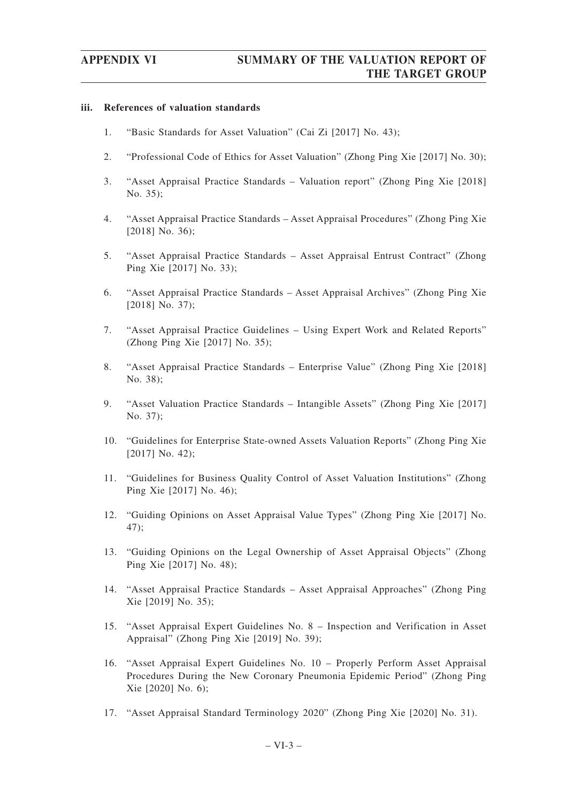# **iii. References of valuation standards**

- 1. "Basic Standards for Asset Valuation" (Cai Zi [2017] No. 43);
- 2. "Professional Code of Ethics for Asset Valuation" (Zhong Ping Xie [2017] No. 30);
- 3. "Asset Appraisal Practice Standards Valuation report" (Zhong Ping Xie [2018] No. 35);
- 4. "Asset Appraisal Practice Standards Asset Appraisal Procedures" (Zhong Ping Xie [2018] No. 36);
- 5. "Asset Appraisal Practice Standards Asset Appraisal Entrust Contract" (Zhong Ping Xie [2017] No. 33);
- 6. "Asset Appraisal Practice Standards Asset Appraisal Archives" (Zhong Ping Xie [2018] No. 37);
- 7. "Asset Appraisal Practice Guidelines Using Expert Work and Related Reports" (Zhong Ping Xie [2017] No. 35);
- 8. "Asset Appraisal Practice Standards Enterprise Value" (Zhong Ping Xie [2018] No. 38);
- 9. "Asset Valuation Practice Standards Intangible Assets" (Zhong Ping Xie [2017] No. 37);
- 10. "Guidelines for Enterprise State-owned Assets Valuation Reports" (Zhong Ping Xie [2017] No. 42);
- 11. "Guidelines for Business Quality Control of Asset Valuation Institutions" (Zhong Ping Xie [2017] No. 46);
- 12. "Guiding Opinions on Asset Appraisal Value Types" (Zhong Ping Xie [2017] No. 47);
- 13. "Guiding Opinions on the Legal Ownership of Asset Appraisal Objects" (Zhong Ping Xie [2017] No. 48);
- 14. "Asset Appraisal Practice Standards Asset Appraisal Approaches" (Zhong Ping Xie [2019] No. 35);
- 15. "Asset Appraisal Expert Guidelines No. 8 Inspection and Verification in Asset Appraisal" (Zhong Ping Xie [2019] No. 39);
- 16. "Asset Appraisal Expert Guidelines No. 10 Properly Perform Asset Appraisal Procedures During the New Coronary Pneumonia Epidemic Period" (Zhong Ping Xie [2020] No. 6);
- 17. "Asset Appraisal Standard Terminology 2020" (Zhong Ping Xie [2020] No. 31).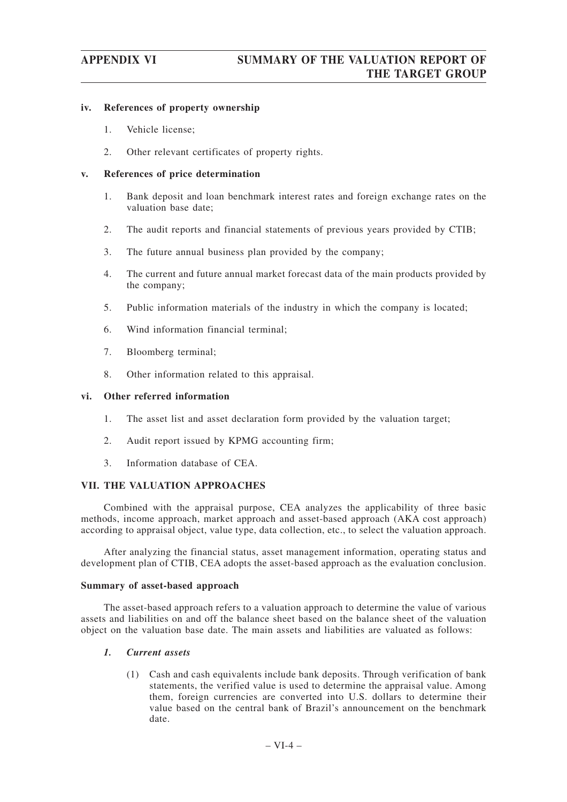# **iv. References of property ownership**

- 1. Vehicle license;
- 2. Other relevant certificates of property rights.

# **v. References of price determination**

- 1. Bank deposit and loan benchmark interest rates and foreign exchange rates on the valuation base date;
- 2. The audit reports and financial statements of previous years provided by CTIB;
- 3. The future annual business plan provided by the company;
- 4. The current and future annual market forecast data of the main products provided by the company;
- 5. Public information materials of the industry in which the company is located;
- 6. Wind information financial terminal;
- 7. Bloomberg terminal;
- 8. Other information related to this appraisal.

# **vi. Other referred information**

- 1. The asset list and asset declaration form provided by the valuation target;
- 2. Audit report issued by KPMG accounting firm;
- 3. Information database of CEA.

# **VII. THE VALUATION APPROACHES**

Combined with the appraisal purpose, CEA analyzes the applicability of three basic methods, income approach, market approach and asset-based approach (AKA cost approach) according to appraisal object, value type, data collection, etc., to select the valuation approach.

After analyzing the financial status, asset management information, operating status and development plan of CTIB, CEA adopts the asset-based approach as the evaluation conclusion.

# **Summary of asset-based approach**

The asset-based approach refers to a valuation approach to determine the value of various assets and liabilities on and off the balance sheet based on the balance sheet of the valuation object on the valuation base date. The main assets and liabilities are valuated as follows:

# *1. Current assets*

(1) Cash and cash equivalents include bank deposits. Through verification of bank statements, the verified value is used to determine the appraisal value. Among them, foreign currencies are converted into U.S. dollars to determine their value based on the central bank of Brazil's announcement on the benchmark date.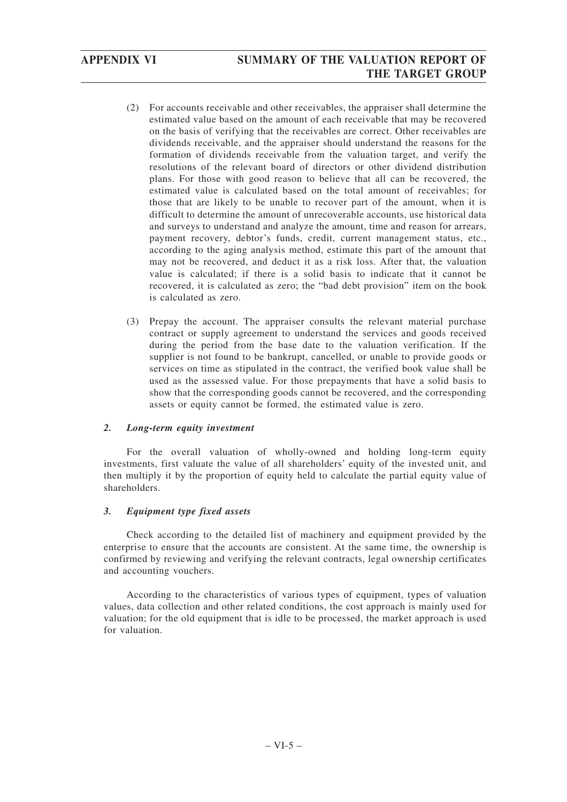- (2) For accounts receivable and other receivables, the appraiser shall determine the estimated value based on the amount of each receivable that may be recovered on the basis of verifying that the receivables are correct. Other receivables are dividends receivable, and the appraiser should understand the reasons for the formation of dividends receivable from the valuation target, and verify the resolutions of the relevant board of directors or other dividend distribution plans. For those with good reason to believe that all can be recovered, the estimated value is calculated based on the total amount of receivables; for those that are likely to be unable to recover part of the amount, when it is difficult to determine the amount of unrecoverable accounts, use historical data and surveys to understand and analyze the amount, time and reason for arrears, payment recovery, debtor's funds, credit, current management status, etc., according to the aging analysis method, estimate this part of the amount that may not be recovered, and deduct it as a risk loss. After that, the valuation value is calculated; if there is a solid basis to indicate that it cannot be recovered, it is calculated as zero; the "bad debt provision" item on the book is calculated as zero.
- (3) Prepay the account. The appraiser consults the relevant material purchase contract or supply agreement to understand the services and goods received during the period from the base date to the valuation verification. If the supplier is not found to be bankrupt, cancelled, or unable to provide goods or services on time as stipulated in the contract, the verified book value shall be used as the assessed value. For those prepayments that have a solid basis to show that the corresponding goods cannot be recovered, and the corresponding assets or equity cannot be formed, the estimated value is zero.

# *2. Long-term equity investment*

For the overall valuation of wholly-owned and holding long-term equity investments, first valuate the value of all shareholders' equity of the invested unit, and then multiply it by the proportion of equity held to calculate the partial equity value of shareholders.

# *3. Equipment type fixed assets*

Check according to the detailed list of machinery and equipment provided by the enterprise to ensure that the accounts are consistent. At the same time, the ownership is confirmed by reviewing and verifying the relevant contracts, legal ownership certificates and accounting vouchers.

According to the characteristics of various types of equipment, types of valuation values, data collection and other related conditions, the cost approach is mainly used for valuation; for the old equipment that is idle to be processed, the market approach is used for valuation.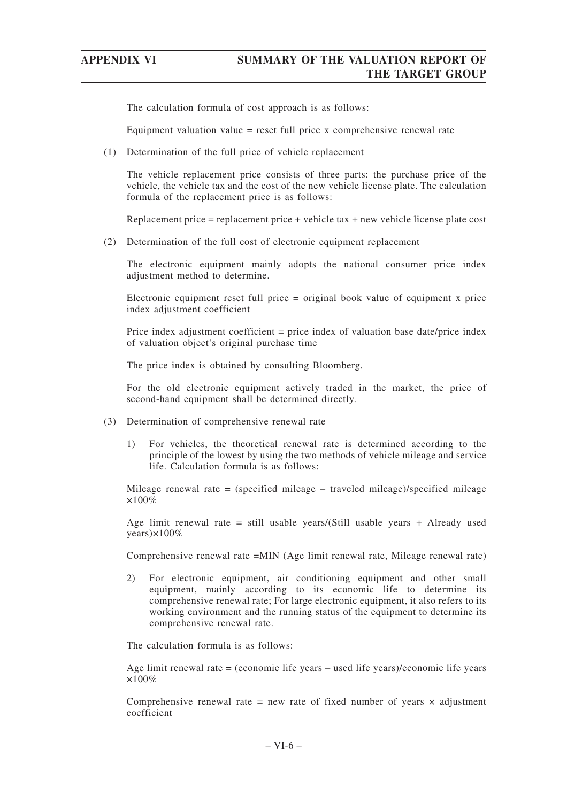The calculation formula of cost approach is as follows:

Equipment valuation value  $=$  reset full price x comprehensive renewal rate

(1) Determination of the full price of vehicle replacement

The vehicle replacement price consists of three parts: the purchase price of the vehicle, the vehicle tax and the cost of the new vehicle license plate. The calculation formula of the replacement price is as follows:

Replacement price = replacement price + vehicle tax + new vehicle license plate cost

(2) Determination of the full cost of electronic equipment replacement

The electronic equipment mainly adopts the national consumer price index adjustment method to determine.

Electronic equipment reset full price = original book value of equipment x price index adjustment coefficient

Price index adjustment coefficient = price index of valuation base date/price index of valuation object's original purchase time

The price index is obtained by consulting Bloomberg.

For the old electronic equipment actively traded in the market, the price of second-hand equipment shall be determined directly.

- (3) Determination of comprehensive renewal rate
	- 1) For vehicles, the theoretical renewal rate is determined according to the principle of the lowest by using the two methods of vehicle mileage and service life. Calculation formula is as follows:

Mileage renewal rate = (specified mileage – traveled mileage)/specified mileage ×100%

Age limit renewal rate = still usable years/(Still usable years + Already used years)×100%

Comprehensive renewal rate =MIN (Age limit renewal rate, Mileage renewal rate)

2) For electronic equipment, air conditioning equipment and other small equipment, mainly according to its economic life to determine its comprehensive renewal rate; For large electronic equipment, it also refers to its working environment and the running status of the equipment to determine its comprehensive renewal rate.

The calculation formula is as follows:

Age limit renewal rate = (economic life years – used life years)/economic life years  $\times100\%$ 

Comprehensive renewal rate = new rate of fixed number of years  $\times$  adjustment coefficient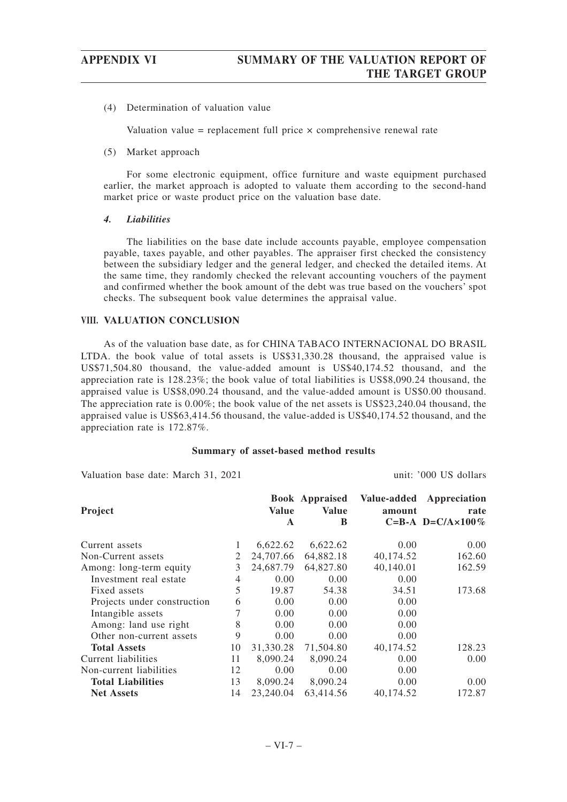(4) Determination of valuation value

Valuation value = replacement full price  $\times$  comprehensive renewal rate

(5) Market approach

For some electronic equipment, office furniture and waste equipment purchased earlier, the market approach is adopted to valuate them according to the second-hand market price or waste product price on the valuation base date.

# *4. Liabilities*

The liabilities on the base date include accounts payable, employee compensation payable, taxes payable, and other payables. The appraiser first checked the consistency between the subsidiary ledger and the general ledger, and checked the detailed items. At the same time, they randomly checked the relevant accounting vouchers of the payment and confirmed whether the book amount of the debt was true based on the vouchers' spot checks. The subsequent book value determines the appraisal value.

# **VIII. VALUATION CONCLUSION**

As of the valuation base date, as for CHINA TABACO INTERNACIONAL DO BRASIL LTDA. the book value of total assets is US\$31,330.28 thousand, the appraised value is US\$71,504.80 thousand, the value-added amount is US\$40,174.52 thousand, and the appreciation rate is 128.23%; the book value of total liabilities is US\$8,090.24 thousand, the appraised value is US\$8,090.24 thousand, and the value-added amount is US\$0.00 thousand. The appreciation rate is 0.00%; the book value of the net assets is US\$23,240.04 thousand, the appraised value is US\$63,414.56 thousand, the value-added is US\$40,174.52 thousand, and the appreciation rate is 172.87%.

## **Summary of asset-based method results**

Valuation base date: March 31, 2021 unit: '000 US dollars

| Project                     |    | <b>Value</b><br>$\mathbf{A}$ | <b>Book Appraised</b><br><b>Value</b><br>B | Value-added<br>amount | Appreciation<br>rate<br>C=B-A D=C/A $\times$ 100% |
|-----------------------------|----|------------------------------|--------------------------------------------|-----------------------|---------------------------------------------------|
| Current assets              |    | 6,622.62                     | 6,622.62                                   | 0.00                  | $0.00^{\circ}$                                    |
| Non-Current assets          | 2  | 24,707.66                    | 64,882.18                                  | 40,174.52             | 162.60                                            |
| Among: long-term equity     | 3  | 24,687.79                    | 64,827.80                                  | 40,140.01             | 162.59                                            |
| Investment real estate      | 4  | 0.00                         | 0.00                                       | 0.00                  |                                                   |
| Fixed assets                | 5  | 19.87                        | 54.38                                      | 34.51                 | 173.68                                            |
| Projects under construction | 6  | 0.00                         | 0.00                                       | 0.00                  |                                                   |
| Intangible assets           |    | 0.00                         | 0.00                                       | 0.00                  |                                                   |
| Among: land use right       | 8  | 0.00                         | 0.00                                       | 0.00                  |                                                   |
| Other non-current assets    | 9  | 0.00                         | 0.00                                       | 0.00                  |                                                   |
| <b>Total Assets</b>         | 10 | 31,330.28                    | 71,504.80                                  | 40,174.52             | 128.23                                            |
| Current liabilities         | 11 | 8,090.24                     | 8,090.24                                   | 0.00                  | 0.00                                              |
| Non-current liabilities     | 12 | 0.00                         | 0.00                                       | 0.00                  |                                                   |
| <b>Total Liabilities</b>    | 13 | 8.090.24                     | 8,090.24                                   | 0.00                  | $0.00^{\circ}$                                    |
| <b>Net Assets</b>           | 14 | 23,240.04                    | 63,414.56                                  | 40,174.52             | 172.87                                            |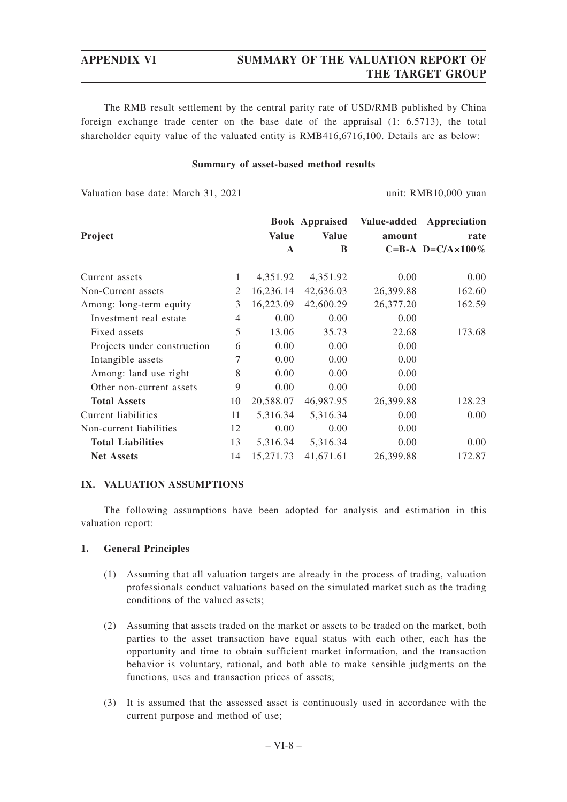# **APPENDIX VI SUMMARY OF THE VALUATION REPORT OF THE TARGET GROUP**

The RMB result settlement by the central parity rate of USD/RMB published by China foreign exchange trade center on the base date of the appraisal (1: 6.5713), the total shareholder equity value of the valuated entity is RMB416,6716,100. Details are as below:

## **Summary of asset-based method results**

Valuation base date: March 31, 2021 unit: RMB10,000 yuan

|                             |                |              | <b>Book Appraised</b> |           | Value-added Appreciation  |
|-----------------------------|----------------|--------------|-----------------------|-----------|---------------------------|
| Project                     |                | <b>Value</b> | <b>Value</b>          | amount    | rate                      |
|                             |                | A            | B                     |           | C=B-A D=C/A $\times$ 100% |
| Current assets              | $\mathbf{1}$   |              |                       |           |                           |
|                             |                | 4,351.92     | 4,351.92              | 0.00      | 0.00                      |
| Non-Current assets          | 2              | 16,236.14    | 42,636.03             | 26,399.88 | 162.60                    |
| Among: long-term equity     | 3              | 16,223.09    | 42,600.29             | 26,377.20 | 162.59                    |
| Investment real estate      | $\overline{4}$ | 0.00         | 0.00                  | 0.00      |                           |
| Fixed assets                | 5              | 13.06        | 35.73                 | 22.68     | 173.68                    |
| Projects under construction | 6              | 0.00         | 0.00                  | 0.00      |                           |
| Intangible assets           | 7              | 0.00         | 0.00                  | 0.00      |                           |
| Among: land use right       | 8              | 0.00         | 0.00                  | 0.00      |                           |
| Other non-current assets    | 9              | 0.00         | 0.00                  | 0.00      |                           |
| <b>Total Assets</b>         | 10             | 20,588.07    | 46,987.95             | 26,399.88 | 128.23                    |
| Current liabilities         | 11             | 5,316.34     | 5,316.34              | 0.00      | 0.00                      |
| Non-current liabilities     | 12             | 0.00         | 0.00                  | 0.00      |                           |
| <b>Total Liabilities</b>    | 13             | 5,316.34     | 5,316.34              | 0.00      | 0.00                      |
| <b>Net Assets</b>           | 14             | 15,271.73    | 41,671.61             | 26,399.88 | 172.87                    |

# **IX. VALUATION ASSUMPTIONS**

The following assumptions have been adopted for analysis and estimation in this valuation report:

# **1. General Principles**

- (1) Assuming that all valuation targets are already in the process of trading, valuation professionals conduct valuations based on the simulated market such as the trading conditions of the valued assets;
- (2) Assuming that assets traded on the market or assets to be traded on the market, both parties to the asset transaction have equal status with each other, each has the opportunity and time to obtain sufficient market information, and the transaction behavior is voluntary, rational, and both able to make sensible judgments on the functions, uses and transaction prices of assets;
- (3) It is assumed that the assessed asset is continuously used in accordance with the current purpose and method of use;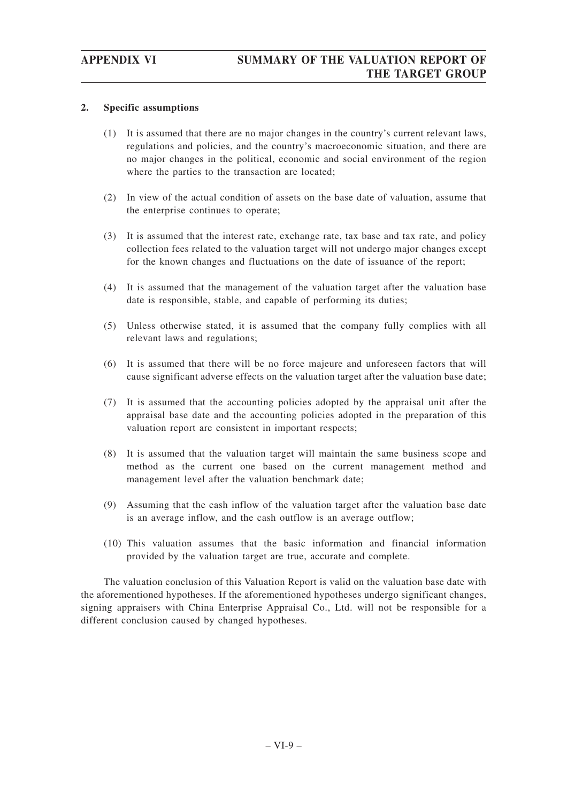# **2. Specific assumptions**

- (1) It is assumed that there are no major changes in the country's current relevant laws, regulations and policies, and the country's macroeconomic situation, and there are no major changes in the political, economic and social environment of the region where the parties to the transaction are located;
- (2) In view of the actual condition of assets on the base date of valuation, assume that the enterprise continues to operate;
- (3) It is assumed that the interest rate, exchange rate, tax base and tax rate, and policy collection fees related to the valuation target will not undergo major changes except for the known changes and fluctuations on the date of issuance of the report;
- (4) It is assumed that the management of the valuation target after the valuation base date is responsible, stable, and capable of performing its duties;
- (5) Unless otherwise stated, it is assumed that the company fully complies with all relevant laws and regulations;
- (6) It is assumed that there will be no force majeure and unforeseen factors that will cause significant adverse effects on the valuation target after the valuation base date;
- (7) It is assumed that the accounting policies adopted by the appraisal unit after the appraisal base date and the accounting policies adopted in the preparation of this valuation report are consistent in important respects;
- (8) It is assumed that the valuation target will maintain the same business scope and method as the current one based on the current management method and management level after the valuation benchmark date;
- (9) Assuming that the cash inflow of the valuation target after the valuation base date is an average inflow, and the cash outflow is an average outflow;
- (10) This valuation assumes that the basic information and financial information provided by the valuation target are true, accurate and complete.

The valuation conclusion of this Valuation Report is valid on the valuation base date with the aforementioned hypotheses. If the aforementioned hypotheses undergo significant changes, signing appraisers with China Enterprise Appraisal Co., Ltd. will not be responsible for a different conclusion caused by changed hypotheses.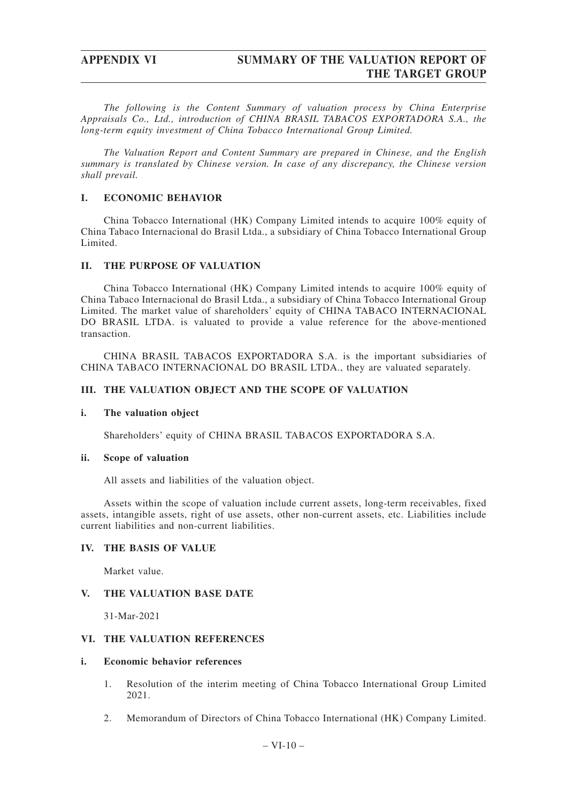*The following is the Content Summary of valuation process by China Enterprise Appraisals Co., Ltd., introduction of CHINA BRASIL TABACOS EXPORTADORA S.A., the long-term equity investment of China Tobacco International Group Limited.*

*The Valuation Report and Content Summary are prepared in Chinese, and the English summary is translated by Chinese version. In case of any discrepancy, the Chinese version shall prevail.*

# **I. ECONOMIC BEHAVIOR**

China Tobacco International (HK) Company Limited intends to acquire 100% equity of China Tabaco Internacional do Brasil Ltda., a subsidiary of China Tobacco International Group Limited.

# **II. THE PURPOSE OF VALUATION**

China Tobacco International (HK) Company Limited intends to acquire 100% equity of China Tabaco Internacional do Brasil Ltda., a subsidiary of China Tobacco International Group Limited. The market value of shareholders' equity of CHINA TABACO INTERNACIONAL DO BRASIL LTDA. is valuated to provide a value reference for the above-mentioned transaction.

CHINA BRASIL TABACOS EXPORTADORA S.A. is the important subsidiaries of CHINA TABACO INTERNACIONAL DO BRASIL LTDA., they are valuated separately.

# **III. THE VALUATION OBJECT AND THE SCOPE OF VALUATION**

# **i. The valuation object**

Shareholders' equity of CHINA BRASIL TABACOS EXPORTADORA S.A.

## **ii. Scope of valuation**

All assets and liabilities of the valuation object.

Assets within the scope of valuation include current assets, long-term receivables, fixed assets, intangible assets, right of use assets, other non-current assets, etc. Liabilities include current liabilities and non-current liabilities.

# **IV. THE BASIS OF VALUE**

Market value.

# **V. THE VALUATION BASE DATE**

31-Mar-2021

# **VI. THE VALUATION REFERENCES**

## **i. Economic behavior references**

- 1. Resolution of the interim meeting of China Tobacco International Group Limited 2021.
- 2. Memorandum of Directors of China Tobacco International (HK) Company Limited.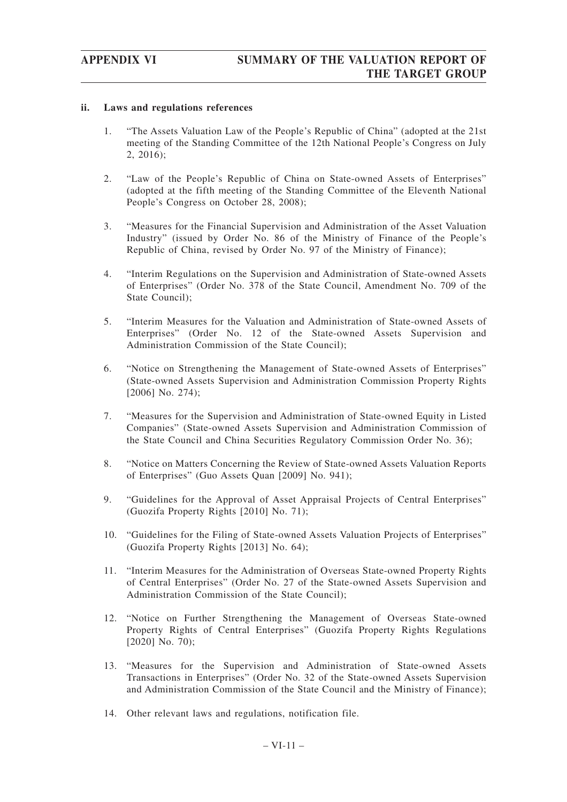# **ii. Laws and regulations references**

- 1. "The Assets Valuation Law of the People's Republic of China" (adopted at the 21st meeting of the Standing Committee of the 12th National People's Congress on July 2, 2016);
- 2. "Law of the People's Republic of China on State-owned Assets of Enterprises" (adopted at the fifth meeting of the Standing Committee of the Eleventh National People's Congress on October 28, 2008);
- 3. "Measures for the Financial Supervision and Administration of the Asset Valuation Industry" (issued by Order No. 86 of the Ministry of Finance of the People's Republic of China, revised by Order No. 97 of the Ministry of Finance);
- 4. "Interim Regulations on the Supervision and Administration of State-owned Assets of Enterprises" (Order No. 378 of the State Council, Amendment No. 709 of the State Council);
- 5. "Interim Measures for the Valuation and Administration of State-owned Assets of Enterprises" (Order No. 12 of the State-owned Assets Supervision and Administration Commission of the State Council);
- 6. "Notice on Strengthening the Management of State-owned Assets of Enterprises" (State-owned Assets Supervision and Administration Commission Property Rights [2006] No. 274);
- 7. "Measures for the Supervision and Administration of State-owned Equity in Listed Companies" (State-owned Assets Supervision and Administration Commission of the State Council and China Securities Regulatory Commission Order No. 36);
- 8. "Notice on Matters Concerning the Review of State-owned Assets Valuation Reports of Enterprises" (Guo Assets Quan [2009] No. 941);
- 9. "Guidelines for the Approval of Asset Appraisal Projects of Central Enterprises" (Guozifa Property Rights [2010] No. 71);
- 10. "Guidelines for the Filing of State-owned Assets Valuation Projects of Enterprises" (Guozifa Property Rights [2013] No. 64);
- 11. "Interim Measures for the Administration of Overseas State-owned Property Rights of Central Enterprises" (Order No. 27 of the State-owned Assets Supervision and Administration Commission of the State Council);
- 12. "Notice on Further Strengthening the Management of Overseas State-owned Property Rights of Central Enterprises" (Guozifa Property Rights Regulations [2020] No. 70);
- 13. "Measures for the Supervision and Administration of State-owned Assets Transactions in Enterprises" (Order No. 32 of the State-owned Assets Supervision and Administration Commission of the State Council and the Ministry of Finance);
- 14. Other relevant laws and regulations, notification file.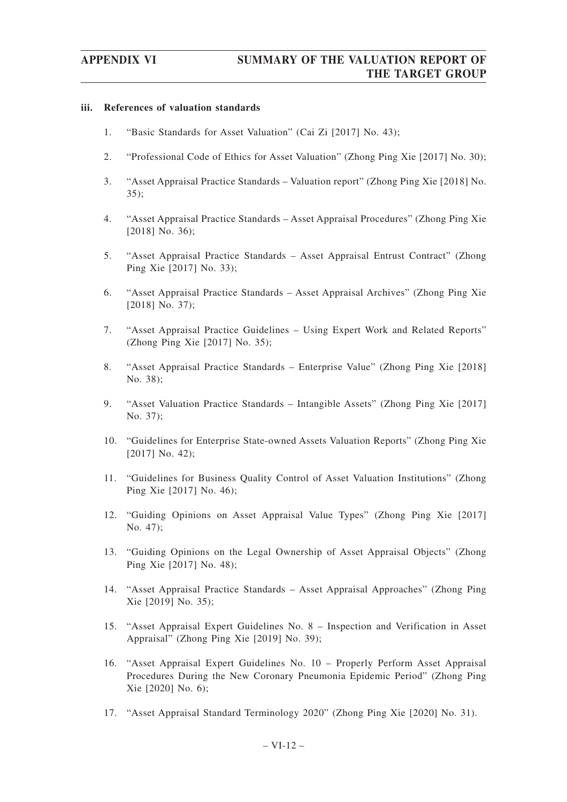### **iii. References of valuation standards**

- 1. "Basic Standards for Asset Valuation" (Cai Zi [2017] No. 43);
- 2. "Professional Code of Ethics for Asset Valuation" (Zhong Ping Xie [2017] No. 30);
- 3. "Asset Appraisal Practice Standards Valuation report" (Zhong Ping Xie [2018] No. 35);
- 4. "Asset Appraisal Practice Standards Asset Appraisal Procedures" (Zhong Ping Xie [2018] No. 36);
- 5. "Asset Appraisal Practice Standards Asset Appraisal Entrust Contract" (Zhong Ping Xie [2017] No. 33);
- 6. "Asset Appraisal Practice Standards Asset Appraisal Archives" (Zhong Ping Xie [2018] No. 37);
- 7. "Asset Appraisal Practice Guidelines Using Expert Work and Related Reports" (Zhong Ping Xie [2017] No. 35);
- 8. "Asset Appraisal Practice Standards Enterprise Value" (Zhong Ping Xie [2018] No. 38);
- 9. "Asset Valuation Practice Standards Intangible Assets" (Zhong Ping Xie [2017] No. 37);
- 10. "Guidelines for Enterprise State-owned Assets Valuation Reports" (Zhong Ping Xie [2017] No. 42);
- 11. "Guidelines for Business Quality Control of Asset Valuation Institutions" (Zhong Ping Xie [2017] No. 46);
- 12. "Guiding Opinions on Asset Appraisal Value Types" (Zhong Ping Xie [2017] No. 47);
- 13. "Guiding Opinions on the Legal Ownership of Asset Appraisal Objects" (Zhong Ping Xie [2017] No. 48);
- 14. "Asset Appraisal Practice Standards Asset Appraisal Approaches" (Zhong Ping Xie [2019] No. 35);
- 15. "Asset Appraisal Expert Guidelines No. 8 Inspection and Verification in Asset Appraisal" (Zhong Ping Xie [2019] No. 39);
- 16. "Asset Appraisal Expert Guidelines No. 10 Properly Perform Asset Appraisal Procedures During the New Coronary Pneumonia Epidemic Period" (Zhong Ping Xie [2020] No. 6);
- 17. "Asset Appraisal Standard Terminology 2020" (Zhong Ping Xie [2020] No. 31).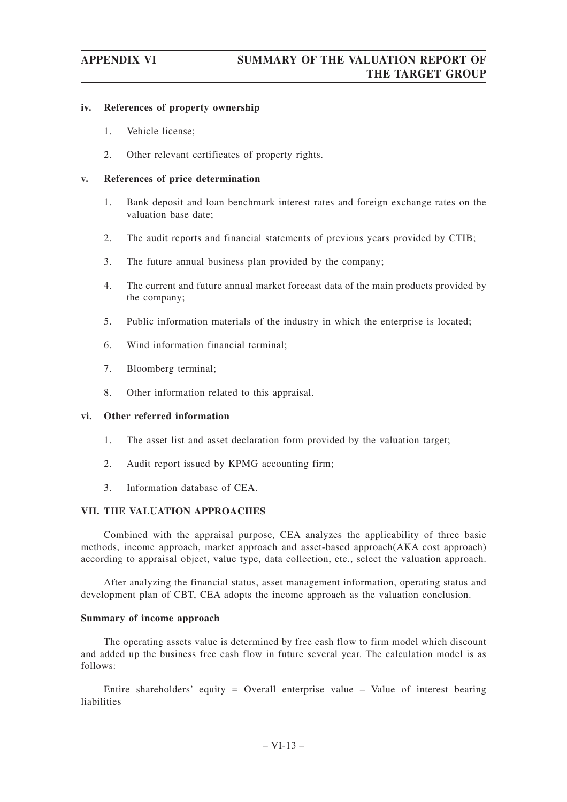### **iv. References of property ownership**

- 1. Vehicle license;
- 2. Other relevant certificates of property rights.

### **v. References of price determination**

- 1. Bank deposit and loan benchmark interest rates and foreign exchange rates on the valuation base date;
- 2. The audit reports and financial statements of previous years provided by CTIB;
- 3. The future annual business plan provided by the company;
- 4. The current and future annual market forecast data of the main products provided by the company;
- 5. Public information materials of the industry in which the enterprise is located;
- 6. Wind information financial terminal;
- 7. Bloomberg terminal;
- 8. Other information related to this appraisal.

### **vi. Other referred information**

- 1. The asset list and asset declaration form provided by the valuation target;
- 2. Audit report issued by KPMG accounting firm;
- 3. Information database of CEA.

### **VII. THE VALUATION APPROACHES**

Combined with the appraisal purpose, CEA analyzes the applicability of three basic methods, income approach, market approach and asset-based approach(AKA cost approach) according to appraisal object, value type, data collection, etc., select the valuation approach.

After analyzing the financial status, asset management information, operating status and development plan of CBT, CEA adopts the income approach as the valuation conclusion.

### **Summary of income approach**

The operating assets value is determined by free cash flow to firm model which discount and added up the business free cash flow in future several year. The calculation model is as follows:

Entire shareholders' equity = Overall enterprise value  $-$  Value of interest bearing liabilities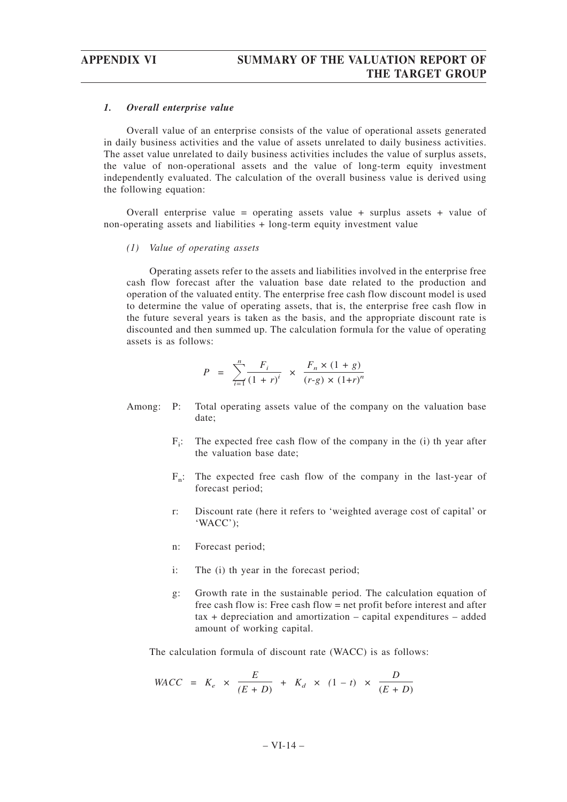### *1. Overall enterprise value*

Overall value of an enterprise consists of the value of operational assets generated in daily business activities and the value of assets unrelated to daily business activities. The asset value unrelated to daily business activities includes the value of surplus assets, the value of non-operational assets and the value of long-term equity investment independently evaluated. The calculation of the overall business value is derived using the following equation:

Overall enterprise value = operating assets value + surplus assets + value of non-operating assets and liabilities + long-term equity investment value

### *(1) Value of operating assets*

Operating assets refer to the assets and liabilities involved in the enterprise free cash flow forecast after the valuation base date related to the production and operation of the valuated entity. The enterprise free cash flow discount model is used to determine the value of operating assets, that is, the enterprise free cash flow in the future several years is taken as the basis, and the appropriate discount rate is discounted and then summed up. The calculation formula for the value of operating assets is as follows:

$$
P = \sum_{i=1}^{n} \frac{F_i}{(1+r)^i} \times \frac{F_n \times (1+g)}{(r-g) \times (1+r)^n}
$$

- Among: P: Total operating assets value of the company on the valuation base date;
	- $F_i$ : The expected free cash flow of the company in the (i) th year after the valuation base date;
	- $F_n$ : The expected free cash flow of the company in the last-year of forecast period;
	- r: Discount rate (here it refers to 'weighted average cost of capital' or 'WACC');
	- n: Forecast period;
	- i: The (i) th year in the forecast period;
	- g: Growth rate in the sustainable period. The calculation equation of free cash flow is: Free cash flow = net profit before interest and after tax + depreciation and amortization – capital expenditures – added amount of working capital.

The calculation formula of discount rate (WACC) is as follows:

$$
WACC = K_e \times \frac{E}{(E+D)} + K_d \times (1-t) \times \frac{D}{(E+D)}
$$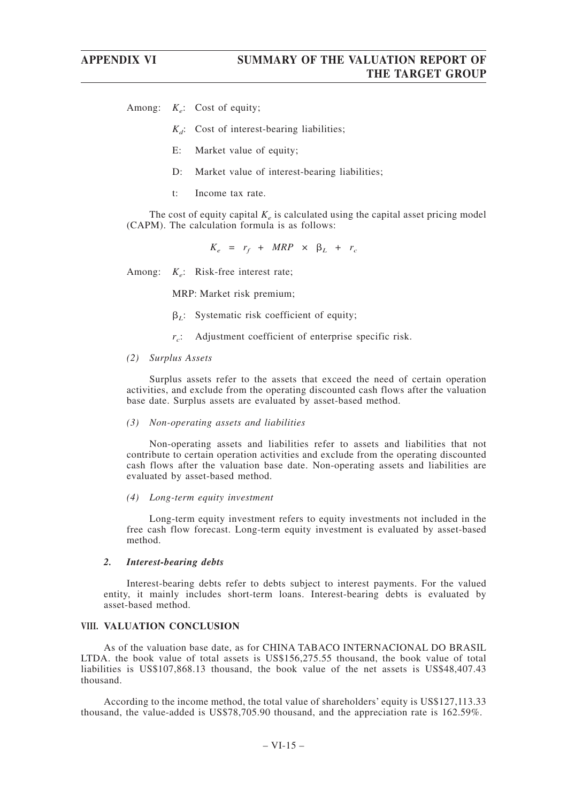Among:  $K_e$ : Cost of equity;

- $K_d$ : Cost of interest-bearing liabilities;
- E: Market value of equity;
- D: Market value of interest-bearing liabilities;
- t: Income tax rate.

The cost of equity capital  $K_e$  is calculated using the capital asset pricing model (CAPM). The calculation formula is as follows:

 $K_e = r_f + MRP \times \beta_L + r_c$ 

Among: *K<sub>e</sub>*: Risk-free interest rate;

MRP: Market risk premium;

- $\beta_L$ : Systematic risk coefficient of equity;
- *rc*: Adjustment coefficient of enterprise specific risk.
- *(2) Surplus Assets*

Surplus assets refer to the assets that exceed the need of certain operation activities, and exclude from the operating discounted cash flows after the valuation base date. Surplus assets are evaluated by asset-based method.

### *(3) Non-operating assets and liabilities*

Non-operating assets and liabilities refer to assets and liabilities that not contribute to certain operation activities and exclude from the operating discounted cash flows after the valuation base date. Non-operating assets and liabilities are evaluated by asset-based method.

*(4) Long-term equity investment*

Long-term equity investment refers to equity investments not included in the free cash flow forecast. Long-term equity investment is evaluated by asset-based method.

### *2. Interest-bearing debts*

Interest-bearing debts refer to debts subject to interest payments. For the valued entity, it mainly includes short-term loans. Interest-bearing debts is evaluated by asset-based method.

### **VIII. VALUATION CONCLUSION**

As of the valuation base date, as for CHINA TABACO INTERNACIONAL DO BRASIL LTDA. the book value of total assets is US\$156,275.55 thousand, the book value of total liabilities is US\$107,868.13 thousand, the book value of the net assets is US\$48,407.43 thousand.

According to the income method, the total value of shareholders' equity is US\$127,113.33 thousand, the value-added is US\$78,705.90 thousand, and the appreciation rate is 162.59%.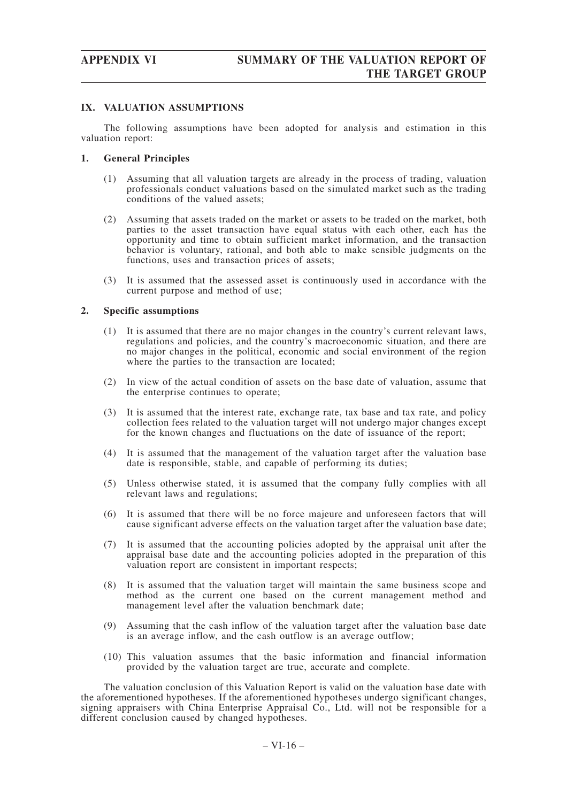### **IX. VALUATION ASSUMPTIONS**

The following assumptions have been adopted for analysis and estimation in this valuation report:

### **1. General Principles**

- (1) Assuming that all valuation targets are already in the process of trading, valuation professionals conduct valuations based on the simulated market such as the trading conditions of the valued assets;
- (2) Assuming that assets traded on the market or assets to be traded on the market, both parties to the asset transaction have equal status with each other, each has the opportunity and time to obtain sufficient market information, and the transaction behavior is voluntary, rational, and both able to make sensible judgments on the functions, uses and transaction prices of assets;
- (3) It is assumed that the assessed asset is continuously used in accordance with the current purpose and method of use;

### **2. Specific assumptions**

- (1) It is assumed that there are no major changes in the country's current relevant laws, regulations and policies, and the country's macroeconomic situation, and there are no major changes in the political, economic and social environment of the region where the parties to the transaction are located;
- (2) In view of the actual condition of assets on the base date of valuation, assume that the enterprise continues to operate;
- (3) It is assumed that the interest rate, exchange rate, tax base and tax rate, and policy collection fees related to the valuation target will not undergo major changes except for the known changes and fluctuations on the date of issuance of the report;
- (4) It is assumed that the management of the valuation target after the valuation base date is responsible, stable, and capable of performing its duties;
- (5) Unless otherwise stated, it is assumed that the company fully complies with all relevant laws and regulations;
- (6) It is assumed that there will be no force majeure and unforeseen factors that will cause significant adverse effects on the valuation target after the valuation base date;
- (7) It is assumed that the accounting policies adopted by the appraisal unit after the appraisal base date and the accounting policies adopted in the preparation of this valuation report are consistent in important respects;
- (8) It is assumed that the valuation target will maintain the same business scope and method as the current one based on the current management method and management level after the valuation benchmark date;
- (9) Assuming that the cash inflow of the valuation target after the valuation base date is an average inflow, and the cash outflow is an average outflow;
- (10) This valuation assumes that the basic information and financial information provided by the valuation target are true, accurate and complete.

The valuation conclusion of this Valuation Report is valid on the valuation base date with the aforementioned hypotheses. If the aforementioned hypotheses undergo significant changes, signing appraisers with China Enterprise Appraisal Co., Ltd. will not be responsible for a different conclusion caused by changed hypotheses.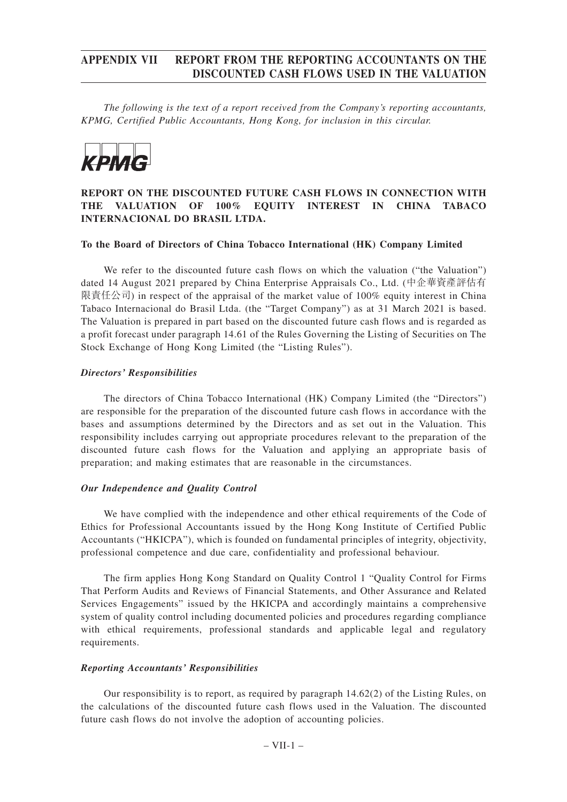## **APPENDIX VII REPORT FROM THE REPORTING ACCOUNTANTS ON THE DISCOUNTED CASH FLOWS USED IN THE VALUATION**

*The following is the text of a report received from the Company's reporting accountants, KPMG, Certified Public Accountants, Hong Kong, for inclusion in this circular.*



## **REPORT ON THE DISCOUNTED FUTURE CASH FLOWS IN CONNECTION WITH THE VALUATION OF 100% EQUITY INTEREST IN CHINA TABACO INTERNACIONAL DO BRASIL LTDA.**

### **To the Board of Directors of China Tobacco International (HK) Company Limited**

We refer to the discounted future cash flows on which the valuation ("the Valuation") dated 14 August 2021 prepared by China Enterprise Appraisals Co., Ltd. (中企華資產評估有 限責任公司) in respect of the appraisal of the market value of 100% equity interest in China Tabaco Internacional do Brasil Ltda. (the "Target Company") as at 31 March 2021 is based. The Valuation is prepared in part based on the discounted future cash flows and is regarded as a profit forecast under paragraph 14.61 of the Rules Governing the Listing of Securities on The Stock Exchange of Hong Kong Limited (the "Listing Rules").

### *Directors' Responsibilities*

The directors of China Tobacco International (HK) Company Limited (the "Directors") are responsible for the preparation of the discounted future cash flows in accordance with the bases and assumptions determined by the Directors and as set out in the Valuation. This responsibility includes carrying out appropriate procedures relevant to the preparation of the discounted future cash flows for the Valuation and applying an appropriate basis of preparation; and making estimates that are reasonable in the circumstances.

### *Our Independence and Quality Control*

We have complied with the independence and other ethical requirements of the Code of Ethics for Professional Accountants issued by the Hong Kong Institute of Certified Public Accountants ("HKICPA"), which is founded on fundamental principles of integrity, objectivity, professional competence and due care, confidentiality and professional behaviour.

The firm applies Hong Kong Standard on Quality Control 1 "Quality Control for Firms That Perform Audits and Reviews of Financial Statements, and Other Assurance and Related Services Engagements" issued by the HKICPA and accordingly maintains a comprehensive system of quality control including documented policies and procedures regarding compliance with ethical requirements, professional standards and applicable legal and regulatory requirements.

### *Reporting Accountants' Responsibilities*

Our responsibility is to report, as required by paragraph  $14.62(2)$  of the Listing Rules, on the calculations of the discounted future cash flows used in the Valuation. The discounted future cash flows do not involve the adoption of accounting policies.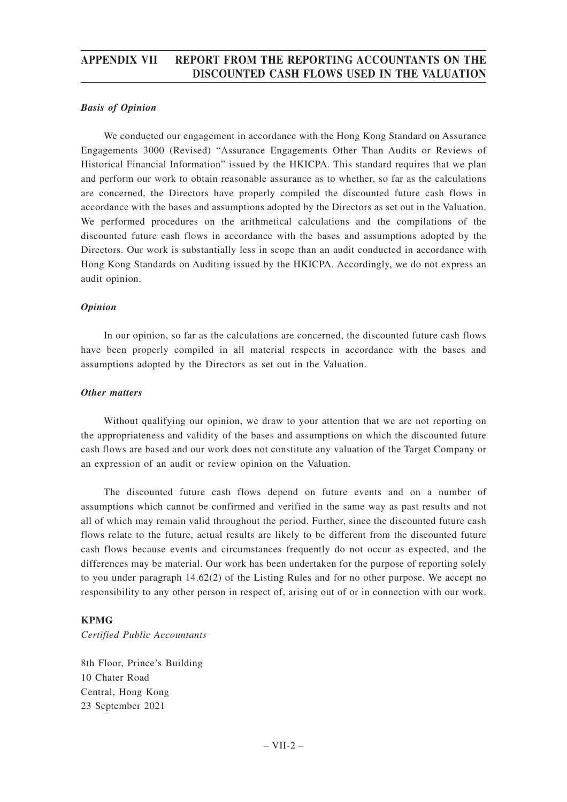## **APPENDIX VII REPORT FROM THE REPORTING ACCOUNTANTS ON THE DISCOUNTED CASH FLOWS USED IN THE VALUATION**

### *Basis of Opinion*

We conducted our engagement in accordance with the Hong Kong Standard on Assurance Engagements 3000 (Revised) "Assurance Engagements Other Than Audits or Reviews of Historical Financial Information" issued by the HKICPA. This standard requires that we plan and perform our work to obtain reasonable assurance as to whether, so far as the calculations are concerned, the Directors have properly compiled the discounted future cash flows in accordance with the bases and assumptions adopted by the Directors as set out in the Valuation. We performed procedures on the arithmetical calculations and the compilations of the discounted future cash flows in accordance with the bases and assumptions adopted by the Directors. Our work is substantially less in scope than an audit conducted in accordance with Hong Kong Standards on Auditing issued by the HKICPA. Accordingly, we do not express an audit opinion.

### *Opinion*

In our opinion, so far as the calculations are concerned, the discounted future cash flows have been properly compiled in all material respects in accordance with the bases and assumptions adopted by the Directors as set out in the Valuation.

### *Other matters*

Without qualifying our opinion, we draw to your attention that we are not reporting on the appropriateness and validity of the bases and assumptions on which the discounted future cash flows are based and our work does not constitute any valuation of the Target Company or an expression of an audit or review opinion on the Valuation.

The discounted future cash flows depend on future events and on a number of assumptions which cannot be confirmed and verified in the same way as past results and not all of which may remain valid throughout the period. Further, since the discounted future cash flows relate to the future, actual results are likely to be different from the discounted future cash flows because events and circumstances frequently do not occur as expected, and the differences may be material. Our work has been undertaken for the purpose of reporting solely to you under paragraph 14.62(2) of the Listing Rules and for no other purpose. We accept no responsibility to any other person in respect of, arising out of or in connection with our work.

### **KPMG**

*Certified Public Accountants*

8th Floor, Prince's Building 10 Chater Road Central, Hong Kong 23 September 2021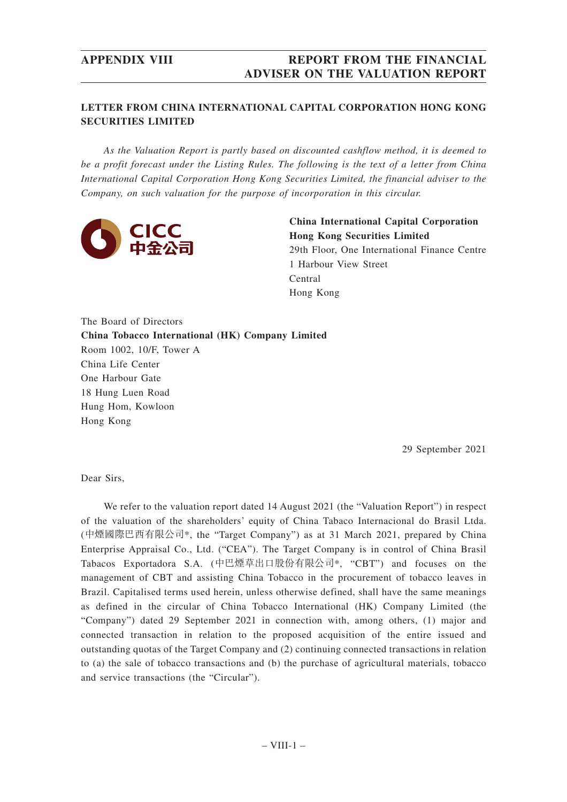## **APPENDIX VIII REPORT FROM THE FINANCIAL ADVISER ON THE VALUATION REPORT**

## **LETTER FROM CHINA INTERNATIONAL CAPITAL CORPORATION HONG KONG SECURITIES LIMITED**

*As the Valuation Report is partly based on discounted cashflow method, it is deemed to be a profit forecast under the Listing Rules. The following is the text of a letter from China International Capital Corporation Hong Kong Securities Limited, the financial adviser to the Company, on such valuation for the purpose of incorporation in this circular.*



**China International Capital Corporation Hong Kong Securities Limited** 29th Floor, One International Finance Centre 1 Harbour View Street Central Hong Kong

The Board of Directors **China Tobacco International (HK) Company Limited** Room 1002, 10/F, Tower A China Life Center One Harbour Gate 18 Hung Luen Road Hung Hom, Kowloon Hong Kong

29 September 2021

Dear Sirs,

We refer to the valuation report dated 14 August 2021 (the "Valuation Report") in respect of the valuation of the shareholders' equity of China Tabaco Internacional do Brasil Ltda. (中煙國際巴西有限公司\*, the "Target Company") as at 31 March 2021, prepared by China Enterprise Appraisal Co., Ltd. ("CEA"). The Target Company is in control of China Brasil Tabacos Exportadora S.A. (中巴煙草出口股份有限公司\*, "CBT") and focuses on the management of CBT and assisting China Tobacco in the procurement of tobacco leaves in Brazil. Capitalised terms used herein, unless otherwise defined, shall have the same meanings as defined in the circular of China Tobacco International (HK) Company Limited (the "Company") dated 29 September 2021 in connection with, among others, (1) major and connected transaction in relation to the proposed acquisition of the entire issued and outstanding quotas of the Target Company and (2) continuing connected transactions in relation to (a) the sale of tobacco transactions and (b) the purchase of agricultural materials, tobacco and service transactions (the "Circular").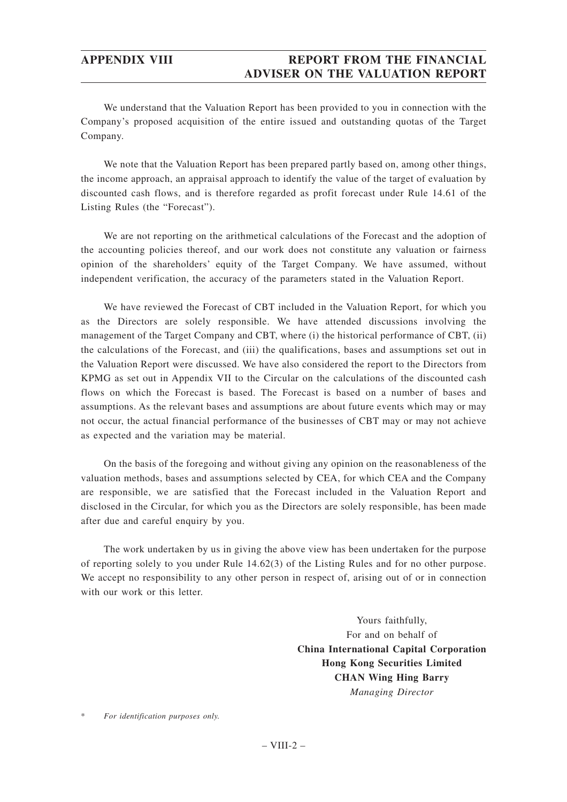## **APPENDIX VIII REPORT FROM THE FINANCIAL ADVISER ON THE VALUATION REPORT**

We understand that the Valuation Report has been provided to you in connection with the Company's proposed acquisition of the entire issued and outstanding quotas of the Target Company.

We note that the Valuation Report has been prepared partly based on, among other things, the income approach, an appraisal approach to identify the value of the target of evaluation by discounted cash flows, and is therefore regarded as profit forecast under Rule 14.61 of the Listing Rules (the "Forecast").

We are not reporting on the arithmetical calculations of the Forecast and the adoption of the accounting policies thereof, and our work does not constitute any valuation or fairness opinion of the shareholders' equity of the Target Company. We have assumed, without independent verification, the accuracy of the parameters stated in the Valuation Report.

We have reviewed the Forecast of CBT included in the Valuation Report, for which you as the Directors are solely responsible. We have attended discussions involving the management of the Target Company and CBT, where (i) the historical performance of CBT, (ii) the calculations of the Forecast, and (iii) the qualifications, bases and assumptions set out in the Valuation Report were discussed. We have also considered the report to the Directors from KPMG as set out in Appendix VII to the Circular on the calculations of the discounted cash flows on which the Forecast is based. The Forecast is based on a number of bases and assumptions. As the relevant bases and assumptions are about future events which may or may not occur, the actual financial performance of the businesses of CBT may or may not achieve as expected and the variation may be material.

On the basis of the foregoing and without giving any opinion on the reasonableness of the valuation methods, bases and assumptions selected by CEA, for which CEA and the Company are responsible, we are satisfied that the Forecast included in the Valuation Report and disclosed in the Circular, for which you as the Directors are solely responsible, has been made after due and careful enquiry by you.

The work undertaken by us in giving the above view has been undertaken for the purpose of reporting solely to you under Rule 14.62(3) of the Listing Rules and for no other purpose. We accept no responsibility to any other person in respect of, arising out of or in connection with our work or this letter.

> Yours faithfully, For and on behalf of **China International Capital Corporation Hong Kong Securities Limited CHAN Wing Hing Barry** *Managing Director*

 $For$  *identification purposes only.*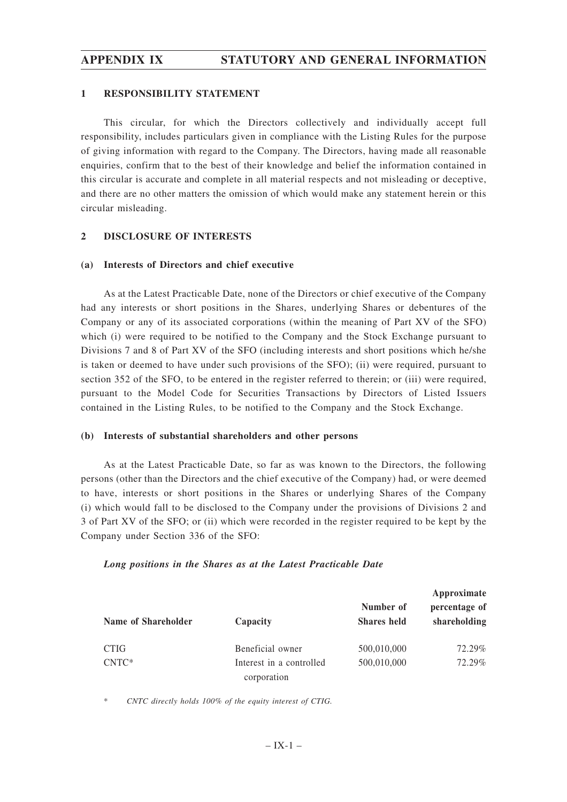### **1 RESPONSIBILITY STATEMENT**

This circular, for which the Directors collectively and individually accept full responsibility, includes particulars given in compliance with the Listing Rules for the purpose of giving information with regard to the Company. The Directors, having made all reasonable enquiries, confirm that to the best of their knowledge and belief the information contained in this circular is accurate and complete in all material respects and not misleading or deceptive, and there are no other matters the omission of which would make any statement herein or this circular misleading.

### **2 DISCLOSURE OF INTERESTS**

### **(a) Interests of Directors and chief executive**

As at the Latest Practicable Date, none of the Directors or chief executive of the Company had any interests or short positions in the Shares, underlying Shares or debentures of the Company or any of its associated corporations (within the meaning of Part XV of the SFO) which (i) were required to be notified to the Company and the Stock Exchange pursuant to Divisions 7 and 8 of Part XV of the SFO (including interests and short positions which he/she is taken or deemed to have under such provisions of the SFO); (ii) were required, pursuant to section 352 of the SFO, to be entered in the register referred to therein; or (iii) were required, pursuant to the Model Code for Securities Transactions by Directors of Listed Issuers contained in the Listing Rules, to be notified to the Company and the Stock Exchange.

### **(b) Interests of substantial shareholders and other persons**

As at the Latest Practicable Date, so far as was known to the Directors, the following persons (other than the Directors and the chief executive of the Company) had, or were deemed to have, interests or short positions in the Shares or underlying Shares of the Company (i) which would fall to be disclosed to the Company under the provisions of Divisions 2 and 3 of Part XV of the SFO; or (ii) which were recorded in the register required to be kept by the Company under Section 336 of the SFO:

## *Long positions in the Shares as at the Latest Practicable Date*

| Name of Shareholder | Capacity                 | Number of<br><b>Shares held</b> | Approximate<br>percentage of<br>shareholding |
|---------------------|--------------------------|---------------------------------|----------------------------------------------|
| <b>CTIG</b>         | Beneficial owner         | 500,010,000                     | 72.29%                                       |
| $CNTC*$             | Interest in a controlled | 500,010,000                     | 72.29%                                       |
|                     | corporation              |                                 |                                              |

\* *CNTC directly holds 100% of the equity interest of CTIG.*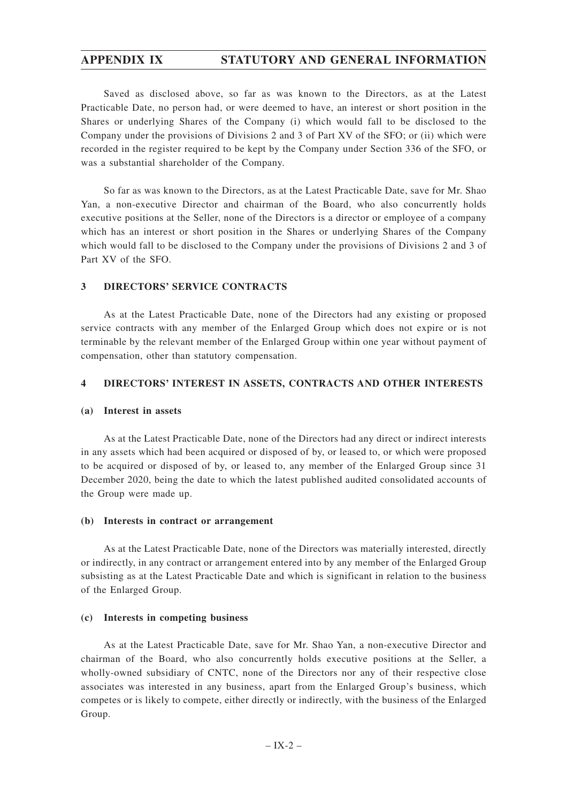Saved as disclosed above, so far as was known to the Directors, as at the Latest Practicable Date, no person had, or were deemed to have, an interest or short position in the Shares or underlying Shares of the Company (i) which would fall to be disclosed to the Company under the provisions of Divisions 2 and 3 of Part XV of the SFO; or (ii) which were recorded in the register required to be kept by the Company under Section 336 of the SFO, or was a substantial shareholder of the Company.

So far as was known to the Directors, as at the Latest Practicable Date, save for Mr. Shao Yan, a non-executive Director and chairman of the Board, who also concurrently holds executive positions at the Seller, none of the Directors is a director or employee of a company which has an interest or short position in the Shares or underlying Shares of the Company which would fall to be disclosed to the Company under the provisions of Divisions 2 and 3 of Part XV of the SFO.

### **3 DIRECTORS' SERVICE CONTRACTS**

As at the Latest Practicable Date, none of the Directors had any existing or proposed service contracts with any member of the Enlarged Group which does not expire or is not terminable by the relevant member of the Enlarged Group within one year without payment of compensation, other than statutory compensation.

### **4 DIRECTORS' INTEREST IN ASSETS, CONTRACTS AND OTHER INTERESTS**

### **(a) Interest in assets**

As at the Latest Practicable Date, none of the Directors had any direct or indirect interests in any assets which had been acquired or disposed of by, or leased to, or which were proposed to be acquired or disposed of by, or leased to, any member of the Enlarged Group since 31 December 2020, being the date to which the latest published audited consolidated accounts of the Group were made up.

### **(b) Interests in contract or arrangement**

As at the Latest Practicable Date, none of the Directors was materially interested, directly or indirectly, in any contract or arrangement entered into by any member of the Enlarged Group subsisting as at the Latest Practicable Date and which is significant in relation to the business of the Enlarged Group.

### **(c) Interests in competing business**

As at the Latest Practicable Date, save for Mr. Shao Yan, a non-executive Director and chairman of the Board, who also concurrently holds executive positions at the Seller, a wholly-owned subsidiary of CNTC, none of the Directors nor any of their respective close associates was interested in any business, apart from the Enlarged Group's business, which competes or is likely to compete, either directly or indirectly, with the business of the Enlarged Group.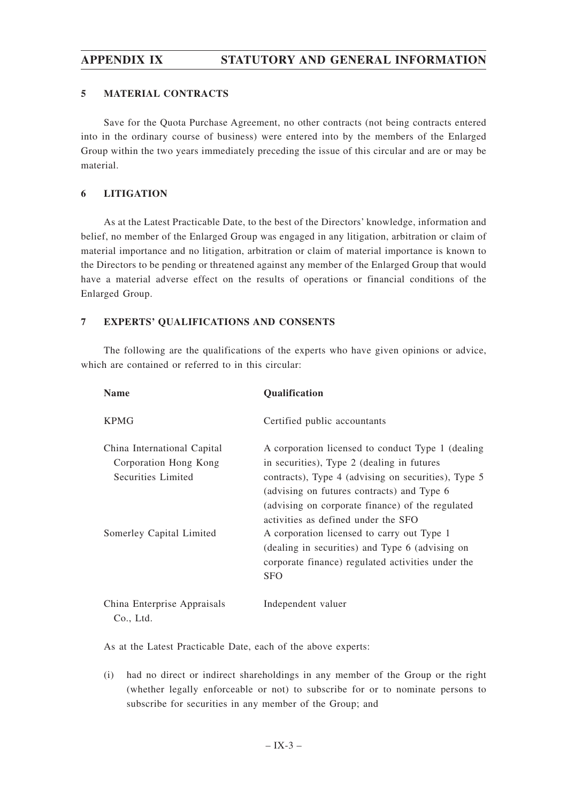### **5 MATERIAL CONTRACTS**

Save for the Quota Purchase Agreement, no other contracts (not being contracts entered into in the ordinary course of business) were entered into by the members of the Enlarged Group within the two years immediately preceding the issue of this circular and are or may be material.

### **6 LITIGATION**

As at the Latest Practicable Date, to the best of the Directors' knowledge, information and belief, no member of the Enlarged Group was engaged in any litigation, arbitration or claim of material importance and no litigation, arbitration or claim of material importance is known to the Directors to be pending or threatened against any member of the Enlarged Group that would have a material adverse effect on the results of operations or financial conditions of the Enlarged Group.

### **7 EXPERTS' QUALIFICATIONS AND CONSENTS**

The following are the qualifications of the experts who have given opinions or advice, which are contained or referred to in this circular:

| <b>Name</b>                                                                                            | <b>Qualification</b>                                                                                                                                                                                                                                                                                                                                                                                                                                                |
|--------------------------------------------------------------------------------------------------------|---------------------------------------------------------------------------------------------------------------------------------------------------------------------------------------------------------------------------------------------------------------------------------------------------------------------------------------------------------------------------------------------------------------------------------------------------------------------|
| <b>KPMG</b>                                                                                            | Certified public accountants                                                                                                                                                                                                                                                                                                                                                                                                                                        |
| China International Capital<br>Corporation Hong Kong<br>Securities Limited<br>Somerley Capital Limited | A corporation licensed to conduct Type 1 (dealing<br>in securities), Type 2 (dealing in futures<br>contracts), Type 4 (advising on securities), Type 5<br>(advising on futures contracts) and Type 6<br>(advising on corporate finance) of the regulated<br>activities as defined under the SFO<br>A corporation licensed to carry out Type 1<br>(dealing in securities) and Type 6 (advising on<br>corporate finance) regulated activities under the<br><b>SFO</b> |
| China Enterprise Appraisals<br>Co., Ltd.                                                               | Independent valuer                                                                                                                                                                                                                                                                                                                                                                                                                                                  |

As at the Latest Practicable Date, each of the above experts:

(i) had no direct or indirect shareholdings in any member of the Group or the right (whether legally enforceable or not) to subscribe for or to nominate persons to subscribe for securities in any member of the Group; and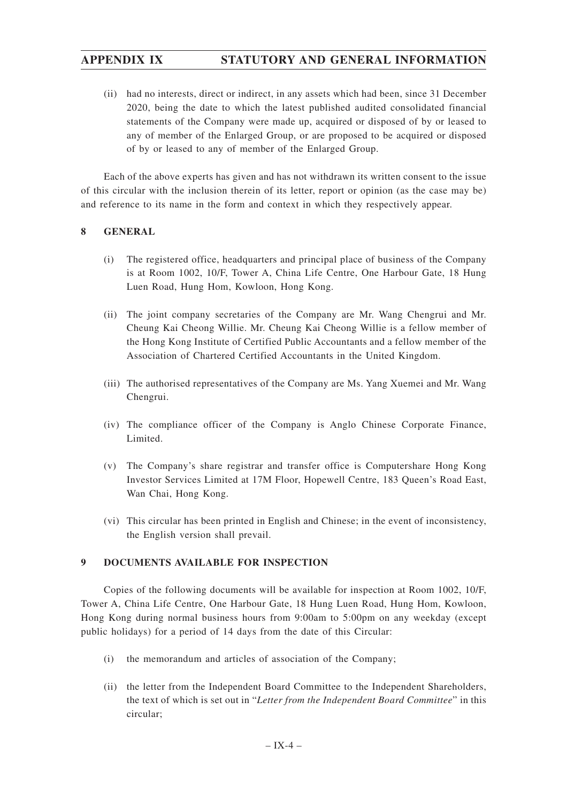(ii) had no interests, direct or indirect, in any assets which had been, since 31 December 2020, being the date to which the latest published audited consolidated financial statements of the Company were made up, acquired or disposed of by or leased to any of member of the Enlarged Group, or are proposed to be acquired or disposed of by or leased to any of member of the Enlarged Group.

Each of the above experts has given and has not withdrawn its written consent to the issue of this circular with the inclusion therein of its letter, report or opinion (as the case may be) and reference to its name in the form and context in which they respectively appear.

### **8 GENERAL**

- (i) The registered office, headquarters and principal place of business of the Company is at Room 1002, 10/F, Tower A, China Life Centre, One Harbour Gate, 18 Hung Luen Road, Hung Hom, Kowloon, Hong Kong.
- (ii) The joint company secretaries of the Company are Mr. Wang Chengrui and Mr. Cheung Kai Cheong Willie. Mr. Cheung Kai Cheong Willie is a fellow member of the Hong Kong Institute of Certified Public Accountants and a fellow member of the Association of Chartered Certified Accountants in the United Kingdom.
- (iii) The authorised representatives of the Company are Ms. Yang Xuemei and Mr. Wang Chengrui.
- (iv) The compliance officer of the Company is Anglo Chinese Corporate Finance, Limited.
- (v) The Company's share registrar and transfer office is Computershare Hong Kong Investor Services Limited at 17M Floor, Hopewell Centre, 183 Queen's Road East, Wan Chai, Hong Kong.
- (vi) This circular has been printed in English and Chinese; in the event of inconsistency, the English version shall prevail.

### **9 DOCUMENTS AVAILABLE FOR INSPECTION**

Copies of the following documents will be available for inspection at Room 1002, 10/F, Tower A, China Life Centre, One Harbour Gate, 18 Hung Luen Road, Hung Hom, Kowloon, Hong Kong during normal business hours from 9:00am to 5:00pm on any weekday (except public holidays) for a period of 14 days from the date of this Circular:

- (i) the memorandum and articles of association of the Company;
- (ii) the letter from the Independent Board Committee to the Independent Shareholders, the text of which is set out in "*Letter from the Independent Board Committee*" in this circular;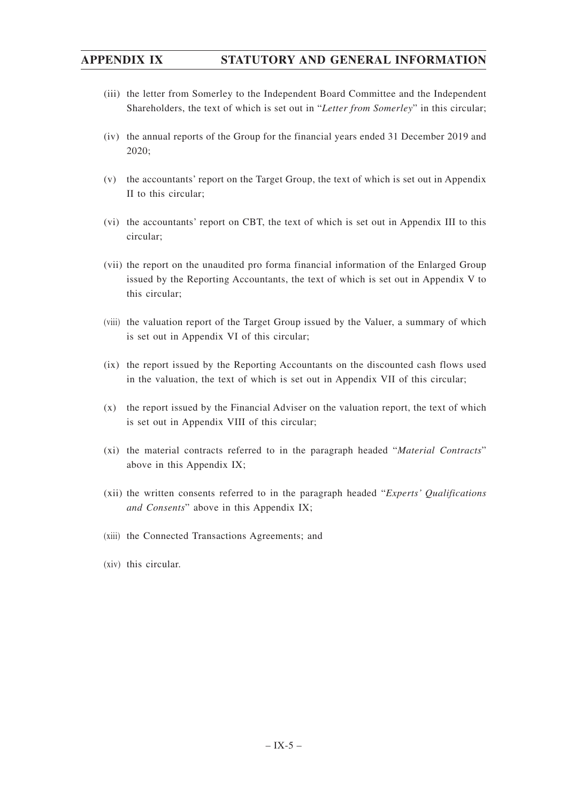- (iii) the letter from Somerley to the Independent Board Committee and the Independent Shareholders, the text of which is set out in "*Letter from Somerley*" in this circular;
- (iv) the annual reports of the Group for the financial years ended 31 December 2019 and 2020;
- (v) the accountants' report on the Target Group, the text of which is set out in Appendix II to this circular;
- (vi) the accountants' report on CBT, the text of which is set out in Appendix III to this circular;
- (vii) the report on the unaudited pro forma financial information of the Enlarged Group issued by the Reporting Accountants, the text of which is set out in Appendix V to this circular;
- (viii) the valuation report of the Target Group issued by the Valuer, a summary of which is set out in Appendix VI of this circular;
- (ix) the report issued by the Reporting Accountants on the discounted cash flows used in the valuation, the text of which is set out in Appendix VII of this circular;
- (x) the report issued by the Financial Adviser on the valuation report, the text of which is set out in Appendix VIII of this circular;
- (xi) the material contracts referred to in the paragraph headed "*Material Contracts*" above in this Appendix IX;
- (xii) the written consents referred to in the paragraph headed "*Experts' Qualifications and Consents*" above in this Appendix IX;
- (xiii) the Connected Transactions Agreements; and
- (xiv) this circular.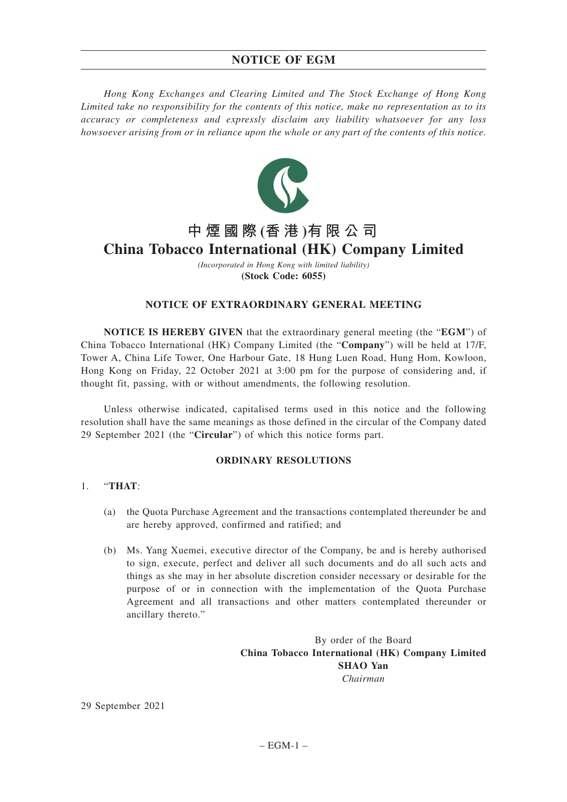## **NOTICE OF EGM**

*Hong Kong Exchanges and Clearing Limited and The Stock Exchange of Hong Kong Limited take no responsibility for the contents of this notice, make no representation as to its accuracy or completeness and expressly disclaim any liability whatsoever for any loss howsoever arising from or in reliance upon the whole or any part of the contents of this notice.*



# **中煙國際 (香 港 )有限公司 China Tobacco International (HK) Company Limited**

*(Incorporated in Hong Kong with limited liability)* **(Stock Code: 6055)**

### **NOTICE OF EXTRAORDINARY GENERAL MEETING**

**NOTICE IS HEREBY GIVEN** that the extraordinary general meeting (the "**EGM**") of China Tobacco International (HK) Company Limited (the "**Company**") will be held at 17/F, Tower A, China Life Tower, One Harbour Gate, 18 Hung Luen Road, Hung Hom, Kowloon, Hong Kong on Friday, 22 October 2021 at 3:00 pm for the purpose of considering and, if thought fit, passing, with or without amendments, the following resolution.

Unless otherwise indicated, capitalised terms used in this notice and the following resolution shall have the same meanings as those defined in the circular of the Company dated 29 September 2021 (the "**Circular**") of which this notice forms part.

### **ORDINARY RESOLUTIONS**

### 1. "**THAT**:

- (a) the Quota Purchase Agreement and the transactions contemplated thereunder be and are hereby approved, confirmed and ratified; and
- (b) Ms. Yang Xuemei, executive director of the Company, be and is hereby authorised to sign, execute, perfect and deliver all such documents and do all such acts and things as she may in her absolute discretion consider necessary or desirable for the purpose of or in connection with the implementation of the Quota Purchase Agreement and all transactions and other matters contemplated thereunder or ancillary thereto."

By order of the Board **China Tobacco International (HK) Company Limited SHAO Yan** *Chairman*

29 September 2021